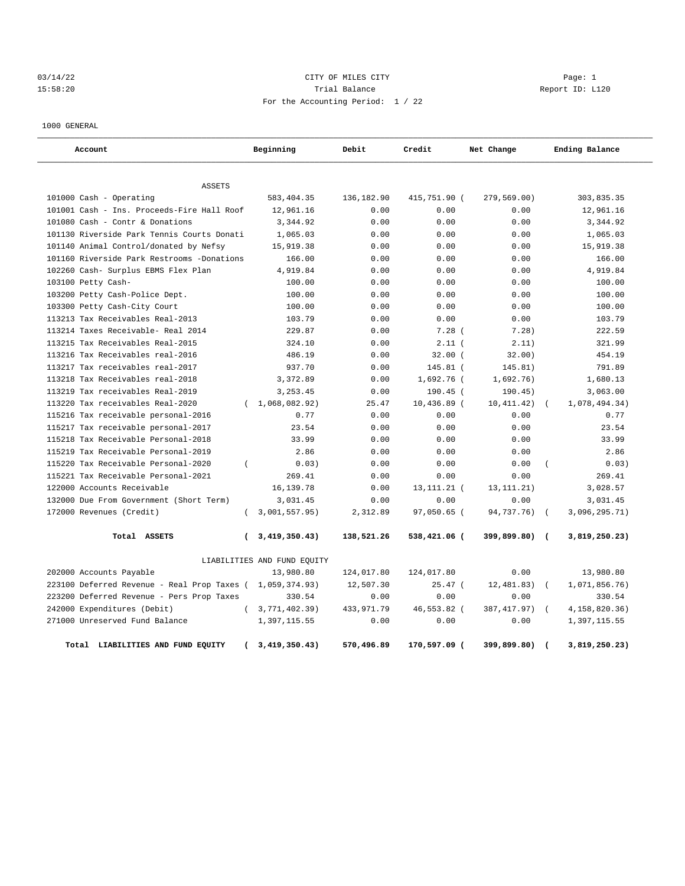## 03/14/22 Page: 1 CITY OF MILES CITY 15:58:20 Trial Balance Report ID: L120 For the Accounting Period: 1 / 22

1000 GENERAL

| Account                                     |              | Beginning                   | Debit      | Credit        | Net Change   |                          | Ending Balance |
|---------------------------------------------|--------------|-----------------------------|------------|---------------|--------------|--------------------------|----------------|
| <b>ASSETS</b>                               |              |                             |            |               |              |                          |                |
| 101000 Cash - Operating                     |              | 583, 404.35                 | 136,182.90 | 415,751.90 (  | 279,569.00)  |                          | 303,835.35     |
| 101001 Cash - Ins. Proceeds-Fire Hall Roof  |              | 12,961.16                   | 0.00       | 0.00          | 0.00         |                          | 12,961.16      |
| 101080 Cash - Contr & Donations             |              | 3,344.92                    | 0.00       | 0.00          | 0.00         |                          | 3,344.92       |
| 101130 Riverside Park Tennis Courts Donati  |              | 1,065.03                    | 0.00       | 0.00          | 0.00         |                          | 1,065.03       |
| 101140 Animal Control/donated by Nefsy      |              | 15,919.38                   | 0.00       | 0.00          | 0.00         |                          | 15,919.38      |
| 101160 Riverside Park Restrooms -Donations  |              | 166.00                      | 0.00       | 0.00          | 0.00         |                          | 166.00         |
| 102260 Cash- Surplus EBMS Flex Plan         |              | 4,919.84                    | 0.00       | 0.00          | 0.00         |                          | 4,919.84       |
| 103100 Petty Cash-                          |              | 100.00                      | 0.00       | 0.00          | 0.00         |                          | 100.00         |
| 103200 Petty Cash-Police Dept.              |              | 100.00                      | 0.00       | 0.00          | 0.00         |                          | 100.00         |
| 103300 Petty Cash-City Court                |              | 100.00                      | 0.00       | 0.00          | 0.00         |                          | 100.00         |
| 113213 Tax Receivables Real-2013            |              | 103.79                      | 0.00       | 0.00          | 0.00         |                          | 103.79         |
| 113214 Taxes Receivable- Real 2014          |              | 229.87                      | 0.00       | 7.28(         | 7.28)        |                          | 222.59         |
| 113215 Tax Receivables Real-2015            |              | 324.10                      | 0.00       | $2.11$ (      | 2.11)        |                          | 321.99         |
| 113216 Tax Receivables real-2016            |              | 486.19                      | 0.00       | 32.00(        | 32.00)       |                          | 454.19         |
| 113217 Tax receivables real-2017            |              | 937.70                      | 0.00       | $145.81$ (    | 145.81)      |                          | 791.89         |
| 113218 Tax Receivables real-2018            |              | 3,372.89                    | 0.00       | 1,692.76 (    | 1,692.76)    |                          | 1,680.13       |
| 113219 Tax receivables Real-2019            |              | 3, 253, 45                  | 0.00       | $190.45$ (    | 190.45)      |                          | 3,063.00       |
| 113220 Tax receivables Real-2020            | $\left($     | 1,068,082.92)               | 25.47      | $10,436.89$ ( | 10, 411.42)  | $\left($                 | 1,078,494.34)  |
| 115216 Tax receivable personal-2016         |              | 0.77                        | 0.00       | 0.00          | 0.00         |                          | 0.77           |
| 115217 Tax receivable personal-2017         |              | 23.54                       | 0.00       | 0.00          | 0.00         |                          | 23.54          |
| 115218 Tax Receivable Personal-2018         |              | 33.99                       | 0.00       | 0.00          | 0.00         |                          | 33.99          |
| 115219 Tax Receivable Personal-2019         |              | 2.86                        | 0.00       | 0.00          | 0.00         |                          | 2.86           |
| 115220 Tax Receivable Personal-2020         | $\left($     | 0.03)                       | 0.00       | 0.00          | 0.00         |                          | 0.03)          |
| 115221 Tax Receivable Personal-2021         |              | 269.41                      | 0.00       | 0.00          | 0.00         |                          | 269.41         |
| 122000 Accounts Receivable                  |              | 16,139.78                   | 0.00       | 13, 111, 21 ( | 13, 111. 21) |                          | 3,028.57       |
| 132000 Due From Government (Short Term)     |              | 3,031.45                    | 0.00       | 0.00          | 0.00         |                          | 3,031.45       |
| 172000 Revenues (Credit)                    | $\left($     | 3,001,557.95)               | 2,312.89   | 97,050.65 (   | 94,737.76)   | $\sqrt{2}$               | 3,096,295.71)  |
| Total ASSETS                                | <sup>-</sup> | 3,419,350.43)               | 138,521.26 | 538,421.06 (  | 399,899.80)  | $\sqrt{2}$               | 3,819,250.23)  |
|                                             |              | LIABILITIES AND FUND EQUITY |            |               |              |                          |                |
| 202000 Accounts Payable                     |              | 13,980.80                   | 124,017.80 | 124,017.80    | 0.00         |                          | 13,980.80      |
| 223100 Deferred Revenue - Real Prop Taxes ( |              | 1,059,374.93)               | 12,507.30  | $25.47$ (     | 12,481.83)   | $\sqrt{ }$               | 1,071,856.76)  |
| 223200 Deferred Revenue - Pers Prop Taxes   |              | 330.54                      | 0.00       | 0.00          | 0.00         |                          | 330.54         |
| 242000 Expenditures (Debit)                 | $\left($     | 3,771,402.39)               | 433,971.79 | 46,553.82 (   | 387, 417.97) | $\sqrt{ }$               | 4,158,820.36)  |
| 271000 Unreserved Fund Balance              |              | 1,397,115.55                | 0.00       | 0.00          | 0.00         |                          | 1,397,115.55   |
| Total LIABILITIES AND FUND EQUITY           |              | 3,419,350.43)               | 570,496.89 | 170,597.09 (  | 399,899.80)  | $\overline{\phantom{a}}$ | 3,819,250.23)  |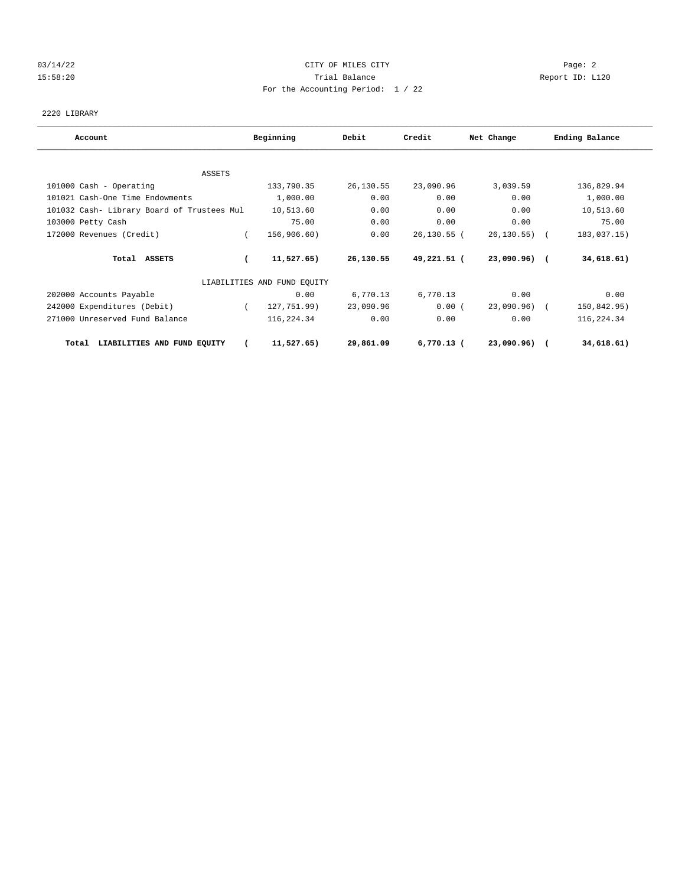## 03/14/22 Page: 2 15:58:20 Trial Balance Report ID: L120 For the Accounting Period: 1 / 22

2220 LIBRARY

| Account                                    | Beginning                   | Debit     | Credit         | Net Change    | Ending Balance |
|--------------------------------------------|-----------------------------|-----------|----------------|---------------|----------------|
|                                            |                             |           |                |               |                |
| ASSETS                                     |                             |           |                |               |                |
| 101000 Cash - Operating                    | 133,790.35                  | 26,130.55 | 23,090.96      | 3,039.59      | 136,829.94     |
| 101021 Cash-One Time Endowments            | 1,000.00                    | 0.00      | 0.00           | 0.00          | 1,000.00       |
| 101032 Cash- Library Board of Trustees Mul | 10,513.60                   | 0.00      | 0.00           | 0.00          | 10,513.60      |
| 103000 Petty Cash                          | 75.00                       | 0.00      | 0.00           | 0.00          | 75.00          |
| 172000 Revenues (Credit)                   | 156,906.60)                 | 0.00      | $26, 130.55$ ( | 26, 130.55)   | 183,037.15)    |
| Total ASSETS                               | $11,527.65$ )               | 26,130.55 | 49,221.51 (    | $23,090.96$ ( | 34,618.61)     |
|                                            | LIABILITIES AND FUND EQUITY |           |                |               |                |
| 202000 Accounts Payable                    | 0.00                        | 6,770.13  | 6,770.13       | 0.00          | 0.00           |
| 242000 Expenditures (Debit)                | 127,751.99)                 | 23,090.96 | 0.00(          | 23,090.96)    | 150,842.95)    |
| 271000 Unreserved Fund Balance             | 116,224.34                  | 0.00      | 0.00           | 0.00          | 116,224.34     |
| LIABILITIES AND FUND EQUITY<br>Total       | 11,527.65                   | 29,861.09 | $6,770.13$ (   | 23,090.96)    | 34,618.61)     |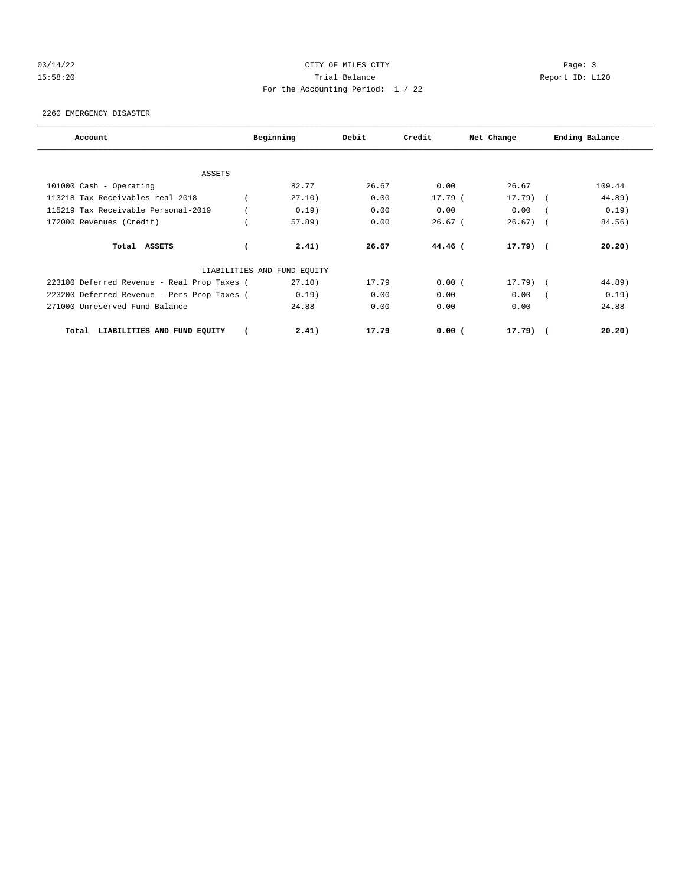## 03/14/22 Page: 3 Page: 3 Page: 3 15:58:20 Trial Balance Report ID: L120 For the Accounting Period: 1 / 22

2260 EMERGENCY DISASTER

| Account                                     | Beginning                   | Debit | Credit    | Net Change    | Ending Balance |
|---------------------------------------------|-----------------------------|-------|-----------|---------------|----------------|
|                                             |                             |       |           |               |                |
| ASSETS                                      |                             |       |           |               |                |
| 101000 Cash - Operating                     | 82.77                       | 26.67 | 0.00      | 26.67         | 109.44         |
| 113218 Tax Receivables real-2018            | 27.10)                      | 0.00  | 17.79 (   | $17.79$ )     | 44.89)         |
| 115219 Tax Receivable Personal-2019         | 0.19)                       | 0.00  | 0.00      | 0.00          | 0.19)          |
| 172000 Revenues (Credit)                    | $57.89$ )                   | 0.00  | $26.67$ ( | $26.67$ ) (   | 84.56)         |
| Total ASSETS                                | 2.41)                       | 26.67 | $44.46$ ( | $17.79$ ) $($ | 20.20)         |
|                                             | LIABILITIES AND FUND EQUITY |       |           |               |                |
| 223100 Deferred Revenue - Real Prop Taxes ( | 27.10)                      | 17.79 | 0.00(     | $17.79$ (     | 44.89)         |
| 223200 Deferred Revenue - Pers Prop Taxes ( | 0.19)                       | 0.00  | 0.00      | 0.00          | 0.19)          |
| 271000 Unreserved Fund Balance              | 24.88                       | 0.00  | 0.00      | 0.00          | 24.88          |
| LIABILITIES AND FUND EQUITY<br>Total        | 2.41)                       | 17.79 | 0.00(     | $17.79$ ) (   | 20.20)         |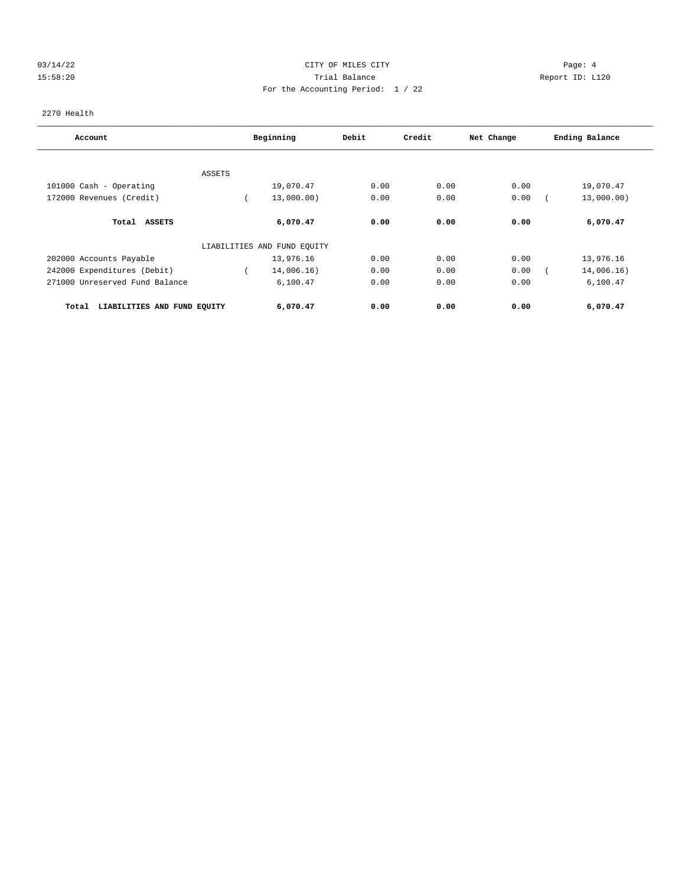## 03/14/22 Page: 4 15:58:20 Trial Balance Report ID: L120 For the Accounting Period: 1 / 22

2270 Health

| Account                              |        | Beginning                   | Debit | Credit | Net Change | Ending Balance |
|--------------------------------------|--------|-----------------------------|-------|--------|------------|----------------|
|                                      |        |                             |       |        |            |                |
|                                      | ASSETS |                             |       |        |            |                |
| 101000 Cash - Operating              |        | 19,070.47                   | 0.00  | 0.00   | 0.00       | 19,070.47      |
| 172000 Revenues (Credit)             |        | 13,000.00)                  | 0.00  | 0.00   | 0.00       | 13,000.00)     |
| Total<br><b>ASSETS</b>               |        | 6,070.47                    | 0.00  | 0.00   | 0.00       | 6,070.47       |
|                                      |        | LIABILITIES AND FUND EQUITY |       |        |            |                |
| 202000 Accounts Payable              |        | 13,976.16                   | 0.00  | 0.00   | 0.00       | 13,976.16      |
| 242000 Expenditures (Debit)          |        | 14,006.16)                  | 0.00  | 0.00   | 0.00       | 14,006.16)     |
| 271000 Unreserved Fund Balance       |        | 6,100.47                    | 0.00  | 0.00   | 0.00       | 6,100.47       |
| LIABILITIES AND FUND EQUITY<br>Total |        | 6,070.47                    | 0.00  | 0.00   | 0.00       | 6,070.47       |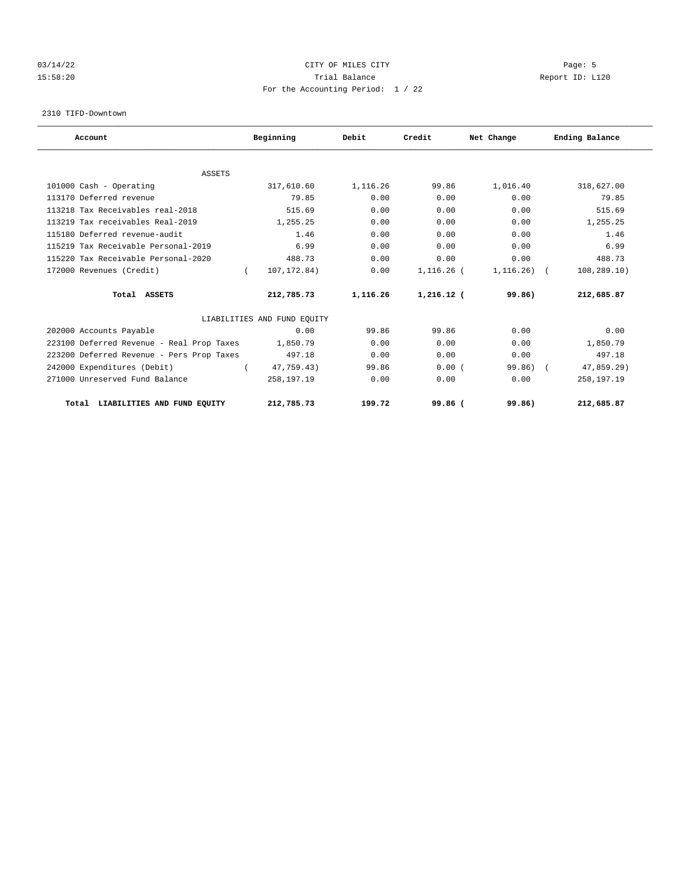## 03/14/22 Page: 5 Page: 5 Page: 5 Page: 5 Page: 5 Page: 5 Page: 5 Page: 5 Page: 5 Page: 5 15:58:20 Trial Balance Report ID: L120 For the Accounting Period: 1 / 22

2310 TIFD-Downtown

| Account                                   | Beginning                   | Debit    | Credit       | Net Change   | Ending Balance |
|-------------------------------------------|-----------------------------|----------|--------------|--------------|----------------|
| <b>ASSETS</b>                             |                             |          |              |              |                |
| 101000 Cash - Operating                   | 317,610.60                  | 1,116.26 | 99.86        | 1,016.40     | 318,627.00     |
| 113170 Deferred revenue                   | 79.85                       | 0.00     | 0.00         | 0.00         | 79.85          |
| 113218 Tax Receivables real-2018          | 515.69                      | 0.00     | 0.00         | 0.00         | 515.69         |
| 113219 Tax receivables Real-2019          | 1,255.25                    | 0.00     | 0.00         | 0.00         | 1,255.25       |
| 115180 Deferred revenue-audit             | 1.46                        | 0.00     | 0.00         | 0.00         | 1.46           |
| 115219 Tax Receivable Personal-2019       | 6.99                        | 0.00     | 0.00         | 0.00         | 6.99           |
|                                           |                             |          |              |              |                |
| 115220 Tax Receivable Personal-2020       | 488.73                      | 0.00     | 0.00         | 0.00         | 488.73         |
| 172000 Revenues (Credit)                  | 107, 172.84)<br>$\left($    | 0.00     | $1,116.26$ ( | $1,116.26$ ( | 108,289.10)    |
| Total ASSETS                              | 212,785.73                  | 1,116.26 | $1,216.12$ ( | 99.86)       | 212,685.87     |
|                                           | LIABILITIES AND FUND EQUITY |          |              |              |                |
| 202000 Accounts Payable                   | 0.00                        | 99.86    | 99.86        | 0.00         | 0.00           |
| 223100 Deferred Revenue - Real Prop Taxes | 1,850.79                    | 0.00     | 0.00         | 0.00         | 1,850.79       |
| 223200 Deferred Revenue - Pers Prop Taxes | 497.18                      | 0.00     | 0.00         | 0.00         | 497.18         |
| 242000 Expenditures (Debit)               | 47,759.43)                  | 99.86    | 0.00(        | 99.86)       | 47,859.29)     |
| 271000 Unreserved Fund Balance            | 258,197.19                  | 0.00     | 0.00         | 0.00         | 258,197.19     |
| Total LIABILITIES AND FUND EQUITY         | 212,785.73                  | 199.72   | 99.86 (      | 99.86)       | 212,685.87     |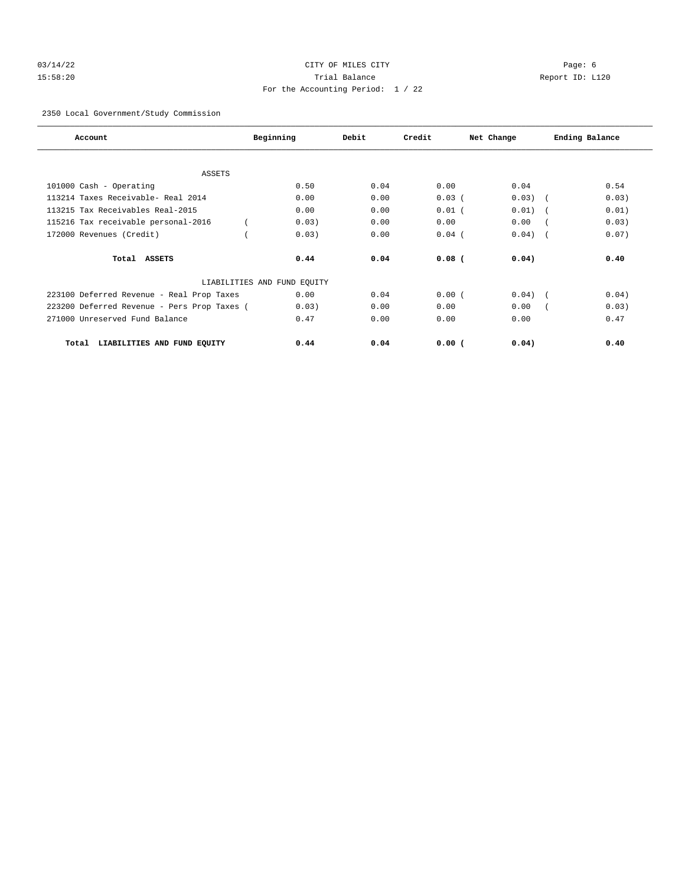## 03/14/22 Page: 6 Page: 6 Page: 6 Page: 6 Page: 6 Page: 6 Page: 6 Page: 6 Page: 6 Page: 6 Page: 6 Page: 6 Page: 6 Page: 6 Page: 6 Page: 6 Page: 6 Page: 6 Page: 6 Page: 6 Page: 6 Page: 6 Page: 6 Page: 6 Page: 6 Page: 6 Page: 15:58:20 Trial Balance Report ID: L120 For the Accounting Period: 1 / 22

2350 Local Government/Study Commission

| Account                                     | Beginning                   | Debit | Credit   | Net Change | Ending Balance |
|---------------------------------------------|-----------------------------|-------|----------|------------|----------------|
|                                             |                             |       |          |            |                |
| <b>ASSETS</b>                               |                             |       |          |            |                |
| 101000 Cash - Operating                     | 0.50                        | 0.04  | 0.00     | 0.04       | 0.54           |
| 113214 Taxes Receivable- Real 2014          | 0.00                        | 0.00  | 0.03(    | 0.03)      | 0.03)          |
| 113215 Tax Receivables Real-2015            | 0.00                        | 0.00  | $0.01$ ( | 0.01)      | 0.01)          |
| 115216 Tax receivable personal-2016         | 0.03)                       | 0.00  | 0.00     | 0.00       | 0.03)          |
| 172000 Revenues (Credit)                    | 0.03)                       | 0.00  | $0.04$ ( | 0.04)      | 0.07)          |
| Total ASSETS                                | 0.44                        | 0.04  | $0.08$ ( | 0.04)      | 0.40           |
|                                             | LIABILITIES AND FUND EQUITY |       |          |            |                |
| 223100 Deferred Revenue - Real Prop Taxes   | 0.00                        | 0.04  | 0.00(    | 0.04)      | 0.04)          |
| 223200 Deferred Revenue - Pers Prop Taxes ( | 0.03)                       | 0.00  | 0.00     | 0.00       | 0.03)          |
| 271000 Unreserved Fund Balance              | 0.47                        | 0.00  | 0.00     | 0.00       | 0.47           |
| LIABILITIES AND FUND EQUITY<br>Total        | 0.44                        | 0.04  | 0.00(    | 0.04)      | 0.40           |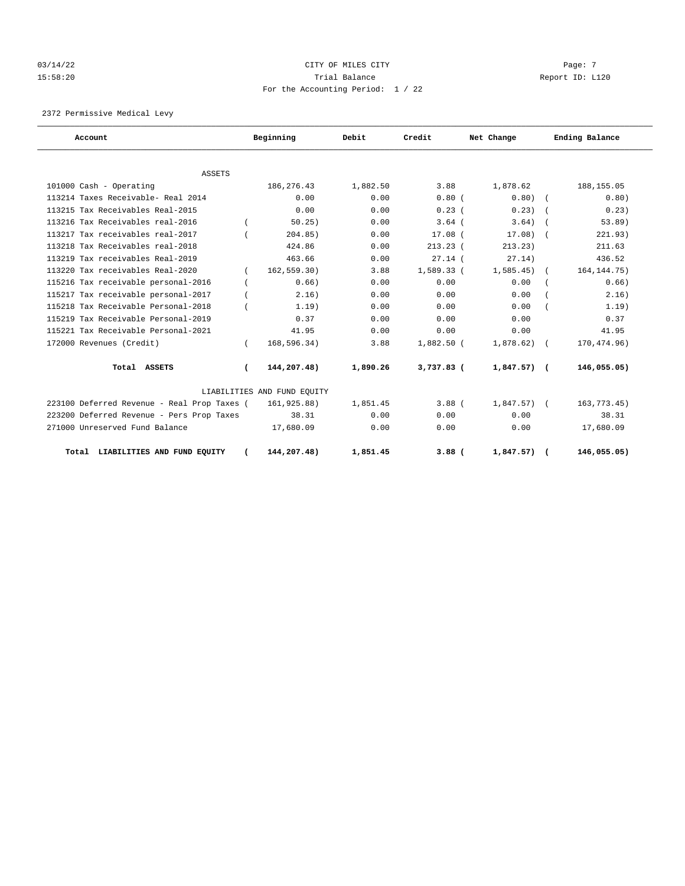## $03/14/22$  Page: 7 15:58:20 Trial Balance Report ID: L120 For the Accounting Period: 1 / 22

2372 Permissive Medical Levy

| Account                                     |          | Beginning                   | Debit    | Credit       | Net Change     | Ending Balance |
|---------------------------------------------|----------|-----------------------------|----------|--------------|----------------|----------------|
|                                             |          |                             |          |              |                |                |
| <b>ASSETS</b>                               |          |                             |          |              |                |                |
| 101000 Cash - Operating                     |          | 186, 276. 43                | 1,882.50 | 3.88         | 1,878.62       | 188, 155.05    |
| 113214 Taxes Receivable- Real 2014          |          | 0.00                        | 0.00     | $0.80$ (     | $0.80)$ (      | 0.80)          |
| 113215 Tax Receivables Real-2015            |          | 0.00                        | 0.00     | 0.23(        | 0.23)          | 0.23)          |
| 113216 Tax Receivables real-2016            |          | 50.25)                      | 0.00     | $3.64$ (     | 3.64)          | 53.89)         |
| 113217 Tax receivables real-2017            |          | 204.85)                     | 0.00     | $17.08$ (    | 17.08)         | 221.93)        |
| 113218 Tax Receivables real-2018            |          | 424.86                      | 0.00     | $213.23$ (   | 213.23)        | 211.63         |
| 113219 Tax receivables Real-2019            |          | 463.66                      | 0.00     | $27.14$ (    | 27.14)         | 436.52         |
| 113220 Tax receivables Real-2020            | $\left($ | 162, 559.30)                | 3.88     | 1,589.33 (   | 1,585.45)      | 164, 144. 75)  |
| 115216 Tax receivable personal-2016         |          | 0.66)                       | 0.00     | 0.00         | 0.00           | 0.66)          |
| 115217 Tax receivable personal-2017         |          | 2, 16)                      | 0.00     | 0.00         | 0.00           | 2.16)          |
| 115218 Tax Receivable Personal-2018         |          | 1.19)                       | 0.00     | 0.00         | 0.00           | 1.19)          |
| 115219 Tax Receivable Personal-2019         |          | 0.37                        | 0.00     | 0.00         | 0.00           | 0.37           |
| 115221 Tax Receivable Personal-2021         |          | 41.95                       | 0.00     | 0.00         | 0.00           | 41.95          |
| 172000 Revenues (Credit)                    |          | 168,596.34)                 | 3.88     | $1,882.50$ ( | 1,878.62)      | 170,474.96)    |
| Total ASSETS                                | $\left($ | 144,207.48)                 | 1,890.26 | $3,737.83$ ( | $1,847.57$ ) ( | 146,055.05)    |
|                                             |          | LIABILITIES AND FUND EQUITY |          |              |                |                |
| 223100 Deferred Revenue - Real Prop Taxes ( |          | 161,925.88)                 | 1,851.45 | $3.88$ (     | $1,847.57$ ) ( | 163, 773. 45)  |
| 223200 Deferred Revenue - Pers Prop Taxes   |          | 38.31                       | 0.00     | 0.00         | 0.00           | 38.31          |
| 271000 Unreserved Fund Balance              |          | 17,680.09                   | 0.00     | 0.00         | 0.00           | 17,680.09      |
| Total LIABILITIES AND FUND EOUITY           |          | 144,207.48)                 | 1,851.45 | $3.88$ (     | 1,847.57)      | 146,055.05)    |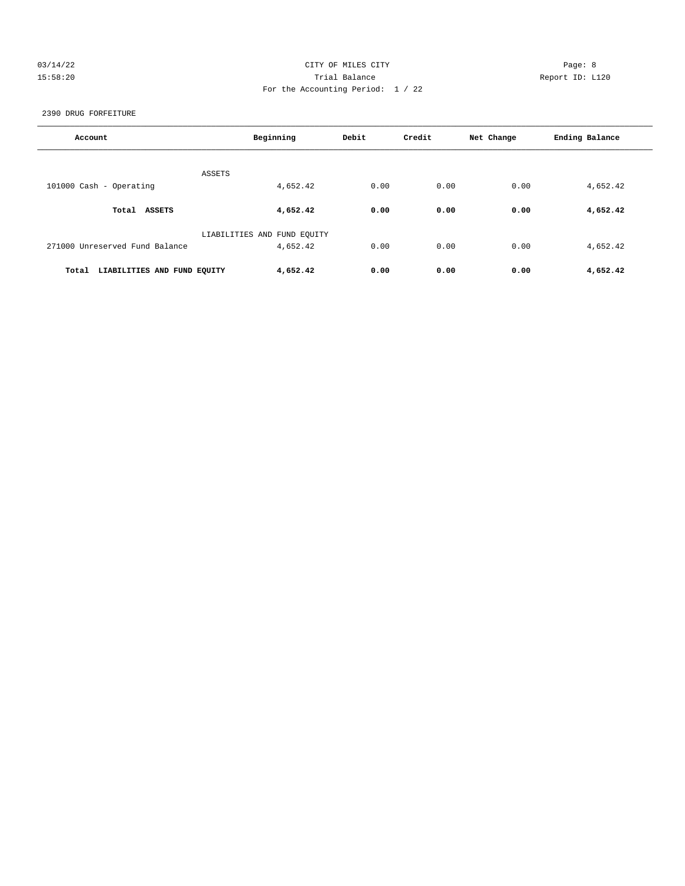## 03/14/22 Page: 8 CITY OF MILES CITY 15:58:20 Trial Balance Report ID: L120 For the Accounting Period: 1 / 22

2390 DRUG FORFEITURE

| Account                              | Beginning                   | Debit | Credit | Net Change | Ending Balance |
|--------------------------------------|-----------------------------|-------|--------|------------|----------------|
| ASSETS                               |                             |       |        |            |                |
| 101000 Cash - Operating              | 4,652.42                    | 0.00  | 0.00   | 0.00       | 4,652.42       |
| Total ASSETS                         | 4,652.42                    | 0.00  | 0.00   | 0.00       | 4,652.42       |
|                                      | LIABILITIES AND FUND EQUITY |       |        |            |                |
| 271000 Unreserved Fund Balance       | 4,652.42                    | 0.00  | 0.00   | 0.00       | 4,652.42       |
| Total<br>LIABILITIES AND FUND EQUITY | 4,652.42                    | 0.00  | 0.00   | 0.00       | 4,652.42       |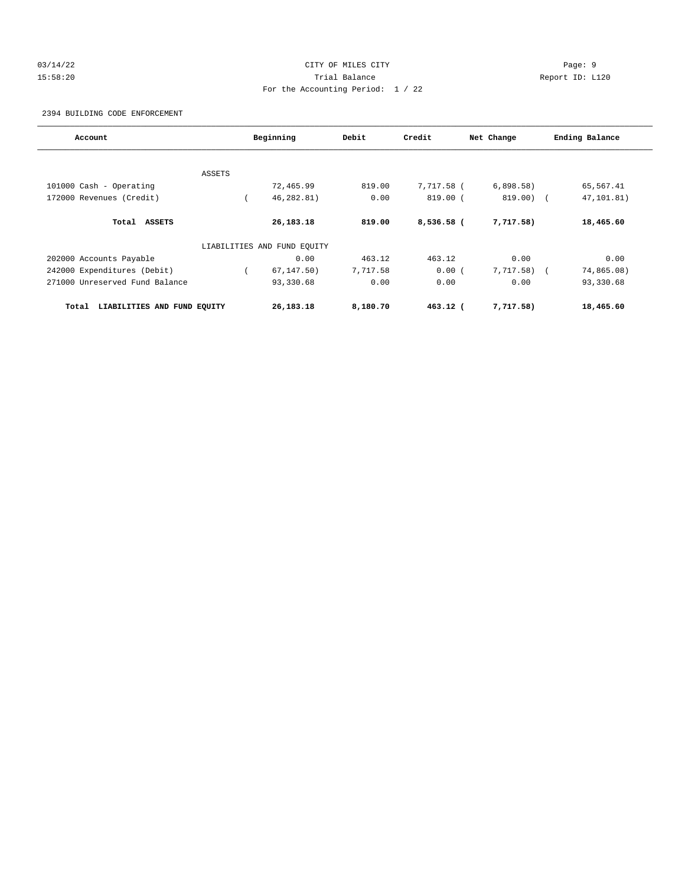## 03/14/22 Page: 9 15:58:20 Trial Balance Report ID: L120 For the Accounting Period: 1 / 22

2394 BUILDING CODE ENFORCEMENT

| Account                              |               | Beginning                   | Debit    | Credit     | Net Change   | Ending Balance |
|--------------------------------------|---------------|-----------------------------|----------|------------|--------------|----------------|
|                                      |               |                             |          |            |              |                |
|                                      | <b>ASSETS</b> |                             |          |            |              |                |
| 101000 Cash - Operating              |               | 72,465.99                   | 819.00   | 7,717.58 ( | 6,898.58)    | 65,567.41      |
| 172000 Revenues (Credit)             |               | 46,282.81)                  | 0.00     | 819.00 (   | $819.00)$ (  | 47,101.81)     |
| Total ASSETS                         |               | 26,183.18                   | 819.00   | 8,536.58 ( | 7,717.58)    | 18,465.60      |
|                                      |               | LIABILITIES AND FUND EQUITY |          |            |              |                |
| 202000 Accounts Payable              |               | 0.00                        | 463.12   | 463.12     | 0.00         | 0.00           |
| 242000 Expenditures (Debit)          |               | 67, 147.50)                 | 7,717.58 | 0.00(      | $7,717.58$ ( | 74,865.08)     |
| 271000 Unreserved Fund Balance       |               | 93,330.68                   | 0.00     | 0.00       | 0.00         | 93,330.68      |
| LIABILITIES AND FUND EQUITY<br>Total |               | 26,183.18                   | 8,180.70 | 463.12 (   | 7,717.58)    | 18,465.60      |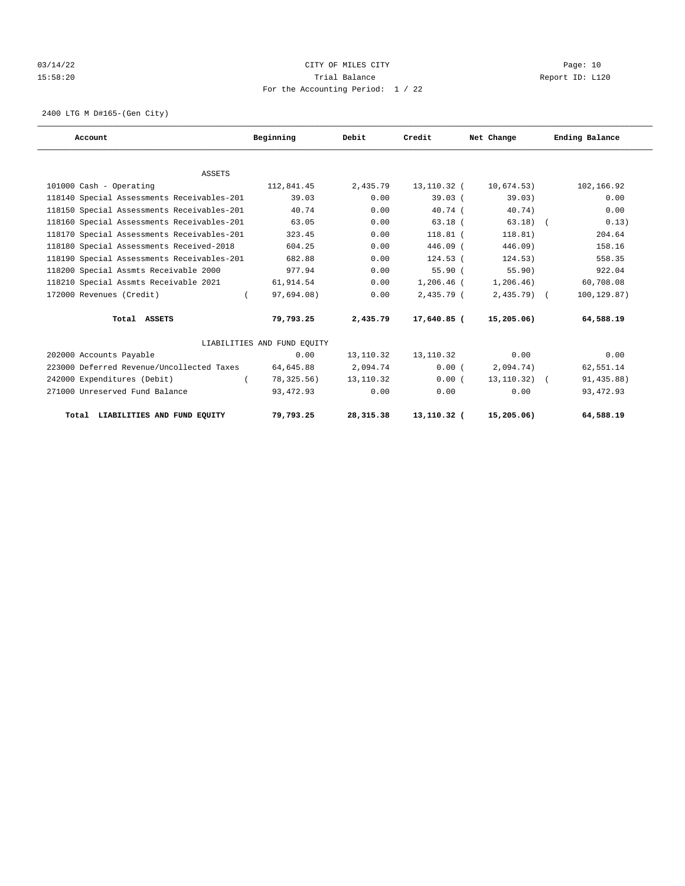## 03/14/22 Page: 10 15:58:20 Trial Balance Report ID: L120 For the Accounting Period: 1 / 22

2400 LTG M D#165-(Gen City)

| Account                                    | Beginning                   | Debit     | Credit       | Net Change      | Ending Balance |
|--------------------------------------------|-----------------------------|-----------|--------------|-----------------|----------------|
|                                            |                             |           |              |                 |                |
| <b>ASSETS</b>                              |                             |           |              |                 |                |
| 101000 Cash - Operating                    | 112,841.45                  | 2,435.79  | 13,110.32 (  | 10,674.53)      | 102,166.92     |
| 118140 Special Assessments Receivables-201 | 39.03                       | 0.00      | 39.03(       | 39.03)          | 0.00           |
| 118150 Special Assessments Receivables-201 | 40.74                       | 0.00      | 40.74(       | 40.74)          | 0.00           |
| 118160 Special Assessments Receivables-201 | 63.05                       | 0.00      | $63.18$ $($  | $63.18$ $($     | 0.13)          |
| 118170 Special Assessments Receivables-201 | 323.45                      | 0.00      | $118.81$ (   | 118.81)         | 204.64         |
| 118180 Special Assessments Received-2018   | 604.25                      | 0.00      | $446.09$ (   | $446.09$ )      | 158.16         |
| 118190 Special Assessments Receivables-201 | 682.88                      | 0.00      | $124.53$ (   | 124.53)         | 558.35         |
| 118200 Special Assmts Receivable 2000      | 977.94                      | 0.00      | 55.90(       | 55.90)          | 922.04         |
| 118210 Special Assmts Receivable 2021      | 61,914.54                   | 0.00      | $1,206.46$ ( | 1,206.46)       | 60,708.08      |
| 172000 Revenues (Credit)<br>$\left($       | 97,694.08)                  | 0.00      | $2,435.79$ ( | $2,435.79$ (    | 100,129.87)    |
| Total ASSETS                               | 79,793.25                   | 2,435.79  | 17,640.85 (  | 15,205.06)      | 64,588.19      |
|                                            | LIABILITIES AND FUND EOUITY |           |              |                 |                |
| 202000 Accounts Payable                    | 0.00                        | 13,110.32 | 13,110.32    | 0.00            | 0.00           |
| 223000 Deferred Revenue/Uncollected Taxes  | 64,645.88                   | 2,094.74  | 0.00(        | 2,094.74)       | 62,551.14      |
| 242000 Expenditures (Debit)<br>$\left($    | 78,325.56)                  | 13,110.32 | 0.00(        | $13, 110.32)$ ( | 91,435.88)     |
| 271000 Unreserved Fund Balance             | 93, 472.93                  | 0.00      | 0.00         | 0.00            | 93, 472.93     |
| Total LIABILITIES AND FUND EOUITY          | 79,793.25                   | 28,315.38 | 13,110.32 (  | 15, 205.06)     | 64,588.19      |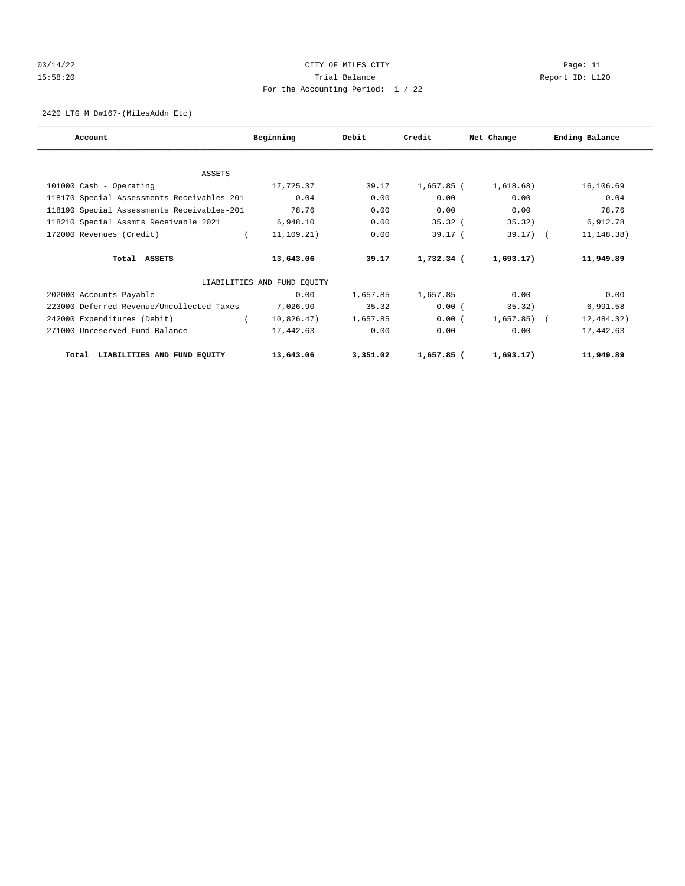## 03/14/22 Page: 11 CITY OF MILES CITY 15:58:20 Trial Balance Report ID: L120 For the Accounting Period: 1 / 22

2420 LTG M D#167-(MilesAddn Etc)

| Account                                    | Beginning                   | Debit    | Credit     | Net Change     | Ending Balance |
|--------------------------------------------|-----------------------------|----------|------------|----------------|----------------|
|                                            |                             |          |            |                |                |
| ASSETS                                     |                             |          |            |                |                |
| 101000 Cash - Operating                    | 17,725.37                   | 39.17    | 1,657.85 ( | 1,618.68)      | 16,106.69      |
| 118170 Special Assessments Receivables-201 | 0.04                        | 0.00     | 0.00       | 0.00           | 0.04           |
| 118190 Special Assessments Receivables-201 | 78.76                       | 0.00     | 0.00       | 0.00           | 78.76          |
| 118210 Special Assmts Receivable 2021      | 6,948.10                    | 0.00     | $35.32$ (  | 35.32)         | 6,912.78       |
| 172000 Revenues (Credit)                   | $\sqrt{2}$<br>11, 109.21)   | 0.00     | 39.17 (    | $39.17$ ) (    | 11, 148.38)    |
| Total ASSETS                               | 13,643.06                   | 39.17    | 1,732.34 ( | 1,693.17)      | 11,949.89      |
|                                            | LIABILITIES AND FUND EQUITY |          |            |                |                |
| 202000 Accounts Payable                    | 0.00                        | 1,657.85 | 1,657.85   | 0.00           | 0.00           |
| 223000 Deferred Revenue/Uncollected Taxes  | 7,026.90                    | 35.32    | 0.00(      | 35.32)         | 6,991.58       |
| 242000 Expenditures (Debit)                | 10,826.47)                  | 1,657.85 | 0.00(      | $1,657.85$ ) ( | 12,484.32)     |
| 271000 Unreserved Fund Balance             | 17,442.63                   | 0.00     | 0.00       | 0.00           | 17,442.63      |
| LIABILITIES AND FUND EQUITY<br>Total       | 13,643.06                   | 3,351.02 | 1,657.85 ( | 1,693.17)      | 11,949.89      |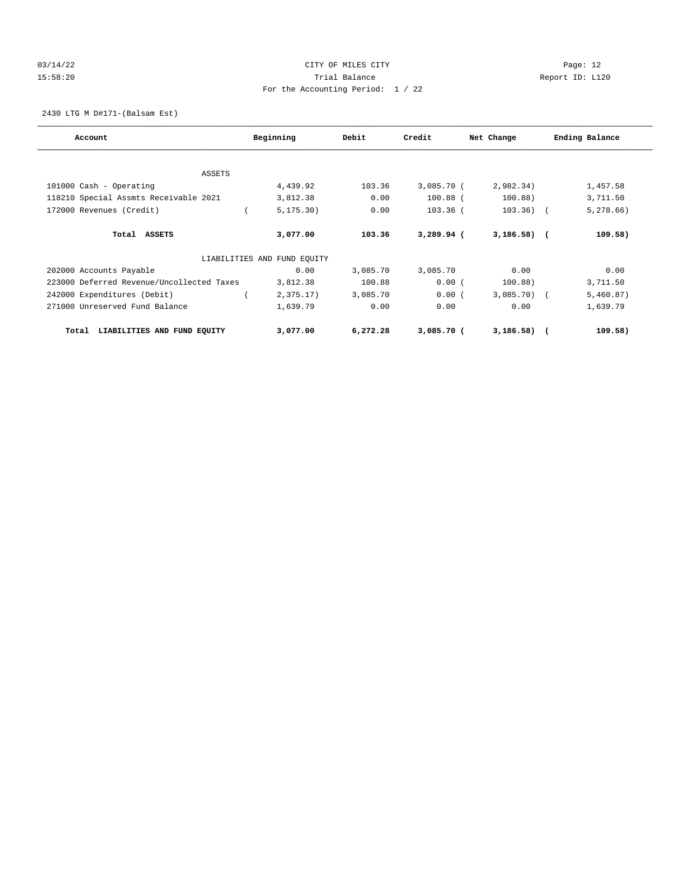## 03/14/22 Page: 12 15:58:20 Trial Balance Report ID: L120 For the Accounting Period: 1 / 22

2430 LTG M D#171-(Balsam Est)

| Account                                   | Beginning                   | Debit    | Credit       | Net Change   | Ending Balance |
|-------------------------------------------|-----------------------------|----------|--------------|--------------|----------------|
|                                           |                             |          |              |              |                |
| <b>ASSETS</b>                             |                             |          |              |              |                |
| 101000 Cash - Operating                   | 4,439.92                    | 103.36   | 3,085.70 (   | 2,982.34)    | 1,457.58       |
| 118210 Special Assmts Receivable 2021     | 3,812.38                    | 0.00     | $100.88$ (   | 100.88)      | 3,711.50       |
| 172000 Revenues (Credit)                  | 5, 175.30)                  | 0.00     | $103.36$ (   | $103.36)$ (  | 5,278.66)      |
| Total ASSETS                              | 3,077.00                    | 103.36   | $3,289.94$ ( | $3,186.58$ ( | 109.58)        |
|                                           | LIABILITIES AND FUND EOUITY |          |              |              |                |
| 202000 Accounts Payable                   | 0.00                        | 3,085.70 | 3,085.70     | 0.00         | 0.00           |
| 223000 Deferred Revenue/Uncollected Taxes | 3,812.38                    | 100.88   | 0.00(        | 100.88)      | 3,711.50       |
| 242000 Expenditures (Debit)               | 2,375.17)                   | 3,085.70 | 0.00(        | $3,085.70$ ( | 5,460.87)      |
| 271000 Unreserved Fund Balance            | 1,639.79                    | 0.00     | 0.00         | 0.00         | 1,639.79       |
| LIABILITIES AND FUND EQUITY<br>Total      | 3,077.00                    | 6,272.28 | $3,085.70$ ( | $3,186.58$ ( | 109.58)        |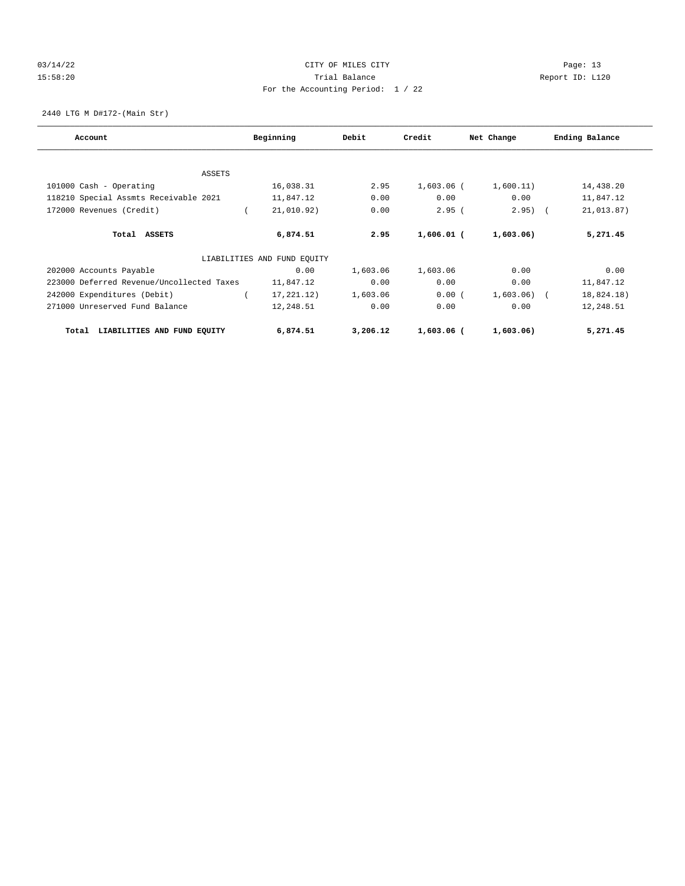## 03/14/22 Page: 13 15:58:20 Trial Balance Report ID: L120 For the Accounting Period: 1 / 22

2440 LTG M D#172-(Main Str)

| Account                                   | Beginning                   | Debit    | Credit       | Net Change   | Ending Balance |
|-------------------------------------------|-----------------------------|----------|--------------|--------------|----------------|
|                                           |                             |          |              |              |                |
| <b>ASSETS</b>                             |                             |          |              |              |                |
| 101000 Cash - Operating                   | 16,038.31                   | 2.95     | 1,603.06 (   | 1,600.11)    | 14,438.20      |
| 118210 Special Assmts Receivable 2021     | 11,847.12                   | 0.00     | 0.00         | 0.00         | 11,847.12      |
| 172000 Revenues (Credit)                  | 21,010.92)                  | 0.00     | 2.95(        | $2.95)$ (    | 21,013.87)     |
| Total ASSETS                              | 6,874.51                    | 2.95     | $1,606.01$ ( | 1,603.06)    | 5,271.45       |
|                                           | LIABILITIES AND FUND EQUITY |          |              |              |                |
| 202000 Accounts Payable                   | 0.00                        | 1,603.06 | 1,603.06     | 0.00         | 0.00           |
| 223000 Deferred Revenue/Uncollected Taxes | 11,847.12                   | 0.00     | 0.00         | 0.00         | 11,847.12      |
| 242000 Expenditures (Debit)               | 17, 221, 12)                | 1,603.06 | 0.00(        | $1,603.06$ ( | 18,824.18)     |
| 271000 Unreserved Fund Balance            | 12,248.51                   | 0.00     | 0.00         | 0.00         | 12,248.51      |
| LIABILITIES AND FUND EQUITY<br>Total      | 6,874.51                    | 3,206.12 | $1,603.06$ ( | 1,603.06)    | 5,271.45       |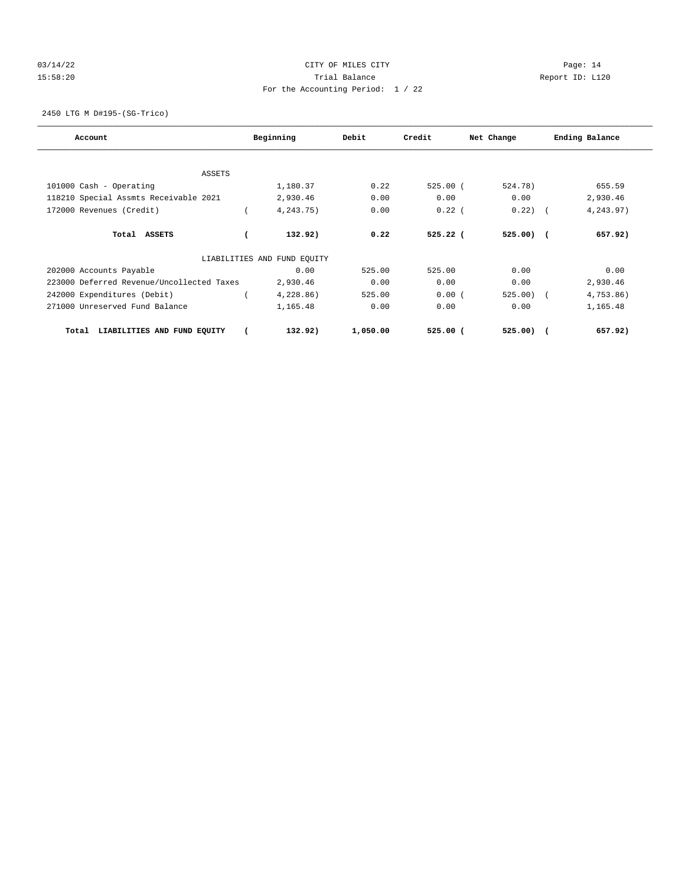## 03/14/22 Page: 14 15:58:20 Trial Balance Report ID: L120 For the Accounting Period: 1 / 22

2450 LTG M D#195-(SG-Trico)

| Account                                   | Beginning                   | Debit    | Credit     | Net Change   | Ending Balance |
|-------------------------------------------|-----------------------------|----------|------------|--------------|----------------|
|                                           |                             |          |            |              |                |
| <b>ASSETS</b>                             |                             |          |            |              |                |
| 101000 Cash - Operating                   | 1,180.37                    | 0.22     | 525.00(    | 524.78)      | 655.59         |
| 118210 Special Assmts Receivable 2021     | 2,930.46                    | 0.00     | 0.00       | 0.00         | 2,930.46       |
| 172000 Revenues (Credit)                  | 4,243.75)                   | 0.00     | $0.22$ (   | 0.22)        | 4,243.97)      |
| Total ASSETS                              | 132.92)                     | 0.22     | $525.22$ ( | $525.00$ ) ( | 657.92)        |
|                                           | LIABILITIES AND FUND EOUITY |          |            |              |                |
| 202000 Accounts Payable                   | 0.00                        | 525.00   | 525.00     | 0.00         | 0.00           |
| 223000 Deferred Revenue/Uncollected Taxes | 2,930.46                    | 0.00     | 0.00       | 0.00         | 2,930.46       |
| 242000 Expenditures (Debit)               | 4,228.86)                   | 525.00   | 0.00(      | $525.00$ (   | 4,753.86)      |
| 271000 Unreserved Fund Balance            | 1,165.48                    | 0.00     | 0.00       | 0.00         | 1,165.48       |
| LIABILITIES AND FUND EQUITY<br>Total      | 132.92)                     | 1,050.00 | $525.00$ ( | $525.00$ ) ( | 657.92)        |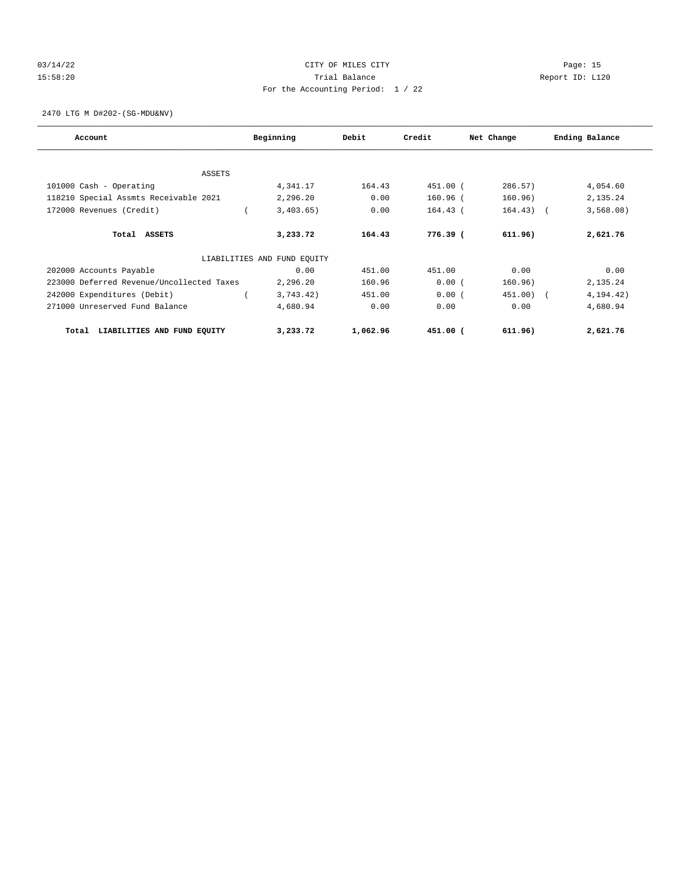## 03/14/22 Page: 15 15:58:20 Trial Balance Report ID: L120 For the Accounting Period: 1 / 22

2470 LTG M D#202-(SG-MDU&NV)

| Account                                   | Beginning                   | Debit    | Credit     | Net Change  | Ending Balance |
|-------------------------------------------|-----------------------------|----------|------------|-------------|----------------|
|                                           |                             |          |            |             |                |
| <b>ASSETS</b>                             |                             |          |            |             |                |
| 101000 Cash - Operating                   | 4,341.17                    | 164.43   | 451.00 (   | 286.57      | 4,054.60       |
| 118210 Special Assmts Receivable 2021     | 2,296.20                    | 0.00     | 160.96 (   | 160.96)     | 2,135.24       |
| 172000 Revenues (Credit)                  | 3,403.65)                   | 0.00     | $164.43$ ( | $164.43)$ ( | 3,568.08)      |
| Total ASSETS                              | 3,233,72                    | 164.43   | 776.39 (   | 611.96)     | 2,621.76       |
|                                           | LIABILITIES AND FUND EOUITY |          |            |             |                |
| 202000 Accounts Payable                   | 0.00                        | 451.00   | 451.00     | 0.00        | 0.00           |
| 223000 Deferred Revenue/Uncollected Taxes | 2,296.20                    | 160.96   | 0.00(      | 160.96)     | 2,135.24       |
| 242000 Expenditures (Debit)               | 3,743.42)                   | 451.00   | 0.00(      | 451.00) (   | 4, 194. 42)    |
| 271000 Unreserved Fund Balance            | 4,680.94                    | 0.00     | 0.00       | 0.00        | 4,680.94       |
| LIABILITIES AND FUND EQUITY<br>Total      | 3,233.72                    | 1,062.96 | 451.00 (   | 611.96)     | 2,621.76       |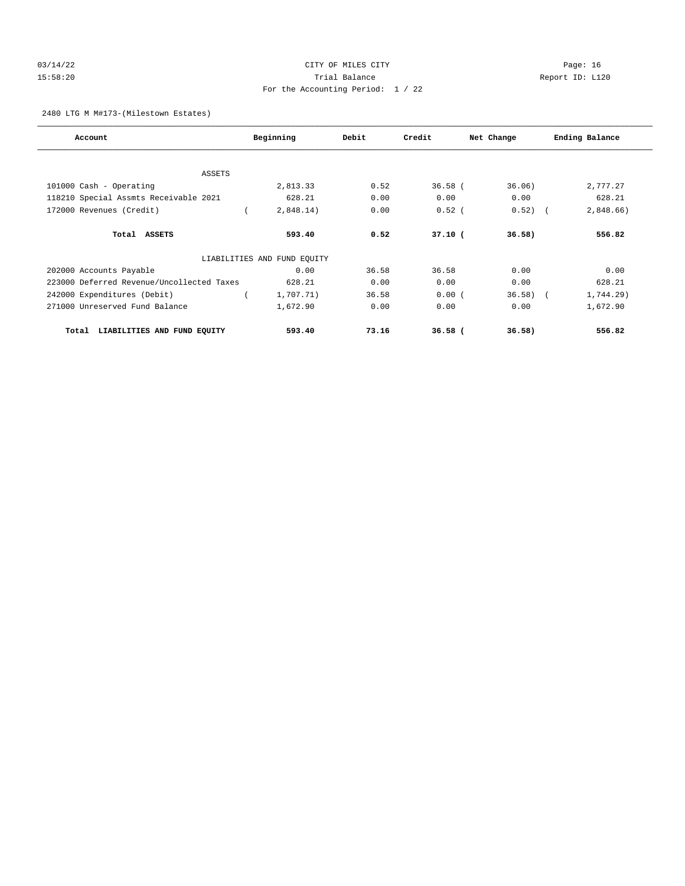## 03/14/22 Page: 16 15:58:20 Trial Balance Report ID: L120 For the Accounting Period: 1 / 22

## 2480 LTG M M#173-(Milestown Estates)

| Account                                   | Beginning                   | Debit | Credit    | Net Change  | Ending Balance |
|-------------------------------------------|-----------------------------|-------|-----------|-------------|----------------|
|                                           |                             |       |           |             |                |
| <b>ASSETS</b>                             |                             |       |           |             |                |
| 101000 Cash - Operating                   | 2,813.33                    | 0.52  | $36.58$ ( | 36.06)      | 2,777.27       |
| 118210 Special Assmts Receivable 2021     | 628.21                      | 0.00  | 0.00      | 0.00        | 628.21         |
| 172000 Revenues (Credit)                  | 2,848.14)                   | 0.00  | $0.52$ (  | 0.52)       | 2,848.66       |
| Total ASSETS                              | 593.40                      | 0.52  | $37.10$ ( | 36.58)      | 556.82         |
|                                           | LIABILITIES AND FUND EQUITY |       |           |             |                |
| 202000 Accounts Payable                   | 0.00                        | 36.58 | 36.58     | 0.00        | 0.00           |
| 223000 Deferred Revenue/Uncollected Taxes | 628.21                      | 0.00  | 0.00      | 0.00        | 628.21         |
| 242000 Expenditures (Debit)               | 1,707.71)                   | 36.58 | 0.00(     | $36.58$ $($ | 1,744.29)      |
| 271000 Unreserved Fund Balance            | 1,672.90                    | 0.00  | 0.00      | 0.00        | 1,672.90       |
| LIABILITIES AND FUND EQUITY<br>Total      | 593.40                      | 73.16 | $36.58$ ( | 36.58)      | 556.82         |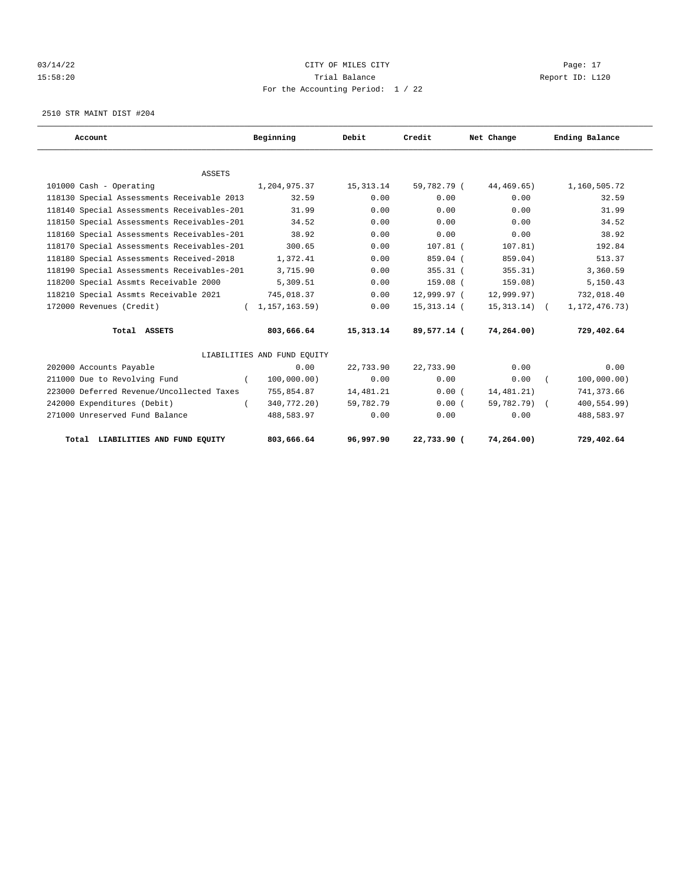## 03/14/22 Page: 17 CITY OF MILES CITY CONTROL PAGE: 17 15:58:20 Trial Balance Report ID: L120 For the Accounting Period: 1 / 22

2510 STR MAINT DIST #204

| Account                                    | Beginning                   | Debit       | Credit      | Net Change     | Ending Balance   |
|--------------------------------------------|-----------------------------|-------------|-------------|----------------|------------------|
|                                            |                             |             |             |                |                  |
| <b>ASSETS</b>                              |                             |             |             |                |                  |
| 101000 Cash - Operating                    | 1,204,975.37                | 15, 313. 14 | 59,782.79 ( | 44,469.65)     | 1,160,505.72     |
| 118130 Special Assessments Receivable 2013 | 32.59                       | 0.00        | 0.00        | 0.00           | 32.59            |
| 118140 Special Assessments Receivables-201 | 31.99                       | 0.00        | 0.00        | 0.00           | 31.99            |
| 118150 Special Assessments Receivables-201 | 34.52                       | 0.00        | 0.00        | 0.00           | 34.52            |
| 118160 Special Assessments Receivables-201 | 38.92                       | 0.00        | 0.00        | 0.00           | 38.92            |
| 118170 Special Assessments Receivables-201 | 300.65                      | 0.00        | $107.81$ (  | 107.81)        | 192.84           |
| 118180 Special Assessments Received-2018   | 1,372.41                    | 0.00        | 859.04 (    | 859.04)        | 513.37           |
| 118190 Special Assessments Receivables-201 | 3,715.90                    | 0.00        | $355.31$ (  | 355.31)        | 3,360.59         |
| 118200 Special Assmts Receivable 2000      | 5,309.51                    | 0.00        | 159.08 (    | 159.08)        | 5,150.43         |
| 118210 Special Assmts Receivable 2021      | 745,018.37                  | 0.00        | 12,999.97 ( | 12,999.97)     | 732,018.40       |
| 172000 Revenues (Credit)                   | (1, 157, 163.59)            | 0.00        | 15,313.14 ( | $15,313.14)$ ( | 1, 172, 476. 73) |
| Total ASSETS                               | 803,666.64                  | 15,313.14   | 89,577.14 ( | 74,264.00)     | 729,402.64       |
|                                            | LIABILITIES AND FUND EQUITY |             |             |                |                  |
| 202000 Accounts Payable                    | 0.00                        | 22,733.90   | 22,733.90   | 0.00           | 0.00             |
| 211000 Due to Revolving Fund               | 100,000.00)<br>$\left($     | 0.00        | 0.00        | 0.00           | 100,000.00)      |
| 223000 Deferred Revenue/Uncollected Taxes  | 755,854.87                  | 14,481.21   | 0.00(       | 14,481.21)     | 741,373.66       |
| 242000 Expenditures (Debit)                | 340,772.20)                 | 59,782.79   | 0.00(       | 59,782.79) (   | 400,554.99)      |
| 271000 Unreserved Fund Balance             | 488,583.97                  | 0.00        | 0.00        | 0.00           | 488,583.97       |
| Total LIABILITIES AND FUND EQUITY          | 803,666.64                  | 96,997.90   | 22,733.90 ( | 74,264.00)     | 729,402.64       |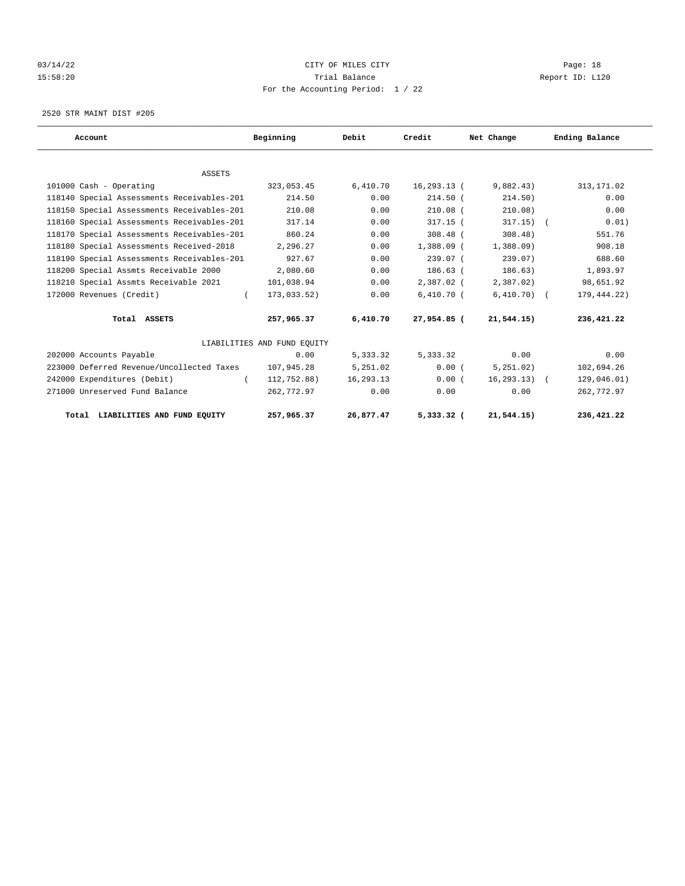## 03/14/22 Page: 18 15:58:20 Trial Balance Report ID: L120 For the Accounting Period: 1 / 22

2520 STR MAINT DIST #205

| Account                                    | Beginning                   | Debit     | Credit       | Net Change     | Ending Balance |
|--------------------------------------------|-----------------------------|-----------|--------------|----------------|----------------|
|                                            |                             |           |              |                |                |
| <b>ASSETS</b>                              |                             |           |              |                |                |
| 101000 Cash - Operating                    | 323,053.45                  | 6,410.70  | 16,293.13 (  | 9,882.43)      | 313, 171.02    |
| 118140 Special Assessments Receivables-201 | 214.50                      | 0.00      | $214.50$ (   | 214.50)        | 0.00           |
| 118150 Special Assessments Receivables-201 | 210.08                      | 0.00      | $210.08$ (   | 210.08)        | 0.00           |
| 118160 Special Assessments Receivables-201 | 317.14                      | 0.00      | $317.15$ (   | $317.15)$ (    | 0.01)          |
| 118170 Special Assessments Receivables-201 | 860.24                      | 0.00      | $308.48$ (   | $308.48$ )     | 551.76         |
| 118180 Special Assessments Received-2018   | 2,296.27                    | 0.00      | 1,388.09 (   | 1,388,09       | 908.18         |
| 118190 Special Assessments Receivables-201 | 927.67                      | 0.00      | 239.07 (     | 239.07)        | 688.60         |
| 118200 Special Assmts Receivable 2000      | 2,080.60                    | 0.00      | $186.63$ (   | 186.63)        | 1,893.97       |
| 118210 Special Assmts Receivable 2021      | 101,038.94                  | 0.00      | 2,387.02 (   | 2,387.02)      | 98,651.92      |
| 172000 Revenues (Credit)<br>$\left($       | 173,033.52)                 | 0.00      | $6,410.70$ ( | $6,410.70)$ (  | 179,444.22)    |
| Total ASSETS                               | 257,965.37                  | 6,410.70  | 27,954.85 (  | 21,544.15)     | 236,421.22     |
|                                            | LIABILITIES AND FUND EOUITY |           |              |                |                |
| 202000 Accounts Payable                    | 0.00                        | 5,333.32  | 5,333.32     | 0.00           | 0.00           |
| 223000 Deferred Revenue/Uncollected Taxes  | 107,945.28                  | 5,251.02  | 0.00(        | 5, 251, 02)    | 102,694.26     |
| 242000 Expenditures (Debit)<br>$\left($    | 112,752.88)                 | 16,293.13 | 0.00(        | $16, 293.13$ ( | 129,046.01)    |
| 271000 Unreserved Fund Balance             | 262,772.97                  | 0.00      | 0.00         | 0.00           | 262,772.97     |
| Total LIABILITIES AND FUND EOUITY          | 257,965.37                  | 26,877.47 | 5,333.32 (   | 21,544.15)     | 236,421.22     |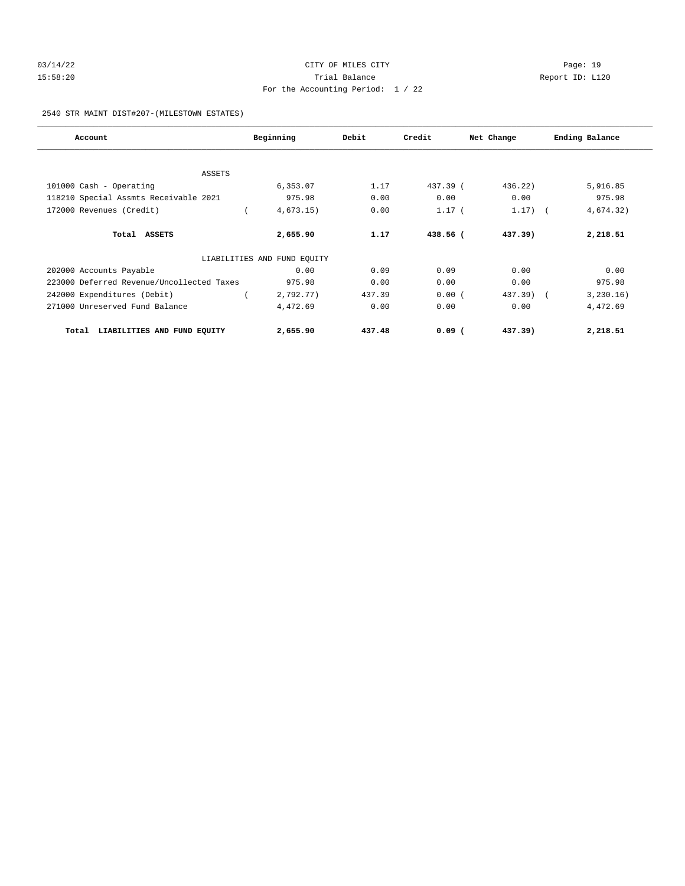## 03/14/22 Page: 19 15:58:20 Trial Balance Report ID: L120 For the Accounting Period: 1 / 22

## 2540 STR MAINT DIST#207-(MILESTOWN ESTATES)

| Account                                   | Beginning                   | Debit  | Credit     | Net Change | Ending Balance |
|-------------------------------------------|-----------------------------|--------|------------|------------|----------------|
|                                           |                             |        |            |            |                |
| ASSETS                                    |                             |        |            |            |                |
| 101000 Cash - Operating                   | 6,353.07                    | 1.17   | $437.39$ ( | 436.22     | 5,916.85       |
| 118210 Special Assmts Receivable 2021     | 975.98                      | 0.00   | 0.00       | 0.00       | 975.98         |
| 172000 Revenues (Credit)                  | 4,673.15)                   | 0.00   | $1.17$ (   | $1.17)$ (  | 4,674.32)      |
| Total ASSETS                              | 2,655.90                    | 1.17   | 438.56 (   | $437.39$ ) | 2,218.51       |
|                                           | LIABILITIES AND FUND EQUITY |        |            |            |                |
| 202000 Accounts Payable                   | 0.00                        | 0.09   | 0.09       | 0.00       | 0.00           |
| 223000 Deferred Revenue/Uncollected Taxes | 975.98                      | 0.00   | 0.00       | 0.00       | 975.98         |
| 242000 Expenditures (Debit)               | 2,792.77)                   | 437.39 | 0.00(      | 437.39) (  | 3, 230.16)     |
| 271000 Unreserved Fund Balance            | 4,472.69                    | 0.00   | 0.00       | 0.00       | 4,472.69       |
| LIABILITIES AND FUND EQUITY<br>Total      | 2,655.90                    | 437.48 | $0.09$ (   | $437.39$ ) | 2,218.51       |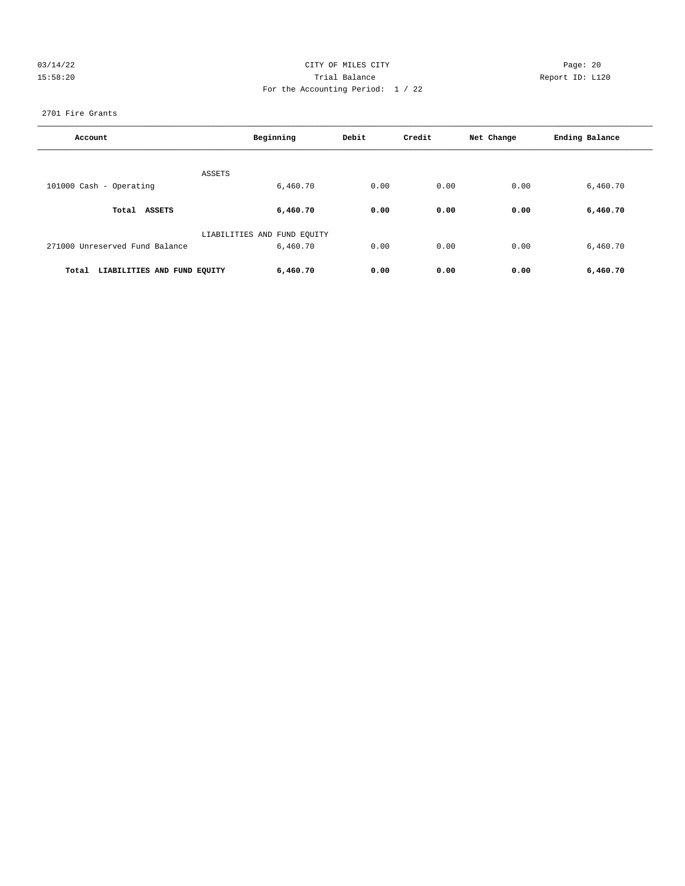## 03/14/22 Page: 20 15:58:20 Trial Balance Report ID: L120 For the Accounting Period: 1 / 22

## 2701 Fire Grants

| Account                              | Beginning                               | Debit | Credit | Net Change | Ending Balance |
|--------------------------------------|-----------------------------------------|-------|--------|------------|----------------|
|                                      | ASSETS                                  |       |        |            |                |
| 101000 Cash - Operating              | 6,460.70                                | 0.00  | 0.00   | 0.00       | 6,460.70       |
| Total ASSETS                         | 6,460.70                                | 0.00  | 0.00   | 0.00       | 6,460.70       |
| 271000 Unreserved Fund Balance       | LIABILITIES AND FUND EQUITY<br>6,460.70 | 0.00  | 0.00   | 0.00       | 6,460.70       |
| LIABILITIES AND FUND EQUITY<br>Total | 6,460.70                                | 0.00  | 0.00   | 0.00       | 6,460.70       |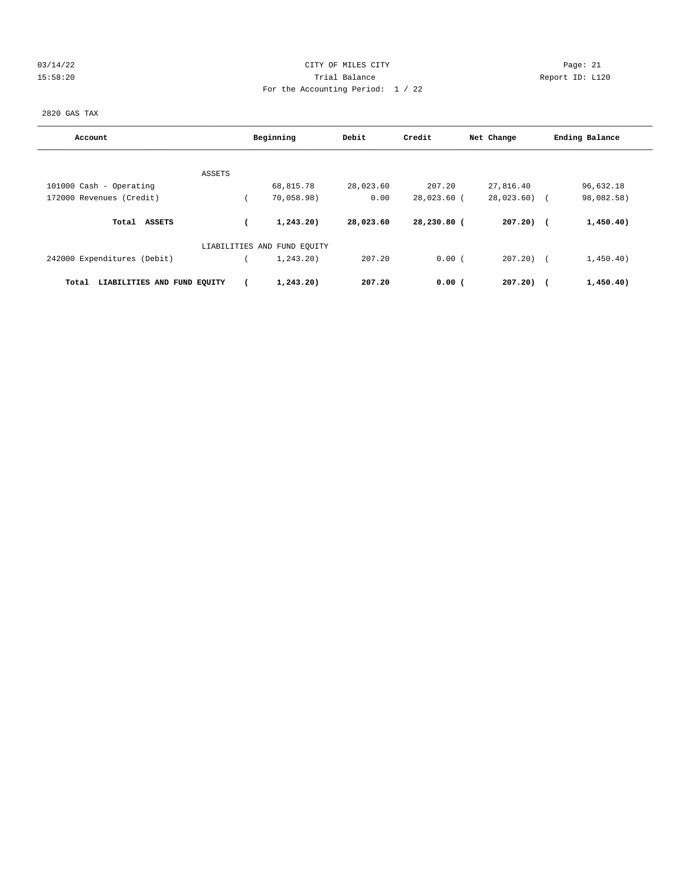## 03/14/22 Page: 21 CITY OF MILES CITY 15:58:20 Trial Balance Report ID: L120 For the Accounting Period: 1 / 22

2820 GAS TAX

| Account                              |        | Beginning                   | Debit     | Credit      | Net Change   | Ending Balance           |
|--------------------------------------|--------|-----------------------------|-----------|-------------|--------------|--------------------------|
|                                      |        |                             |           |             |              |                          |
| 101000 Cash - Operating              | ASSETS | 68,815.78                   | 28,023.60 | 207.20      | 27,816.40    | 96,632.18                |
| 172000 Revenues (Credit)             |        | 70,058.98)                  | 0.00      | 28,023.60 ( | 28,023.60)   | 98,082.58)<br>$\sqrt{2}$ |
| Total ASSETS                         |        | 1,243,20)                   | 28,023.60 | 28,230.80 ( | $207.20$ ) ( | 1,450.40)                |
|                                      |        | LIABILITIES AND FUND EQUITY |           |             |              |                          |
| 242000 Expenditures (Debit)          |        | 1, 243.20                   | 207.20    | 0.00(       | 207.20) (    | 1,450.40)                |
| LIABILITIES AND FUND EQUITY<br>Total |        | 1,243.20)                   | 207.20    | $0.00$ (    | 207.20)      | 1,450.40)                |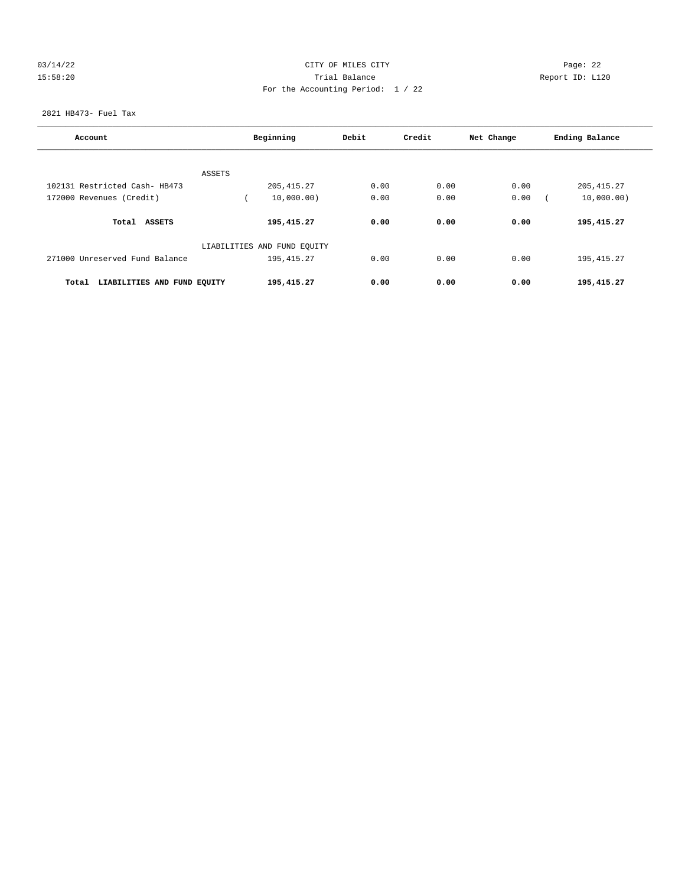## 03/14/22 Page: 22 15:58:20 Trial Balance Report ID: L120 For the Accounting Period: 1 / 22

2821 HB473- Fuel Tax

| Account                              | Beginning                   | Debit | Credit | Net Change | Ending Balance |
|--------------------------------------|-----------------------------|-------|--------|------------|----------------|
|                                      |                             |       |        |            |                |
| 102131 Restricted Cash- HB473        | ASSETS<br>205, 415.27       | 0.00  | 0.00   | 0.00       | 205, 415.27    |
| 172000 Revenues (Credit)             | 10,000.00)                  | 0.00  | 0.00   | 0.00       | 10,000.00)     |
|                                      |                             |       |        |            |                |
| Total ASSETS                         | 195,415.27                  | 0.00  | 0.00   | 0.00       | 195,415.27     |
|                                      | LIABILITIES AND FUND EQUITY |       |        |            |                |
| 271000 Unreserved Fund Balance       | 195, 415.27                 | 0.00  | 0.00   | 0.00       | 195, 415.27    |
| LIABILITIES AND FUND EQUITY<br>Total | 195,415.27                  | 0.00  | 0.00   | 0.00       | 195,415.27     |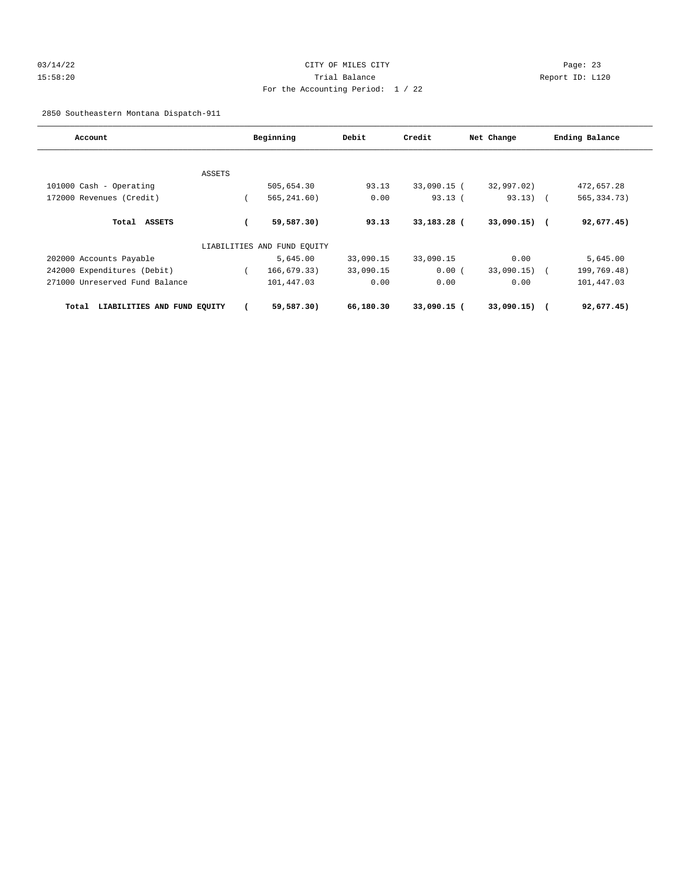## 03/14/22 Page: 23 15:58:20 Trial Balance Report ID: L120 For the Accounting Period: 1 / 22

2850 Southeastern Montana Dispatch-911

| Account                              |        | Beginning                   | Debit     | Credit      | Net Change     | Ending Balance |
|--------------------------------------|--------|-----------------------------|-----------|-------------|----------------|----------------|
|                                      |        |                             |           |             |                |                |
|                                      | ASSETS |                             |           |             |                |                |
| 101000 Cash - Operating              |        | 505,654.30                  | 93.13     | 33,090.15 ( | 32,997.02)     | 472,657.28     |
| 172000 Revenues (Credit)             |        | 565, 241.60)                | 0.00      | 93.13(      | $93.13)$ (     | 565, 334. 73)  |
| Total ASSETS                         |        | 59,587.30)                  | 93.13     | 33,183.28 ( | $33,090.15)$ ( | 92,677.45)     |
|                                      |        | LIABILITIES AND FUND EQUITY |           |             |                |                |
| 202000 Accounts Payable              |        | 5,645.00                    | 33,090.15 | 33,090.15   | 0.00           | 5,645.00       |
| 242000 Expenditures (Debit)          |        | 166,679.33)                 | 33,090.15 | 0.00(       | $33,090.15)$ ( | 199,769.48)    |
| 271000 Unreserved Fund Balance       |        | 101,447.03                  | 0.00      | 0.00        | 0.00           | 101,447.03     |
| LIABILITIES AND FUND EQUITY<br>Total |        | 59,587.30)                  | 66,180.30 | 33,090.15 ( | $33,090.15)$ ( | 92,677.45)     |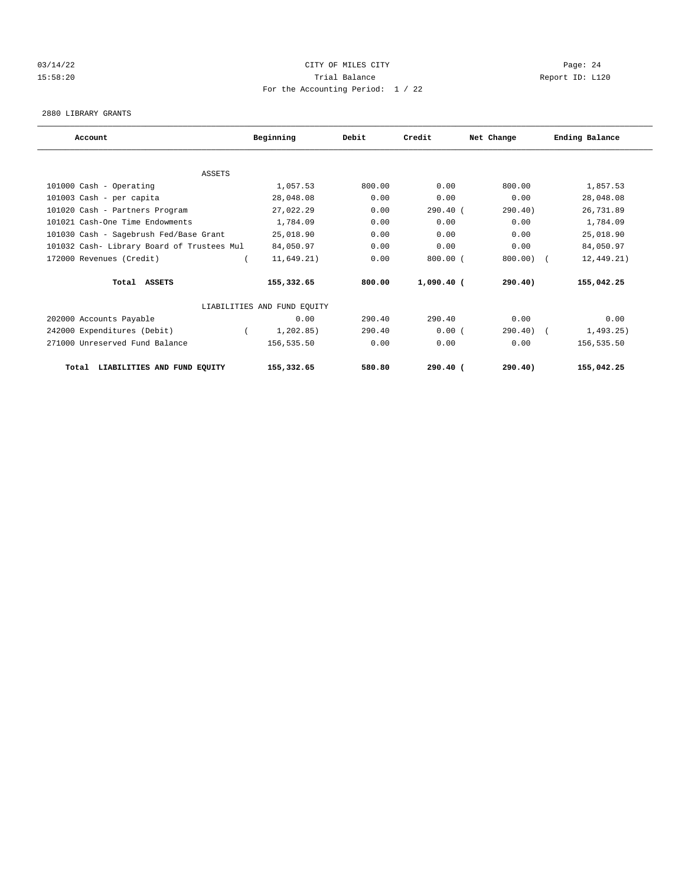## 03/14/22 Page: 24 15:58:20 Trial Balance Report ID: L120 For the Accounting Period: 1 / 22

#### 2880 LIBRARY GRANTS

| Account                                    | Beginning                   | Debit  | Credit       | Net Change | Ending Balance |
|--------------------------------------------|-----------------------------|--------|--------------|------------|----------------|
|                                            |                             |        |              |            |                |
| <b>ASSETS</b>                              |                             |        |              |            |                |
| 101000 Cash - Operating                    | 1,057.53                    | 800.00 | 0.00         | 800.00     | 1,857.53       |
| 101003 Cash - per capita                   | 28,048.08                   | 0.00   | 0.00         | 0.00       | 28,048.08      |
| 101020 Cash - Partners Program             | 27,022.29                   | 0.00   | 290.40 (     | 290.40)    | 26,731.89      |
| 101021 Cash-One Time Endowments            | 1,784.09                    | 0.00   | 0.00         | 0.00       | 1,784.09       |
| 101030 Cash - Sagebrush Fed/Base Grant     | 25,018.90                   | 0.00   | 0.00         | 0.00       | 25,018.90      |
| 101032 Cash- Library Board of Trustees Mul | 84,050.97                   | 0.00   | 0.00         | 0.00       | 84,050.97      |
| 172000 Revenues (Credit)                   | 11,649.21)                  | 0.00   | $800.00$ (   | 800.00     | 12, 449.21)    |
| Total ASSETS                               | 155,332.65                  | 800.00 | $1,090.40$ ( | 290.40)    | 155,042.25     |
|                                            | LIABILITIES AND FUND EQUITY |        |              |            |                |
| 202000 Accounts Payable                    | 0.00                        | 290.40 | 290.40       | 0.00       | 0.00           |
| 242000 Expenditures (Debit)                | 1, 202.85)                  | 290.40 | 0.00(        | 290.40)    | 1,493.25)      |
| 271000 Unreserved Fund Balance             | 156,535.50                  | 0.00   | 0.00         | 0.00       | 156,535.50     |
| LIABILITIES AND FUND EQUITY<br>Total       | 155,332.65                  | 580.80 | $290.40$ (   | 290.40)    | 155,042.25     |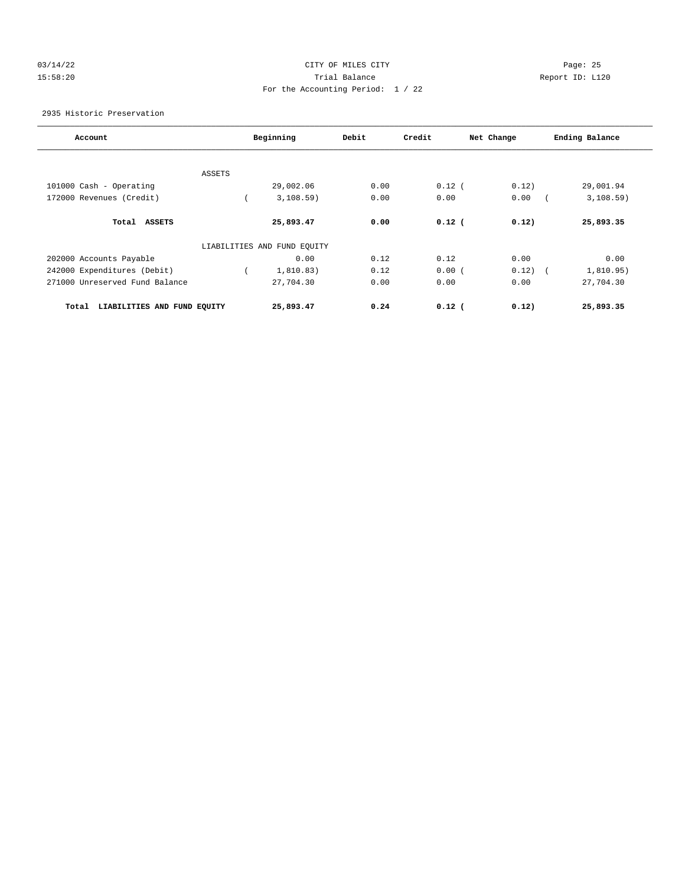## 03/14/22 Page: 25 15:58:20 Trial Balance Report ID: L120 For the Accounting Period: 1 / 22

2935 Historic Preservation

| Account                              |        | Beginning                   | Debit | Credit   | Net Change | Ending Balance |
|--------------------------------------|--------|-----------------------------|-------|----------|------------|----------------|
|                                      |        |                             |       |          |            |                |
|                                      | ASSETS |                             |       |          |            |                |
| 101000 Cash - Operating              |        | 29,002.06                   | 0.00  | $0.12$ ( | 0.12)      | 29,001.94      |
| 172000 Revenues (Credit)             |        | 3,108.59)                   | 0.00  | 0.00     | 0.00       | 3,108.59)      |
| Total ASSETS                         |        | 25,893.47                   | 0.00  | $0.12$ ( | 0.12)      | 25,893.35      |
|                                      |        | LIABILITIES AND FUND EQUITY |       |          |            |                |
| 202000 Accounts Payable              |        | 0.00                        | 0.12  | 0.12     | 0.00       | 0.00           |
| 242000 Expenditures (Debit)          |        | 1,810.83)                   | 0.12  | 0.00(    | 0.12)      | 1,810.95)      |
| 271000 Unreserved Fund Balance       |        | 27,704.30                   | 0.00  | 0.00     | 0.00       | 27,704.30      |
| LIABILITIES AND FUND EQUITY<br>Total |        | 25,893.47                   | 0.24  | $0.12$ ( | 0.12)      | 25,893.35      |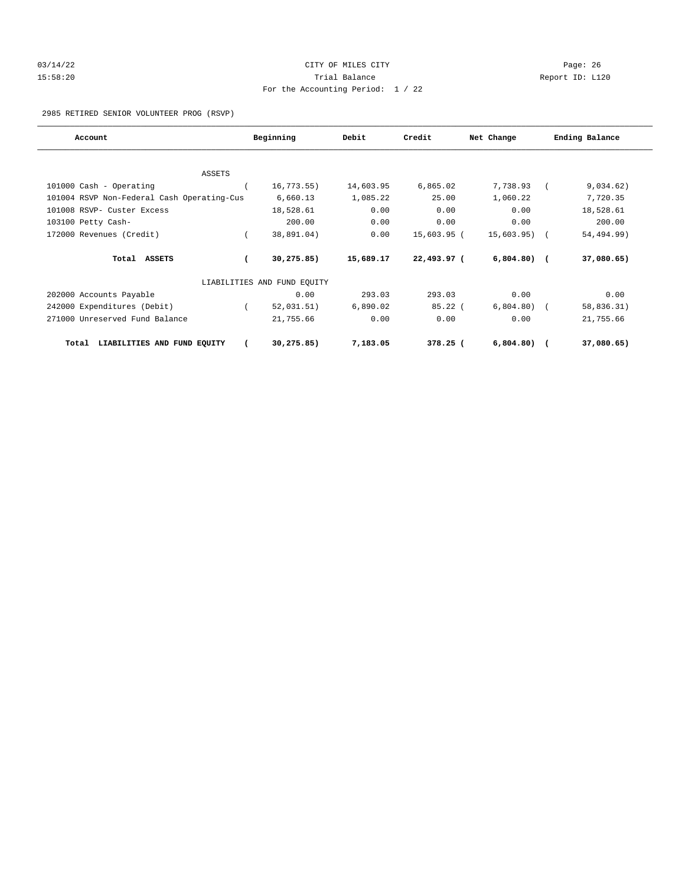# 03/14/22 Page: 26 15:58:20 Trial Balance Report ID: L120 For the Accounting Period: 1 / 22

2985 RETIRED SENIOR VOLUNTEER PROG (RSVP)

| Account                                    | Beginning                   | Debit     | Credit        | Net Change   | Ending Balance |
|--------------------------------------------|-----------------------------|-----------|---------------|--------------|----------------|
|                                            |                             |           |               |              |                |
| ASSETS                                     |                             |           |               |              |                |
| 101000 Cash - Operating                    | $16, 773.55$ )              | 14,603.95 | 6,865.02      | 7,738.93     | 9,034.62)      |
| 101004 RSVP Non-Federal Cash Operating-Cus | 6,660.13                    | 1,085.22  | 25.00         | 1,060.22     | 7,720.35       |
| 101008 RSVP- Custer Excess                 | 18,528.61                   | 0.00      | 0.00          | 0.00         | 18,528.61      |
| 103100 Petty Cash-                         | 200.00                      | 0.00      | 0.00          | 0.00         | 200.00         |
| 172000 Revenues (Credit)                   | 38,891.04)                  | 0.00      | $15,603.95$ ( | 15,603.95)   | 54,494.99)     |
| Total ASSETS                               | 30, 275.85)                 | 15,689.17 | 22,493.97 (   | $6,804.80$ ( | 37,080.65)     |
|                                            | LIABILITIES AND FUND EQUITY |           |               |              |                |
| 202000 Accounts Payable                    | 0.00                        | 293.03    | 293.03        | 0.00         | 0.00           |
| 242000 Expenditures (Debit)                | 52,031.51)                  | 6,890.02  | $85.22$ (     | 6,804.80)    | 58,836.31)     |
| 271000 Unreserved Fund Balance             | 21,755.66                   | 0.00      | 0.00          | 0.00         | 21,755.66      |
| LIABILITIES AND FUND EQUITY<br>Total       | 30,275.85)                  | 7,183.05  | $378.25$ (    | 6,804.80)    | 37,080.65)     |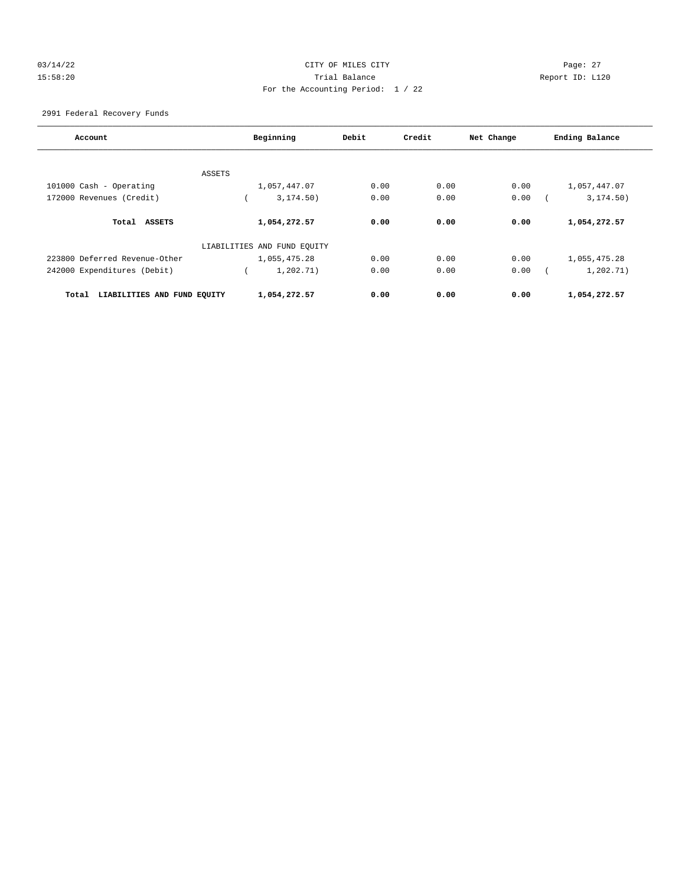## 03/14/22 Page: 27 15:58:20 Trial Balance Report ID: L120 For the Accounting Period: 1 / 22

2991 Federal Recovery Funds

| Account                              | Beginning                   | Debit | Credit | Net Change | Ending Balance |
|--------------------------------------|-----------------------------|-------|--------|------------|----------------|
|                                      | ASSETS                      |       |        |            |                |
| 101000 Cash - Operating              | 1,057,447.07                | 0.00  | 0.00   | 0.00       | 1,057,447.07   |
| 172000 Revenues (Credit)             | 3, 174.50)                  | 0.00  | 0.00   | 0.00       | 3, 174.50)     |
| Total ASSETS                         | 1,054,272.57                | 0.00  | 0.00   | 0.00       | 1,054,272.57   |
|                                      | LIABILITIES AND FUND EQUITY |       |        |            |                |
| 223800 Deferred Revenue-Other        | 1,055,475.28                | 0.00  | 0.00   | 0.00       | 1,055,475.28   |
| 242000 Expenditures (Debit)          | 1,202.71)                   | 0.00  | 0.00   | 0.00       | 1,202.71)      |
| LIABILITIES AND FUND EQUITY<br>Total | 1,054,272.57                | 0.00  | 0.00   | 0.00       | 1,054,272.57   |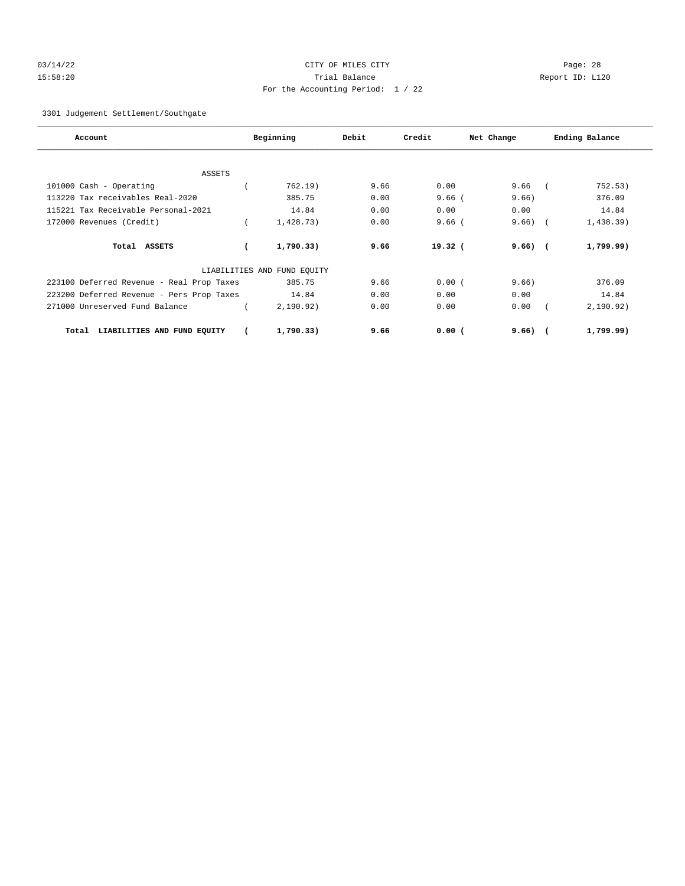## 03/14/22 Page: 28 15:58:20 Trial Balance Report ID: L120 For the Accounting Period: 1 / 22

3301 Judgement Settlement/Southgate

| Account                                   | Beginning                   | Debit | Credit             | Net Change | Ending Balance |
|-------------------------------------------|-----------------------------|-------|--------------------|------------|----------------|
|                                           |                             |       |                    |            |                |
| <b>ASSETS</b>                             |                             |       |                    |            |                |
| 101000 Cash - Operating                   | 762.19)                     | 9.66  | 0.00               | 9.66       | 752.53)        |
| 113220 Tax receivables Real-2020          | 385.75                      | 0.00  | $9.66$ (           | 9.66       | 376.09         |
| 115221 Tax Receivable Personal-2021       | 14.84                       | 0.00  | 0.00               | 0.00       | 14.84          |
| 172000 Revenues (Credit)                  | 1,428.73)                   | 0.00  | $9.66$ (           | 9.66)      | 1,438.39)      |
| Total ASSETS                              | 1,790.33)                   | 9.66  | 19.32 <sub>0</sub> | $9.66)$ (  | 1,799.99)      |
|                                           | LIABILITIES AND FUND EQUITY |       |                    |            |                |
| 223100 Deferred Revenue - Real Prop Taxes | 385.75                      | 9.66  | 0.00(              | 9.66)      | 376.09         |
| 223200 Deferred Revenue - Pers Prop Taxes | 14.84                       | 0.00  | 0.00               | 0.00       | 14.84          |
| 271000 Unreserved Fund Balance            | 2, 190.92)                  | 0.00  | 0.00               | 0.00       | 2,190.92)      |
| LIABILITIES AND FUND EQUITY<br>Total      | 1,790.33)                   | 9.66  | 0.00(              | $9.66)$ (  | 1,799.99)      |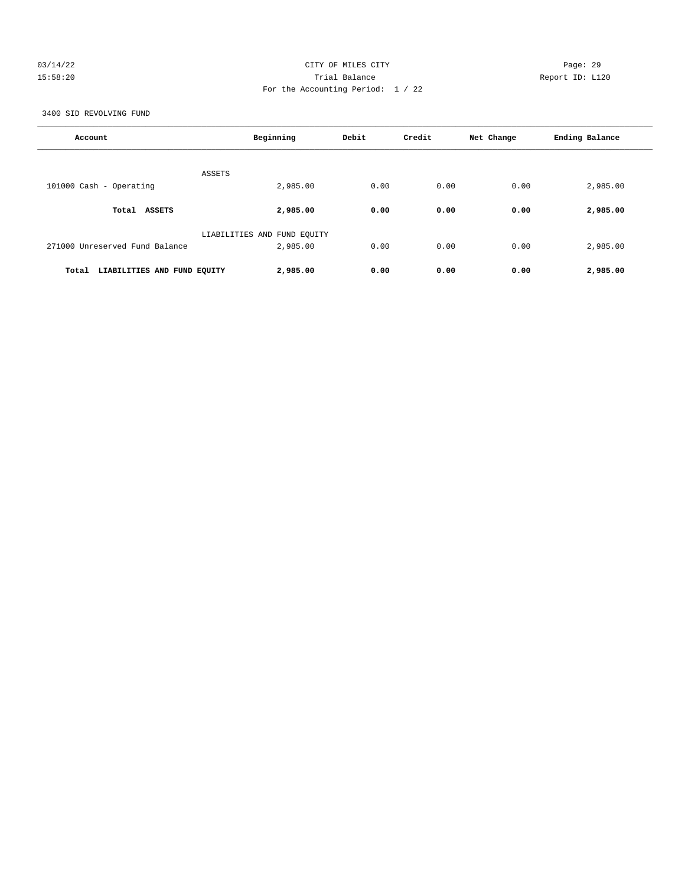## 03/14/22 Page: 29 15:58:20 Trial Balance Report ID: L120 For the Accounting Period: 1 / 22

3400 SID REVOLVING FUND

| Account                              | Beginning                               | Debit | Credit | Net Change | Ending Balance |
|--------------------------------------|-----------------------------------------|-------|--------|------------|----------------|
| <b>ASSETS</b>                        |                                         |       |        |            |                |
| 101000 Cash - Operating              | 2,985.00                                | 0.00  | 0.00   | 0.00       | 2,985.00       |
| Total ASSETS                         | 2,985.00                                | 0.00  | 0.00   | 0.00       | 2,985.00       |
| 271000 Unreserved Fund Balance       | LIABILITIES AND FUND EQUITY<br>2,985.00 | 0.00  | 0.00   | 0.00       | 2,985.00       |
| Total<br>LIABILITIES AND FUND EQUITY | 2,985.00                                | 0.00  | 0.00   | 0.00       | 2,985.00       |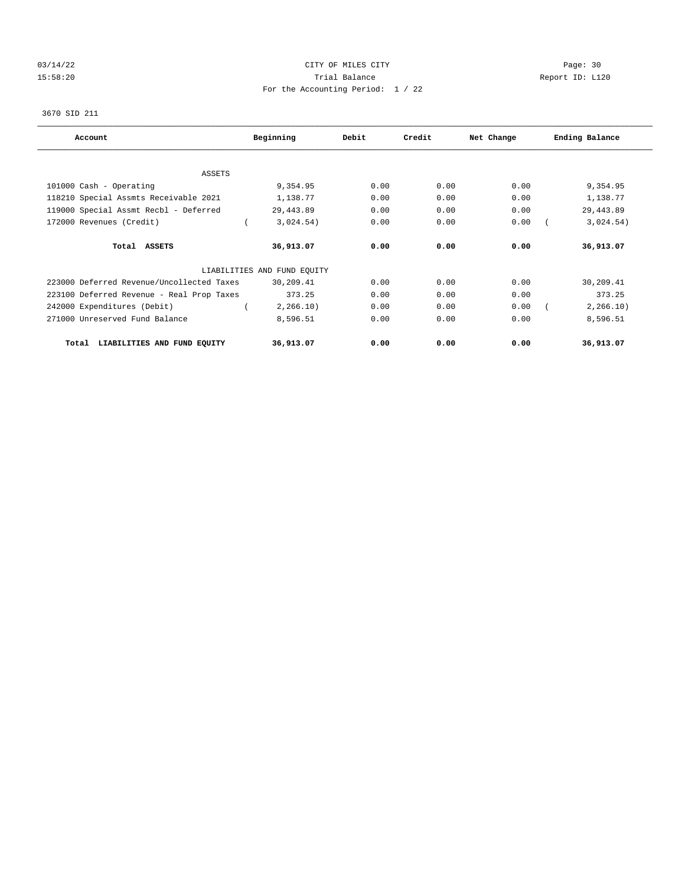## 03/14/22 Page: 30 15:58:20 Trial Balance Report ID: L120 For the Accounting Period: 1 / 22

# 3670 SID 211

| Account                                   | Beginning                   | Debit | Credit | Net Change | Ending Balance |
|-------------------------------------------|-----------------------------|-------|--------|------------|----------------|
|                                           |                             |       |        |            |                |
| <b>ASSETS</b>                             |                             |       |        |            |                |
| 101000 Cash - Operating                   | 9,354.95                    | 0.00  | 0.00   | 0.00       | 9,354.95       |
| 118210 Special Assmts Receivable 2021     | 1,138.77                    | 0.00  | 0.00   | 0.00       | 1,138.77       |
| 119000 Special Assmt Recbl - Deferred     | 29, 443.89                  | 0.00  | 0.00   | 0.00       | 29, 443.89     |
| 172000 Revenues (Credit)                  | 3,024.54)                   | 0.00  | 0.00   | 0.00       | 3,024.54)      |
| Total ASSETS                              | 36,913.07                   | 0.00  | 0.00   | 0.00       | 36,913.07      |
|                                           | LIABILITIES AND FUND EQUITY |       |        |            |                |
| 223000 Deferred Revenue/Uncollected Taxes | 30,209.41                   | 0.00  | 0.00   | 0.00       | 30,209.41      |
| 223100 Deferred Revenue - Real Prop Taxes | 373.25                      | 0.00  | 0.00   | 0.00       | 373.25         |
| 242000 Expenditures (Debit)               | 2, 266.10)                  | 0.00  | 0.00   | 0.00       | 2, 266.10)     |
| 271000 Unreserved Fund Balance            | 8,596.51                    | 0.00  | 0.00   | 0.00       | 8,596.51       |
| LIABILITIES AND FUND EQUITY<br>Total      | 36,913.07                   | 0.00  | 0.00   | 0.00       | 36,913.07      |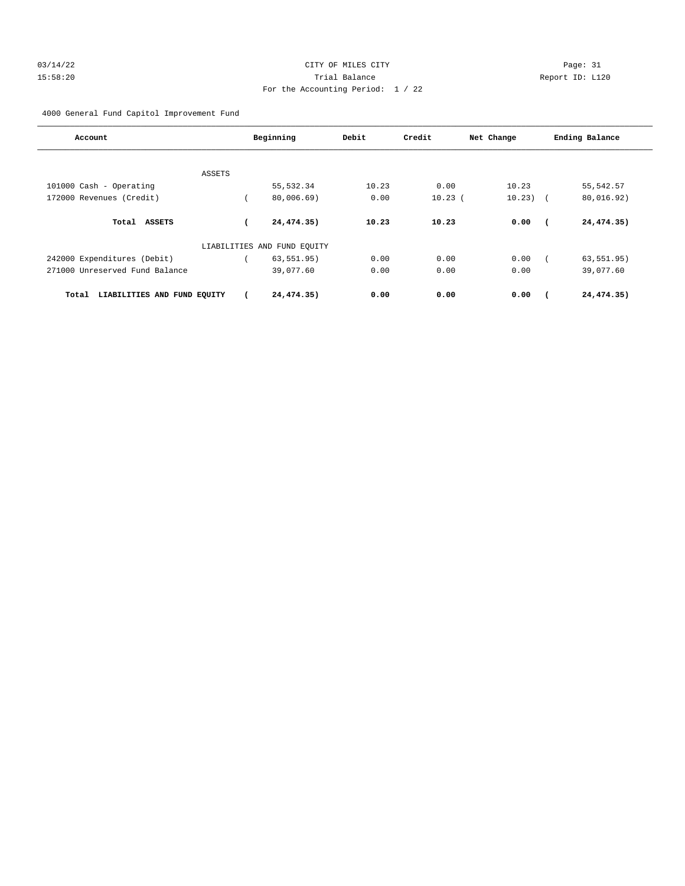## 03/14/22 Page: 31 15:58:20 Trial Balance Report ID: L120 For the Accounting Period: 1 / 22

4000 General Fund Capitol Improvement Fund

| Account                              | Beginning                   | Debit | Credit    | Net Change | Ending Balance |
|--------------------------------------|-----------------------------|-------|-----------|------------|----------------|
| ASSETS                               |                             |       |           |            |                |
| 101000 Cash - Operating              | 55, 532.34                  | 10.23 | 0.00      | 10.23      | 55, 542.57     |
| 172000 Revenues (Credit)             | 80,006.69)                  | 0.00  | $10.23$ ( | $10.23)$ ( | 80,016.92)     |
| Total<br><b>ASSETS</b>               | 24,474.35)                  | 10.23 | 10.23     | 0.00       | 24,474.35)     |
|                                      | LIABILITIES AND FUND EQUITY |       |           |            |                |
| 242000 Expenditures (Debit)          | 63, 551.95)                 | 0.00  | 0.00      | 0.00       | 63, 551.95)    |
| 271000 Unreserved Fund Balance       | 39,077.60                   | 0.00  | 0.00      | 0.00       | 39,077.60      |
| LIABILITIES AND FUND EQUITY<br>Total | 24,474.35)                  | 0.00  | 0.00      | 0.00       | 24,474.35)     |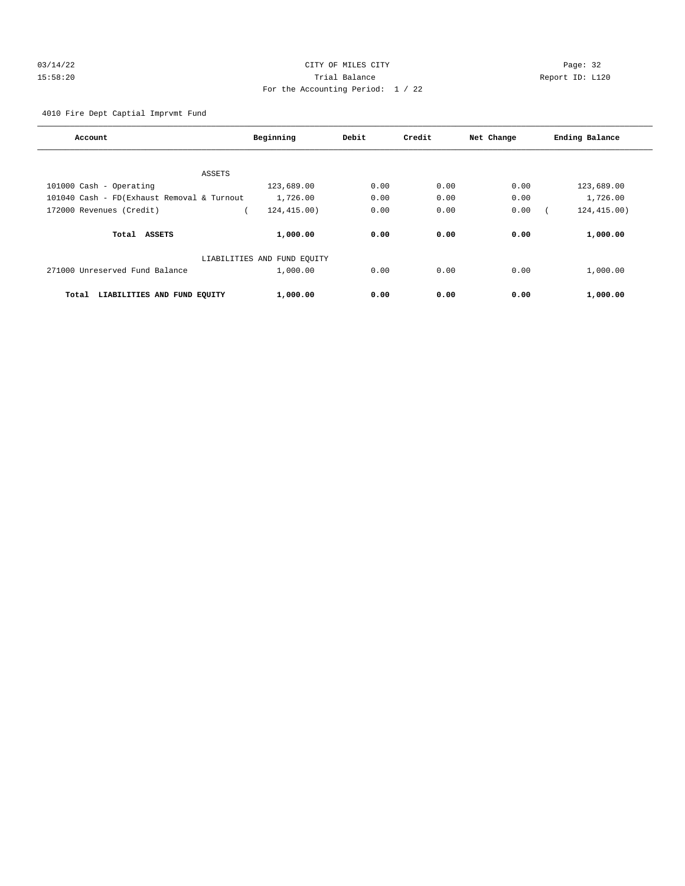## 03/14/22 Page: 32 15:58:20 Trial Balance Report ID: L120 For the Accounting Period: 1 / 22

4010 Fire Dept Captial Imprvmt Fund

| Account                                     | Beginning                   | Debit | Credit | Net Change | Ending Balance |
|---------------------------------------------|-----------------------------|-------|--------|------------|----------------|
|                                             |                             |       |        |            |                |
| ASSETS                                      |                             |       |        |            |                |
| 101000 Cash - Operating                     | 123,689.00                  | 0.00  | 0.00   | 0.00       | 123,689.00     |
| 101040 Cash - FD (Exhaust Removal & Turnout | 1,726.00                    | 0.00  | 0.00   | 0.00       | 1,726.00       |
| 172000 Revenues (Credit)                    | 124,415.00)                 | 0.00  | 0.00   | 0.00       | 124, 415.00)   |
| Total ASSETS                                | 1,000.00                    | 0.00  | 0.00   | 0.00       | 1,000.00       |
|                                             | LIABILITIES AND FUND EQUITY |       |        |            |                |
| 271000 Unreserved Fund Balance              | 1,000.00                    | 0.00  | 0.00   | 0.00       | 1,000.00       |
| LIABILITIES AND FUND EQUITY<br>Total        | 1,000.00                    | 0.00  | 0.00   | 0.00       | 1,000.00       |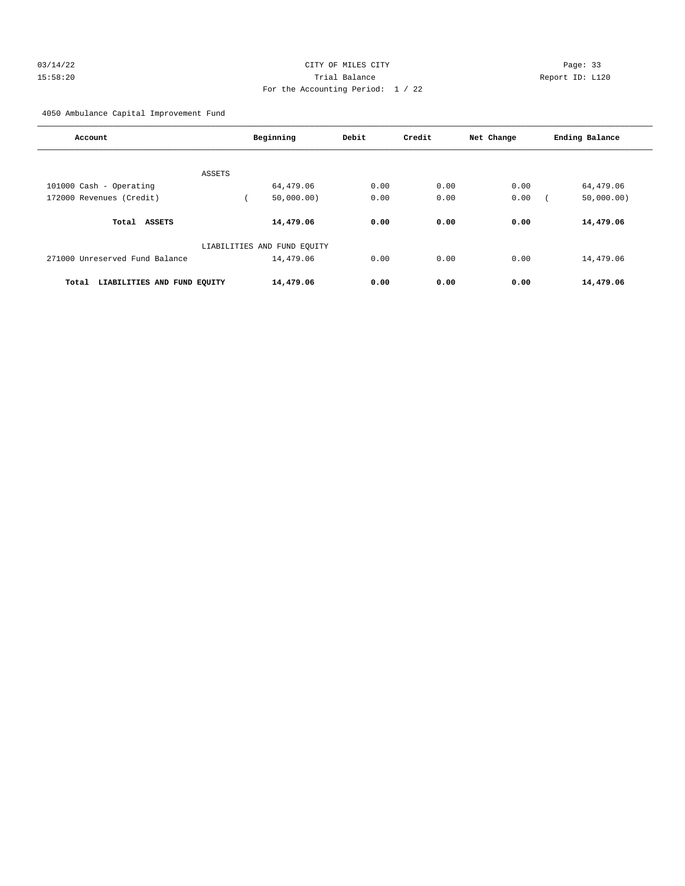## 03/14/22 Page: 33 15:58:20 Trial Balance Report ID: L120 For the Accounting Period: 1 / 22

4050 Ambulance Capital Improvement Fund

| Account                              | Beginning                   | Debit | Credit | Net Change | Ending Balance |
|--------------------------------------|-----------------------------|-------|--------|------------|----------------|
|                                      |                             |       |        |            |                |
| ASSETS                               |                             |       |        |            |                |
| 101000 Cash - Operating              | 64,479.06                   | 0.00  | 0.00   | 0.00       | 64,479.06      |
| 172000 Revenues (Credit)             | 50,000.00)                  | 0.00  | 0.00   | 0.00       | 50,000.00)     |
| <b>ASSETS</b><br>Total               | 14,479.06                   | 0.00  | 0.00   | 0.00       | 14,479.06      |
|                                      | LIABILITIES AND FUND EQUITY |       |        |            |                |
| 271000 Unreserved Fund Balance       | 14,479.06                   | 0.00  | 0.00   | 0.00       | 14,479.06      |
| LIABILITIES AND FUND EQUITY<br>Total | 14,479.06                   | 0.00  | 0.00   | 0.00       | 14,479.06      |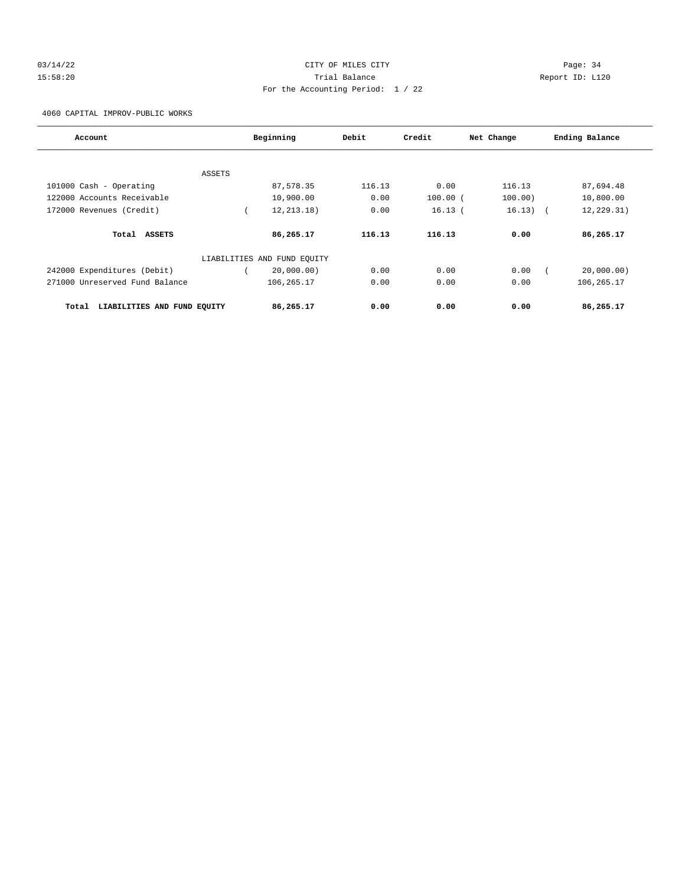## 03/14/22 Page: 34 15:58:20 Trial Balance Report ID: L120 For the Accounting Period: 1 / 22

4060 CAPITAL IMPROV-PUBLIC WORKS

| Account                              |        | Beginning                   | Debit  | Credit     | Net Change | Ending Balance |
|--------------------------------------|--------|-----------------------------|--------|------------|------------|----------------|
|                                      |        |                             |        |            |            |                |
|                                      | ASSETS |                             |        |            |            |                |
| 101000 Cash - Operating              |        | 87,578.35                   | 116.13 | 0.00       | 116.13     | 87,694.48      |
| 122000 Accounts Receivable           |        | 10,900.00                   | 0.00   | $100.00$ ( | 100.00)    | 10,800.00      |
| 172000 Revenues (Credit)             |        | 12, 213, 18)                | 0.00   | 16.13(     | $16.13)$ ( | 12, 229.31)    |
| Total ASSETS                         |        | 86,265.17                   | 116.13 | 116.13     | 0.00       | 86,265.17      |
|                                      |        | LIABILITIES AND FUND EQUITY |        |            |            |                |
| 242000 Expenditures (Debit)          |        | 20,000.00)                  | 0.00   | 0.00       | 0.00       | 20,000.00)     |
| 271000 Unreserved Fund Balance       |        | 106, 265. 17                | 0.00   | 0.00       | 0.00       | 106, 265. 17   |
| LIABILITIES AND FUND EQUITY<br>Total |        | 86,265.17                   | 0.00   | 0.00       | 0.00       | 86,265.17      |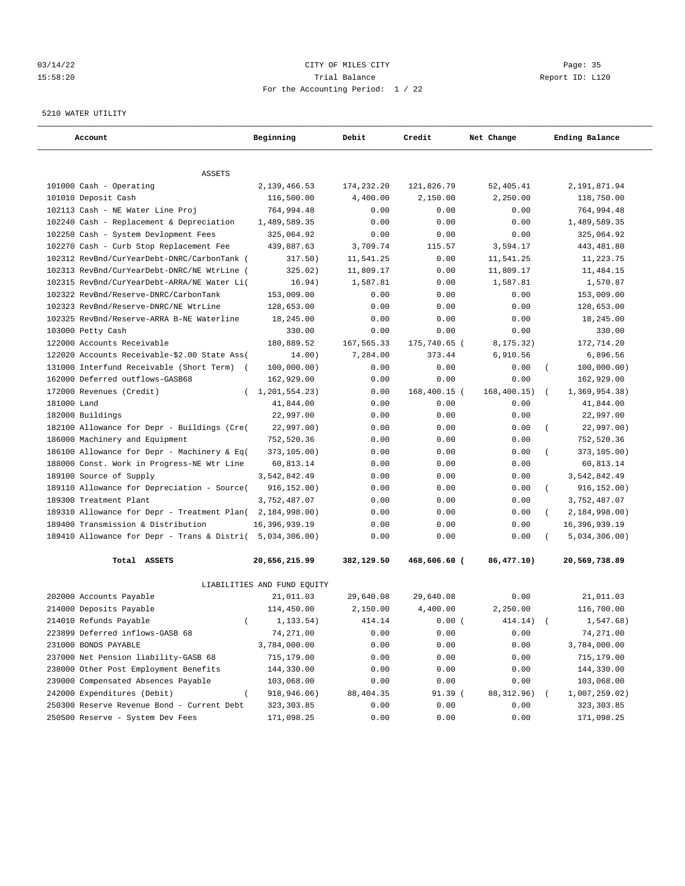## 03/14/22 Page: 35 15:58:20 Trial Balance Report ID: L120 For the Accounting Period: 1 / 22

#### 5210 WATER UTILITY

| Account                                              | Beginning                   | Debit        | Credit       | Net Change   | Ending Balance            |
|------------------------------------------------------|-----------------------------|--------------|--------------|--------------|---------------------------|
| <b>ASSETS</b>                                        |                             |              |              |              |                           |
| 101000 Cash - Operating                              | 2,139,466.53                | 174,232.20   | 121,826.79   | 52,405.41    | 2,191,871.94              |
| 101010 Deposit Cash                                  | 116,500.00                  | 4,400.00     | 2,150.00     | 2,250.00     | 118,750.00                |
| 102113 Cash - NE Water Line Proj                     | 764,994.48                  | 0.00         | 0.00         | 0.00         | 764,994.48                |
| 102240 Cash - Replacement & Depreciation             | 1,489,589.35                | 0.00         | 0.00         | 0.00         | 1,489,589.35              |
| 102250 Cash - System Devlopment Fees                 | 325,064.92                  | 0.00         | 0.00         | 0.00         | 325,064.92                |
| 102270 Cash - Curb Stop Replacement Fee              | 439,887.63                  | 3,709.74     | 115.57       | 3,594.17     | 443, 481.80               |
| 102312 RevBnd/CurYearDebt-DNRC/CarbonTank (          | 317.50)                     | 11,541.25    | 0.00         | 11,541.25    | 11,223.75                 |
| 102313 RevBnd/CurYearDebt-DNRC/NE WtrLine (          | 325.02)                     | 11,809.17    | 0.00         | 11,809.17    | 11,484.15                 |
| 102315 RevBnd/CurYearDebt-ARRA/NE Water Li(          | 16.94)                      | 1,587.81     | 0.00         | 1,587.81     | 1,570.87                  |
| 102322 RevBnd/Reserve-DNRC/CarbonTank                | 153,009.00                  | 0.00         | 0.00         | 0.00         | 153,009.00                |
| 102323 RevBnd/Reserve-DNRC/NE WtrLine                | 128,653.00                  | 0.00         | 0.00         | 0.00         | 128,653.00                |
| 102325 RevBnd/Reserve-ARRA B-NE Waterline            | 18,245.00                   | 0.00         | 0.00         | 0.00         | 18,245.00                 |
| 103000 Petty Cash                                    | 330.00                      | 0.00         | 0.00         | 0.00         | 330.00                    |
| 122000 Accounts Receivable                           | 180,889.52                  | 167,565.33   | 175,740.65 ( | 8,175.32)    | 172,714.20                |
| 122020 Accounts Receivable-\$2.00 State Ass(         | 14.00)                      | 7,284.00     | 373.44       | 6,910.56     | 6,896.56                  |
| 131000 Interfund Receivable (Short Term)<br>$\left($ | 100,000.00)                 | 0.00         | 0.00         | 0.00         | 100,000.00)               |
| 162000 Deferred outflows-GASB68                      | 162,929.00                  | 0.00         | 0.00         | 0.00         | 162,929.00                |
| 172000 Revenues (Credit)                             | 1,201,554.23)<br>$\left($   | 0.00         | 168,400.15 ( | 168, 400.15) | 1,369,954.38)<br>$\left($ |
| 181000 Land                                          | 41,844.00                   | 0.00         | 0.00         | 0.00         |                           |
| 182000 Buildings                                     | 22,997.00                   | 0.00         | 0.00         | 0.00         | 41,844.00<br>22,997.00    |
| 182100 Allowance for Depr - Buildings (Cre(          |                             |              |              |              | $\left($                  |
| 186000 Machinery and Equipment                       | 22,997.00)                  | 0.00<br>0.00 | 0.00<br>0.00 | 0.00<br>0.00 | 22,997.00)                |
|                                                      | 752,520.36                  |              |              |              | 752,520.36                |
| 186100 Allowance for Depr - Machinery & Eq(          | 373,105.00)                 | 0.00         | 0.00         | 0.00<br>0.00 | 373,105.00)               |
| 188000 Const. Work in Progress-NE Wtr Line           | 60,813.14                   | 0.00         | 0.00         |              | 60,813.14                 |
| 189100 Source of Supply                              | 3,542,842.49                | 0.00         | 0.00         | 0.00         | 3,542,842.49              |
| 189110 Allowance for Depreciation - Source(          | 916, 152.00)                | 0.00         | 0.00         | 0.00         | 916, 152.00)<br>$\left($  |
| 189300 Treatment Plant                               | 3,752,487.07                | 0.00         | 0.00         | 0.00         | 3,752,487.07              |
| 189310 Allowance for Depr - Treatment Plan(          | 2,184,998.00)               | 0.00         | 0.00         | 0.00         | 2,184,998.00)<br>$\left($ |
| 189400 Transmission & Distribution                   | 16,396,939.19               | 0.00         | 0.00         | 0.00         | 16,396,939.19             |
| 189410 Allowance for Depr - Trans & Distri(          | 5,034,306.00)               | 0.00         | 0.00         | 0.00         | 5,034,306.00)             |
| Total ASSETS                                         | 20,656,215.99               | 382,129.50   | 468,606.60 ( | 86,477.10)   | 20,569,738.89             |
|                                                      | LIABILITIES AND FUND EQUITY |              |              |              |                           |
| 202000 Accounts Payable                              | 21,011.03                   | 29,640.08    | 29,640.08    | 0.00         | 21,011.03                 |
| 214000 Deposits Payable                              | 114,450.00                  | 2.150.00     | 4,400.00     | 2,250.00     | 116,700.00                |
| 214010 Refunds Payable                               | 1, 133.54)<br>$\left($      | 414.14       | 0.00(        | 414.14)      | 1,547.68)                 |
| 223899 Deferred inflows-GASB 68                      | 74,271.00                   | 0.00         | 0.00         | 0.00         | 74,271.00                 |
| 231000 BONDS PAYABLE                                 | 3,784,000.00                | 0.00         | 0.00         | 0.00         | 3,784,000.00              |
| 237000 Net Pension liability-GASB 68                 | 715,179.00                  | 0.00         | 0.00         | 0.00         | 715,179.00                |
| 238000 Other Post Employment Benefits                | 144,330.00                  | 0.00         | 0.00         | 0.00         | 144,330.00                |
| 239000 Compensated Absences Payable                  | 103,068.00                  | 0.00         | 0.00         | 0.00         | 103,068.00                |
| 242000 Expenditures (Debit)                          | 918,946.06)<br>$\left($     | 88,404.35    | 91.39 (      | 88,312.96)   | 1,007,259.02)             |
| 250300 Reserve Revenue Bond - Current Debt           | 323, 303.85                 | 0.00         | 0.00         | 0.00         | 323,303.85                |
| 250500 Reserve - System Dev Fees                     | 171,098.25                  | 0.00         | 0.00         | 0.00         | 171,098.25                |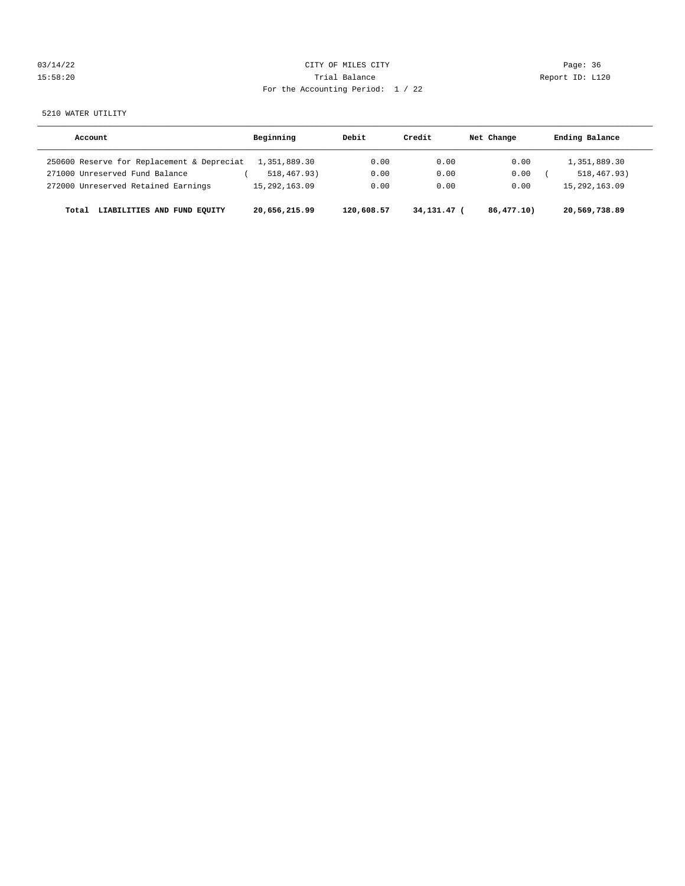| 03/14/22 | CITY OF MILES CITY                | Page: 36        |
|----------|-----------------------------------|-----------------|
| 15:58:20 | Trial Balance                     | Report ID: L120 |
|          | For the Accounting Period: 1 / 22 |                 |

5210 WATER UTILITY

| Account                                    | Beginning     | Debit      | Credit      | Net Change | Ending Balance   |
|--------------------------------------------|---------------|------------|-------------|------------|------------------|
| 250600 Reserve for Replacement & Depreciat | 1,351,889.30  | 0.00       | 0.00        | 0.00       | 1,351,889.30     |
| 271000 Unreserved Fund Balance             | 518,467.93)   | 0.00       | 0.00        | 0.00       | 518, 467, 93)    |
| 272000 Unreserved Retained Earnings        | 15,292,163.09 | 0.00       | 0.00        | 0.00       | 15, 292, 163, 09 |
| LIABILITIES AND FUND EOUITY<br>Total       | 20,656,215.99 | 120,608.57 | 34,131.47 ( | 86,477.10  | 20,569,738.89    |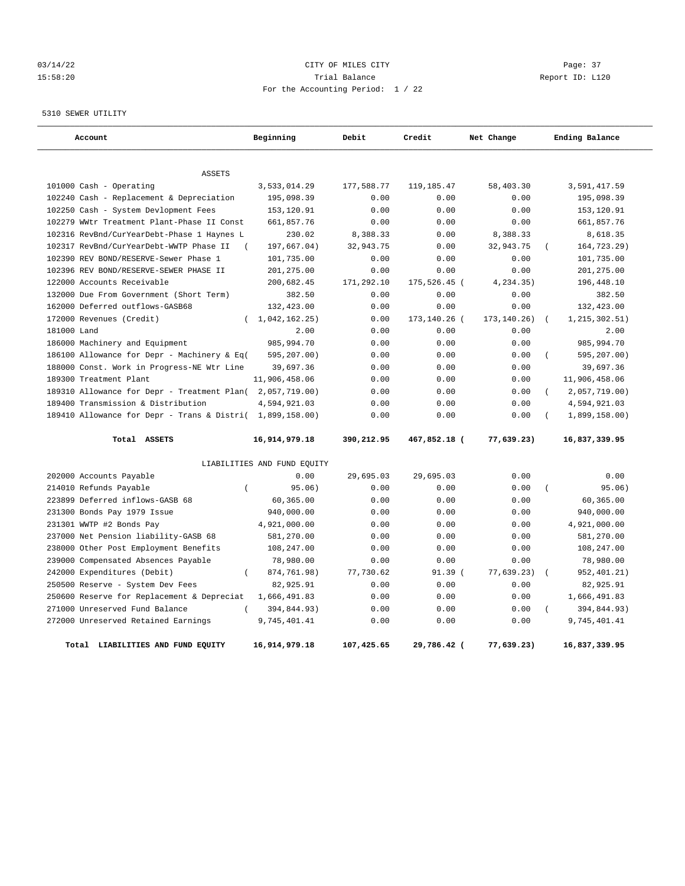## 03/14/22 Page: 37 15:58:20 Trial Balance Report ID: L120 For the Accounting Period: 1 / 22

5310 SEWER UTILITY

| Account                                                   | Beginning                   | Debit      | Credit       | Net Change    | Ending Balance            |
|-----------------------------------------------------------|-----------------------------|------------|--------------|---------------|---------------------------|
|                                                           |                             |            |              |               |                           |
| <b>ASSETS</b>                                             |                             |            |              |               |                           |
| 101000 Cash - Operating                                   | 3,533,014.29                | 177,588.77 | 119, 185.47  | 58,403.30     | 3,591,417.59              |
| 102240 Cash - Replacement & Depreciation                  | 195,098.39                  | 0.00       | 0.00         | 0.00          | 195,098.39                |
| 102250 Cash - System Devlopment Fees                      | 153,120.91                  | 0.00       | 0.00         | 0.00          | 153,120.91                |
| 102279 WWtr Treatment Plant-Phase II Const                | 661,857.76                  | 0.00       | 0.00         | 0.00          | 661,857.76                |
| 102316 RevBnd/CurYearDebt-Phase 1 Haynes L                | 230.02                      | 8,388.33   | 0.00         | 8,388.33      | 8,618.35                  |
| 102317 RevBnd/CurYearDebt-WWTP Phase II                   | 197,667.04)                 | 32,943.75  | 0.00         | 32,943.75     | 164,723.29)               |
| 102390 REV BOND/RESERVE-Sewer Phase 1                     | 101,735.00                  | 0.00       | 0.00         | 0.00          | 101,735.00                |
| 102396 REV BOND/RESERVE-SEWER PHASE II                    | 201,275.00                  | 0.00       | 0.00         | 0.00          | 201,275.00                |
| 122000 Accounts Receivable                                | 200,682.45                  | 171,292.10 | 175,526.45 ( | 4,234.35)     | 196,448.10                |
| 132000 Due From Government (Short Term)                   | 382.50                      | 0.00       | 0.00         | 0.00          | 382.50                    |
| 162000 Deferred outflows-GASB68                           | 132,423.00                  | 0.00       | 0.00         | 0.00          | 132,423.00                |
| 172000 Revenues (Credit)                                  | 1,042,162,25)               | 0.00       | 173,140.26 ( | 173, 140. 26) | 1, 215, 302.51)           |
| 181000 Land                                               | 2.00                        | 0.00       | 0.00         | 0.00          | 2.00                      |
| 186000 Machinery and Equipment                            | 985,994.70                  | 0.00       | 0.00         | 0.00          | 985,994.70                |
| 186100 Allowance for Depr - Machinery & Eq(               | 595,207.00)                 | 0.00       | 0.00         | 0.00          | 595,207.00)<br>$\sqrt{2}$ |
| 188000 Const. Work in Progress-NE Wtr Line                | 39,697.36                   | 0.00       | 0.00         | 0.00          | 39,697.36                 |
| 189300 Treatment Plant                                    | 11,906,458.06               | 0.00       | 0.00         | 0.00          | 11,906,458.06             |
| 189310 Allowance for Depr - Treatment Plan(2,057,719.00)  |                             | 0.00       | 0.00         | 0.00          | 2,057,719.00)<br>$\left($ |
| 189400 Transmission & Distribution                        | 4,594,921.03                | 0.00       | 0.00         | 0.00          | 4,594,921.03              |
| 189410 Allowance for Depr - Trans & Distri( 1,899,158.00) |                             | 0.00       | 0.00         | 0.00          | 1,899,158.00)             |
| Total ASSETS                                              | 16,914,979.18               | 390,212.95 | 467,852.18 ( | 77,639.23)    | 16,837,339.95             |
|                                                           | LIABILITIES AND FUND EQUITY |            |              |               |                           |
| 202000 Accounts Payable                                   | 0.00                        | 29,695.03  | 29,695.03    | 0.00          | 0.00                      |
| 214010 Refunds Payable<br>$\left($                        | 95.06)                      | 0.00       | 0.00         | 0.00          | 95.06)<br>$\left($        |
| 223899 Deferred inflows-GASB 68                           | 60,365.00                   | 0.00       | 0.00         | 0.00          | 60,365.00                 |
| 231300 Bonds Pay 1979 Issue                               | 940,000.00                  | 0.00       | 0.00         | 0.00          | 940,000.00                |
| 231301 WWTP #2 Bonds Pay                                  | 4,921,000.00                | 0.00       | 0.00         | 0.00          | 4,921,000.00              |
| 237000 Net Pension liability-GASB 68                      | 581,270.00                  | 0.00       | 0.00         | 0.00          | 581,270.00                |
| 238000 Other Post Employment Benefits                     | 108,247.00                  | 0.00       | 0.00         | 0.00          | 108,247.00                |
| 239000 Compensated Absences Payable                       | 78,980.00                   | 0.00       | 0.00         | 0.00          | 78,980.00                 |
| 242000 Expenditures (Debit)<br>$\left($                   | 874,761.98)                 | 77,730.62  | 91.39(       | 77,639.23)    | 952,401.21)               |
| 250500 Reserve - System Dev Fees                          | 82,925.91                   | 0.00       | 0.00         | 0.00          | 82,925.91                 |
| 250600 Reserve for Replacement & Depreciat                | 1,666,491.83                | 0.00       | 0.00         | 0.00          | 1,666,491.83              |
| 271000 Unreserved Fund Balance<br>$\left($                | 394,844.93)                 | 0.00       | 0.00         | 0.00          | 394,844.93)<br>$\left($   |
| 272000 Unreserved Retained Earnings                       | 9,745,401.41                | 0.00       | 0.00         | 0.00          | 9,745,401.41              |
| Total LIABILITIES AND FUND EQUITY                         | 16,914,979.18               | 107,425.65 | 29,786.42 (  | 77,639.23)    | 16,837,339.95             |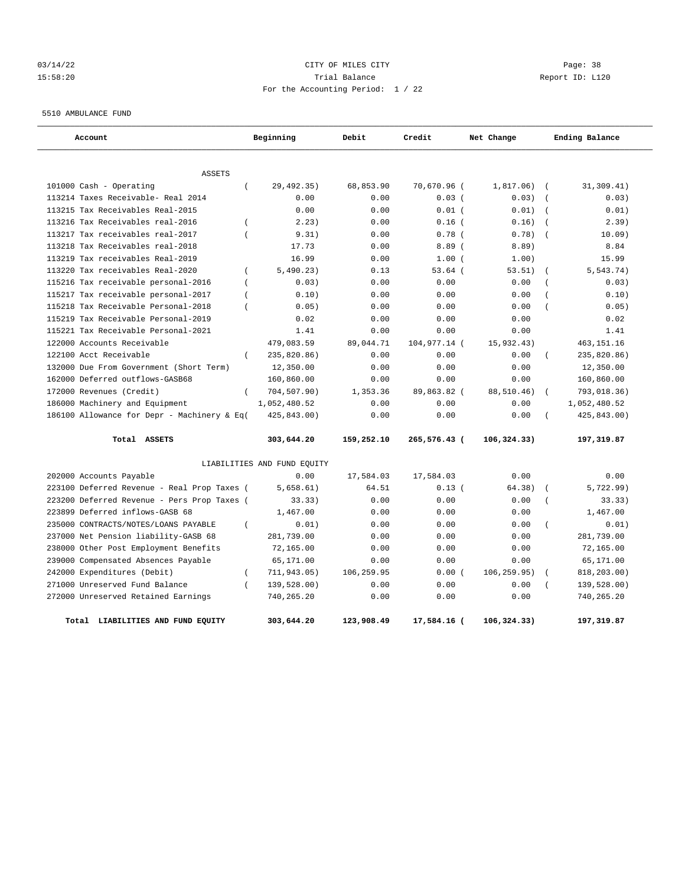## 03/14/22 Page: 38 15:58:20 Trial Balance Report ID: L120 For the Accounting Period: 1 / 22

5510 AMBULANCE FUND

| Account                                     |                  | Beginning                   | Debit      | Credit       | Net Change   |                  | Ending Balance |
|---------------------------------------------|------------------|-----------------------------|------------|--------------|--------------|------------------|----------------|
| <b>ASSETS</b>                               |                  |                             |            |              |              |                  |                |
| 101000 Cash - Operating                     | $\left($         | 29,492.35)                  | 68,853.90  | 70,670.96 (  | 1,817.06)    | $\overline{ }$   | 31,309.41)     |
| 113214 Taxes Receivable- Real 2014          |                  | 0.00                        | 0.00       | 0.03(        | 0.03)        | $\sqrt{ }$       | 0.03)          |
| 113215 Tax Receivables Real-2015            |                  | 0.00                        | 0.00       | $0.01$ (     | 0.01)        | $\sqrt{ }$       | 0.01)          |
| 113216 Tax Receivables real-2016            | $\overline{(\ }$ | 2.23)                       | 0.00       | $0.16$ (     | 0.16)        | $\overline{ }$   | 2.39)          |
| 113217 Tax receivables real-2017            | $\overline{(\ }$ | 9.31)                       | 0.00       | $0.78$ (     | 0.78)        | $\sqrt{ }$       | 10.09)         |
| 113218 Tax Receivables real-2018            |                  | 17.73                       | 0.00       | 8.89(        | 8.89)        |                  | 8.84           |
| 113219 Tax receivables Real-2019            |                  | 16.99                       | 0.00       | 1.00(        | 1.00)        |                  | 15.99          |
| 113220 Tax receivables Real-2020            | $\overline{ }$   | 5,490.23)                   | 0.13       | $53.64$ (    | 53.51)       | $\left($         | 5, 543.74)     |
| 115216 Tax receivable personal-2016         | $\overline{(\ }$ | 0.03)                       | 0.00       | 0.00         | 0.00         | $\overline{(\ }$ | 0.03)          |
| 115217 Tax receivable personal-2017         | $\left($         | 0.10)                       | 0.00       | 0.00         | 0.00         | $\overline{ }$   | 0.10)          |
| 115218 Tax Receivable Personal-2018         | $\left($         | 0.05)                       | 0.00       | 0.00         | 0.00         | $\overline{(\ }$ | 0.05)          |
| 115219 Tax Receivable Personal-2019         |                  | 0.02                        | 0.00       | 0.00         | 0.00         |                  | 0.02           |
| 115221 Tax Receivable Personal-2021         |                  | 1.41                        | 0.00       | 0.00         | 0.00         |                  | 1.41           |
| 122000 Accounts Receivable                  |                  | 479,083.59                  | 89,044.71  | 104,977.14 ( | 15,932.43)   |                  | 463, 151. 16   |
| 122100 Acct Receivable                      | $\left($         | 235,820.86)                 | 0.00       | 0.00         | 0.00         | $\left($         | 235,820.86)    |
| 132000 Due From Government (Short Term)     |                  | 12,350.00                   | 0.00       | 0.00         | 0.00         |                  | 12,350.00      |
| 162000 Deferred outflows-GASB68             |                  | 160,860.00                  | 0.00       | 0.00         | 0.00         |                  | 160,860.00     |
| 172000 Revenues (Credit)                    | $\left($         | 704,507.90)                 | 1,353.36   | 89,863.82 (  | 88,510.46)   | $\left($         | 793,018.36)    |
| 186000 Machinery and Equipment              |                  | 1,052,480.52                | 0.00       | 0.00         | 0.00         |                  | 1,052,480.52   |
| 186100 Allowance for Depr - Machinery & Eq( |                  | 425,843.00)                 | 0.00       | 0.00         | 0.00         | $\overline{ }$   | 425,843.00)    |
| Total ASSETS                                |                  | 303,644.20                  | 159,252.10 | 265,576.43 ( | 106, 324.33) |                  | 197,319.87     |
|                                             |                  | LIABILITIES AND FUND EQUITY |            |              |              |                  |                |
| 202000 Accounts Payable                     |                  | 0.00                        | 17,584.03  | 17,584.03    | 0.00         |                  | 0.00           |
| 223100 Deferred Revenue - Real Prop Taxes ( |                  | 5,658.61)                   | 64.51      | 0.13(        | 64.38)       | $\overline{ }$   | 5,722.99)      |
| 223200 Deferred Revenue - Pers Prop Taxes ( |                  | 33.33)                      | 0.00       | 0.00         | 0.00         | $\overline{(\ }$ | 33.33)         |
| 223899 Deferred inflows-GASB 68             |                  | 1,467.00                    | 0.00       | 0.00         | 0.00         |                  | 1,467.00       |
| 235000 CONTRACTS/NOTES/LOANS PAYABLE        | $\left($         | 0.01)                       | 0.00       | 0.00         | 0.00         | $\overline{(\ }$ | 0.01)          |
| 237000 Net Pension liability-GASB 68        |                  | 281,739.00                  | 0.00       | 0.00         | 0.00         |                  | 281,739.00     |
| 238000 Other Post Employment Benefits       |                  | 72,165.00                   | 0.00       | 0.00         | 0.00         |                  | 72,165.00      |
| 239000 Compensated Absences Payable         |                  | 65,171.00                   | 0.00       | 0.00         | 0.00         |                  | 65,171.00      |
| 242000 Expenditures (Debit)                 | $\left($         | 711,943.05)                 | 106,259.95 | 0.00(        | 106, 259.95) | $\left($         | 818,203.00)    |
| 271000 Unreserved Fund Balance              | $\left($         | 139,528.00)                 | 0.00       | 0.00         | 0.00         |                  | 139,528.00)    |
| 272000 Unreserved Retained Earnings         |                  | 740,265.20                  | 0.00       | 0.00         | 0.00         |                  | 740,265.20     |
| Total<br>LIABILITIES AND FUND EQUITY        |                  | 303,644.20                  | 123,908.49 | 17,584.16 (  | 106,324.33)  |                  | 197,319.87     |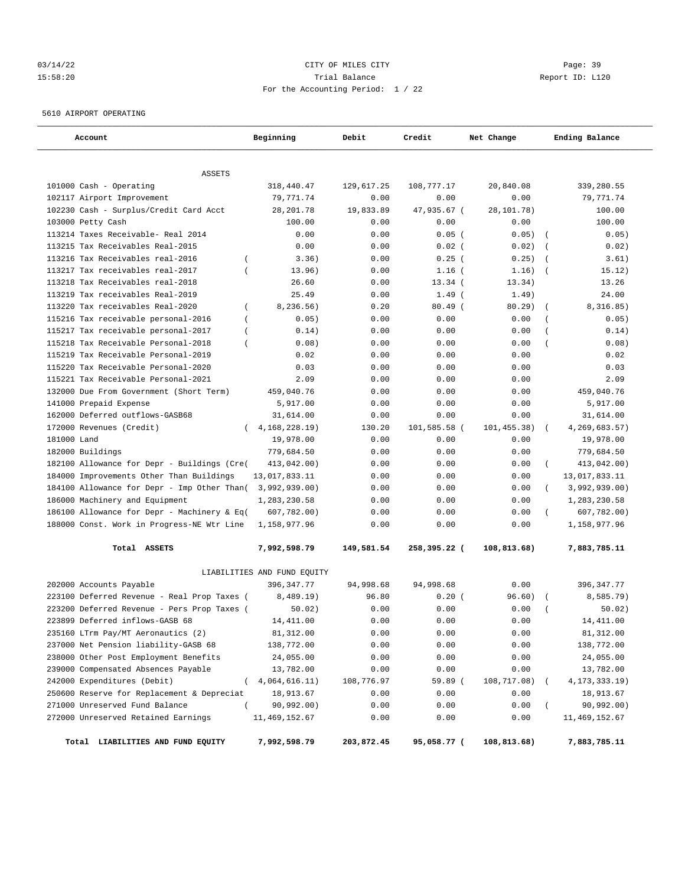## 03/14/22 Page: 39 15:58:20 Trial Balance Report ID: L120 For the Accounting Period: 1 / 22

5610 AIRPORT OPERATING

| Account                                                 | Beginning                   | Debit      | Credit       | Net Change  | Ending Balance                  |
|---------------------------------------------------------|-----------------------------|------------|--------------|-------------|---------------------------------|
|                                                         |                             |            |              |             |                                 |
| <b>ASSETS</b><br>101000 Cash - Operating                | 318,440.47                  | 129,617.25 | 108,777.17   | 20,840.08   | 339,280.55                      |
| 102117 Airport Improvement                              | 79,771.74                   | 0.00       | 0.00         | 0.00        | 79,771.74                       |
| 102230 Cash - Surplus/Credit Card Acct                  | 28, 201.78                  | 19,833.89  | 47,935.67 (  | 28,101.78)  | 100.00                          |
| 103000 Petty Cash                                       | 100.00                      | 0.00       | 0.00         | 0.00        | 100.00                          |
| 113214 Taxes Receivable- Real 2014                      | 0.00                        | 0.00       | $0.05$ (     | 0.05)       | 0.05)<br>$\overline{ }$         |
| 113215 Tax Receivables Real-2015                        | 0.00                        | 0.00       | $0.02$ (     | 0.02)       | 0.02)<br>$\overline{ }$         |
| 113216 Tax Receivables real-2016<br>$\left($            | 3.36)                       | 0.00       | $0.25$ (     | 0.25)       | 3.61)<br>$\left($               |
| 113217 Tax receivables real-2017<br>$\overline{(\ }$    | 13.96)                      | 0.00       | $1.16$ (     | 1.16)       | 15.12)<br>$\overline{ }$        |
| 113218 Tax Receivables real-2018                        | 26.60                       | 0.00       | $13.34$ (    | 13.34)      | 13.26                           |
| 113219 Tax receivables Real-2019                        | 25.49                       | 0.00       | $1.49$ (     | 1.49)       | 24.00                           |
| 113220 Tax receivables Real-2020                        | 8, 236.56)<br>$\left($      | 0.20       | $80.49$ (    | $80.29$ )   | 8,316.85)<br>$\overline{ }$     |
| 115216 Tax receivable personal-2016<br>$\left($         | 0.05)                       | 0.00       | 0.00         | 0.00        | 0.05)<br>$\overline{ }$         |
| 115217 Tax receivable personal-2017<br>$\left($         | 0.14)                       | 0.00       | 0.00         | 0.00        | 0.14)<br>$\left($               |
| 115218 Tax Receivable Personal-2018<br>$\overline{(\ }$ | 0.08)                       | 0.00       | 0.00         | 0.00        | 0.08)<br>$\overline{(\ }$       |
| 115219 Tax Receivable Personal-2019                     | 0.02                        | 0.00       | 0.00         | 0.00        | 0.02                            |
| 115220 Tax Receivable Personal-2020                     | 0.03                        | 0.00       | 0.00         | 0.00        | 0.03                            |
| 115221 Tax Receivable Personal-2021                     | 2.09                        | 0.00       | 0.00         | 0.00        | 2.09                            |
| 132000 Due From Government (Short Term)                 | 459,040.76                  | 0.00       | 0.00         | 0.00        | 459,040.76                      |
| 141000 Prepaid Expense                                  | 5,917.00                    | 0.00       | 0.00         | 0.00        | 5,917.00                        |
| 162000 Deferred outflows-GASB68                         | 31,614.00                   | 0.00       | 0.00         | 0.00        | 31,614.00                       |
| 172000 Revenues (Credit)                                | 4, 168, 228.19              | 130.20     | 101,585.58 ( | 101,455.38) | 4,269,683.57)                   |
| 181000 Land                                             | 19,978.00                   | 0.00       | 0.00         | 0.00        | 19,978.00                       |
| 182000 Buildings                                        | 779,684.50                  | 0.00       | 0.00         | 0.00        | 779,684.50                      |
| 182100 Allowance for Depr - Buildings (Cre(             | 413,042.00)                 | 0.00       | 0.00         | 0.00        | 413,042.00)<br>$\overline{(\ }$ |
| 184000 Improvements Other Than Buildings                | 13,017,833.11               | 0.00       | 0.00         | 0.00        | 13,017,833.11                   |
| 184100 Allowance for Depr - Imp Other Than(             | 3,992,939.00)               | 0.00       | 0.00         | 0.00        | $\left($<br>3,992,939.00)       |
| 186000 Machinery and Equipment                          | 1,283,230.58                | 0.00       | 0.00         | 0.00        | 1,283,230.58                    |
| 186100 Allowance for Depr - Machinery & Eq(             | 607,782.00)                 | 0.00       | 0.00         | 0.00        | 607,782.00)<br>$\left($         |
| 188000 Const. Work in Progress-NE Wtr Line              | 1,158,977.96                | 0.00       | 0.00         | 0.00        | 1,158,977.96                    |
| Total ASSETS                                            | 7,992,598.79                | 149,581.54 | 258,395.22 ( | 108,813.68) | 7,883,785.11                    |
|                                                         | LIABILITIES AND FUND EQUITY |            |              |             |                                 |
| 202000 Accounts Payable                                 | 396, 347. 77                | 94,998.68  | 94,998.68    | 0.00        | 396, 347.77                     |
| 223100 Deferred Revenue - Real Prop Taxes (             | 8,489.19)                   | 96.80      | 0.20(        | 96.60)      | 8,585.79)                       |
| 223200 Deferred Revenue - Pers Prop Taxes (             | 50.02)                      | 0.00       | 0.00         | 0.00        | 50.02)                          |
| 223899 Deferred inflows-GASB 68                         | 14, 411.00                  | 0.00       | 0.00         | 0.00        | 14, 411.00                      |
| 235160 LTrm Pay/MT Aeronautics (2)                      | 81,312.00                   | 0.00       | 0.00         | 0.00        | 81,312.00                       |
| 237000 Net Pension liability-GASB 68                    | 138,772.00                  | 0.00       | 0.00         | 0.00        | 138,772.00                      |
| 238000 Other Post Employment Benefits                   | 24,055.00                   | 0.00       | 0.00         | 0.00        | 24,055.00                       |
| 239000 Compensated Absences Payable                     | 13,782.00                   | 0.00       | 0.00         | 0.00        | 13,782.00                       |
| 242000 Expenditures (Debit)                             | 4,064,616.11)<br>$\left($   | 108,776.97 | 59.89 (      | 108,717.08) | 4,173,333.19)                   |
| 250600 Reserve for Replacement & Depreciat              | 18,913.67                   | 0.00       | 0.00         | 0.00        | 18,913.67                       |
| 271000 Unreserved Fund Balance                          | $\left($<br>90,992.00)      | 0.00       | 0.00         | 0.00        | 90,992.00)                      |
| 272000 Unreserved Retained Earnings                     | 11, 469, 152.67             | 0.00       | 0.00         | 0.00        | 11,469,152.67                   |
| Total LIABILITIES AND FUND EQUITY                       | 7,992,598.79                | 203,872.45 | 95,058.77 (  | 108,813.68) | 7,883,785.11                    |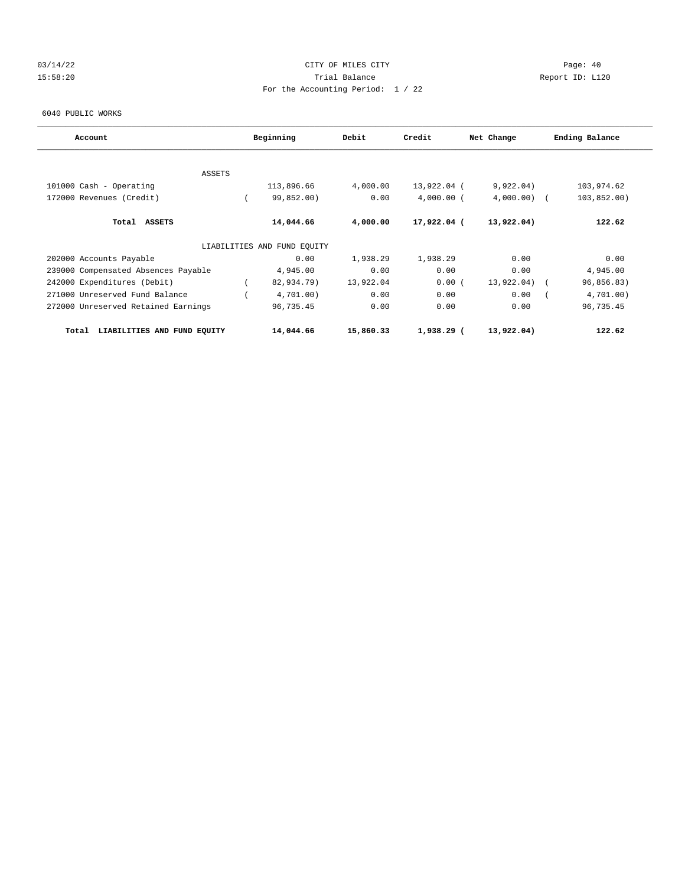## 03/14/22 Page: 40 15:58:20 Trial Balance Report ID: L120 For the Accounting Period: 1 / 22

6040 PUBLIC WORKS

| Account                              | Beginning |                             | Debit     | Credit        | Net Change | Ending Balance |
|--------------------------------------|-----------|-----------------------------|-----------|---------------|------------|----------------|
|                                      |           |                             |           |               |            |                |
| ASSETS<br>101000 Cash - Operating    |           | 113,896.66                  | 4,000.00  | 13,922.04 (   | 9,922.04)  | 103,974.62     |
| 172000 Revenues (Credit)             |           | 99,852.00)                  | 0.00      | $4,000.00$ (  | 4,000.00   | 103,852.00)    |
|                                      |           |                             |           |               |            |                |
| Total ASSETS                         |           | 14,044.66                   | 4,000.00  | $17,922.04$ ( | 13,922.04) | 122.62         |
|                                      |           | LIABILITIES AND FUND EQUITY |           |               |            |                |
| 202000 Accounts Payable              |           | 0.00                        | 1,938.29  | 1,938.29      | 0.00       | 0.00           |
| 239000 Compensated Absences Payable  |           | 4,945.00                    | 0.00      | 0.00          | 0.00       | 4,945.00       |
| 242000 Expenditures (Debit)          |           | 82,934.79)                  | 13,922.04 | 0.00(         | 13,922.04) | 96,856.83)     |
| 271000 Unreserved Fund Balance       |           | 4,701.00)                   | 0.00      | 0.00          | 0.00       | 4,701.00)      |
| 272000 Unreserved Retained Earnings  |           | 96,735.45                   | 0.00      | 0.00          | 0.00       | 96,735.45      |
| LIABILITIES AND FUND EQUITY<br>Total |           | 14,044.66                   | 15,860.33 | $1,938.29$ (  | 13,922.04) | 122.62         |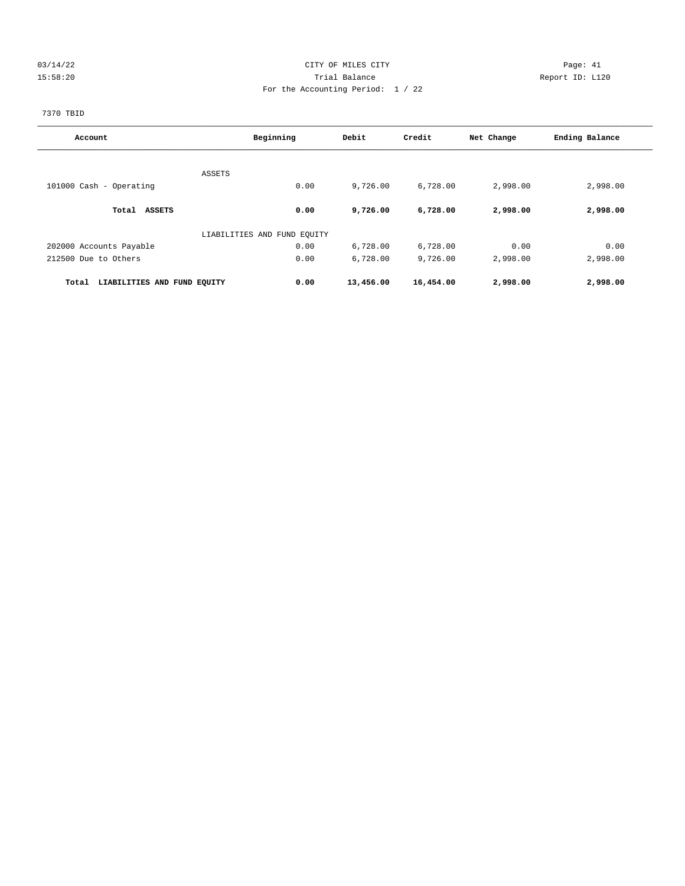## 03/14/22 Page: 41 15:58:20 Trial Balance Report ID: L120 For the Accounting Period: 1 / 22

7370 TBID

| Account                              | Beginning                   | Debit     | Credit    | Net Change | Ending Balance |
|--------------------------------------|-----------------------------|-----------|-----------|------------|----------------|
|                                      |                             |           |           |            |                |
| ASSETS                               |                             |           |           |            |                |
| 101000 Cash - Operating              | 0.00                        | 9,726.00  | 6,728.00  | 2,998.00   | 2,998.00       |
| Total ASSETS                         | 0.00                        | 9,726.00  | 6,728.00  | 2,998.00   | 2,998.00       |
|                                      | LIABILITIES AND FUND EQUITY |           |           |            |                |
| 202000 Accounts Payable              | 0.00                        | 6,728.00  | 6,728.00  | 0.00       | 0.00           |
| 212500 Due to Others                 | 0.00                        | 6,728.00  | 9,726.00  | 2,998.00   | 2,998.00       |
| LIABILITIES AND FUND EQUITY<br>Total | 0.00                        | 13,456.00 | 16,454.00 | 2,998.00   | 2,998.00       |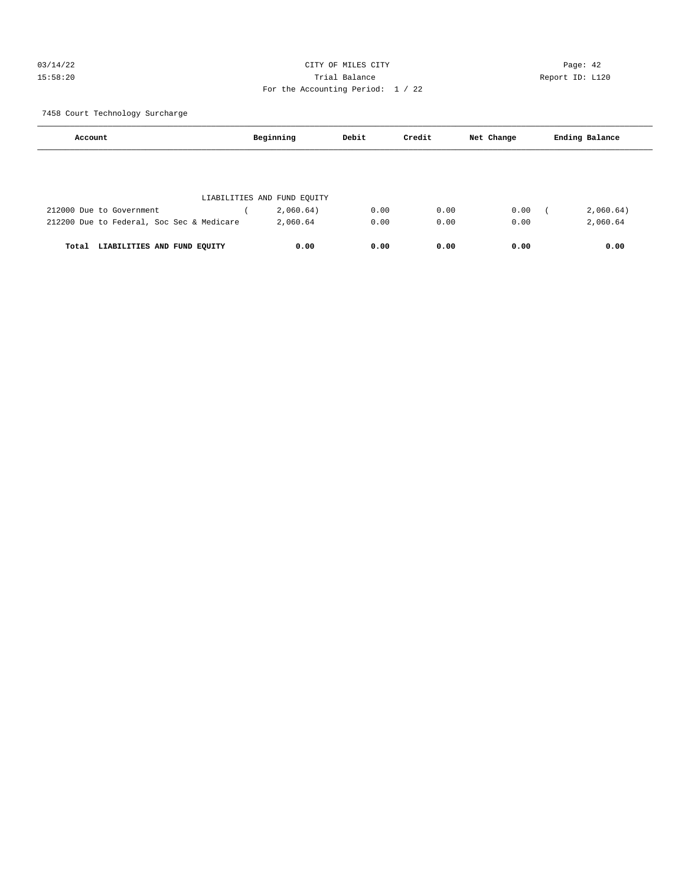## 03/14/22 Page: 42 15:58:20 Trial Balance Report ID: L120 For the Accounting Period: 1 / 22

7458 Court Technology Surcharge

| Account                                   | Beginning                   | Debit | Credit | Net Change | Ending Balance |  |
|-------------------------------------------|-----------------------------|-------|--------|------------|----------------|--|
|                                           |                             |       |        |            |                |  |
|                                           | LIABILITIES AND FUND EQUITY |       |        |            |                |  |
| 212000 Due to Government                  | 2,060.64)                   | 0.00  | 0.00   | 0.00       | 2,060.64)      |  |
| 212200 Due to Federal, Soc Sec & Medicare | 2,060.64                    | 0.00  | 0.00   | 0.00       | 2,060.64       |  |
| LIABILITIES AND FUND EQUITY<br>Total      | 0.00                        | 0.00  | 0.00   | 0.00       | 0.00           |  |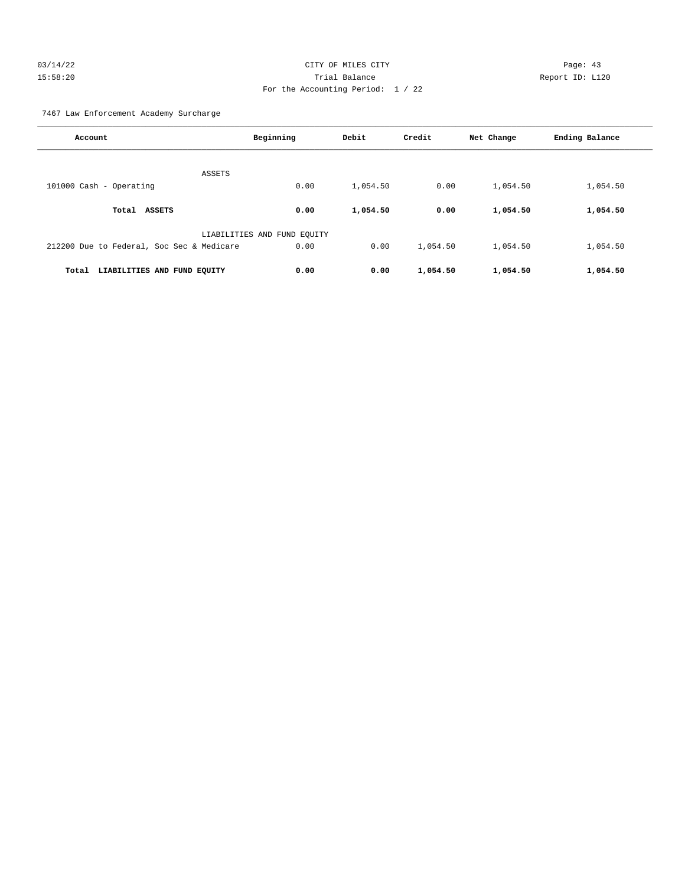## 03/14/22 Page: 43 15:58:20 Trial Balance Report ID: L120 For the Accounting Period: 1 / 22

7467 Law Enforcement Academy Surcharge

| Account                                   | Beginning                   | Debit    | Credit   | Net Change | Ending Balance |
|-------------------------------------------|-----------------------------|----------|----------|------------|----------------|
| ASSETS                                    |                             |          |          |            |                |
| 101000 Cash - Operating                   | 0.00                        | 1,054.50 | 0.00     | 1,054.50   | 1,054.50       |
| Total ASSETS                              | 0.00                        | 1,054.50 | 0.00     | 1,054.50   | 1,054.50       |
|                                           | LIABILITIES AND FUND EOUITY |          |          |            |                |
| 212200 Due to Federal, Soc Sec & Medicare | 0.00                        | 0.00     | 1,054.50 | 1,054.50   | 1,054.50       |
| Total<br>LIABILITIES AND FUND EQUITY      | 0.00                        | 0.00     | 1,054.50 | 1,054.50   | 1,054.50       |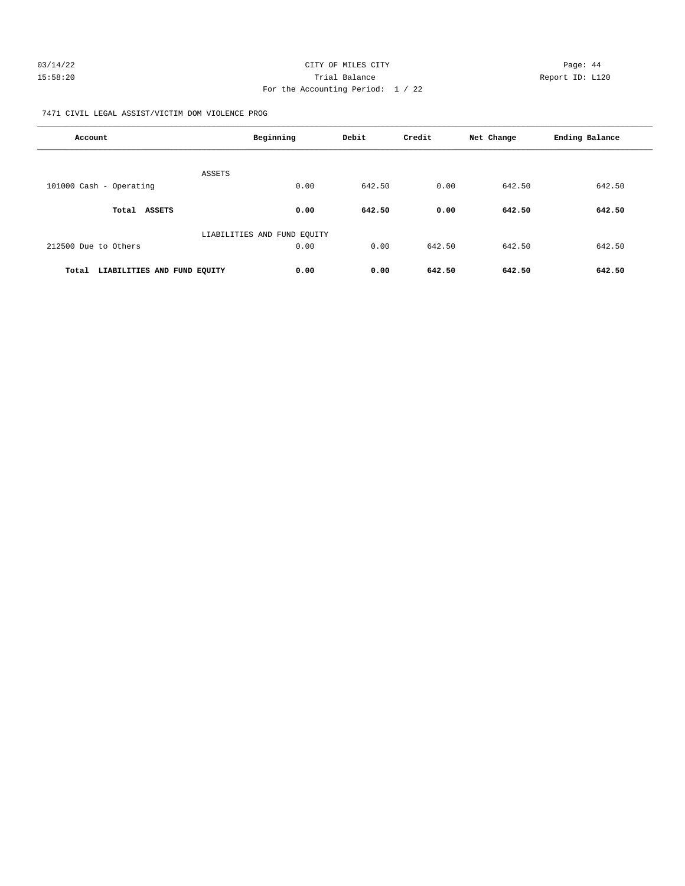| 03/14/22 | CITY OF MILES CITY                | Page: 44        |
|----------|-----------------------------------|-----------------|
| 15:58:20 | Trial Balance                     | Report ID: L120 |
|          | For the Accounting Period: $1/22$ |                 |

7471 CIVIL LEGAL ASSIST/VICTIM DOM VIOLENCE PROG

| Account                              | Beginning                   | Debit  | Credit | Net Change | Ending Balance |
|--------------------------------------|-----------------------------|--------|--------|------------|----------------|
| <b>ASSETS</b>                        |                             |        |        |            |                |
| 101000 Cash - Operating              | 0.00                        | 642.50 | 0.00   | 642.50     | 642.50         |
| Total ASSETS                         | 0.00                        | 642.50 | 0.00   | 642.50     | 642.50         |
|                                      | LIABILITIES AND FUND EQUITY |        |        |            |                |
| 212500 Due to Others                 | 0.00                        | 0.00   | 642.50 | 642.50     | 642.50         |
| LIABILITIES AND FUND EQUITY<br>Total | 0.00                        | 0.00   | 642.50 | 642.50     | 642.50         |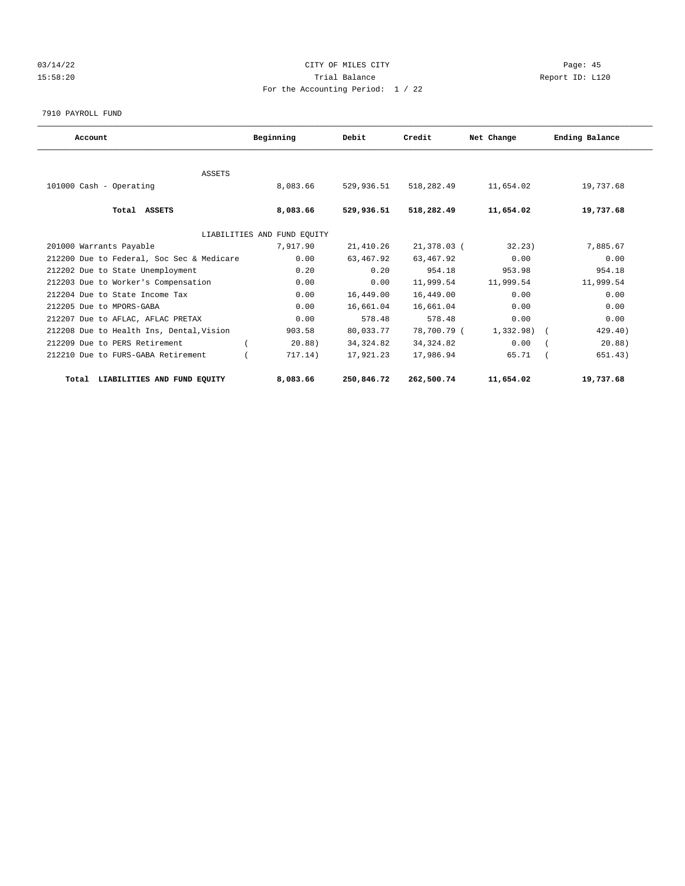## 03/14/22 Page: 45 15:58:20 Trial Balance Report ID: L120 For the Accounting Period: 1 / 22

#### 7910 PAYROLL FUND

| Account                                   | Beginning                   | Debit      | Credit      | Net Change | Ending Balance |
|-------------------------------------------|-----------------------------|------------|-------------|------------|----------------|
|                                           |                             |            |             |            |                |
| ASSETS<br>101000 Cash - Operating         | 8,083.66                    | 529,936.51 | 518,282.49  | 11,654.02  | 19,737.68      |
|                                           |                             |            |             |            |                |
| Total ASSETS                              | 8,083.66                    | 529,936.51 | 518,282.49  | 11,654.02  | 19,737.68      |
|                                           | LIABILITIES AND FUND EQUITY |            |             |            |                |
| 201000 Warrants Payable                   | 7,917.90                    | 21,410.26  | 21,378.03 ( | 32.23)     | 7,885.67       |
| 212200 Due to Federal, Soc Sec & Medicare | 0.00                        | 63,467.92  | 63,467.92   | 0.00       | 0.00           |
| 212202 Due to State Unemployment          | 0.20                        | 0.20       | 954.18      | 953.98     | 954.18         |
| 212203 Due to Worker's Compensation       | 0.00                        | 0.00       | 11,999.54   | 11,999.54  | 11,999.54      |
| 212204 Due to State Income Tax            | 0.00                        | 16,449.00  | 16,449.00   | 0.00       | 0.00           |
| 212205 Due to MPORS-GABA                  | 0.00                        | 16,661.04  | 16,661.04   | 0.00       | 0.00           |
| 212207 Due to AFLAC, AFLAC PRETAX         | 0.00                        | 578.48     | 578.48      | 0.00       | 0.00           |
| 212208 Due to Health Ins, Dental, Vision  | 903.58                      | 80,033.77  | 78,700.79 ( | 1,332.98)  | 429.40)        |
| 212209 Due to PERS Retirement             | $20.88$ )                   | 34, 324.82 | 34, 324.82  | 0.00       | 20.88)         |
| 212210 Due to FURS-GABA Retirement        | 717.14)                     | 17,921.23  | 17,986.94   | 65.71      | 651.43)        |
| LIABILITIES AND FUND EQUITY<br>Total      | 8,083.66                    | 250,846.72 | 262,500.74  | 11,654.02  | 19,737.68      |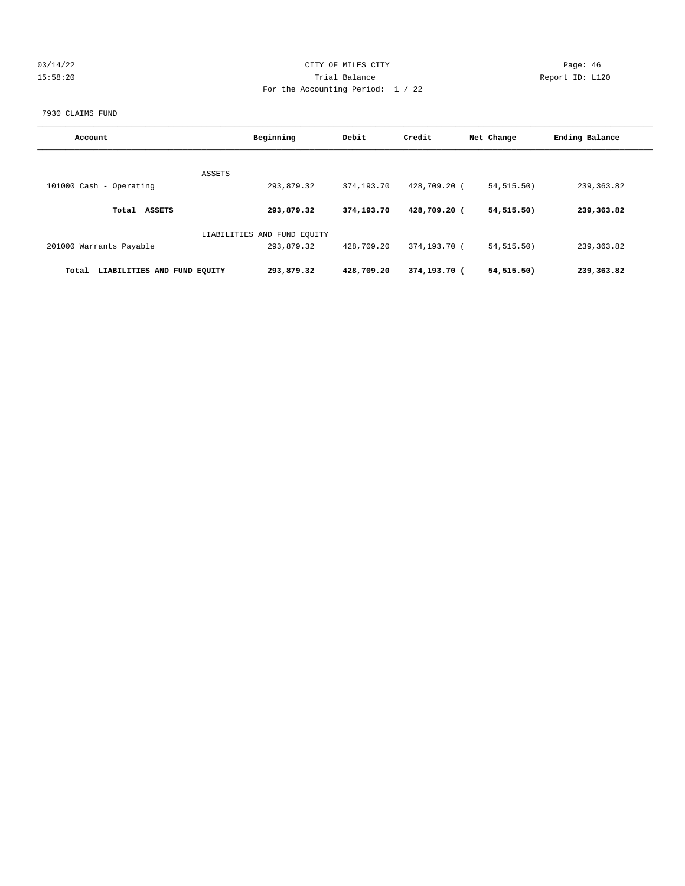## 03/14/22 Page: 46 15:58:20 Trial Balance Report ID: L120 For the Accounting Period: 1 / 22

#### 7930 CLAIMS FUND

| Account                              | Beginning                   | Debit      | Credit       | Net Change  | Ending Balance |
|--------------------------------------|-----------------------------|------------|--------------|-------------|----------------|
|                                      | ASSETS                      |            |              |             |                |
| 101000 Cash - Operating              | 293,879.32                  | 374,193.70 | 428,709.20 ( | 54, 515.50) | 239, 363.82    |
| <b>ASSETS</b><br>Total               | 293,879.32                  | 374,193.70 | 428,709.20 ( | 54,515.50)  | 239,363.82     |
|                                      | LIABILITIES AND FUND EQUITY |            |              |             |                |
| 201000 Warrants Payable              | 293,879.32                  | 428,709.20 | 374,193.70 ( | 54, 515.50) | 239, 363.82    |
| LIABILITIES AND FUND EOUITY<br>Total | 293,879.32                  | 428,709.20 | 374,193.70 ( | 54, 515.50) | 239,363.82     |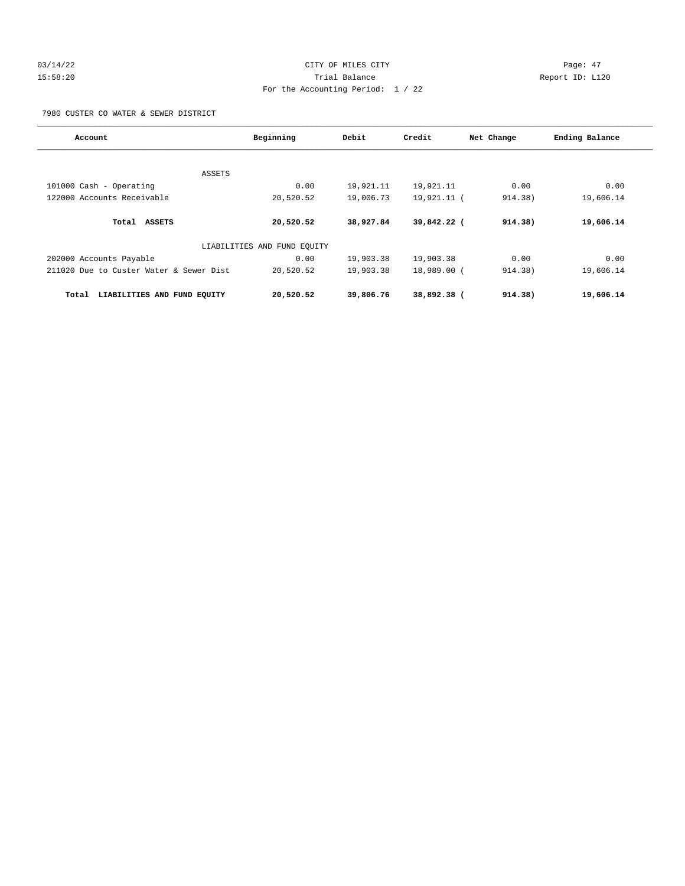## 03/14/22 Page: 47 15:58:20 Trial Balance Report ID: L120 For the Accounting Period: 1 / 22

7980 CUSTER CO WATER & SEWER DISTRICT

| Account                                 | Beginning                   | Debit     | Credit      | Net Change | Ending Balance |
|-----------------------------------------|-----------------------------|-----------|-------------|------------|----------------|
| ASSETS                                  |                             |           |             |            |                |
| 101000 Cash - Operating                 | 0.00                        | 19,921.11 | 19,921.11   | 0.00       | 0.00           |
| 122000 Accounts Receivable              | 20,520.52                   | 19,006.73 | 19,921.11 ( | 914.38)    | 19,606.14      |
| Total<br>ASSETS                         | 20,520.52                   | 38,927.84 | 39,842.22 ( | 914.38)    | 19,606.14      |
|                                         | LIABILITIES AND FUND EQUITY |           |             |            |                |
| 202000 Accounts Payable                 | 0.00                        | 19,903.38 | 19,903.38   | 0.00       | 0.00           |
| 211020 Due to Custer Water & Sewer Dist | 20,520.52                   | 19,903.38 | 18,989.00 ( | 914.38)    | 19,606.14      |
| LIABILITIES AND FUND EQUITY<br>Total    | 20,520.52                   | 39,806.76 | 38,892.38 ( | 914.38)    | 19,606.14      |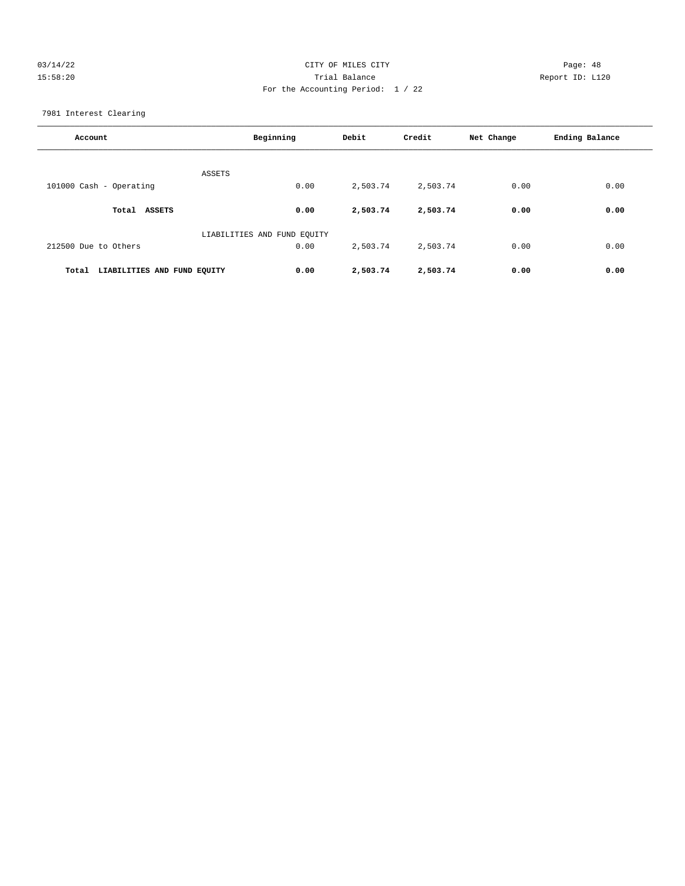## 03/14/22 Page: 48 15:58:20 Trial Balance Report ID: L120 For the Accounting Period: 1 / 22

7981 Interest Clearing

| Account                              | Beginning                   | Debit    | Credit   | Net Change | Ending Balance |
|--------------------------------------|-----------------------------|----------|----------|------------|----------------|
| ASSETS                               |                             |          |          |            |                |
| 101000 Cash - Operating              | 0.00                        | 2,503.74 | 2,503.74 | 0.00       | 0.00           |
| <b>ASSETS</b><br>Total               | 0.00                        | 2,503.74 | 2,503.74 | 0.00       | 0.00           |
|                                      | LIABILITIES AND FUND EOUITY |          |          |            |                |
| 212500 Due to Others                 | 0.00                        | 2,503.74 | 2,503.74 | 0.00       | 0.00           |
| LIABILITIES AND FUND EQUITY<br>Total | 0.00                        | 2,503.74 | 2,503.74 | 0.00       | 0.00           |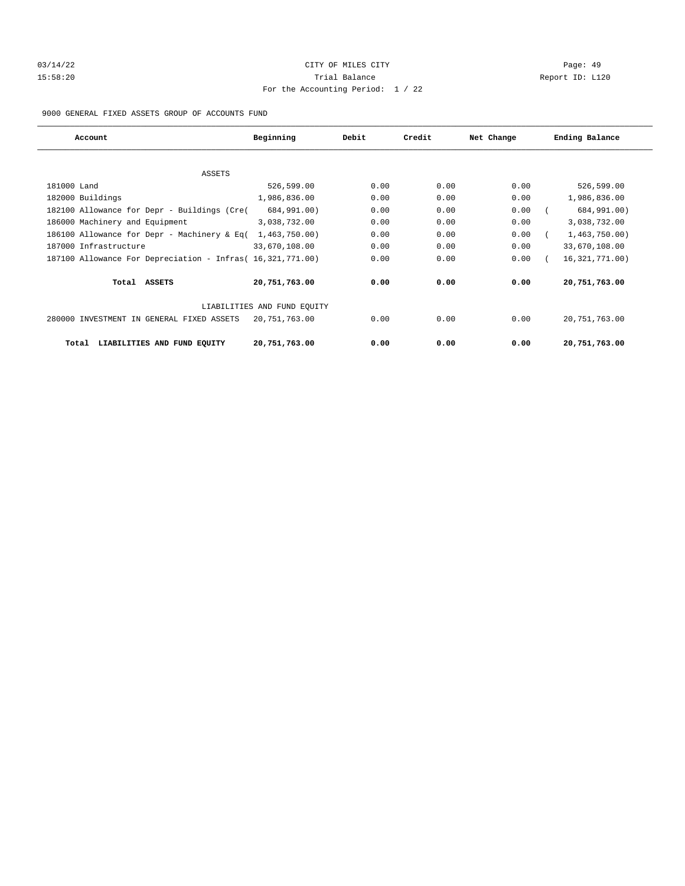# 03/14/22 Page: 49 15:58:20 Trial Balance Report ID: L120 For the Accounting Period: 1 / 22

9000 GENERAL FIXED ASSETS GROUP OF ACCOUNTS FUND

| Account                                                    | Beginning<br>Debit          |      | Credit | Net Change | Ending Balance   |
|------------------------------------------------------------|-----------------------------|------|--------|------------|------------------|
|                                                            |                             |      |        |            |                  |
| ASSETS                                                     |                             |      |        |            |                  |
| 181000 Land                                                | 526,599.00                  | 0.00 | 0.00   | 0.00       | 526,599.00       |
| 182000 Buildings                                           | 1,986,836.00                | 0.00 | 0.00   | 0.00       | 1,986,836.00     |
| 182100 Allowance for Depr - Buildings (Cre(                | 684,991.00)                 | 0.00 | 0.00   | 0.00       | 684,991.00)      |
| 186000 Machinery and Equipment                             | 3,038,732.00                | 0.00 | 0.00   | 0.00       | 3,038,732.00     |
| 186100 Allowance for Depr - Machinery & Eq(                | 1,463,750.00)               | 0.00 | 0.00   | 0.00       | 1,463,750.00     |
| 187000 Infrastructure                                      | 33,670,108.00               | 0.00 | 0.00   | 0.00       | 33,670,108.00    |
| 187100 Allowance For Depreciation - Infras (16,321,771.00) |                             | 0.00 | 0.00   | 0.00       | 16, 321, 771.00) |
| Total ASSETS                                               | 20,751,763.00               | 0.00 | 0.00   | 0.00       | 20,751,763.00    |
|                                                            | LIABILITIES AND FUND EQUITY |      |        |            |                  |
| 280000 INVESTMENT IN GENERAL FIXED ASSETS                  | 20,751,763.00               | 0.00 | 0.00   | 0.00       | 20,751,763.00    |
| LIABILITIES AND FUND EQUITY<br>Total                       | 20,751,763.00               | 0.00 | 0.00   | 0.00       | 20,751,763.00    |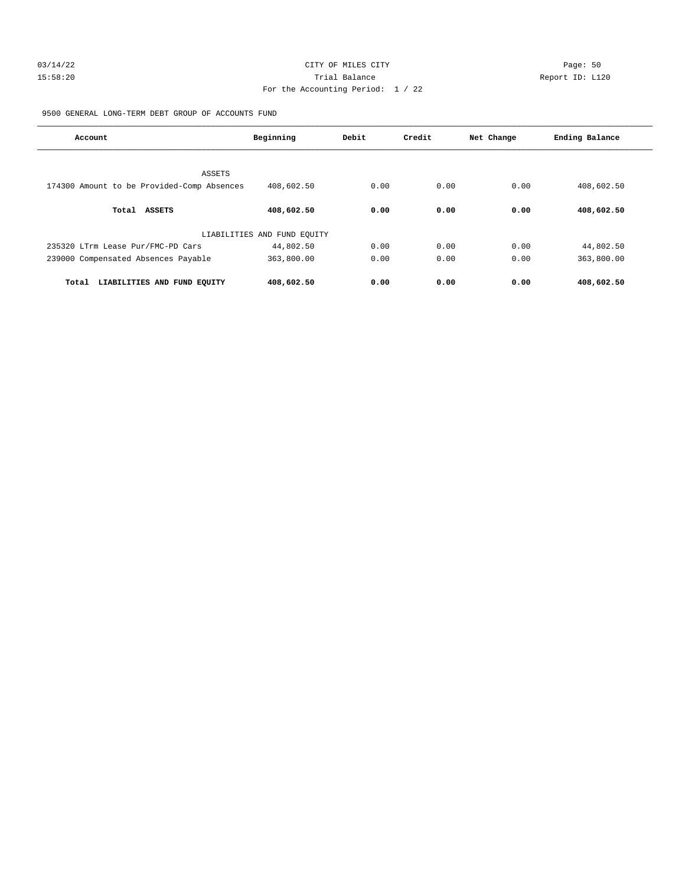# 03/14/22 Page: 50 15:58:20 Trial Balance Report ID: L120 For the Accounting Period: 1 / 22

9500 GENERAL LONG-TERM DEBT GROUP OF ACCOUNTS FUND

| Account                                    | Beginning                   | Debit | Credit | Net Change | Ending Balance |
|--------------------------------------------|-----------------------------|-------|--------|------------|----------------|
| ASSETS                                     |                             |       |        |            |                |
| 174300 Amount to be Provided-Comp Absences | 408,602.50                  | 0.00  | 0.00   | 0.00       | 408,602.50     |
| <b>ASSETS</b><br>Total                     | 408,602.50                  | 0.00  | 0.00   | 0.00       | 408,602.50     |
|                                            | LIABILITIES AND FUND EQUITY |       |        |            |                |
| 235320 LTrm Lease Pur/FMC-PD Cars          | 44,802.50                   | 0.00  | 0.00   | 0.00       | 44,802.50      |
| 239000 Compensated Absences Payable        | 363,800.00                  | 0.00  | 0.00   | 0.00       | 363,800.00     |
| LIABILITIES AND FUND EQUITY<br>Total       | 408,602.50                  | 0.00  | 0.00   | 0.00       | 408,602.50     |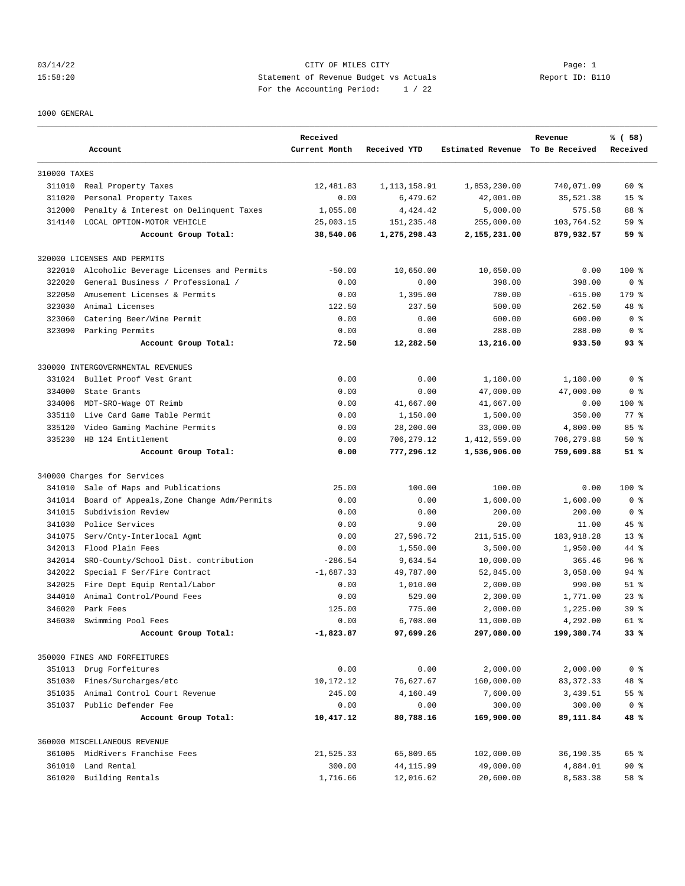## 03/14/22 Page: 1 Page: 1 15:58:20 Statement of Revenue Budget vs Actuals Report ID: B110 For the Accounting Period: 1 / 22

#### 1000 GENERAL

|              | Account                                   | Received<br>Current Month | Received YTD   | Estimated Revenue To Be Received | Revenue    | % (58)<br>Received |
|--------------|-------------------------------------------|---------------------------|----------------|----------------------------------|------------|--------------------|
| 310000 TAXES |                                           |                           |                |                                  |            |                    |
|              | 311010 Real Property Taxes                | 12,481.83                 | 1, 113, 158.91 | 1,853,230.00                     | 740,071.09 | $60*$              |
| 311020       | Personal Property Taxes                   | 0.00                      | 6,479.62       | 42,001.00                        | 35,521.38  | 15 <sup>8</sup>    |
| 312000       | Penalty & Interest on Delinquent Taxes    | 1,055.08                  | 4,424.42       | 5,000.00                         | 575.58     | 88 %               |
| 314140       | LOCAL OPTION-MOTOR VEHICLE                | 25,003.15                 | 151,235.48     | 255,000.00                       | 103,764.52 | 59 %               |
|              | Account Group Total:                      | 38,540.06                 | 1,275,298.43   | 2,155,231.00                     | 879,932.57 | 59 %               |
|              | 320000 LICENSES AND PERMITS               |                           |                |                                  |            |                    |
| 322010       | Alcoholic Beverage Licenses and Permits   | $-50.00$                  | 10,650.00      | 10,650.00                        | 0.00       | $100*$             |
| 322020       | General Business / Professional /         | 0.00                      | 0.00           | 398.00                           | 398.00     | 0 <sup>8</sup>     |
| 322050       | Amusement Licenses & Permits              | 0.00                      | 1,395.00       | 780.00                           | $-615.00$  | 179 %              |
| 323030       | Animal Licenses                           | 122.50                    | 237.50         | 500.00                           | 262.50     | 48 %               |
| 323060       | Catering Beer/Wine Permit                 | 0.00                      | 0.00           | 600.00                           | 600.00     | 0 <sup>8</sup>     |
|              | 323090 Parking Permits                    | 0.00                      | 0.00           | 288.00                           | 288.00     | 0 <sup>8</sup>     |
|              | Account Group Total:                      | 72.50                     | 12,282.50      | 13,216.00                        | 933.50     | 93%                |
|              | 330000 INTERGOVERNMENTAL REVENUES         |                           |                |                                  |            |                    |
| 331024       | Bullet Proof Vest Grant                   | 0.00                      | 0.00           | 1,180.00                         | 1,180.00   | 0 <sup>8</sup>     |
| 334000       | State Grants                              | 0.00                      | 0.00           | 47,000.00                        | 47,000.00  | 0 <sup>8</sup>     |
| 334006       | MDT-SRO-Wage OT Reimb                     | 0.00                      | 41,667.00      | 41,667.00                        | 0.00       | $100$ %            |
| 335110       | Live Card Game Table Permit               | 0.00                      | 1,150.00       | 1,500.00                         | 350.00     | $77$ $%$           |
| 335120       | Video Gaming Machine Permits              | 0.00                      | 28,200.00      | 33,000.00                        | 4,800.00   | 85%                |
| 335230       | HB 124 Entitlement                        | 0.00                      | 706,279.12     | 1,412,559.00                     | 706,279.88 | $50*$              |
|              | Account Group Total:                      | 0.00                      | 777,296.12     | 1,536,906.00                     | 759,609.88 | 51%                |
|              | 340000 Charges for Services               |                           |                |                                  |            |                    |
| 341010       | Sale of Maps and Publications             | 25.00                     | 100.00         | 100.00                           | 0.00       | 100 %              |
| 341014       | Board of Appeals, Zone Change Adm/Permits | 0.00                      | 0.00           | 1,600.00                         | 1,600.00   | 0 %                |
| 341015       | Subdivision Review                        | 0.00                      | 0.00           | 200.00                           | 200.00     | 0 <sup>8</sup>     |
| 341030       | Police Services                           | 0.00                      | 9.00           | 20.00                            | 11.00      | 45 %               |
| 341075       | Serv/Cnty-Interlocal Agmt                 | 0.00                      | 27,596.72      | 211,515.00                       | 183,918.28 | $13*$              |
| 342013       | Flood Plain Fees                          | 0.00                      | 1,550.00       | 3,500.00                         | 1,950.00   | 44 %               |
| 342014       | SRO-County/School Dist. contribution      | $-286.54$                 | 9,634.54       | 10,000.00                        | 365.46     | 96 <sup>°</sup>    |
| 342022       | Special F Ser/Fire Contract               | $-1,687.33$               | 49,787.00      | 52,845.00                        | 3,058.00   | $94$ %             |
| 342025       | Fire Dept Equip Rental/Labor              | 0.00                      | 1,010.00       | 2,000.00                         | 990.00     | $51$ %             |
| 344010       | Animal Control/Pound Fees                 | 0.00                      | 529.00         | 2,300.00                         | 1,771.00   | $23$ $%$           |
| 346020       | Park Fees                                 | 125.00                    | 775.00         | 2,000.00                         | 1,225.00   | 39 <sup>8</sup>    |
| 346030       | Swimming Pool Fees                        | 0.00                      | 6,708.00       | 11,000.00                        | 4,292.00   | $61$ $%$           |
|              | Account Group Total:                      | $-1,823.87$               | 97,699.26      | 297,080.00                       | 199,380.74 | 33%                |
|              | 350000 FINES AND FORFEITURES              |                           |                |                                  |            |                    |
|              | 351013 Drug Forfeitures                   | 0.00                      | 0.00           | 2,000.00                         | 2,000.00   | 0 <sup>8</sup>     |
| 351030       | Fines/Surcharges/etc                      | 10,172.12                 | 76,627.67      | 160,000.00                       | 83, 372.33 | 48 %               |
| 351035       | Animal Control Court Revenue              | 245.00                    | 4,160.49       | 7,600.00                         | 3,439.51   | 55 %               |
|              | 351037 Public Defender Fee                | 0.00                      | 0.00           | 300.00                           | 300.00     | 0 <sup>8</sup>     |
|              | Account Group Total:                      | 10,417.12                 | 80,788.16      | 169,900.00                       | 89,111.84  | 48 %               |
|              | 360000 MISCELLANEOUS REVENUE              |                           |                |                                  |            |                    |
|              | 361005 MidRivers Franchise Fees           | 21,525.33                 | 65,809.65      | 102,000.00                       | 36,190.35  | 65 %               |
|              | 361010 Land Rental                        | 300.00                    | 44, 115.99     | 49,000.00                        | 4,884.01   | $90*$              |
| 361020       | Building Rentals                          | 1,716.66                  | 12,016.62      | 20,600.00                        | 8,583.38   | 58 %               |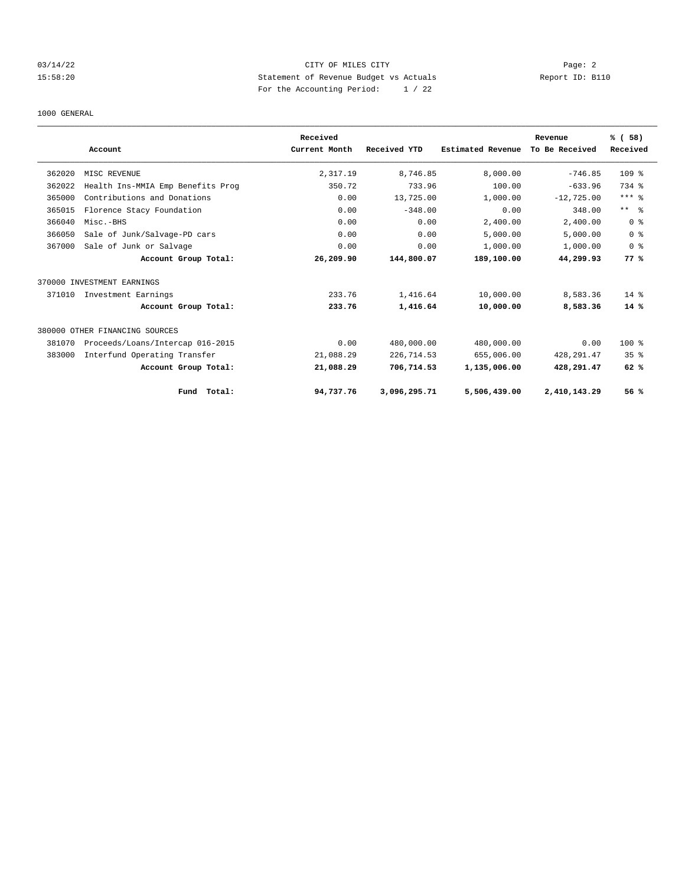## 03/14/22 Page: 2 15:58:20 Statement of Revenue Budget vs Actuals Report ID: B110 For the Accounting Period: 1 / 22

#### 1000 GENERAL

|        |                                   | Received      |              |                   | Revenue        | % (58)                  |
|--------|-----------------------------------|---------------|--------------|-------------------|----------------|-------------------------|
|        | Account                           | Current Month | Received YTD | Estimated Revenue | To Be Received | Received                |
| 362020 | MISC REVENUE                      | 2,317.19      | 8,746.85     | 8.000.00          | $-746.85$      | 109 <sub>8</sub>        |
| 362022 | Health Ins-MMIA Emp Benefits Prog | 350.72        | 733.96       | 100.00            | $-633.96$      | 734 %                   |
| 365000 | Contributions and Donations       | 0.00          | 13,725.00    | 1,000.00          | $-12,725.00$   | $***$ $%$               |
| 365015 | Florence Stacy Foundation         | 0.00          | $-348.00$    | 0.00              | 348.00         | $***$ $ -$              |
| 366040 | Misc.-BHS                         | 0.00          | 0.00         | 2,400.00          | 2,400.00       | $0 \text{ }$ $\text{ }$ |
| 366050 | Sale of Junk/Salvage-PD cars      | 0.00          | 0.00         | 5,000.00          | 5,000.00       | 0 <sup>8</sup>          |
| 367000 | Sale of Junk or Salvage           | 0.00          | 0.00         | 1,000.00          | 1,000.00       | 0 <sup>8</sup>          |
|        | Account Group Total:              | 26,209.90     | 144,800.07   | 189,100.00        | 44,299.93      | 77%                     |
|        | 370000 INVESTMENT EARNINGS        |               |              |                   |                |                         |
| 371010 | Investment Earnings               | 233.76        | 1,416.64     | 10,000.00         | 8,583.36       | $14*$                   |
|        | Account Group Total:              | 233.76        | 1,416.64     | 10,000.00         | 8,583.36       | $14*$                   |
|        | 380000 OTHER FINANCING SOURCES    |               |              |                   |                |                         |
| 381070 | Proceeds/Loans/Intercap 016-2015  | 0.00          | 480,000.00   | 480,000.00        | 0.00           | $100*$                  |
| 383000 | Interfund Operating Transfer      | 21,088.29     | 226,714.53   | 655,006.00        | 428, 291.47    | 35 <sup>8</sup>         |
|        | Account Group Total:              | 21,088.29     | 706,714.53   | 1,135,006.00      | 428,291.47     | 62%                     |
|        | Total:<br>Fund                    | 94,737.76     | 3,096,295.71 | 5,506,439.00      | 2,410,143.29   | 56%                     |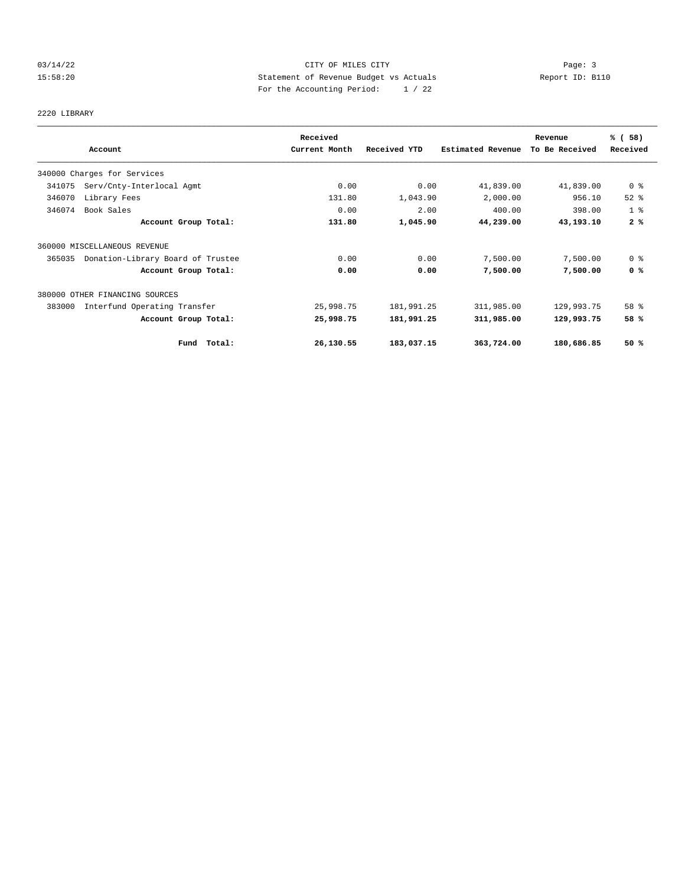## 03/14/22 Page: 3 Page: 3 Page: 3 15:58:20 Statement of Revenue Budget vs Actuals Report ID: B110 For the Accounting Period: 1 / 22

# 2220 LIBRARY

|        |                                   | Received      |              |                   | Revenue        | % (58)         |
|--------|-----------------------------------|---------------|--------------|-------------------|----------------|----------------|
|        | Account                           | Current Month | Received YTD | Estimated Revenue | To Be Received | Received       |
|        | 340000 Charges for Services       |               |              |                   |                |                |
| 341075 | Serv/Cnty-Interlocal Agmt         | 0.00          | 0.00         | 41,839.00         | 41,839.00      | 0 %            |
| 346070 | Library Fees                      | 131.80        | 1,043.90     | 2,000.00          | 956.10         | $52$ $%$       |
| 346074 | Book Sales                        | 0.00          | 2.00         | 400.00            | 398.00         | 1 <sup>8</sup> |
|        | Account Group Total:              | 131.80        | 1,045.90     | 44,239.00         | 43,193.10      | 2%             |
|        | 360000 MISCELLANEOUS REVENUE      |               |              |                   |                |                |
| 365035 | Donation-Library Board of Trustee | 0.00          | 0.00         | 7,500.00          | 7,500.00       | 0 <sup>8</sup> |
|        | Account Group Total:              | 0.00          | 0.00         | 7,500.00          | 7,500.00       | 0 <sup>8</sup> |
|        | 380000 OTHER FINANCING SOURCES    |               |              |                   |                |                |
| 383000 | Interfund Operating Transfer      | 25,998.75     | 181,991.25   | 311,985.00        | 129,993.75     | 58 %           |
|        | Account Group Total:              | 25,998.75     | 181,991.25   | 311,985.00        | 129,993.75     | 58 %           |
|        | Total:<br>Fund                    | 26,130.55     | 183,037.15   | 363,724.00        | 180,686.85     | 50%            |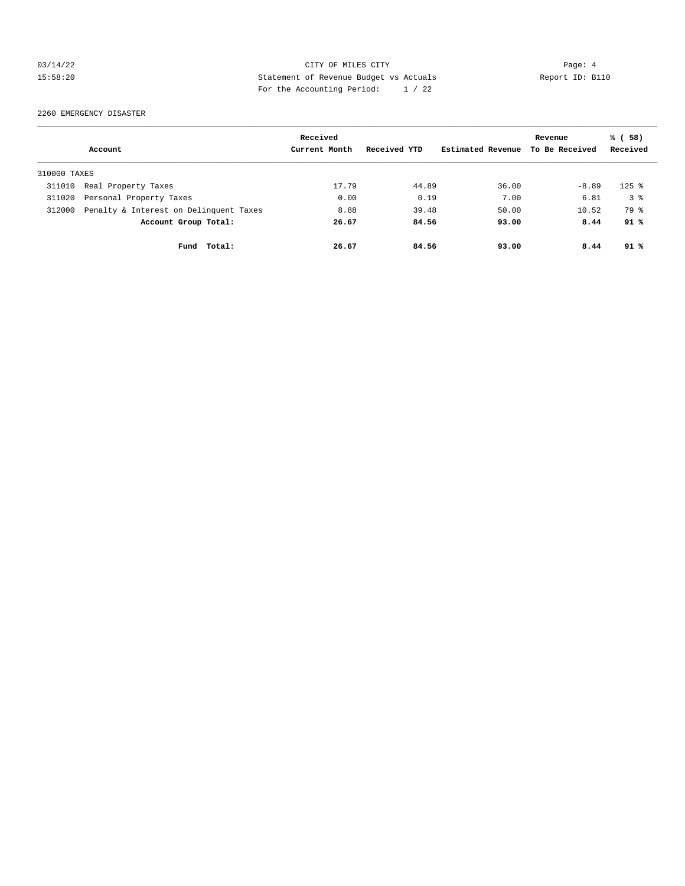## 03/14/22 Page: 4 15:58:20 Statement of Revenue Budget vs Actuals Report ID: B110 For the Accounting Period: 1 / 22

2260 EMERGENCY DISASTER

|              |                                        | Received      |              |                   | Revenue        | % (58)    |
|--------------|----------------------------------------|---------------|--------------|-------------------|----------------|-----------|
|              | Account                                | Current Month | Received YTD | Estimated Revenue | To Be Received | Received  |
| 310000 TAXES |                                        |               |              |                   |                |           |
| 311010       | Real Property Taxes                    | 17.79         | 44.89        | 36.00             | $-8.89$        | $125$ $%$ |
| 311020       | Personal Property Taxes                | 0.00          | 0.19         | 7.00              | 6.81           | 38        |
| 312000       | Penalty & Interest on Delinquent Taxes | 8.88          | 39.48        | 50.00             | 10.52          | 79 %      |
|              | Account Group Total:                   | 26.67         | 84.56        | 93.00             | 8.44           | 91%       |
|              | Fund<br>Total:                         | 26.67         | 84.56        | 93.00             | 8.44           | 91%       |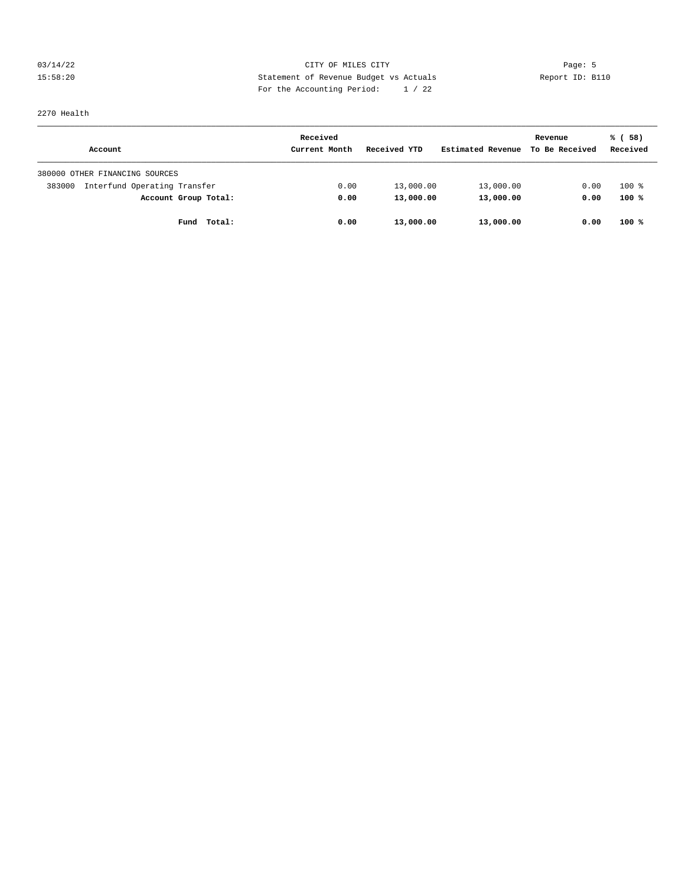03/14/22 Page: 5 Page: 5 Page: 5 Page: 6 Page: 6 Page: 6 Page: 6 Page: 6 Page: 6 Page: 6 Page: 6 Page: 6 Page: 6 Page: 6 Page: 6 Page: 6 Page: 6 Page: 6 Page: 6 Page: 6 Page: 6 Page: 6 Page: 6 Page: 6 Page: 6 Page: 6 Page: 15:58:20 Statement of Revenue Budget vs Actuals Report ID: B110 For the Accounting Period: 1 / 22

2270 Health

|                                        | Received      |              |                   | Revenue        | % (58)   |
|----------------------------------------|---------------|--------------|-------------------|----------------|----------|
| Account                                | Current Month | Received YTD | Estimated Revenue | To Be Received | Received |
| 380000 OTHER FINANCING SOURCES         |               |              |                   |                |          |
| Interfund Operating Transfer<br>383000 | 0.00          | 13,000.00    | 13,000.00         | 0.00           | $100*$   |
| Account Group Total:                   | 0.00          | 13,000.00    | 13,000.00         | 0.00           | 100%     |
| Total:<br>Fund                         | 0.00          | 13,000.00    | 13,000.00         | 0.00           | $100*$   |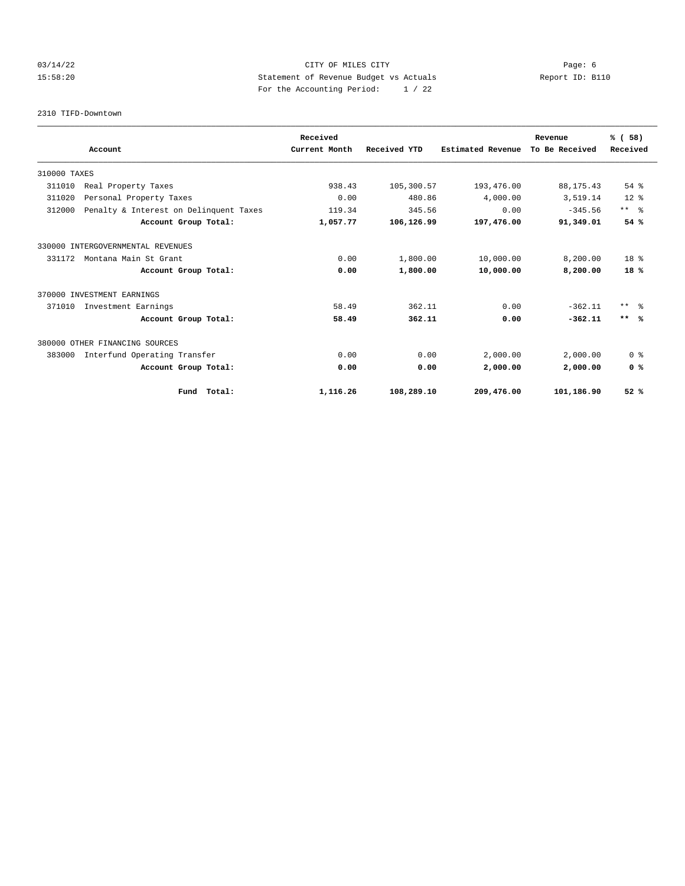## 03/14/22 Page: 6 CITY OF MILES CITY 15:58:20 Statement of Revenue Budget vs Actuals Report ID: B110 For the Accounting Period: 1 / 22

2310 TIFD-Downtown

|                                                  | Received      |              |                          | Revenue        | % (58)                  |
|--------------------------------------------------|---------------|--------------|--------------------------|----------------|-------------------------|
| Account                                          | Current Month | Received YTD | <b>Estimated Revenue</b> | To Be Received | Received                |
| 310000 TAXES                                     |               |              |                          |                |                         |
| 311010<br>Real Property Taxes                    | 938.43        | 105,300.57   | 193,476.00               | 88, 175.43     | $54$ $%$                |
| 311020<br>Personal Property Taxes                | 0.00          | 480.86       | 4,000.00                 | 3,519.14       | $12*$                   |
| 312000<br>Penalty & Interest on Delinquent Taxes | 119.34        | 345.56       | 0.00                     | $-345.56$      | $***$ $=$ $\frac{6}{5}$ |
| Account Group Total:                             | 1,057.77      | 106,126.99   | 197,476.00               | 91,349.01      | 54%                     |
| 330000 INTERGOVERNMENTAL REVENUES                |               |              |                          |                |                         |
| Montana Main St Grant<br>331172                  | 0.00          | 1,800.00     | 10,000.00                | 8,200.00       | 18 <sup>8</sup>         |
| Account Group Total:                             | 0.00          | 1,800.00     | 10,000.00                | 8,200.00       | $18*$                   |
| 370000 INVESTMENT EARNINGS                       |               |              |                          |                |                         |
| 371010<br>Investment Earnings                    | 58.49         | 362.11       | 0.00                     | $-362.11$      | $***$ $\approx$         |
| Account Group Total:                             | 58.49         | 362.11       | 0.00                     | $-362.11$      | $***$ %                 |
| 380000 OTHER FINANCING SOURCES                   |               |              |                          |                |                         |
| 383000<br>Interfund Operating Transfer           | 0.00          | 0.00         | 2,000.00                 | 2,000.00       | 0 <sup>8</sup>          |
| Account Group Total:                             | 0.00          | 0.00         | 2,000.00                 | 2,000.00       | 0 <sup>8</sup>          |
| Fund Total:                                      | 1,116.26      | 108,289.10   | 209,476.00               | 101,186.90     | 52%                     |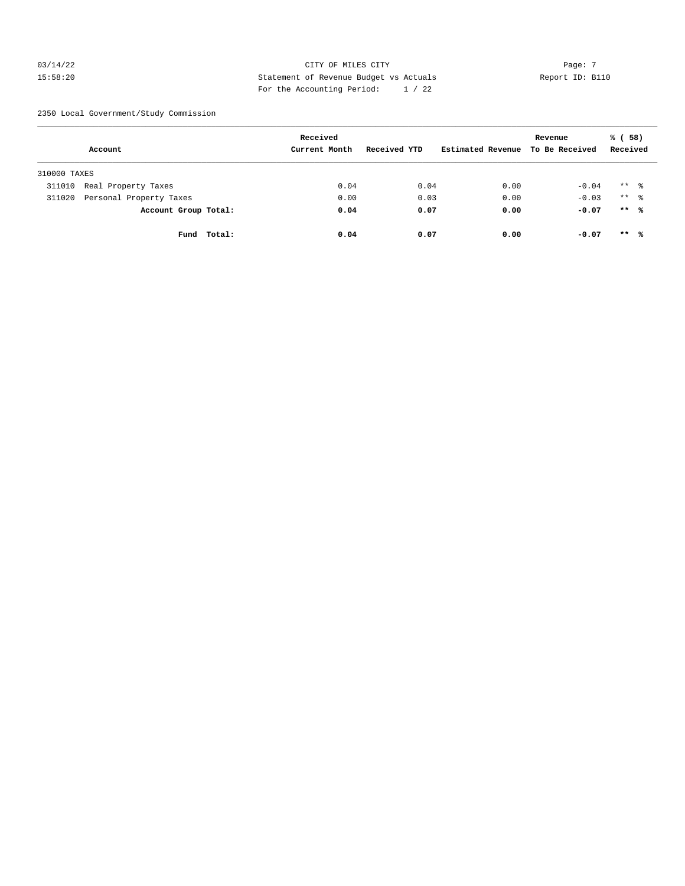## $03/14/22$  Page: 7 15:58:20 Statement of Revenue Budget vs Actuals Report ID: B110 For the Accounting Period: 1 / 22

2350 Local Government/Study Commission

|              | Account                 |             | Received<br>Current Month | Received YTD | Estimated Revenue | Revenue<br>To Be Received | % (58)<br>Received   |  |
|--------------|-------------------------|-------------|---------------------------|--------------|-------------------|---------------------------|----------------------|--|
| 310000 TAXES |                         |             |                           |              |                   |                           |                      |  |
| 311010       | Real Property Taxes     |             | 0.04                      | 0.04         | 0.00              | $-0.04$                   | $***$ 2              |  |
| 311020       | Personal Property Taxes |             | 0.00                      | 0.03         | 0.00              | $-0.03$                   | $***$ $\frac{6}{10}$ |  |
|              | Account Group Total:    |             | 0.04                      | 0.07         | 0.00              | $-0.07$                   | $***$ %              |  |
|              |                         | Fund Total: | 0.04                      | 0.07         | 0.00              | $-0.07$                   | $***$ %              |  |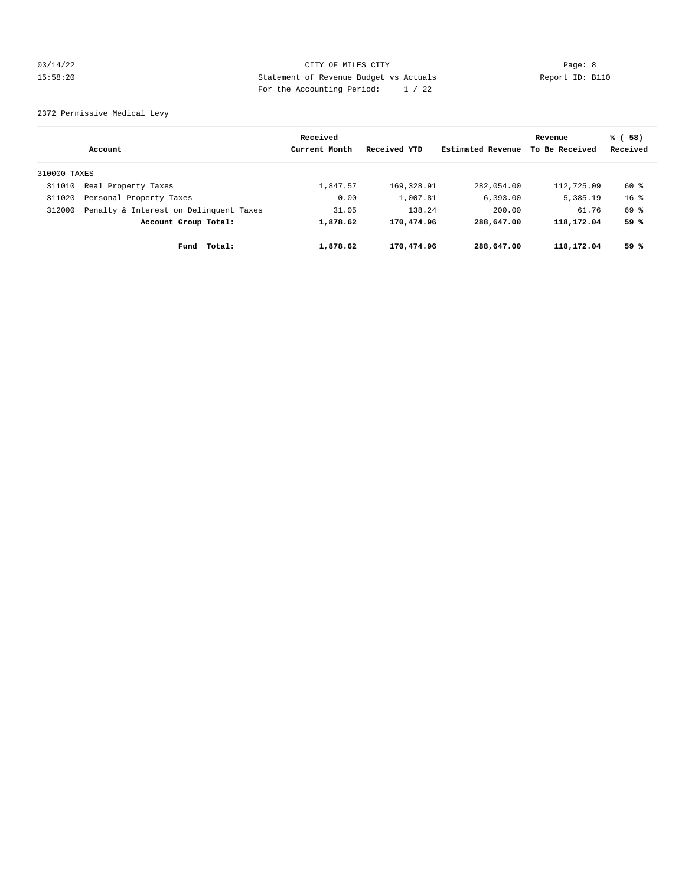## 03/14/22 Page: 8 CITY OF MILES CITY 15:58:20 Statement of Revenue Budget vs Actuals Report ID: B110 For the Accounting Period: 1 / 22

2372 Permissive Medical Levy

|              | Account                                | Received<br>Current Month | Received YTD | Estimated Revenue | Revenue<br>To Be Received | % (58)<br>Received |
|--------------|----------------------------------------|---------------------------|--------------|-------------------|---------------------------|--------------------|
| 310000 TAXES |                                        |                           |              |                   |                           |                    |
| 311010       | Real Property Taxes                    | 1,847.57                  | 169,328.91   | 282,054.00        | 112,725.09                | 60 %               |
| 311020       | Personal Property Taxes                | 0.00                      | 1,007.81     | 6,393.00          | 5,385.19                  | $16*$              |
| 312000       | Penalty & Interest on Delinquent Taxes | 31.05                     | 138.24       | 200.00            | 61.76                     | 69 %               |
|              | Account Group Total:                   | 1,878.62                  | 170,474.96   | 288,647.00        | 118,172.04                | 59 %               |
|              | Total:<br>Fund                         | 1,878.62                  | 170,474.96   | 288,647.00        | 118,172.04                | 59%                |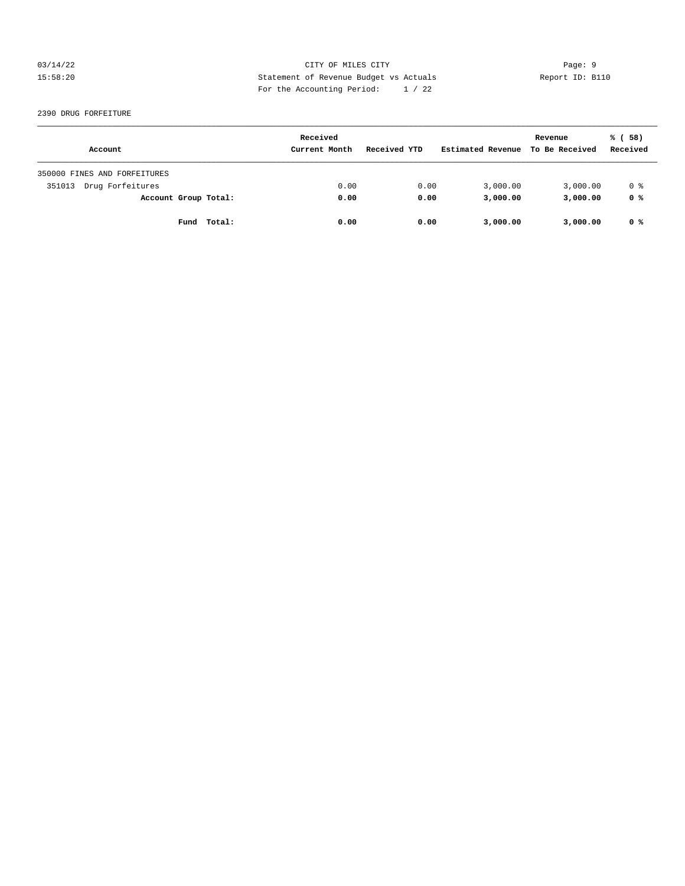## 03/14/22 Page: 9 15:58:20 Statement of Revenue Budget vs Actuals Report ID: B110 For the Accounting Period: 1 / 22

#### 2390 DRUG FORFEITURE

|                              | Received      |              |                   | Revenue        | % (58)   |
|------------------------------|---------------|--------------|-------------------|----------------|----------|
| Account                      | Current Month | Received YTD | Estimated Revenue | To Be Received | Received |
| 350000 FINES AND FORFEITURES |               |              |                   |                |          |
| Drug Forfeitures<br>351013   | 0.00          | 0.00         | 3,000.00          | 3,000.00       | 0 %      |
| Account Group Total:         | 0.00          | 0.00         | 3,000.00          | 3,000.00       | 0 %      |
| Total:<br>Fund               | 0.00          | 0.00         | 3,000.00          | 3,000.00       | 0 %      |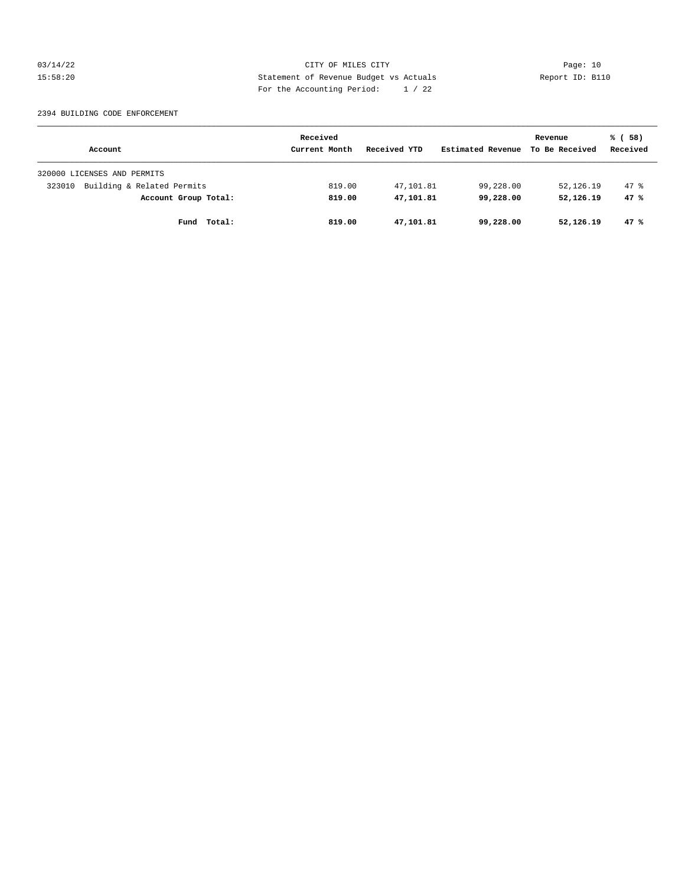03/14/22 Page: 10 15:58:20 Statement of Revenue Budget vs Actuals Report ID: B110 For the Accounting Period: 1 / 22

#### 2394 BUILDING CODE ENFORCEMENT

|                                      | Received      |              |                   | Revenue        | % (58)   |
|--------------------------------------|---------------|--------------|-------------------|----------------|----------|
| Account                              | Current Month | Received YTD | Estimated Revenue | To Be Received | Received |
| 320000 LICENSES AND PERMITS          |               |              |                   |                |          |
| Building & Related Permits<br>323010 | 819.00        | 47,101.81    | 99,228.00         | 52,126.19      | 47.8     |
| Account Group Total:                 | 819.00        | 47,101.81    | 99,228,00         | 52,126.19      | 47%      |
| Total:<br>Fund                       | 819.00        | 47,101.81    | 99,228.00         | 52,126.19      | 47%      |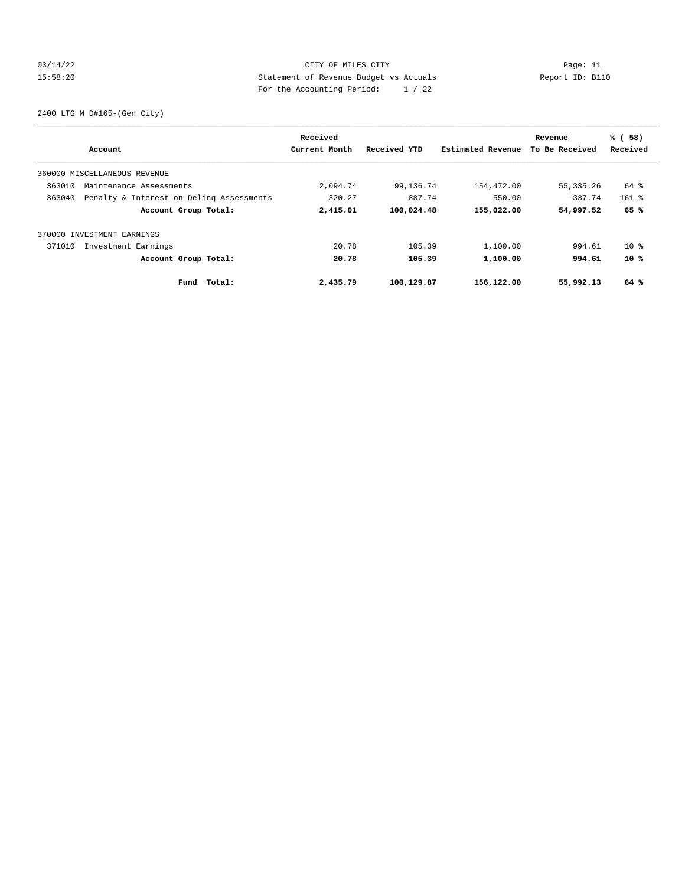## 03/14/22 Page: 11 CITY OF MILES CITY 15:58:20 Statement of Revenue Budget vs Actuals Report ID: B110 For the Accounting Period: 1 / 22

2400 LTG M D#165-(Gen City)

|        | Account                                  | Received<br>Current Month | Received YTD | Estimated Revenue | Revenue<br>To Be Received | % (58)<br>Received |
|--------|------------------------------------------|---------------------------|--------------|-------------------|---------------------------|--------------------|
|        |                                          |                           |              |                   |                           |                    |
|        | 360000 MISCELLANEOUS REVENUE             |                           |              |                   |                           |                    |
| 363010 | Maintenance Assessments                  | 2,094.74                  | 99,136.74    | 154,472.00        | 55, 335.26                | 64 %               |
| 363040 | Penalty & Interest on Deling Assessments | 320.27                    | 887.74       | 550.00            | $-337.74$                 | $161$ %            |
|        | Account Group Total:                     | 2,415.01                  | 100,024.48   | 155,022.00        | 54,997.52                 | 65 %               |
|        | 370000 INVESTMENT EARNINGS               |                           |              |                   |                           |                    |
| 371010 | Investment Earnings                      | 20.78                     | 105.39       | 1,100.00          | 994.61                    | $10*$              |
|        | Account Group Total:                     | 20.78                     | 105.39       | 1,100.00          | 994.61                    | $10*$              |
|        | Total:<br>Fund                           | 2,435.79                  | 100,129.87   | 156,122.00        | 55,992.13                 | 64 %               |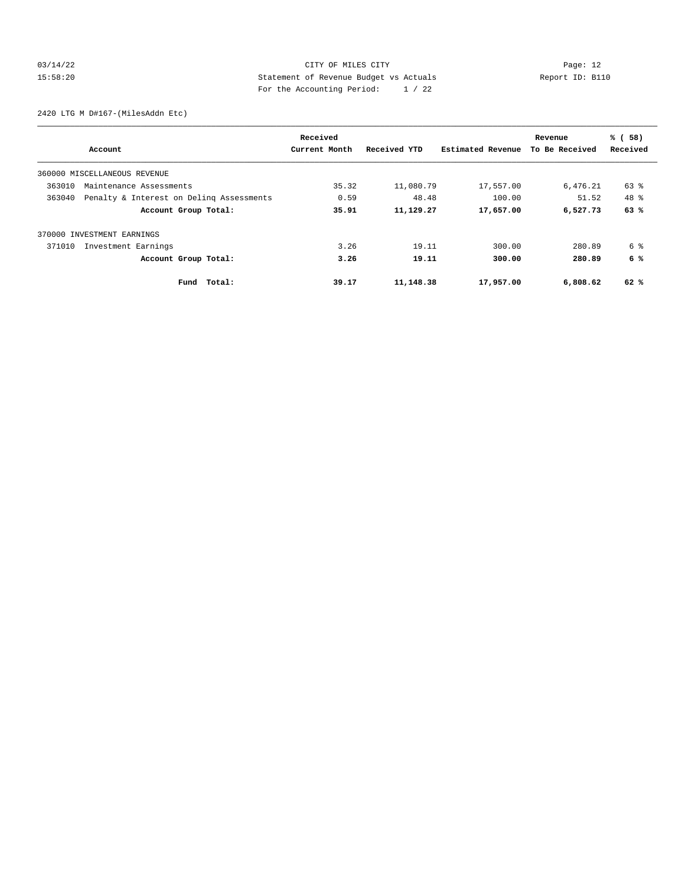## 03/14/22 Page: 12 15:58:20 Statement of Revenue Budget vs Actuals Report ID: B110 For the Accounting Period: 1 / 22

2420 LTG M D#167-(MilesAddn Etc)

|                                                    | Received      |              |                   | Revenue        | % (58)   |
|----------------------------------------------------|---------------|--------------|-------------------|----------------|----------|
| Account                                            | Current Month | Received YTD | Estimated Revenue | To Be Received | Received |
| 360000 MISCELLANEOUS REVENUE                       |               |              |                   |                |          |
| 363010<br>Maintenance Assessments                  | 35.32         | 11,080.79    | 17,557.00         | 6,476.21       | 63 %     |
| 363040<br>Penalty & Interest on Deling Assessments | 0.59          | 48.48        | 100.00            | 51.52          | 48 %     |
| Account Group Total:                               | 35.91         | 11,129.27    | 17,657.00         | 6,527.73       | 63%      |
| 370000 INVESTMENT EARNINGS                         |               |              |                   |                |          |
| 371010<br>Investment Earnings                      | 3.26          | 19.11        | 300.00            | 280.89         | 6 %      |
| Account Group Total:                               | 3.26          | 19.11        | 300.00            | 280.89         | 6 %      |
| Fund Total:                                        | 39.17         | 11,148.38    | 17,957.00         | 6,808.62       | 62 %     |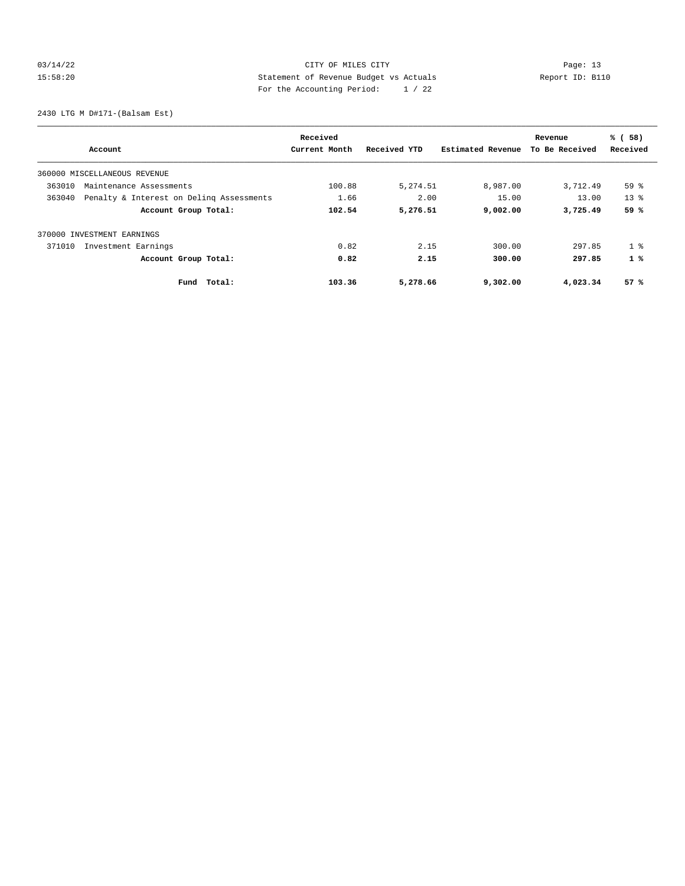## 03/14/22 Page: 13 15:58:20 Statement of Revenue Budget vs Actuals Report ID: B110 For the Accounting Period: 1 / 22

2430 LTG M D#171-(Balsam Est)

|                                                    | Received      |              |                   | Revenue        | % (58)         |
|----------------------------------------------------|---------------|--------------|-------------------|----------------|----------------|
| Account                                            | Current Month | Received YTD | Estimated Revenue | To Be Received | Received       |
| 360000 MISCELLANEOUS REVENUE                       |               |              |                   |                |                |
| 363010<br>Maintenance Assessments                  | 100.88        | 5,274.51     | 8,987.00          | 3,712.49       | 59 %           |
| 363040<br>Penalty & Interest on Deling Assessments | 1.66          | 2.00         | 15.00             | 13.00          | $13*$          |
| Account Group Total:                               | 102.54        | 5,276.51     | 9,002.00          | 3,725.49       | 59 %           |
| 370000 INVESTMENT EARNINGS                         |               |              |                   |                |                |
| 371010<br>Investment Earnings                      | 0.82          | 2.15         | 300.00            | 297.85         | 1 <sup>8</sup> |
| Account Group Total:                               | 0.82          | 2.15         | 300.00            | 297.85         | 1%             |
| Total:<br>Fund                                     | 103.36        | 5,278.66     | 9,302.00          | 4,023.34       | 57%            |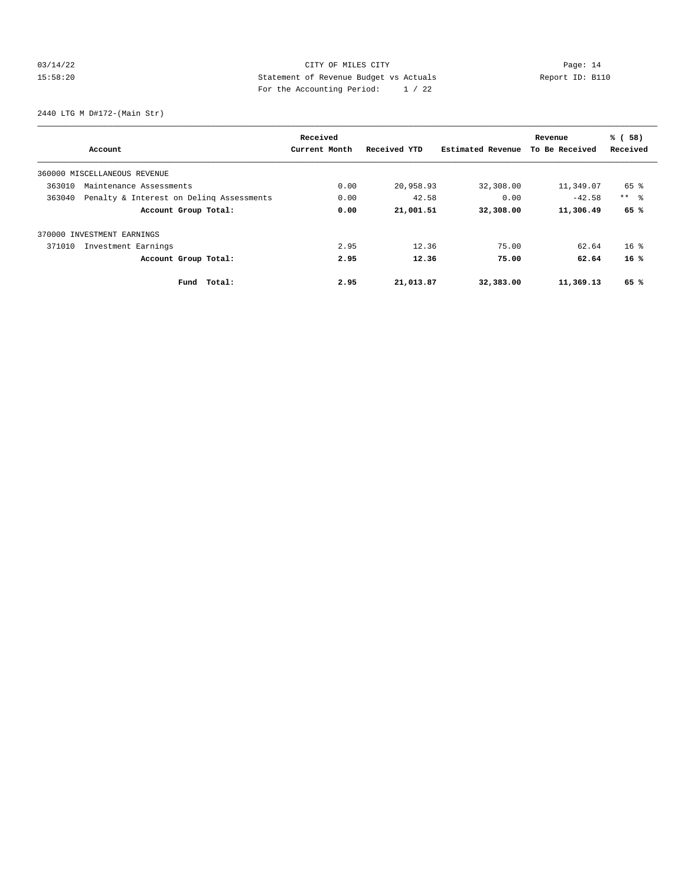## 03/14/22 Page: 14 15:58:20 Statement of Revenue Budget vs Actuals Report ID: B110 For the Accounting Period: 1 / 22

2440 LTG M D#172-(Main Str)

| Account                                            | Received<br>Current Month | Received YTD | Estimated Revenue | Revenue<br>To Be Received | % (58)<br>Received |
|----------------------------------------------------|---------------------------|--------------|-------------------|---------------------------|--------------------|
|                                                    |                           |              |                   |                           |                    |
| 360000 MISCELLANEOUS REVENUE                       |                           |              |                   |                           |                    |
| 363010<br>Maintenance Assessments                  | 0.00                      | 20,958.93    | 32,308.00         | 11,349.07                 | 65 %               |
| 363040<br>Penalty & Interest on Deling Assessments | 0.00                      | 42.58        | 0.00              | $-42.58$                  | $***$ $\approx$    |
| Account Group Total:                               | 0.00                      | 21,001.51    | 32,308.00         | 11,306.49                 | 65 %               |
| 370000 INVESTMENT EARNINGS                         |                           |              |                   |                           |                    |
| 371010<br>Investment Earnings                      | 2.95                      | 12.36        | 75.00             | 62.64                     | $16*$              |
| Account Group Total:                               | 2.95                      | 12.36        | 75.00             | 62.64                     | 16%                |
| Fund Total:                                        | 2.95                      | 21,013.87    | 32,383.00         | 11,369.13                 | 65 %               |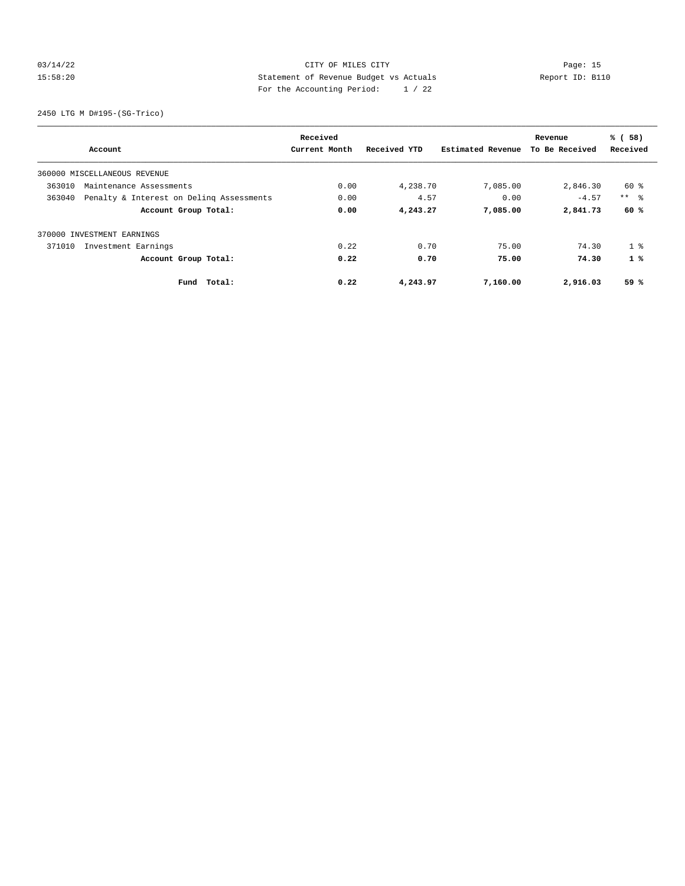## 03/14/22 Page: 15 15:58:20 Statement of Revenue Budget vs Actuals Report ID: B110 For the Accounting Period: 1 / 22

2450 LTG M D#195-(SG-Trico)

|                                                    | Received      |              |                   | Revenue        | % (58)          |
|----------------------------------------------------|---------------|--------------|-------------------|----------------|-----------------|
| Account                                            | Current Month | Received YTD | Estimated Revenue | To Be Received | Received        |
| 360000 MISCELLANEOUS REVENUE                       |               |              |                   |                |                 |
| 363010<br>Maintenance Assessments                  | 0.00          | 4,238.70     | 7,085.00          | 2,846.30       | 60 %            |
| 363040<br>Penalty & Interest on Deling Assessments | 0.00          | 4.57         | 0.00              | $-4.57$        | $***$ $\approx$ |
| Account Group Total:                               | 0.00          | 4,243.27     | 7,085.00          | 2,841.73       | 60 %            |
| 370000 INVESTMENT EARNINGS                         |               |              |                   |                |                 |
| 371010<br>Investment Earnings                      | 0.22          | 0.70         | 75.00             | 74.30          | 1 <sup>8</sup>  |
| Account Group Total:                               | 0.22          | 0.70         | 75.00             | 74.30          | 1%              |
| Fund Total:                                        | 0.22          | 4,243.97     | 7,160.00          | 2,916.03       | 59 %            |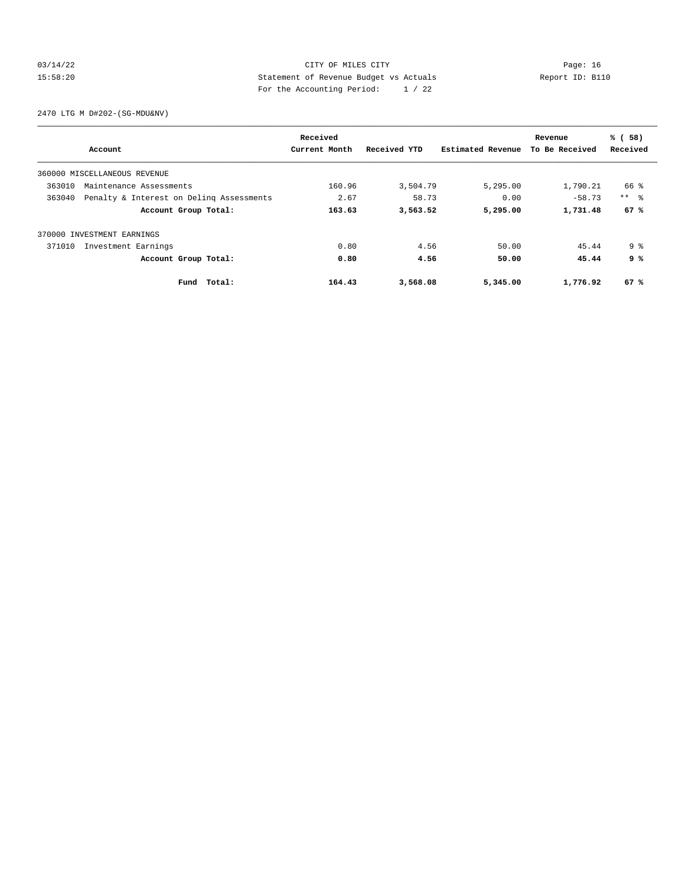## 03/14/22 Page: 16 15:58:20 Statement of Revenue Budget vs Actuals Report ID: B110 For the Accounting Period: 1 / 22

2470 LTG M D#202-(SG-MDU&NV)

| Account                           |                                          | Received<br>Current Month | Received YTD | Estimated Revenue | Revenue<br>To Be Received | % (58)<br>Received |
|-----------------------------------|------------------------------------------|---------------------------|--------------|-------------------|---------------------------|--------------------|
|                                   |                                          |                           |              |                   |                           |                    |
| 360000 MISCELLANEOUS REVENUE      |                                          |                           |              |                   |                           |                    |
| 363010<br>Maintenance Assessments |                                          | 160.96                    | 3,504.79     | 5,295.00          | 1,790.21                  | 66 %               |
| 363040                            | Penalty & Interest on Deling Assessments | 2.67                      | 58.73        | 0.00              | $-58.73$                  | $***$ $\approx$    |
|                                   | Account Group Total:                     | 163.63                    | 3,563.52     | 5,295.00          | 1,731.48                  | 67%                |
| 370000 INVESTMENT EARNINGS        |                                          |                           |              |                   |                           |                    |
| Investment Earnings<br>371010     |                                          | 0.80                      | 4.56         | 50.00             | 45.44                     | 9 <sup>8</sup>     |
|                                   | Account Group Total:                     | 0.80                      | 4.56         | 50.00             | 45.44                     | 9 %                |
|                                   | Total:<br>Fund                           | 164.43                    | 3,568.08     | 5,345.00          | 1,776.92                  | 67 %               |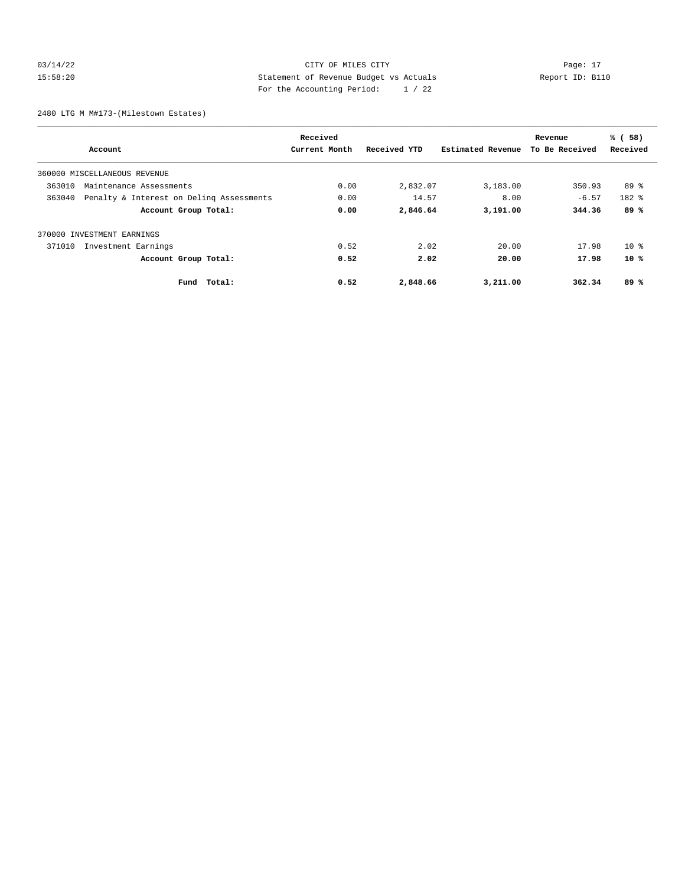## 03/14/22 Page: 17 CITY OF MILES CITY CONTROL PAGE: 17 15:58:20 Statement of Revenue Budget vs Actuals Report ID: B110 For the Accounting Period: 1 / 22

2480 LTG M M#173-(Milestown Estates)

|                                                    | Received      |              |                   | Revenue        | % (58)    |
|----------------------------------------------------|---------------|--------------|-------------------|----------------|-----------|
| Account                                            | Current Month | Received YTD | Estimated Revenue | To Be Received | Received  |
| 360000 MISCELLANEOUS REVENUE                       |               |              |                   |                |           |
| 363010<br>Maintenance Assessments                  | 0.00          | 2,832.07     | 3,183.00          | 350.93         | $89*$     |
| 363040<br>Penalty & Interest on Deling Assessments | 0.00          | 14.57        | 8.00              | $-6.57$        | $182$ $%$ |
| Account Group Total:                               | 0.00          | 2,846.64     | 3,191.00          | 344.36         | 89%       |
| 370000 INVESTMENT EARNINGS                         |               |              |                   |                |           |
| 371010<br>Investment Earnings                      | 0.52          | 2.02         | 20.00             | 17.98          | $10*$     |
| Account Group Total:                               | 0.52          | 2.02         | 20.00             | 17.98          | $10*$     |
| Fund Total:                                        | 0.52          | 2,848.66     | 3,211.00          | 362.34         | 89%       |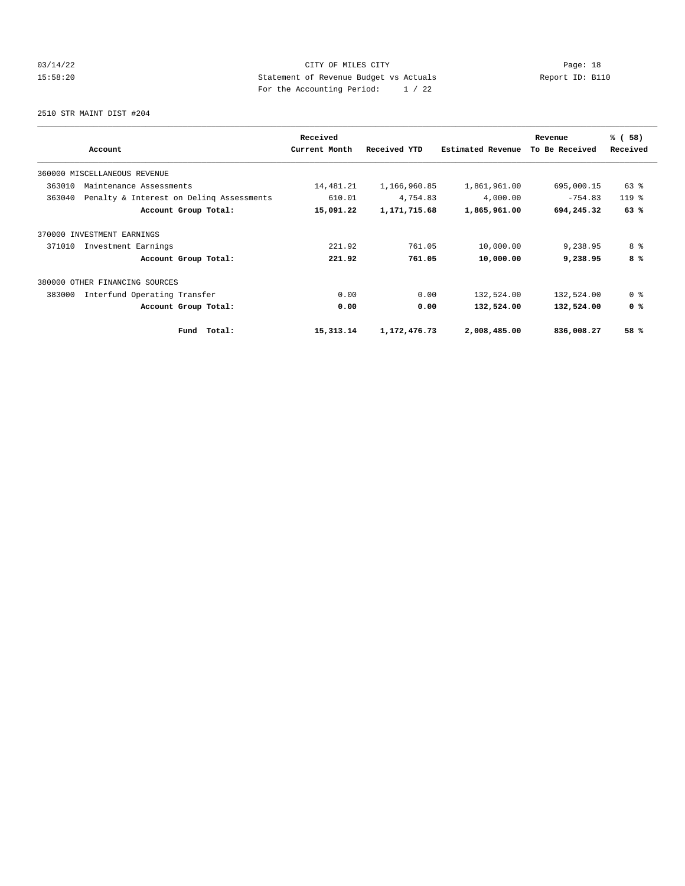## 03/14/22 Page: 18 15:58:20 Statement of Revenue Budget vs Actuals Report ID: B110 For the Accounting Period: 1 / 22

2510 STR MAINT DIST #204

|                                                    | Received      |                 |                   | Revenue        | % (58)         |
|----------------------------------------------------|---------------|-----------------|-------------------|----------------|----------------|
| Account                                            | Current Month | Received YTD    | Estimated Revenue | To Be Received | Received       |
| 360000 MISCELLANEOUS REVENUE                       |               |                 |                   |                |                |
| 363010<br>Maintenance Assessments                  | 14,481.21     | 1,166,960.85    | 1,861,961.00      | 695,000.15     | 63 %           |
| 363040<br>Penalty & Interest on Deling Assessments | 610.01        | 4,754.83        | 4,000.00          | $-754.83$      | $119$ $%$      |
| Account Group Total:                               | 15,091.22     | 1,171,715.68    | 1,865,961.00      | 694,245.32     | 63%            |
| 370000 INVESTMENT EARNINGS                         |               |                 |                   |                |                |
| 371010<br>Investment Earnings                      | 221.92        | 761.05          | 10,000.00         | 9,238.95       | 8 %            |
| Account Group Total:                               | 221.92        | 761.05          | 10,000.00         | 9,238.95       | 8%             |
| 380000 OTHER FINANCING SOURCES                     |               |                 |                   |                |                |
| 383000<br>Interfund Operating Transfer             | 0.00          | 0.00            | 132,524.00        | 132,524.00     | 0 <sup>8</sup> |
| Account Group Total:                               | 0.00          | 0.00            | 132,524.00        | 132,524.00     | 0 <sup>8</sup> |
| Total:<br>Fund                                     | 15,313.14     | 1, 172, 476. 73 | 2,008,485.00      | 836,008.27     | 58 %           |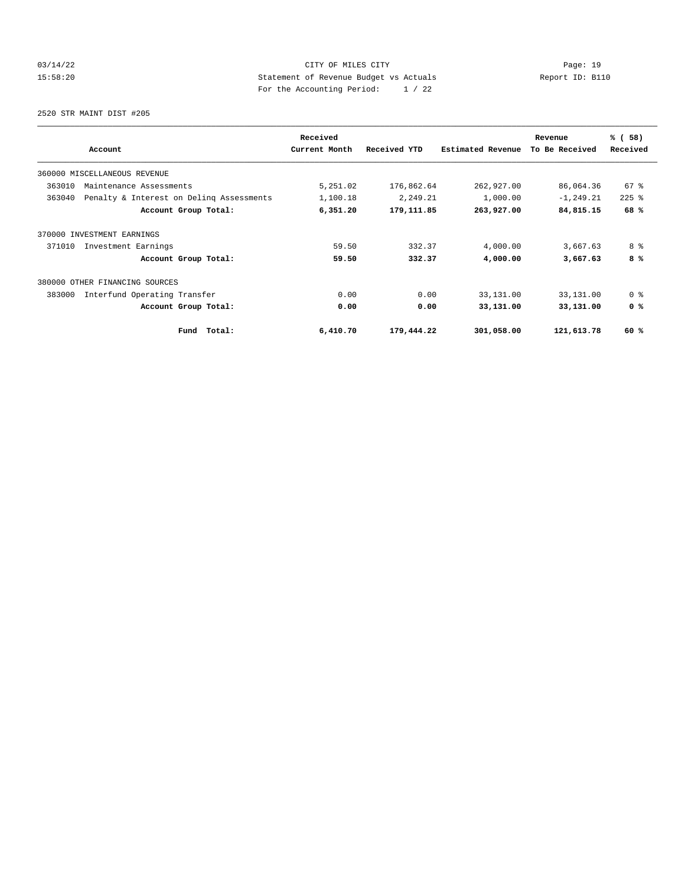## 03/14/22 Page: 19 15:58:20 Statement of Revenue Budget vs Actuals Report ID: B110 For the Accounting Period: 1 / 22

2520 STR MAINT DIST #205

|                                                    | Received      |              |                   | Revenue        | % (58)         |
|----------------------------------------------------|---------------|--------------|-------------------|----------------|----------------|
| Account                                            | Current Month | Received YTD | Estimated Revenue | To Be Received | Received       |
| 360000 MISCELLANEOUS REVENUE                       |               |              |                   |                |                |
| 363010<br>Maintenance Assessments                  | 5,251.02      | 176,862.64   | 262,927.00        | 86,064.36      | $67*$          |
| 363040<br>Penalty & Interest on Deling Assessments | 1,100.18      | 2,249.21     | 1,000.00          | $-1, 249.21$   | $225$ $%$      |
| Account Group Total:                               | 6,351.20      | 179,111.85   | 263,927.00        | 84,815.15      | 68%            |
| 370000 INVESTMENT EARNINGS                         |               |              |                   |                |                |
| 371010<br>Investment Earnings                      | 59.50         | 332.37       | 4,000.00          | 3,667.63       | 8 %            |
| Account Group Total:                               | 59.50         | 332.37       | 4,000.00          | 3,667.63       | 8%             |
| 380000 OTHER FINANCING SOURCES                     |               |              |                   |                |                |
| 383000<br>Interfund Operating Transfer             | 0.00          | 0.00         | 33,131.00         | 33,131.00      | 0 <sup>8</sup> |
| Account Group Total:                               | 0.00          | 0.00         | 33,131.00         | 33,131.00      | 0 <sup>8</sup> |
| Total:<br>Fund                                     | 6,410.70      | 179,444.22   | 301,058.00        | 121,613.78     | 60 %           |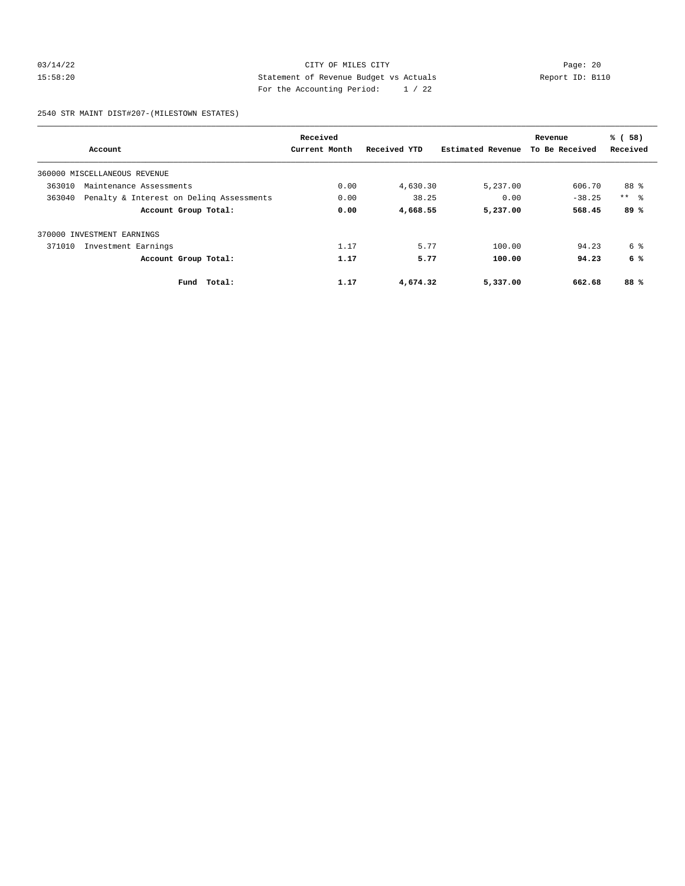## 03/14/22 Page: 20 15:58:20 Statement of Revenue Budget vs Actuals Report ID: B110 For the Accounting Period: 1 / 22

2540 STR MAINT DIST#207-(MILESTOWN ESTATES)

|                                                    | Received      |              |                   | Revenue        | % (58)          |
|----------------------------------------------------|---------------|--------------|-------------------|----------------|-----------------|
| Account                                            | Current Month | Received YTD | Estimated Revenue | To Be Received | Received        |
| 360000 MISCELLANEOUS REVENUE                       |               |              |                   |                |                 |
| 363010<br>Maintenance Assessments                  | 0.00          | 4,630.30     | 5,237.00          | 606.70         | 88 %            |
| Penalty & Interest on Deling Assessments<br>363040 | 0.00          | 38.25        | 0.00              | $-38.25$       | $***$ $\approx$ |
| Account Group Total:                               | 0.00          | 4,668.55     | 5,237.00          | 568.45         | 89%             |
| 370000 INVESTMENT EARNINGS                         |               |              |                   |                |                 |
| 371010<br>Investment Earnings                      | 1.17          | 5.77         | 100.00            | 94.23          | 6 %             |
| Account Group Total:                               | 1.17          | 5.77         | 100.00            | 94.23          | 6 %             |
| Total:<br>Fund                                     | 1.17          | 4,674.32     | 5,337.00          | 662.68         | 88%             |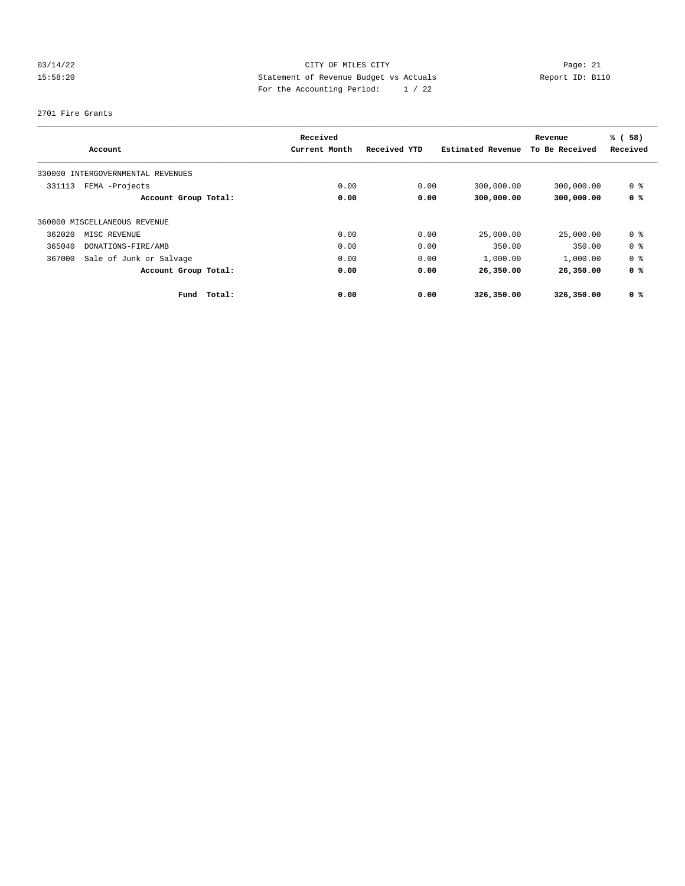## 03/14/22 Page: 21 CITY OF MILES CITY 15:58:20 Statement of Revenue Budget vs Actuals Report ID: B110 For the Accounting Period: 1 / 22

#### 2701 Fire Grants

|        |                                   | Received      |              |                   | Revenue        | % (58)         |
|--------|-----------------------------------|---------------|--------------|-------------------|----------------|----------------|
|        | Account                           | Current Month | Received YTD | Estimated Revenue | To Be Received | Received       |
|        | 330000 INTERGOVERNMENTAL REVENUES |               |              |                   |                |                |
| 331113 | FEMA -Projects                    | 0.00          | 0.00         | 300,000.00        | 300,000.00     | 0 <sup>8</sup> |
|        | Account Group Total:              | 0.00          | 0.00         | 300,000.00        | 300,000.00     | 0 <sup>8</sup> |
|        | 360000 MISCELLANEOUS REVENUE      |               |              |                   |                |                |
| 362020 | MISC REVENUE                      | 0.00          | 0.00         | 25,000.00         | 25,000.00      | 0 <sup>8</sup> |
| 365040 | DONATIONS-FIRE/AMB                | 0.00          | 0.00         | 350.00            | 350.00         | 0 <sup>8</sup> |
| 367000 | Sale of Junk or Salvage           | 0.00          | 0.00         | 1,000.00          | 1,000.00       | 0 <sup>8</sup> |
|        | Account Group Total:              | 0.00          | 0.00         | 26,350.00         | 26,350.00      | 0 %            |
|        | Total:<br>Fund                    | 0.00          | 0.00         | 326,350.00        | 326,350.00     | 0 %            |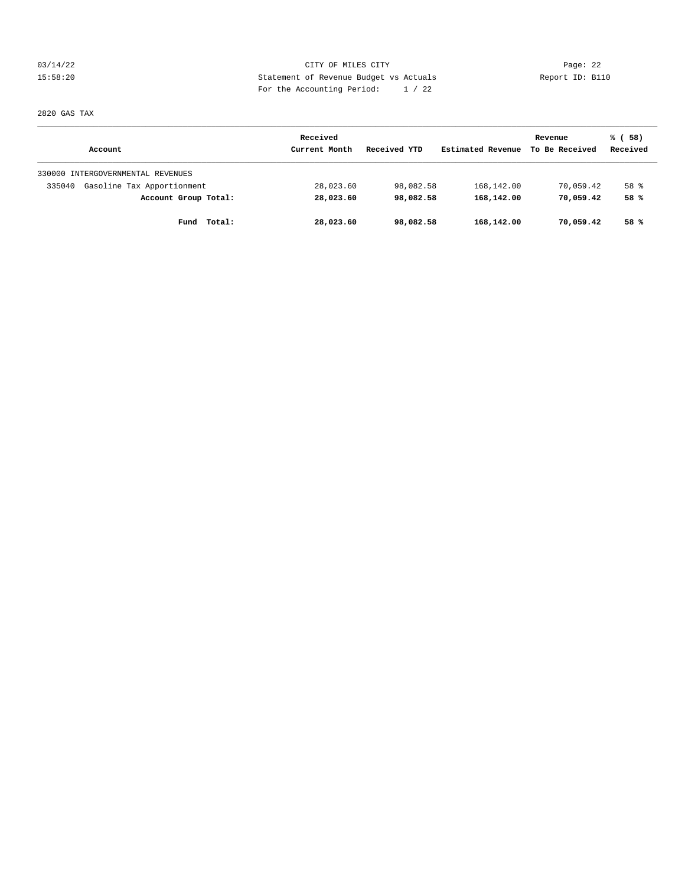03/14/22 Page: 22 15:58:20 Statement of Revenue Budget vs Actuals Report ID: B110 For the Accounting Period: 1 / 22

2820 GAS TAX

|                                      | Received      | Received YTD | Estimated Revenue | Revenue<br>To Be Received | % (58)<br>Received |
|--------------------------------------|---------------|--------------|-------------------|---------------------------|--------------------|
| Account                              | Current Month |              |                   |                           |                    |
| 330000 INTERGOVERNMENTAL REVENUES    |               |              |                   |                           |                    |
| Gasoline Tax Apportionment<br>335040 | 28,023.60     | 98,082.58    | 168,142.00        | 70,059.42                 | 58 %               |
| Account Group Total:                 | 28,023.60     | 98,082.58    | 168,142.00        | 70,059.42                 | 58 %               |
| Total:<br>Fund                       | 28,023.60     | 98,082.58    | 168,142.00        | 70,059.42                 | 58%                |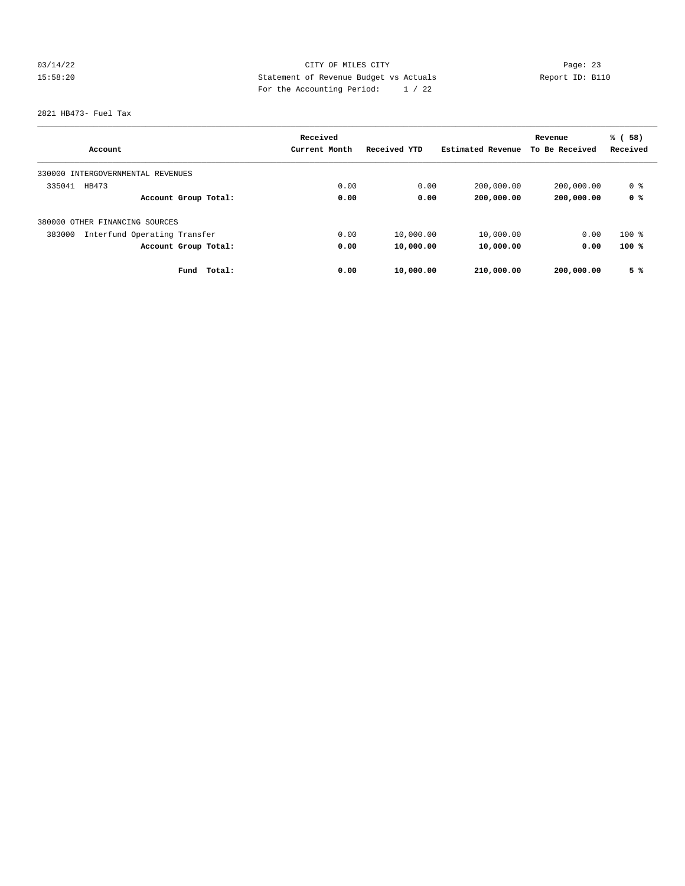## 03/14/22 Page: 23 15:58:20 Statement of Revenue Budget vs Actuals Report ID: B110 For the Accounting Period: 1 / 22

2821 HB473- Fuel Tax

|                                        | Received      |              |                   | Revenue        | % (58)   |
|----------------------------------------|---------------|--------------|-------------------|----------------|----------|
| Account                                | Current Month | Received YTD | Estimated Revenue | To Be Received | Received |
| INTERGOVERNMENTAL REVENUES<br>330000   |               |              |                   |                |          |
| 335041<br>HB473                        | 0.00          | 0.00         | 200,000.00        | 200,000.00     | 0 %      |
| Account Group Total:                   | 0.00          | 0.00         | 200,000.00        | 200,000.00     | 0 %      |
| 380000 OTHER FINANCING SOURCES         |               |              |                   |                |          |
| Interfund Operating Transfer<br>383000 | 0.00          | 10,000.00    | 10,000.00         | 0.00           | $100$ %  |
| Account Group Total:                   | 0.00          | 10,000.00    | 10,000.00         | 0.00           | 100%     |
| Fund<br>Total:                         | 0.00          | 10,000.00    | 210,000.00        | 200,000.00     | 5%       |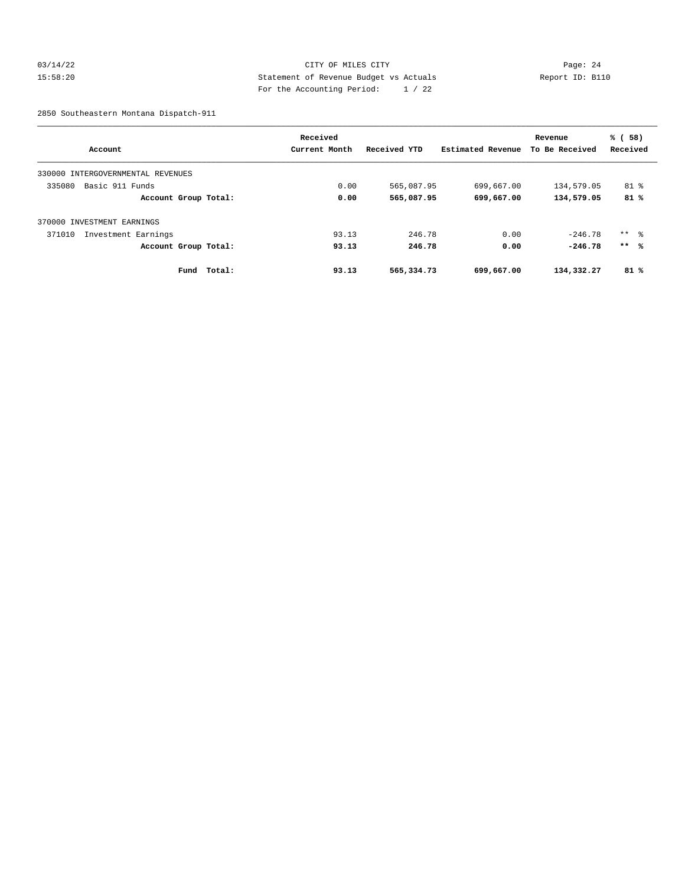#### 03/14/22 Page: 24 15:58:20 Statement of Revenue Budget vs Actuals Report ID: B110 For the Accounting Period: 1 / 22

2850 Southeastern Montana Dispatch-911

|                                   | Received      |              |                   | Revenue        | % (58)   |
|-----------------------------------|---------------|--------------|-------------------|----------------|----------|
| Account                           | Current Month | Received YTD | Estimated Revenue | To Be Received | Received |
| 330000 INTERGOVERNMENTAL REVENUES |               |              |                   |                |          |
| Basic 911 Funds<br>335080         | 0.00          | 565,087.95   | 699,667.00        | 134,579.05     | $81$ %   |
| Account Group Total:              | 0.00          | 565,087.95   | 699,667.00        | 134,579.05     | 81%      |
| 370000 INVESTMENT EARNINGS        |               |              |                   |                |          |
| 371010<br>Investment Earnings     | 93.13         | 246.78       | 0.00              | $-246.78$      | $***$ 8  |
| Account Group Total:              | 93.13         | 246.78       | 0.00              | $-246.78$      | $***$ %  |
| Fund<br>Total:                    | 93.13         | 565,334.73   | 699,667.00        | 134,332.27     | 81%      |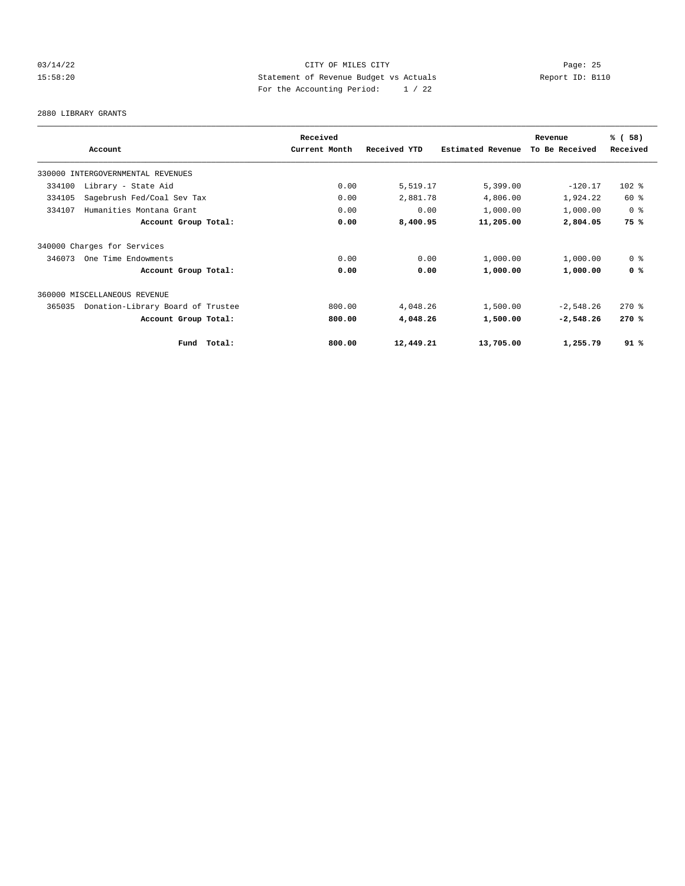#### 03/14/22 Page: 25 15:58:20 Statement of Revenue Budget vs Actuals Report ID: B110 For the Accounting Period: 1 / 22

2880 LIBRARY GRANTS

|                                             |             | Received      |              |                   | Revenue        | % (58)         |
|---------------------------------------------|-------------|---------------|--------------|-------------------|----------------|----------------|
| Account                                     |             | Current Month | Received YTD | Estimated Revenue | To Be Received | Received       |
| 330000 INTERGOVERNMENTAL REVENUES           |             |               |              |                   |                |                |
| 334100<br>Library - State Aid               |             | 0.00          | 5,519.17     | 5,399.00          | $-120.17$      | $102$ %        |
| 334105<br>Sagebrush Fed/Coal Sev Tax        |             | 0.00          | 2,881.78     | 4,806.00          | 1,924.22       | 60 %           |
| Humanities Montana Grant<br>334107          |             | 0.00          | 0.00         | 1,000.00          | 1,000.00       | 0 <sup>8</sup> |
| Account Group Total:                        |             | 0.00          | 8,400.95     | 11,205.00         | 2,804.05       | 75 %           |
| 340000 Charges for Services                 |             |               |              |                   |                |                |
| 346073<br>One Time Endowments               |             | 0.00          | 0.00         | 1,000.00          | 1,000.00       | 0 <sup>8</sup> |
| Account Group Total:                        |             | 0.00          | 0.00         | 1,000.00          | 1,000.00       | 0 <sup>8</sup> |
| 360000 MISCELLANEOUS REVENUE                |             |               |              |                   |                |                |
| Donation-Library Board of Trustee<br>365035 |             | 800.00        | 4,048.26     | 1,500.00          | $-2,548.26$    | $270$ $%$      |
| Account Group Total:                        |             | 800.00        | 4,048.26     | 1,500.00          | $-2,548.26$    | 270%           |
|                                             | Fund Total: | 800.00        | 12,449.21    | 13,705.00         | 1,255.79       | 91%            |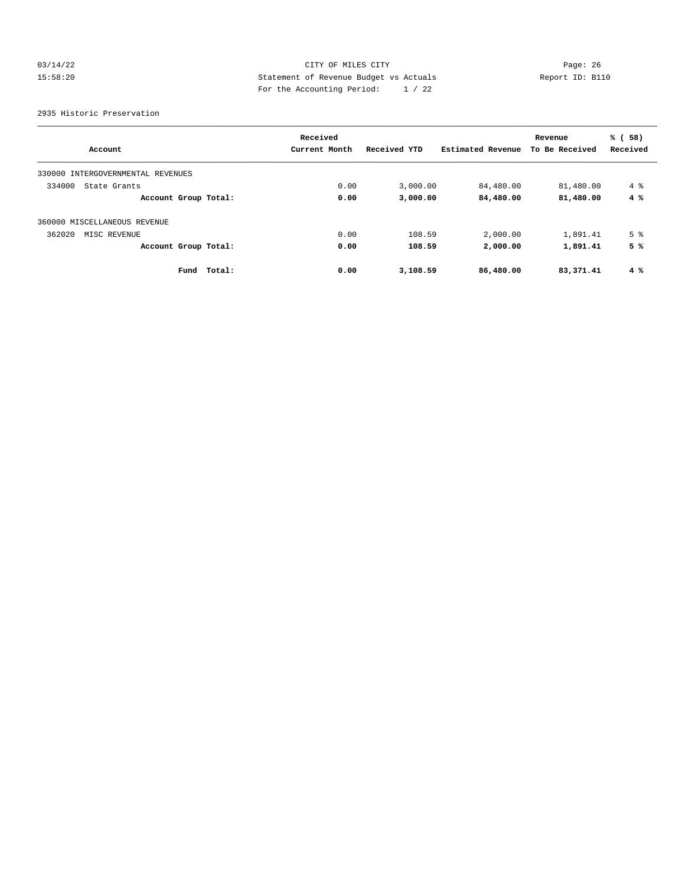#### 03/14/22 Page: 26 15:58:20 Statement of Revenue Budget vs Actuals Report ID: B110 For the Accounting Period: 1 / 22

2935 Historic Preservation

|                                      | Received       |              |                   | Revenue        | % (58)         |
|--------------------------------------|----------------|--------------|-------------------|----------------|----------------|
| Account                              | Current Month  | Received YTD | Estimated Revenue | To Be Received | Received       |
| INTERGOVERNMENTAL REVENUES<br>330000 |                |              |                   |                |                |
| 334000<br>State Grants               | 0.00           | 3,000.00     | 84,480.00         | 81,480.00      | $4\degree$     |
| Account Group Total:                 | 0.00           | 3,000.00     | 84,480.00         | 81,480.00      | 4%             |
| 360000 MISCELLANEOUS REVENUE         |                |              |                   |                |                |
| 362020<br>MISC REVENUE               | 0.00           | 108.59       | 2,000.00          | 1,891.41       | 5 <sup>°</sup> |
| Account Group Total:                 | 0.00           | 108.59       | 2,000.00          | 1,891.41       | 5 %            |
| Fund                                 | 0.00<br>Total: | 3,108.59     | 86,480.00         | 83,371.41      | $4\degree$     |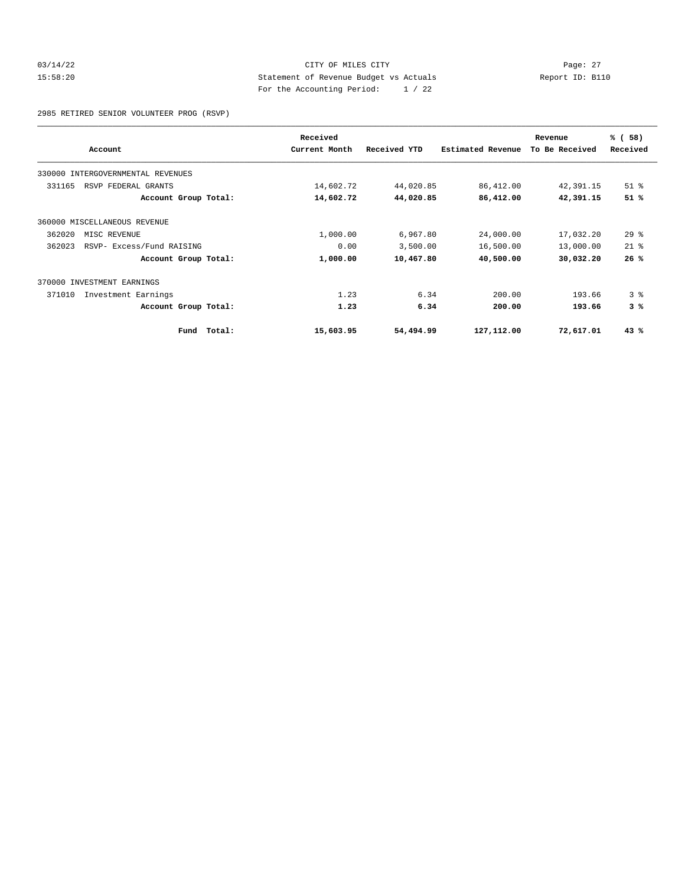#### 03/14/22 Page: 27 15:58:20 Statement of Revenue Budget vs Actuals Report ID: B110 For the Accounting Period: 1 / 22

2985 RETIRED SENIOR VOLUNTEER PROG (RSVP)

|        |                                   |        | Received      |              |                          | Revenue        | % (58)         |
|--------|-----------------------------------|--------|---------------|--------------|--------------------------|----------------|----------------|
|        | Account                           |        | Current Month | Received YTD | <b>Estimated Revenue</b> | To Be Received | Received       |
|        | 330000 INTERGOVERNMENTAL REVENUES |        |               |              |                          |                |                |
| 331165 | RSVP FEDERAL GRANTS               |        | 14,602.72     | 44,020.85    | 86,412.00                | 42,391.15      | $51$ %         |
|        | Account Group Total:              |        | 14,602.72     | 44,020.85    | 86,412.00                | 42,391.15      | 51%            |
|        | 360000 MISCELLANEOUS REVENUE      |        |               |              |                          |                |                |
| 362020 | MISC REVENUE                      |        | 1,000.00      | 6,967.80     | 24,000.00                | 17,032.20      | $29$ $%$       |
| 362023 | RSVP- Excess/Fund RAISING         |        | 0.00          | 3,500.00     | 16,500.00                | 13,000.00      | $21*$          |
|        | Account Group Total:              |        | 1,000.00      | 10,467.80    | 40,500.00                | 30,032.20      | 26%            |
|        | 370000 INVESTMENT EARNINGS        |        |               |              |                          |                |                |
| 371010 | Investment Earnings               |        | 1.23          | 6.34         | 200.00                   | 193.66         | 3 <sup>8</sup> |
|        | Account Group Total:              |        | 1.23          | 6.34         | 200.00                   | 193.66         | 3%             |
|        | Fund                              | Total: | 15,603.95     | 54,494.99    | 127,112.00               | 72,617.01      | 43%            |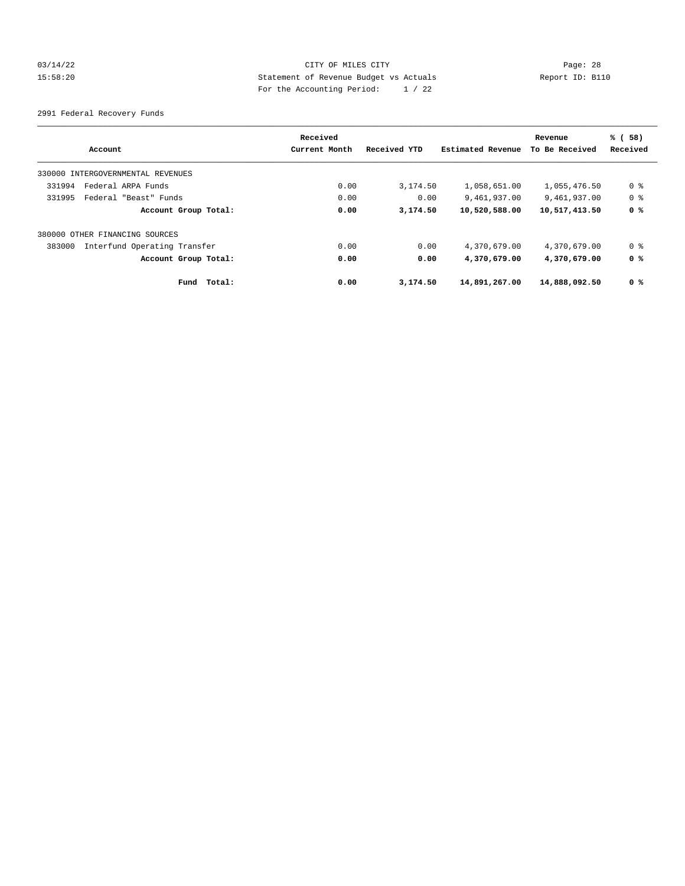#### 03/14/22 Page: 28 15:58:20 Statement of Revenue Budget vs Actuals Report ID: B110 For the Accounting Period: 1 / 22

2991 Federal Recovery Funds

| Account                                | Received<br>Current Month | Received YTD | Estimated Revenue | Revenue<br>To Be Received | % (58)<br>Received |
|----------------------------------------|---------------------------|--------------|-------------------|---------------------------|--------------------|
| 330000 INTERGOVERNMENTAL REVENUES      |                           |              |                   |                           |                    |
| Federal ARPA Funds<br>331994           | 0.00                      | 3,174.50     | 1,058,651.00      | 1,055,476.50              | 0 %                |
| 331995<br>Federal "Beast" Funds        | 0.00                      | 0.00         | 9,461,937.00      | 9,461,937.00              | 0 %                |
| Account Group Total:                   | 0.00                      | 3,174.50     | 10,520,588.00     | 10,517,413.50             | 0 <sup>8</sup>     |
| 380000 OTHER FINANCING SOURCES         |                           |              |                   |                           |                    |
| 383000<br>Interfund Operating Transfer | 0.00                      | 0.00         | 4,370,679.00      | 4,370,679.00              | 0 %                |
| Account Group Total:                   | 0.00                      | 0.00         | 4,370,679.00      | 4,370,679.00              | 0 %                |
| Total:<br>Fund                         | 0.00                      | 3,174.50     | 14,891,267.00     | 14,888,092.50             | 0 %                |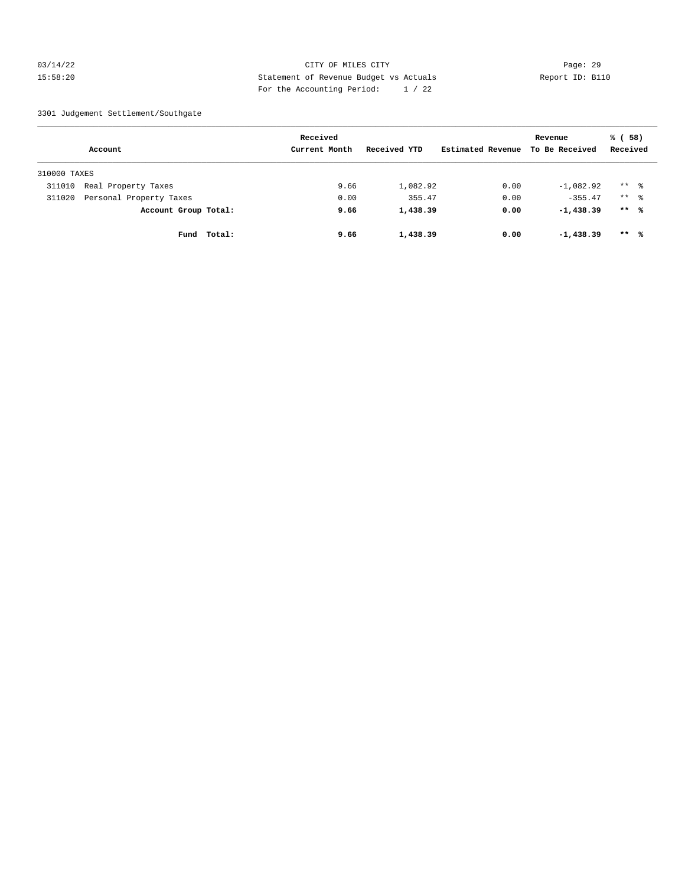#### 03/14/22 Page: 29 15:58:20 Statement of Revenue Budget vs Actuals Report ID: B110 For the Accounting Period: 1 / 22

#### 3301 Judgement Settlement/Southgate

|              | Account                 |             | Received<br>Current Month | Received YTD | Estimated Revenue | Revenue<br>To Be Received | % (58)<br>Received  |  |
|--------------|-------------------------|-------------|---------------------------|--------------|-------------------|---------------------------|---------------------|--|
| 310000 TAXES |                         |             |                           |              |                   |                           |                     |  |
| 311010       | Real Property Taxes     |             | 9.66                      | 1,082.92     | 0.00              | $-1,082.92$               | $***$ $\frac{6}{6}$ |  |
| 311020       | Personal Property Taxes |             | 0.00                      | 355.47       | 0.00              | $-355.47$                 | $***$ $\frac{6}{6}$ |  |
|              | Account Group Total:    |             | 9.66                      | 1,438.39     | 0.00              | $-1,438.39$               | $***$ %             |  |
|              |                         | Fund Total: | 9.66                      | 1,438.39     | 0.00              | $-1,438.39$               | $***$ %             |  |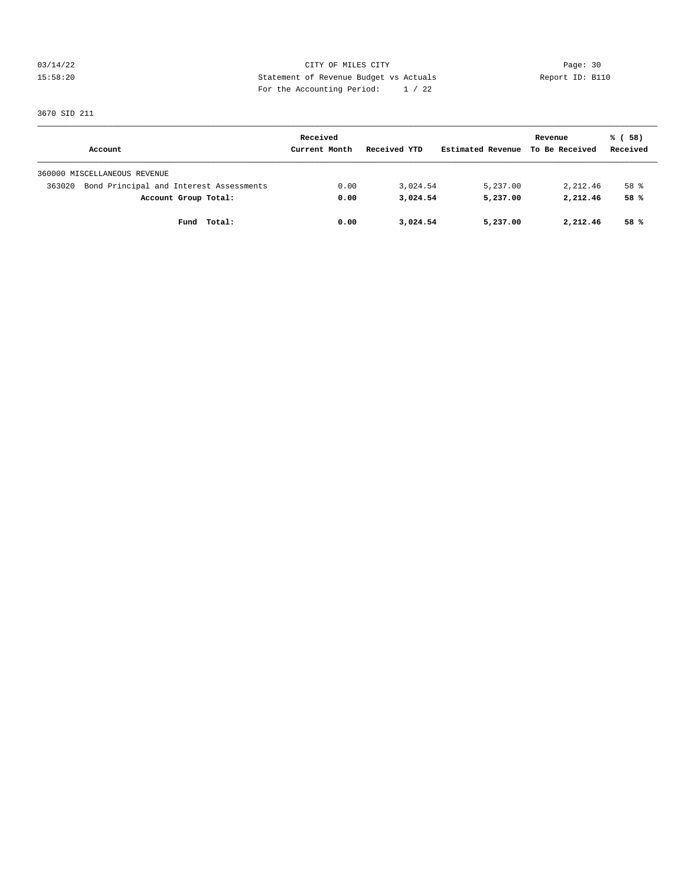03/14/22 Page: 30 15:58:20 Statement of Revenue Budget vs Actuals Report ID: B110 For the Accounting Period: 1 / 22

3670 SID 211

|                                                   | Received      |              |                   | Revenue        | % (58)   |
|---------------------------------------------------|---------------|--------------|-------------------|----------------|----------|
| Account                                           | Current Month | Received YTD | Estimated Revenue | To Be Received | Received |
| 360000 MISCELLANEOUS REVENUE                      |               |              |                   |                |          |
| Bond Principal and Interest Assessments<br>363020 | 0.00          | 3,024.54     | 5,237.00          | 2,212.46       | 58 %     |
| Account Group Total:                              | 0.00          | 3,024.54     | 5,237.00          | 2,212.46       | 58%      |
| Fund Total:                                       | 0.00          | 3,024.54     | 5,237.00          | 2,212.46       | 58 %     |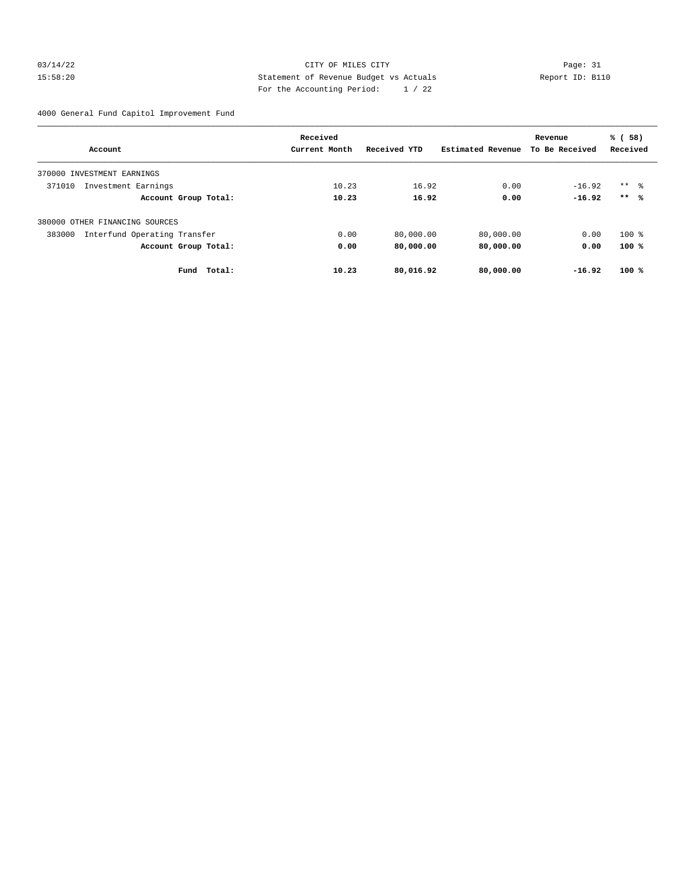#### 03/14/22 Page: 31 15:58:20 Statement of Revenue Budget vs Actuals Report ID: B110 For the Accounting Period: 1 / 22

4000 General Fund Capitol Improvement Fund

|                                        | Received      |              |                   | Revenue        | % (58)              |
|----------------------------------------|---------------|--------------|-------------------|----------------|---------------------|
| Account                                | Current Month | Received YTD | Estimated Revenue | To Be Received | Received            |
| 370000<br>INVESTMENT EARNINGS          |               |              |                   |                |                     |
| 371010<br>Investment Earnings          | 10.23         | 16.92        | 0.00              | $-16.92$       | $***$ $\frac{6}{6}$ |
| Account Group Total:                   | 10.23         | 16.92        | 0.00              | $-16.92$       | $***$ %             |
| 380000 OTHER FINANCING SOURCES         |               |              |                   |                |                     |
| 383000<br>Interfund Operating Transfer | 0.00          | 80,000.00    | 80,000.00         | 0.00           | $100$ %             |
| Account Group Total:                   | 0.00          | 80,000.00    | 80,000.00         | 0.00           | $100*$              |
| Total:<br>Fund                         | 10.23         | 80,016.92    | 80,000.00         | $-16.92$       | 100%                |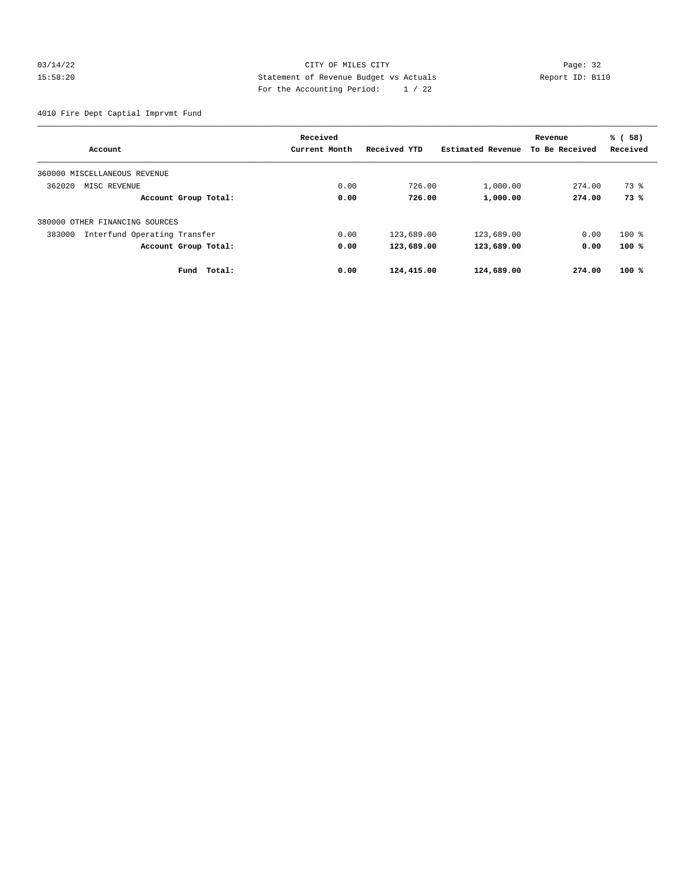#### 03/14/22 Page: 32 15:58:20 Statement of Revenue Budget vs Actuals Report ID: B110 For the Accounting Period: 1 / 22

4010 Fire Dept Captial Imprvmt Fund

|                                        | Received      |              |                   | Revenue        | % (58)   |
|----------------------------------------|---------------|--------------|-------------------|----------------|----------|
| Account                                | Current Month | Received YTD | Estimated Revenue | To Be Received | Received |
| 360000 MISCELLANEOUS REVENUE           |               |              |                   |                |          |
| 362020<br>MISC REVENUE                 | 0.00          | 726.00       | 1,000.00          | 274.00         | 73 %     |
| Account Group Total:                   | 0.00          | 726.00       | 1,000.00          | 274.00         | 73%      |
| 380000 OTHER FINANCING SOURCES         |               |              |                   |                |          |
| Interfund Operating Transfer<br>383000 | 0.00          | 123,689.00   | 123,689.00        | 0.00           | $100$ %  |
| Account Group Total:                   | 0.00          | 123,689.00   | 123,689.00        | 0.00           | 100%     |
| Total:<br>Fund                         | 0.00          | 124,415.00   | 124,689.00        | 274.00         | $100*$   |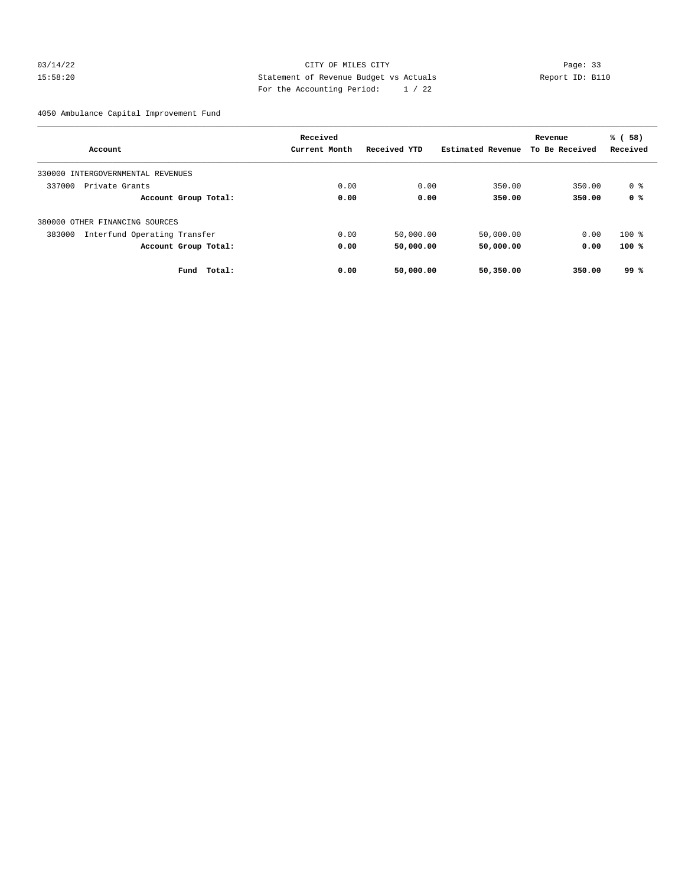#### 03/14/22 Page: 33 15:58:20 Statement of Revenue Budget vs Actuals Report ID: B110 For the Accounting Period: 1 / 22

4050 Ambulance Capital Improvement Fund

|                                        | Received      |              |                   | Revenue        | % (58)   |
|----------------------------------------|---------------|--------------|-------------------|----------------|----------|
| Account                                | Current Month | Received YTD | Estimated Revenue | To Be Received | Received |
| 330000 INTERGOVERNMENTAL REVENUES      |               |              |                   |                |          |
| 337000<br>Private Grants               | 0.00          | 0.00         | 350.00            | 350.00         | 0 %      |
| Account Group Total:                   | 0.00          | 0.00         | 350.00            | 350.00         | 0 %      |
| 380000 OTHER FINANCING SOURCES         |               |              |                   |                |          |
| Interfund Operating Transfer<br>383000 | 0.00          | 50,000.00    | 50,000.00         | 0.00           | $100$ %  |
| Account Group Total:                   | 0.00          | 50,000.00    | 50,000.00         | 0.00           | 100%     |
| Fund<br>Total:                         | 0.00          | 50,000.00    | 50,350.00         | 350.00         | 99 %     |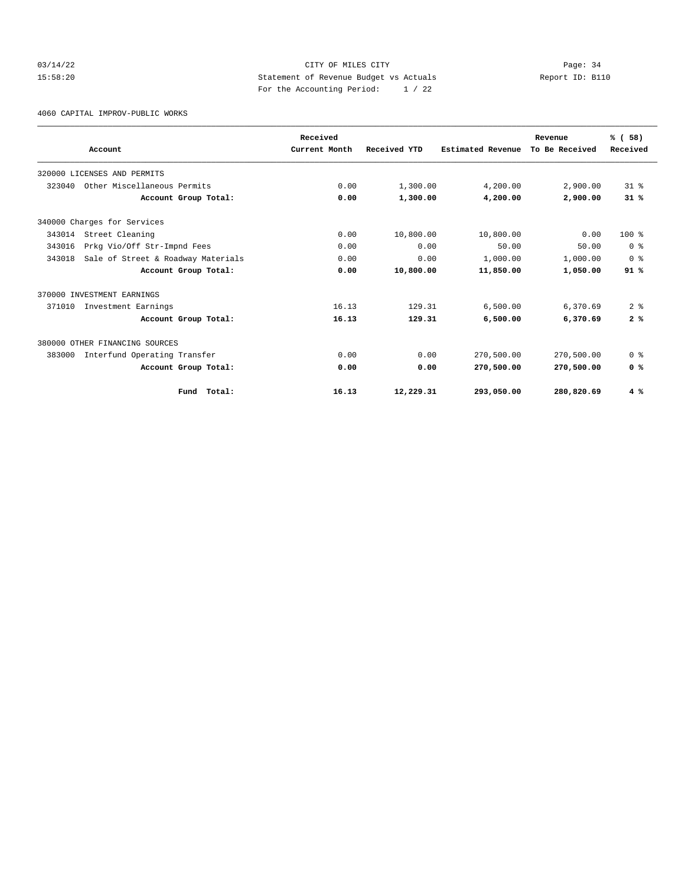#### 03/14/22 Page: 34 15:58:20 Statement of Revenue Budget vs Actuals Report ID: B110 For the Accounting Period: 1 / 22

4060 CAPITAL IMPROV-PUBLIC WORKS

|        | Account                            | Received<br>Current Month | Received YTD | Estimated Revenue | Revenue<br>To Be Received | % (58)<br>Received |
|--------|------------------------------------|---------------------------|--------------|-------------------|---------------------------|--------------------|
|        |                                    |                           |              |                   |                           |                    |
|        | 320000 LICENSES AND PERMITS        |                           |              |                   |                           |                    |
| 323040 | Other Miscellaneous Permits        | 0.00                      | 1,300.00     | 4,200.00          | 2,900.00                  | 31.8               |
|        | Account Group Total:               | 0.00                      | 1,300.00     | 4,200.00          | 2,900.00                  | 31%                |
|        | 340000 Charges for Services        |                           |              |                   |                           |                    |
| 343014 | Street Cleaning                    | 0.00                      | 10,800.00    | 10,800.00         | 0.00                      | $100*$             |
| 343016 | Prkg Vio/Off Str-Impnd Fees        | 0.00                      | 0.00         | 50.00             | 50.00                     | 0 <sup>8</sup>     |
| 343018 | Sale of Street & Roadway Materials | 0.00                      | 0.00         | 1,000.00          | 1,000.00                  | 0 <sup>8</sup>     |
|        | Account Group Total:               | 0.00                      | 10,800.00    | 11,850.00         | 1,050.00                  | 91%                |
|        | 370000 INVESTMENT EARNINGS         |                           |              |                   |                           |                    |
| 371010 | Investment Earnings                | 16.13                     | 129.31       | 6,500.00          | 6,370.69                  | 2 <sup>8</sup>     |
|        | Account Group Total:               | 16.13                     | 129.31       | 6,500.00          | 6,370.69                  | 2%                 |
|        | 380000 OTHER FINANCING SOURCES     |                           |              |                   |                           |                    |
| 383000 | Interfund Operating Transfer       | 0.00                      | 0.00         | 270,500.00        | 270,500.00                | 0 <sup>8</sup>     |
|        | Account Group Total:               | 0.00                      | 0.00         | 270,500.00        | 270,500.00                | 0 <sup>8</sup>     |
|        | Total:<br>Fund                     | 16.13                     | 12,229.31    | 293,050.00        | 280,820.69                | 4%                 |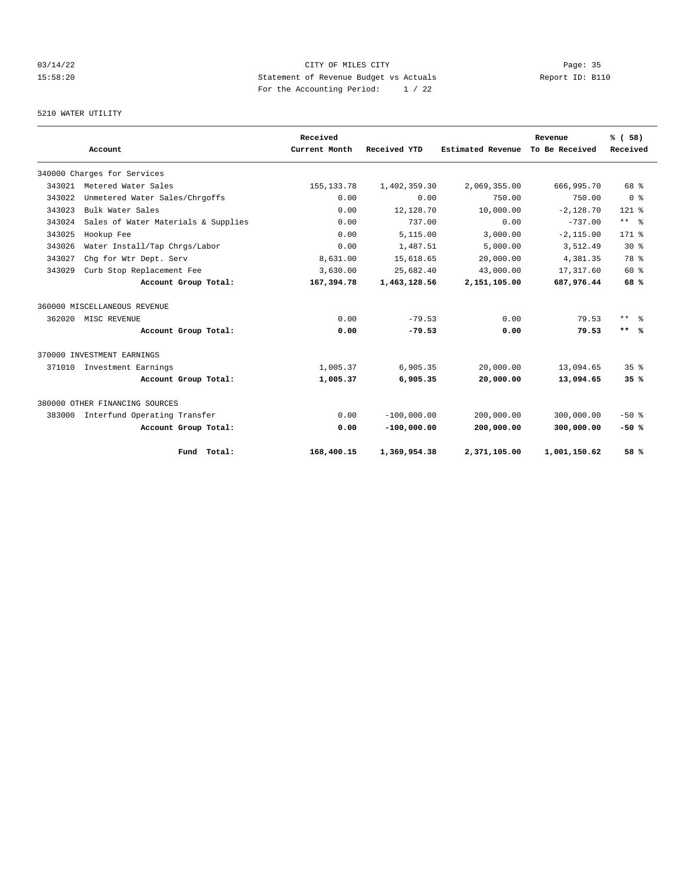#### 03/14/22 Page: 35 15:58:20 Statement of Revenue Budget vs Actuals Report ID: B110 For the Accounting Period: 1 / 22

## 5210 WATER UTILITY

|        |                                     |                      | Received      |               |                   | Revenue        | % (58)          |
|--------|-------------------------------------|----------------------|---------------|---------------|-------------------|----------------|-----------------|
|        | Account                             |                      | Current Month | Received YTD  | Estimated Revenue | To Be Received | Received        |
|        | 340000 Charges for Services         |                      |               |               |                   |                |                 |
| 343021 | Metered Water Sales                 |                      | 155, 133. 78  | 1,402,359.30  | 2,069,355.00      | 666,995.70     | 68 %            |
| 343022 | Unmetered Water Sales/Chrgoffs      |                      | 0.00          | 0.00          | 750.00            | 750.00         | 0 <sup>8</sup>  |
| 343023 | Bulk Water Sales                    |                      | 0.00          | 12,128.70     | 10,000.00         | $-2.128.70$    | $121$ %         |
| 343024 | Sales of Water Materials & Supplies |                      | 0.00          | 737.00        | 0.00              | $-737.00$      | $***$ $ -$      |
| 343025 | Hookup Fee                          |                      | 0.00          | 5,115.00      | 3,000.00          | $-2, 115.00$   | $171$ %         |
| 343026 | Water Install/Tap Chrgs/Labor       |                      | 0.00          | 1,487.51      | 5,000.00          | 3,512.49       | $30*$           |
| 343027 | Chg for Wtr Dept. Serv              |                      | 8,631.00      | 15,618.65     | 20,000.00         | 4,381.35       | 78 %            |
| 343029 | Curb Stop Replacement Fee           |                      | 3,630.00      | 25,682.40     | 43,000.00         | 17,317.60      | 60 %            |
|        |                                     | Account Group Total: | 167,394.78    | 1,463,128.56  | 2,151,105.00      | 687,976.44     | 68%             |
|        | 360000 MISCELLANEOUS REVENUE        |                      |               |               |                   |                |                 |
| 362020 | MISC REVENUE                        |                      | 0.00          | $-79.53$      | 0.00              | 79.53          | $***$ $ -$      |
|        |                                     | Account Group Total: | 0.00          | $-79.53$      | 0.00              | 79.53          | $***$ %         |
|        | 370000 INVESTMENT EARNINGS          |                      |               |               |                   |                |                 |
|        | 371010 Investment Earnings          |                      | 1,005.37      | 6.905.35      | 20,000.00         | 13,094.65      | 35 <sup>8</sup> |
|        |                                     | Account Group Total: | 1,005.37      | 6,905.35      | 20,000.00         | 13,094.65      | 35%             |
|        | 380000 OTHER FINANCING SOURCES      |                      |               |               |                   |                |                 |
| 383000 | Interfund Operating Transfer        |                      | 0.00          | $-100,000.00$ | 200,000.00        | 300,000.00     | $-50$ %         |
|        |                                     | Account Group Total: | 0.00          | $-100,000.00$ | 200,000.00        | 300,000.00     | $-50%$          |
|        |                                     | Fund Total:          | 168,400.15    | 1,369,954.38  | 2,371,105.00      | 1,001,150.62   | 58 %            |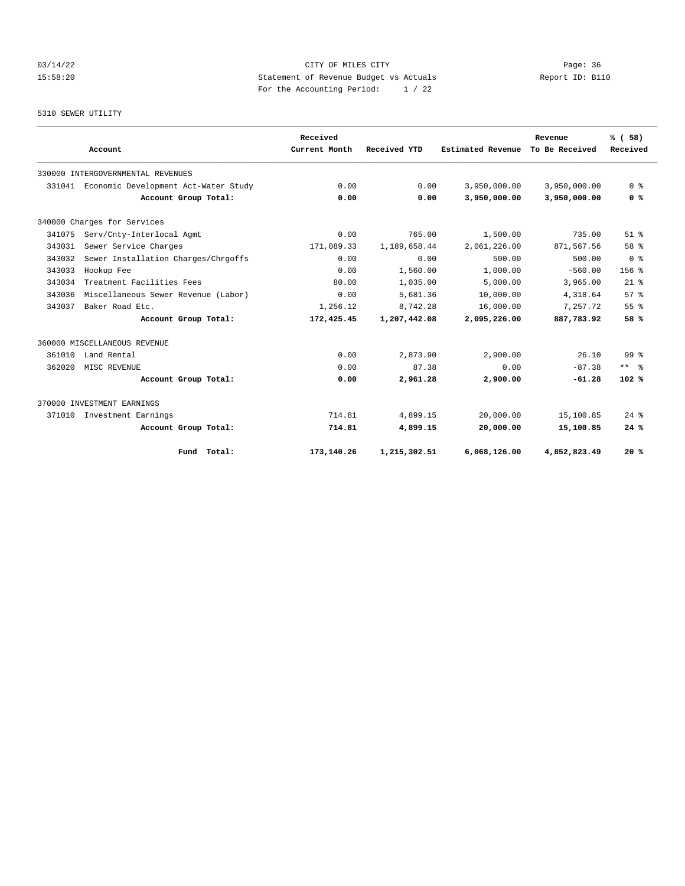#### 03/14/22 Page: 36 15:58:20 Statement of Revenue Budget vs Actuals Report ID: B110 For the Accounting Period: 1 / 22

5310 SEWER UTILITY

|        | Account                              |                      | Received<br>Current Month | Received YTD | Estimated Revenue | Revenue<br>To Be Received | % (58)<br>Received |
|--------|--------------------------------------|----------------------|---------------------------|--------------|-------------------|---------------------------|--------------------|
|        |                                      |                      |                           |              |                   |                           |                    |
|        | 330000 INTERGOVERNMENTAL REVENUES    |                      |                           |              |                   |                           |                    |
| 331041 | Economic Development Act-Water Study |                      | 0.00                      | 0.00         | 3,950,000.00      | 3,950,000.00              | 0 <sup>8</sup>     |
|        |                                      | Account Group Total: | 0.00                      | 0.00         | 3,950,000.00      | 3,950,000.00              | 0 <sup>8</sup>     |
|        | 340000 Charges for Services          |                      |                           |              |                   |                           |                    |
| 341075 | Serv/Cnty-Interlocal Agmt            |                      | 0.00                      | 765.00       | 1,500.00          | 735.00                    | $51$ $%$           |
| 343031 | Sewer Service Charges                |                      | 171,089.33                | 1,189,658.44 | 2,061,226.00      | 871,567.56                | 58 %               |
| 343032 | Sewer Installation Charges/Chrgoffs  |                      | 0.00                      | 0.00         | 500.00            | 500.00                    | 0 <sup>8</sup>     |
| 343033 | Hookup Fee                           |                      | 0.00                      | 1,560.00     | 1,000.00          | $-560.00$                 | 156 <sub>8</sub>   |
| 343034 | Treatment Facilities Fees            |                      | 80.00                     | 1,035.00     | 5,000.00          | 3,965.00                  | $21$ %             |
| 343036 | Miscellaneous Sewer Revenue (Labor)  |                      | 0.00                      | 5,681.36     | 10,000.00         | 4,318.64                  | 57%                |
| 343037 | Baker Road Etc.                      |                      | 1,256.12                  | 8.742.28     | 16,000.00         | 7.257.72                  | 55%                |
|        |                                      | Account Group Total: | 172,425.45                | 1,207,442.08 | 2,095,226.00      | 887,783.92                | 58 %               |
|        | 360000 MISCELLANEOUS REVENUE         |                      |                           |              |                   |                           |                    |
| 361010 | Land Rental                          |                      | 0.00                      | 2,873.90     | 2,900.00          | 26.10                     | 99 <sup>8</sup>    |
| 362020 | MISC REVENUE                         |                      | 0.00                      | 87.38        | 0.00              | $-87.38$                  | $***$ $%$          |
|        |                                      | Account Group Total: | 0.00                      | 2,961.28     | 2,900.00          | $-61.28$                  | 102%               |
|        | 370000 INVESTMENT EARNINGS           |                      |                           |              |                   |                           |                    |
| 371010 | Investment Earnings                  |                      | 714.81                    | 4,899.15     | 20,000.00         | 15,100.85                 | $24$ $%$           |
|        |                                      | Account Group Total: | 714.81                    | 4,899.15     | 20,000.00         | 15,100.85                 | 24%                |
|        |                                      | Fund Total:          | 173,140.26                | 1,215,302.51 | 6,068,126.00      | 4,852,823.49              | 20%                |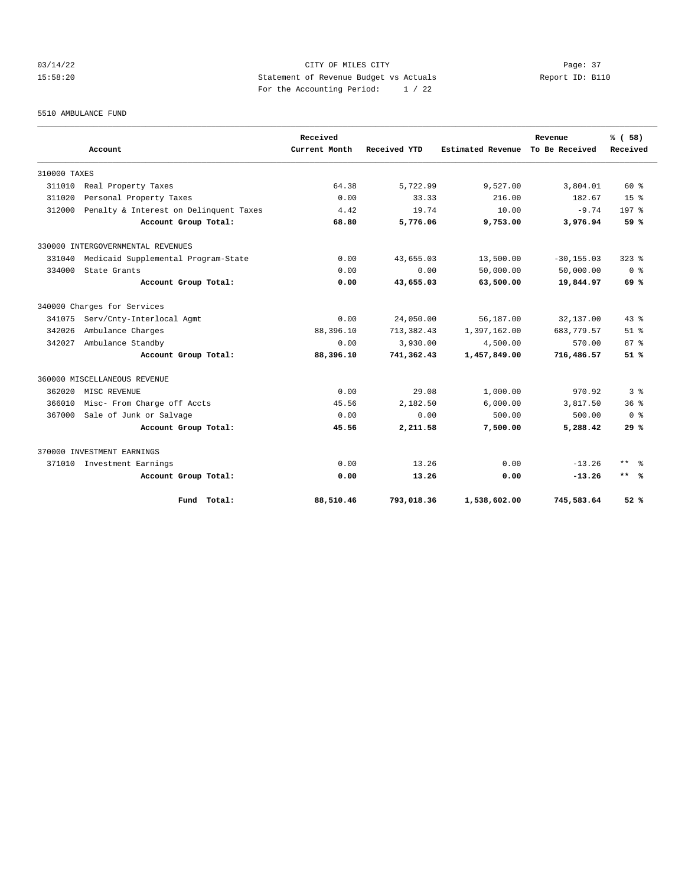#### 03/14/22 Page: 37 15:58:20 Statement of Revenue Budget vs Actuals Report ID: B110 For the Accounting Period: 1 / 22

5510 AMBULANCE FUND

|              | Account                                | Received<br>Current Month | Received YTD | <b>Estimated Revenue</b> | Revenue<br>To Be Received | % (58)<br>Received |
|--------------|----------------------------------------|---------------------------|--------------|--------------------------|---------------------------|--------------------|
|              |                                        |                           |              |                          |                           |                    |
| 310000 TAXES |                                        |                           |              |                          |                           |                    |
| 311010       | Real Property Taxes                    | 64.38                     | 5,722.99     | 9,527.00                 | 3,804.01                  | $60*$              |
| 311020       | Personal Property Taxes                | 0.00                      | 33.33        | 216.00                   | 182.67                    | $15*$              |
| 312000       | Penalty & Interest on Delinquent Taxes | 4.42                      | 19.74        | 10.00                    | $-9.74$                   | 197 <sub>8</sub>   |
|              | Account Group Total:                   | 68.80                     | 5,776.06     | 9,753.00                 | 3,976.94                  | 59 %               |
|              | 330000 INTERGOVERNMENTAL REVENUES      |                           |              |                          |                           |                    |
| 331040       | Medicaid Supplemental Program-State    | 0.00                      | 43,655.03    | 13,500.00                | $-30, 155.03$             | $323$ $%$          |
| 334000       | State Grants                           | 0.00                      | 0.00         | 50,000.00                | 50,000.00                 | 0 <sup>8</sup>     |
|              | Account Group Total:                   | 0.00                      | 43,655.03    | 63,500.00                | 19,844.97                 | 69 %               |
|              | 340000 Charges for Services            |                           |              |                          |                           |                    |
| 341075       | Serv/Cnty-Interlocal Agmt              | 0.00                      | 24,050.00    | 56,187.00                | 32,137.00                 | $43*$              |
| 342026       | Ambulance Charges                      | 88,396.10                 | 713, 382.43  | 1,397,162.00             | 683,779.57                | $51$ $%$           |
| 342027       | Ambulance Standby                      | 0.00                      | 3,930.00     | 4,500.00                 | 570.00                    | $87*$              |
|              | Account Group Total:                   | 88,396.10                 | 741,362.43   | 1,457,849.00             | 716,486.57                | 51%                |
|              | 360000 MISCELLANEOUS REVENUE           |                           |              |                          |                           |                    |
| 362020       | MISC REVENUE                           | 0.00                      | 29.08        | 1,000.00                 | 970.92                    | 3%                 |
| 366010       | Misc- From Charge off Accts            | 45.56                     | 2,182.50     | 6,000.00                 | 3,817.50                  | 36 <sup>8</sup>    |
| 367000       | Sale of Junk or Salvage                | 0.00                      | 0.00         | 500.00                   | 500.00                    | 0 <sup>8</sup>     |
|              | Account Group Total:                   | 45.56                     | 2,211.58     | 7,500.00                 | 5,288.42                  | 29%                |
|              | 370000 INVESTMENT EARNINGS             |                           |              |                          |                           |                    |
| 371010       | Investment Earnings                    | 0.00                      | 13.26        | 0.00                     | $-13.26$                  | $***$ $=$          |
|              | Account Group Total:                   | 0.00                      | 13.26        | 0.00                     | $-13.26$                  | $***$ %            |
|              | Fund Total:                            | 88,510.46                 | 793,018.36   | 1,538,602.00             | 745,583.64                | 52%                |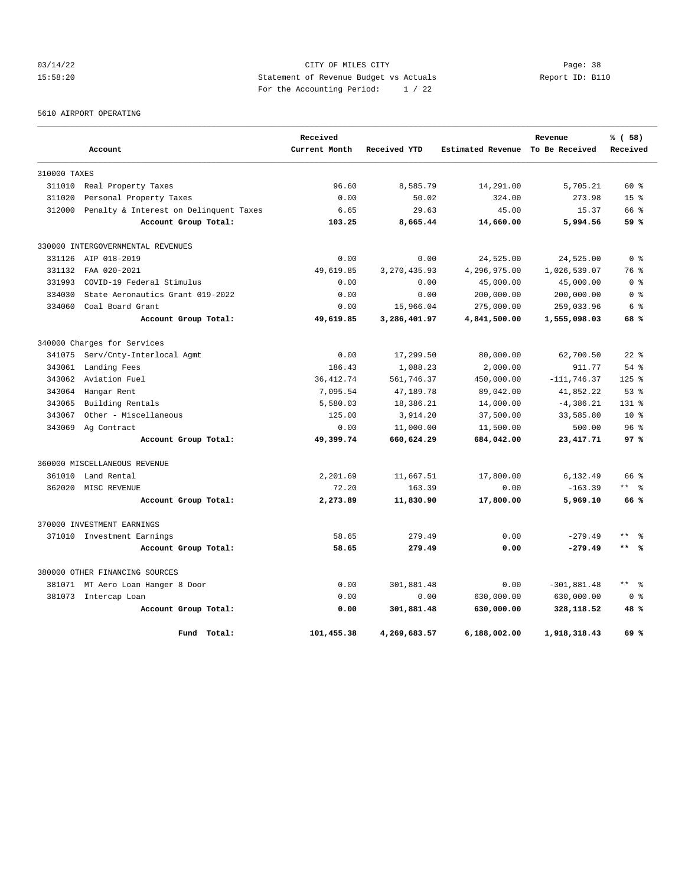#### 03/14/22 Page: 38 15:58:20 Statement of Revenue Budget vs Actuals Report ID: B110 For the Accounting Period: 1 / 22

5610 AIRPORT OPERATING

|              |                                        | Received      |                |                   | Revenue        | % (58)              |
|--------------|----------------------------------------|---------------|----------------|-------------------|----------------|---------------------|
|              | Account                                | Current Month | Received YTD   | Estimated Revenue | To Be Received | Received            |
| 310000 TAXES |                                        |               |                |                   |                |                     |
| 311010       | Real Property Taxes                    | 96.60         | 8,585.79       | 14,291.00         | 5,705.21       | 60 %                |
| 311020       | Personal Property Taxes                | 0.00          | 50.02          | 324.00            | 273.98         | 15 <sup>8</sup>     |
| 312000       | Penalty & Interest on Delinquent Taxes | 6.65          | 29.63          | 45.00             | 15.37          | 66 %                |
|              | Account Group Total:                   | 103.25        | 8,665.44       | 14,660.00         | 5,994.56       | 59 %                |
|              | 330000 INTERGOVERNMENTAL REVENUES      |               |                |                   |                |                     |
| 331126       | AIP 018-2019                           | 0.00          | 0.00           | 24,525.00         | 24,525.00      | 0 <sup>8</sup>      |
| 331132       | FAA 020-2021                           | 49,619.85     | 3, 270, 435.93 | 4,296,975.00      | 1,026,539.07   | 76 %                |
| 331993       | COVID-19 Federal Stimulus              | 0.00          | 0.00           | 45,000.00         | 45,000.00      | 0 %                 |
| 334030       | State Aeronautics Grant 019-2022       | 0.00          | 0.00           | 200,000.00        | 200,000.00     | 0 %                 |
| 334060       | Coal Board Grant                       | 0.00          | 15,966.04      | 275,000.00        | 259,033.96     | 6 %                 |
|              | Account Group Total:                   | 49,619.85     | 3,286,401.97   | 4,841,500.00      | 1,555,098.03   | 68 %                |
|              | 340000 Charges for Services            |               |                |                   |                |                     |
| 341075       | Serv/Cnty-Interlocal Agmt              | 0.00          | 17,299.50      | 80,000.00         | 62,700.50      | $22$ $%$            |
| 343061       | Landing Fees                           | 186.43        | 1,088.23       | 2,000.00          | 911.77         | 54%                 |
| 343062       | Aviation Fuel                          | 36, 412.74    | 561,746.37     | 450,000.00        | $-111, 746.37$ | $125$ %             |
| 343064       | Hangar Rent                            | 7,095.54      | 47,189.78      | 89,042.00         | 41,852.22      | 53%                 |
| 343065       | Building Rentals                       | 5,580.03      | 18,386.21      | 14,000.00         | $-4,386.21$    | $131*$              |
| 343067       | Other - Miscellaneous                  | 125.00        | 3,914.20       | 37,500.00         | 33,585.80      | 10 <sup>8</sup>     |
| 343069       | Ag Contract                            | 0.00          | 11,000.00      | 11,500.00         | 500.00         | 96 <sup>8</sup>     |
|              | Account Group Total:                   | 49,399.74     | 660,624.29     | 684,042.00        | 23, 417. 71    | 97%                 |
|              | 360000 MISCELLANEOUS REVENUE           |               |                |                   |                |                     |
| 361010       | Land Rental                            | 2,201.69      | 11,667.51      | 17,800.00         | 6,132.49       | 66 %                |
| 362020       | MISC REVENUE                           | 72.20         | 163.39         | 0.00              | $-163.39$      | ** %                |
|              | Account Group Total:                   | 2,273.89      | 11,830.90      | 17,800.00         | 5,969.10       | 66%                 |
|              | 370000 INVESTMENT EARNINGS             |               |                |                   |                |                     |
|              | 371010 Investment Earnings             | 58.65         | 279.49         | 0.00              | $-279.49$      | $***$               |
|              | Account Group Total:                   | 58.65         | 279.49         | 0.00              | $-279.49$      | $***$ 8             |
|              | 380000 OTHER FINANCING SOURCES         |               |                |                   |                |                     |
|              | 381071 MT Aero Loan Hanger 8 Door      | 0.00          | 301,881.48     | 0.00              | $-301,881.48$  | $\star\star$<br>- 옹 |
|              | 381073 Intercap Loan                   | 0.00          | 0.00           | 630,000.00        | 630,000.00     | 0 <sup>8</sup>      |
|              | Account Group Total:                   | 0.00          | 301,881.48     | 630,000.00        | 328,118.52     | 48 %                |
|              | Fund Total:                            | 101,455.38    | 4,269,683.57   | 6,188,002.00      | 1,918,318.43   | 69 %                |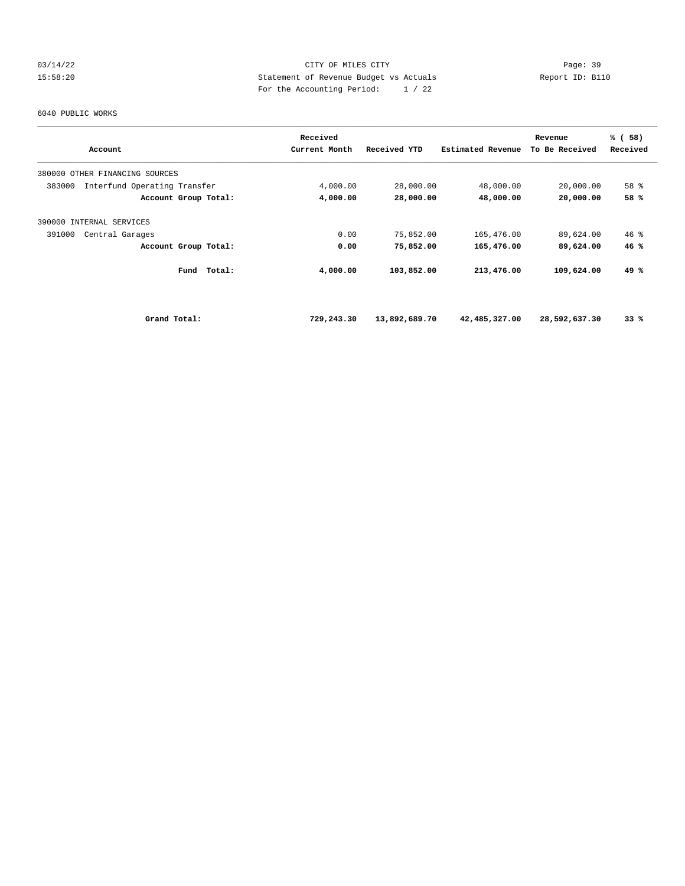#### 03/14/22 Page: 39 15:58:20 Statement of Revenue Budget vs Actuals Report ID: B110 For the Accounting Period: 1 / 22

#### 6040 PUBLIC WORKS

| Account                                | Received<br>Current Month | Received YTD  | Estimated Revenue | Revenue<br>To Be Received | % (58)<br>Received |
|----------------------------------------|---------------------------|---------------|-------------------|---------------------------|--------------------|
|                                        |                           |               |                   |                           |                    |
| 380000 OTHER FINANCING SOURCES         |                           |               |                   |                           |                    |
| Interfund Operating Transfer<br>383000 | 4,000.00                  | 28,000.00     | 48,000.00         | 20,000.00                 | 58 %               |
| Account Group Total:                   | 4,000.00                  | 28,000.00     | 48,000.00         | 20,000.00                 | 58 %               |
| 390000 INTERNAL SERVICES               |                           |               |                   |                           |                    |
| 391000<br>Central Garages              | 0.00                      | 75,852.00     | 165,476.00        | 89,624.00                 | $46$ %             |
| Account Group Total:                   | 0.00                      | 75,852.00     | 165,476.00        | 89,624.00                 | 46%                |
| Fund<br>Total:                         | 4,000.00                  | 103,852.00    | 213,476.00        | 109,624.00                | 49 %               |
| Grand Total:                           | 729,243.30                | 13,892,689.70 | 42,485,327.00     | 28,592,637.30             | 33%                |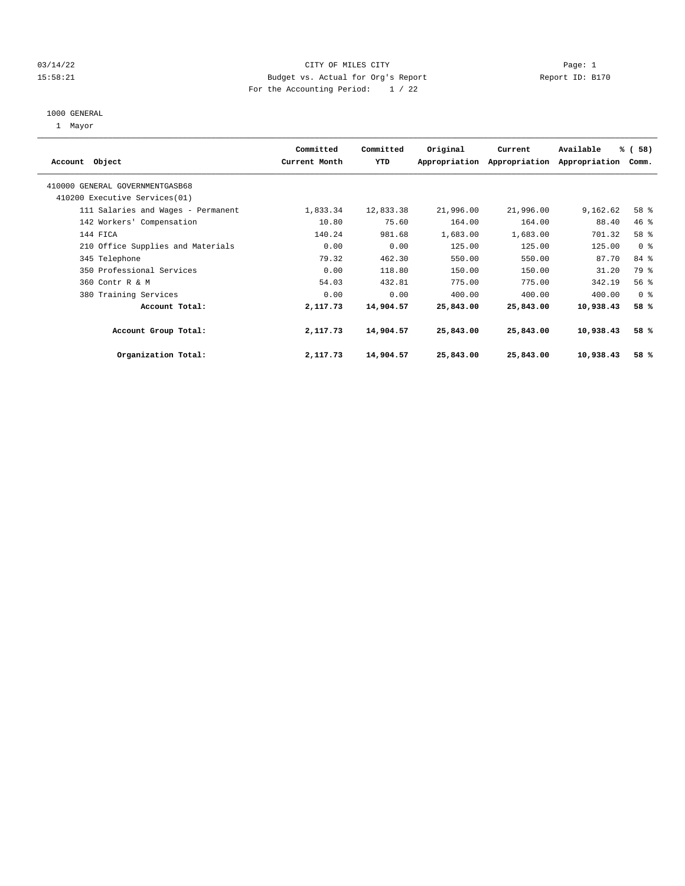#### 03/14/22 Page: 1 CITY OF MILES CITY 15:58:21 Budget vs. Actual for Org's Report Changer Report ID: B170 For the Accounting Period: 1 / 22

#### 1000 GENERAL

1 Mayor

|                                    | Committed     | Committed | Original  | Current                     | Available     | % (58)         |  |
|------------------------------------|---------------|-----------|-----------|-----------------------------|---------------|----------------|--|
| Account Object                     | Current Month | YTD       |           | Appropriation Appropriation | Appropriation | Comm.          |  |
| 410000 GENERAL GOVERNMENTGASB68    |               |           |           |                             |               |                |  |
| 410200 Executive Services (01)     |               |           |           |                             |               |                |  |
| 111 Salaries and Wages - Permanent | 1,833.34      | 12,833.38 | 21,996.00 | 21,996.00                   | 9,162.62      | 58 %           |  |
| 142 Workers' Compensation          | 10.80         | 75.60     | 164.00    | 164.00                      | 88.40         | 46 %           |  |
| 144 FICA                           | 140.24        | 981.68    | 1,683.00  | 1,683.00                    | 701.32        | 58 %           |  |
| 210 Office Supplies and Materials  | 0.00          | 0.00      | 125.00    | 125.00                      | 125.00        | 0 <sup>8</sup> |  |
| 345 Telephone                      | 79.32         | 462.30    | 550.00    | 550.00                      | 87.70         | 84 %           |  |
| 350 Professional Services          | 0.00          | 118.80    | 150.00    | 150.00                      | 31.20         | 79 %           |  |
| 360 Contr R & M                    | 54.03         | 432.81    | 775.00    | 775.00                      | 342.19        | 56%            |  |
| 380 Training Services              | 0.00          | 0.00      | 400.00    | 400.00                      | 400.00        | 0 <sup>8</sup> |  |
| Account Total:                     | 2,117.73      | 14,904.57 | 25,843.00 | 25,843.00                   | 10,938.43     | 58 %           |  |
| Account Group Total:               | 2,117.73      | 14,904.57 | 25,843.00 | 25,843.00                   | 10,938.43     | 58 %           |  |
| Organization Total:                | 2,117.73      | 14,904.57 | 25,843.00 | 25,843.00                   | 10,938.43     | 58 %           |  |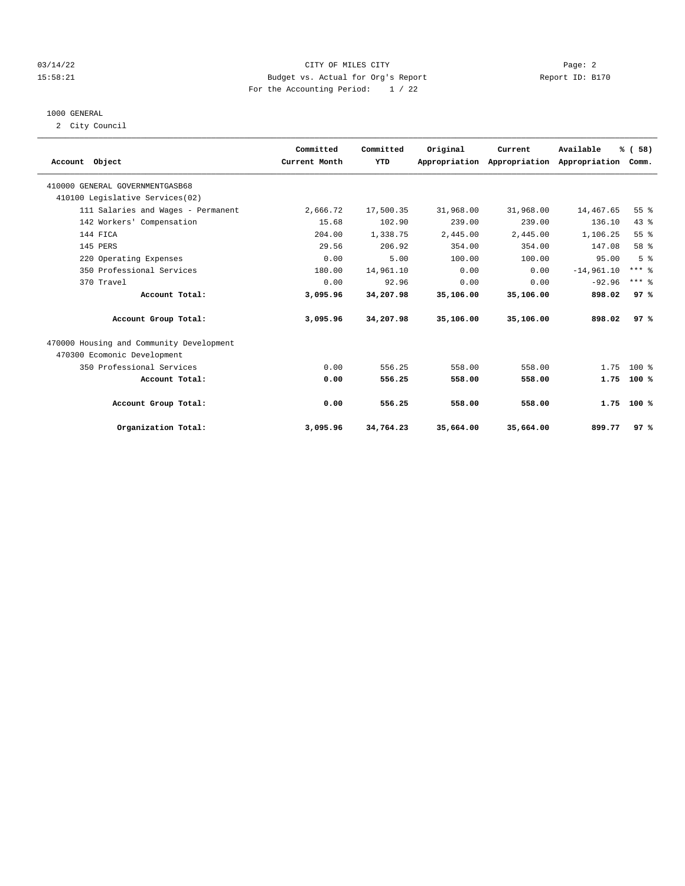#### 03/14/22 Page: 2 15:58:21 Budget vs. Actual for Org's Report Report ID: B170 For the Accounting Period: 1 / 22

#### 1000 GENERAL

2 City Council

| Account Object                           | Committed<br>Current Month | Committed<br>YTD | Original  | Current<br>Appropriation Appropriation | Available<br>Appropriation Comm. | % (58)         |  |
|------------------------------------------|----------------------------|------------------|-----------|----------------------------------------|----------------------------------|----------------|--|
| 410000 GENERAL GOVERNMENTGASB68          |                            |                  |           |                                        |                                  |                |  |
| 410100 Legislative Services(02)          |                            |                  |           |                                        |                                  |                |  |
| 111 Salaries and Wages - Permanent       | 2,666.72                   | 17,500.35        | 31,968.00 | 31,968.00                              | 14,467.65                        | 55 %           |  |
| 142 Workers' Compensation                | 15.68                      | 102.90           | 239.00    | 239.00                                 | 136.10                           | 43%            |  |
| 144 FICA                                 | 204.00                     | 1,338.75         | 2,445.00  | 2.445.00                               | 1,106.25                         | 55%            |  |
| 145 PERS                                 | 29.56                      | 206.92           | 354.00    | 354.00                                 | 147.08                           | 58 %           |  |
| 220 Operating Expenses                   | 0.00                       | 5.00             | 100.00    | 100.00                                 | 95.00                            | 5 <sup>°</sup> |  |
| 350 Professional Services                | 180.00                     | 14,961.10        | 0.00      | 0.00                                   | $-14,961.10$                     | $***$ $%$      |  |
| 370 Travel                               | 0.00                       | 92.96            | 0.00      | 0.00                                   | $-92.96$                         | $***$ $%$      |  |
| Account Total:                           | 3,095.96                   | 34,207.98        | 35,106.00 | 35,106.00                              | 898.02                           | 97%            |  |
| Account Group Total:                     | 3,095.96                   | 34,207.98        | 35,106.00 | 35,106.00                              | 898.02                           | 97%            |  |
| 470000 Housing and Community Development |                            |                  |           |                                        |                                  |                |  |
| 470300 Ecomonic Development              |                            |                  |           |                                        |                                  |                |  |
| 350 Professional Services                | 0.00                       | 556.25           | 558.00    | 558.00                                 | 1.75                             | $100*$         |  |
| Account Total:                           | 0.00                       | 556.25           | 558.00    | 558.00                                 | 1.75                             | 100%           |  |
| Account Group Total:                     | 0.00                       | 556.25           | 558.00    | 558.00                                 | 1.75                             | $100*$         |  |
| Organization Total:                      | 3,095.96                   | 34,764.23        | 35,664.00 | 35,664.00                              | 899.77                           | 97%            |  |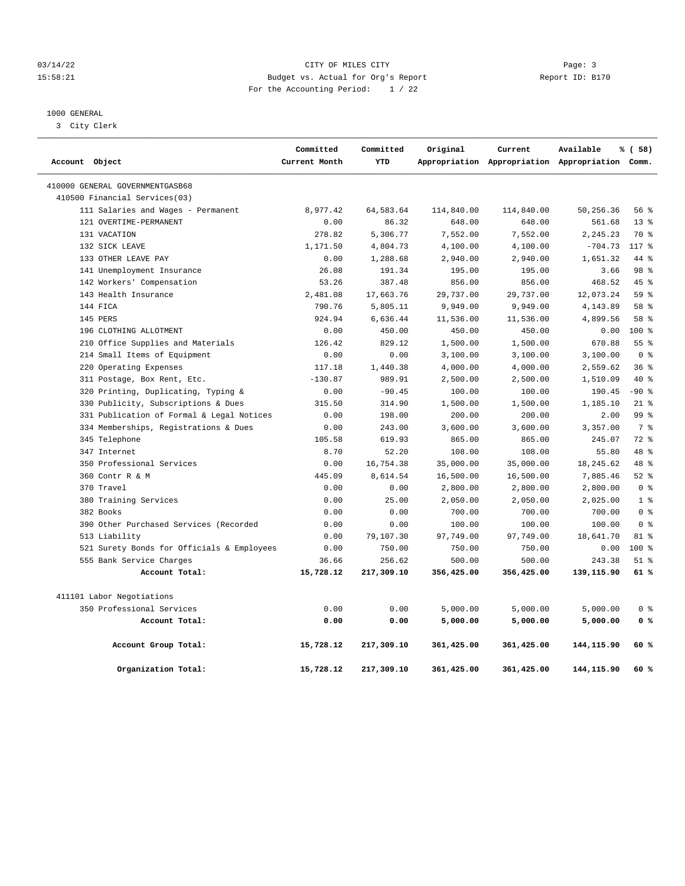#### 03/14/22 Page: 3 Page: 3 15:58:21 Budget vs. Actual for Org's Report Report ID: B170 For the Accounting Period: 1 / 22

————————————————————————————————————————————————————————————————————————————————————————————————————————————————————————————————————

#### 1000 GENERAL

3 City Clerk

|                                            | Committed     | Committed  | Original   | Current    | Available                                       | % (58)         |
|--------------------------------------------|---------------|------------|------------|------------|-------------------------------------------------|----------------|
| Account Object                             | Current Month | YTD        |            |            | Appropriation Appropriation Appropriation Comm. |                |
| 410000 GENERAL GOVERNMENTGASB68            |               |            |            |            |                                                 |                |
| 410500 Financial Services(03)              |               |            |            |            |                                                 |                |
| 111 Salaries and Wages - Permanent         | 8,977.42      | 64,583.64  | 114,840.00 | 114,840.00 | 50,256.36                                       | 56%            |
| 121 OVERTIME-PERMANENT                     | 0.00          | 86.32      | 648.00     | 648.00     | 561.68                                          | $13*$          |
| 131 VACATION                               | 278.82        | 5,306.77   | 7,552.00   | 7,552.00   | 2,245.23                                        | 70 %           |
| 132 SICK LEAVE                             | 1,171.50      | 4,804.73   | 4,100.00   | 4,100.00   | $-704.73$                                       | $117*$         |
| 133 OTHER LEAVE PAY                        | 0.00          | 1,288.68   | 2,940.00   | 2,940.00   | 1,651.32                                        | 44 %           |
| 141 Unemployment Insurance                 | 26.08         | 191.34     | 195.00     | 195.00     | 3.66                                            | 98 %           |
| 142 Workers' Compensation                  | 53.26         | 387.48     | 856.00     | 856.00     | 468.52                                          | 45%            |
| 143 Health Insurance                       | 2,481.08      | 17,663.76  | 29,737.00  | 29,737.00  | 12,073.24                                       | 59 %           |
| 144 FICA                                   | 790.76        | 5,805.11   | 9,949.00   | 9,949.00   | 4,143.89                                        | 58 %           |
| 145 PERS                                   | 924.94        | 6,636.44   | 11,536.00  | 11,536.00  | 4,899.56                                        | 58 %           |
| 196 CLOTHING ALLOTMENT                     | 0.00          | 450.00     | 450.00     | 450.00     | 0.00                                            | 100 %          |
| 210 Office Supplies and Materials          | 126.42        | 829.12     | 1,500.00   | 1,500.00   | 670.88                                          | 55 %           |
| 214 Small Items of Equipment               | 0.00          | 0.00       | 3,100.00   | 3,100.00   | 3,100.00                                        | 0 <sup>8</sup> |
| 220 Operating Expenses                     | 117.18        | 1,440.38   | 4,000.00   | 4,000.00   | 2,559.62                                        | 36%            |
| 311 Postage, Box Rent, Etc.                | $-130.87$     | 989.91     | 2,500.00   | 2,500.00   | 1,510.09                                        | 40 %           |
| 320 Printing, Duplicating, Typing &        | 0.00          | $-90.45$   | 100.00     | 100.00     | 190.45                                          | $-90$ %        |
| 330 Publicity, Subscriptions & Dues        | 315.50        | 314.90     | 1,500.00   | 1,500.00   | 1,185.10                                        | $21$ %         |
| 331 Publication of Formal & Legal Notices  | 0.00          | 198.00     | 200.00     | 200.00     | 2.00                                            | 99 %           |
| 334 Memberships, Registrations & Dues      | 0.00          | 243.00     | 3,600.00   | 3,600.00   | 3,357.00                                        | 7 <sup>8</sup> |
| 345 Telephone                              | 105.58        | 619.93     | 865.00     | 865.00     | 245.07                                          | 72 %           |
| 347 Internet                               | 8.70          | 52.20      | 108.00     | 108.00     | 55.80                                           | 48 %           |
| 350 Professional Services                  | 0.00          | 16,754.38  | 35,000.00  | 35,000.00  | 18,245.62                                       | 48 %           |
| 360 Contr R & M                            | 445.09        | 8,614.54   | 16,500.00  | 16,500.00  | 7,885.46                                        | 52%            |
| 370 Travel                                 | 0.00          | 0.00       | 2,800.00   | 2,800.00   | 2,800.00                                        | 0 <sup>8</sup> |
| 380 Training Services                      | 0.00          | 25.00      | 2,050.00   | 2,050.00   | 2,025.00                                        | 1 <sup>8</sup> |
| 382 Books                                  | 0.00          | 0.00       | 700.00     | 700.00     | 700.00                                          | 0 <sup>8</sup> |
| 390 Other Purchased Services (Recorded     | 0.00          | 0.00       | 100.00     | 100.00     | 100.00                                          | 0 <sup>8</sup> |
| 513 Liability                              | 0.00          | 79,107.30  | 97,749.00  | 97,749.00  | 18,641.70                                       | $81*$          |
| 521 Surety Bonds for Officials & Employees | 0.00          | 750.00     | 750.00     | 750.00     | 0.00                                            | 100%           |
| 555 Bank Service Charges                   | 36.66         | 256.62     | 500.00     | 500.00     | 243.38                                          | $51$ %         |
| Account Total:                             | 15,728.12     | 217,309.10 | 356,425.00 | 356,425.00 | 139,115.90                                      | 61 %           |
| 411101 Labor Negotiations                  |               |            |            |            |                                                 |                |
| 350 Professional Services                  | 0.00          | 0.00       | 5,000.00   | 5,000.00   | 5,000.00                                        | 0 %            |
| Account Total:                             | 0.00          | 0.00       | 5,000.00   | 5,000.00   | 5,000.00                                        | 0 <sup>8</sup> |
| Account Group Total:                       | 15,728.12     | 217,309.10 | 361,425.00 | 361,425.00 | 144,115.90                                      | 60 %           |
| Organization Total:                        | 15,728.12     | 217,309.10 | 361,425.00 | 361,425.00 | 144,115.90                                      | 60 %           |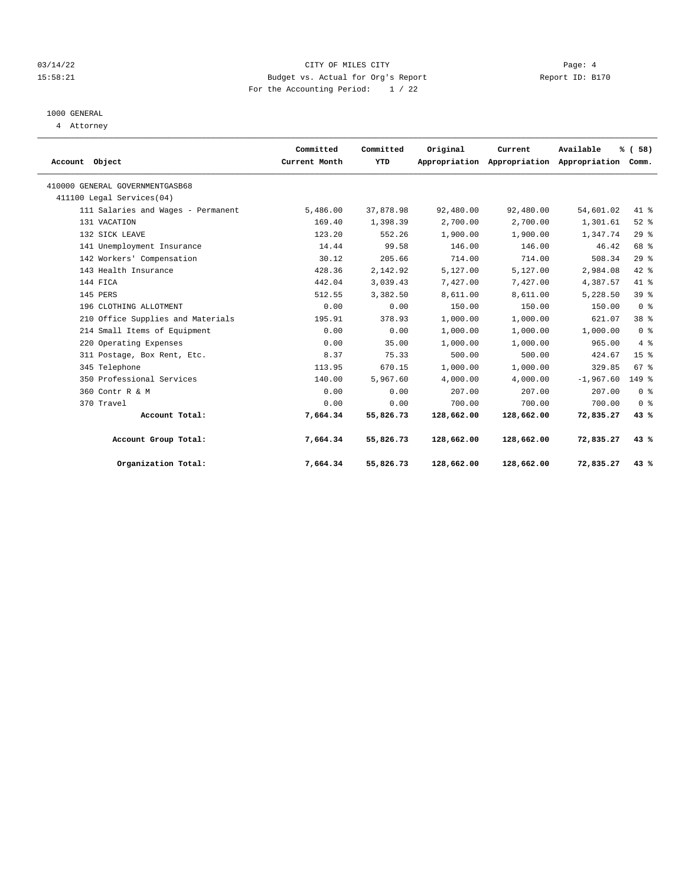#### 03/14/22 Page: 4 CITY OF MILES CITY 15:58:21 Budget vs. Actual for Org's Report Report ID: B170 For the Accounting Period: 1 / 22

## 1000 GENERAL

4 Attorney

| Account Object                     | Committed<br>Current Month | Committed<br>YTD | Original   | Current    | Available<br>Appropriation Appropriation Appropriation | % (58)<br>Comm. |  |
|------------------------------------|----------------------------|------------------|------------|------------|--------------------------------------------------------|-----------------|--|
| 410000 GENERAL GOVERNMENTGASB68    |                            |                  |            |            |                                                        |                 |  |
| 411100 Legal Services(04)          |                            |                  |            |            |                                                        |                 |  |
| 111 Salaries and Wages - Permanent | 5,486.00                   | 37,878.98        | 92,480.00  | 92,480.00  | 54,601.02                                              | $41*$           |  |
| 131 VACATION                       | 169.40                     | 1,398.39         | 2,700.00   | 2,700.00   | 1,301.61                                               | $52$ $%$        |  |
| 132 SICK LEAVE                     | 123.20                     | 552.26           | 1,900.00   | 1,900.00   | 1,347.74                                               | 29%             |  |
| 141 Unemployment Insurance         | 14.44                      | 99.58            | 146.00     | 146.00     | 46.42                                                  | 68 %            |  |
| 142 Workers' Compensation          | 30.12                      | 205.66           | 714.00     | 714.00     | 508.34                                                 | 29%             |  |
| 143 Health Insurance               | 428.36                     | 2,142.92         | 5,127.00   | 5,127.00   | 2,984.08                                               | $42$ %          |  |
| 144 FICA                           | 442.04                     | 3,039.43         | 7,427.00   | 7,427.00   | 4,387.57                                               | 41 %            |  |
| 145 PERS                           | 512.55                     | 3,382.50         | 8,611.00   | 8,611.00   | 5,228.50                                               | 39 <sup>8</sup> |  |
| 196 CLOTHING ALLOTMENT             | 0.00                       | 0.00             | 150.00     | 150.00     | 150.00                                                 | 0 <sup>8</sup>  |  |
| 210 Office Supplies and Materials  | 195.91                     | 378.93           | 1,000.00   | 1,000.00   | 621.07                                                 | 38 %            |  |
| 214 Small Items of Equipment       | 0.00                       | 0.00             | 1,000.00   | 1,000.00   | 1,000.00                                               | 0 <sup>8</sup>  |  |
| 220 Operating Expenses             | 0.00                       | 35.00            | 1,000.00   | 1,000.00   | 965.00                                                 | 4%              |  |
| 311 Postage, Box Rent, Etc.        | 8.37                       | 75.33            | 500.00     | 500.00     | 424.67                                                 | 15 <sup>8</sup> |  |
| 345 Telephone                      | 113.95                     | 670.15           | 1,000.00   | 1,000.00   | 329.85                                                 | 67%             |  |
| 350 Professional Services          | 140.00                     | 5,967.60         | 4,000.00   | 4,000.00   | $-1,967.60$                                            | 149 %           |  |
| 360 Contr R & M                    | 0.00                       | 0.00             | 207.00     | 207.00     | 207.00                                                 | 0 <sup>8</sup>  |  |
| 370 Travel                         | 0.00                       | 0.00             | 700.00     | 700.00     | 700.00                                                 | 0 <sup>8</sup>  |  |
| Account Total:                     | 7,664.34                   | 55,826.73        | 128,662.00 | 128,662.00 | 72,835.27                                              | 43%             |  |
| Account Group Total:               | 7,664.34                   | 55,826.73        | 128,662.00 | 128,662.00 | 72,835.27                                              | 43%             |  |
| Organization Total:                | 7,664.34                   | 55,826.73        | 128,662.00 | 128,662.00 | 72,835.27                                              | 43%             |  |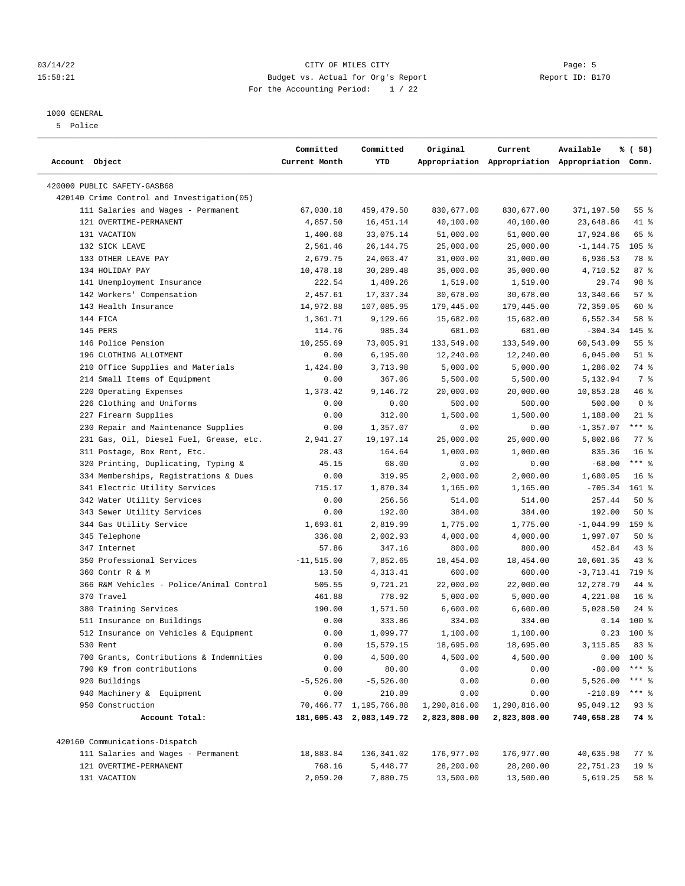#### 03/14/22 Page: 5 Page: 5 Page: 5 Page: 6 Page: 6 Page: 6 Page: 6 Page: 6 Page: 6 Page: 6 Page: 6 Page: 6 Page: 6 Page: 6 Page: 6 Page: 6 Page: 6 Page: 6 Page: 6 Page: 6 Page: 6 Page: 6 Page: 6 Page: 6 Page: 6 Page: 6 Page: 15:58:21 Budget vs. Actual for Org's Report Changer Report ID: B170 For the Accounting Period: 1 / 22

————————————————————————————————————————————————————————————————————————————————————————————————————————————————————————————————————

#### 1000 GENERAL

5 Police

|                                            | Committed     | Committed               | Original     | Current      | Available                                       | % ( 58)         |
|--------------------------------------------|---------------|-------------------------|--------------|--------------|-------------------------------------------------|-----------------|
| Account Object                             | Current Month | YTD                     |              |              | Appropriation Appropriation Appropriation Comm. |                 |
| 420000 PUBLIC SAFETY-GASB68                |               |                         |              |              |                                                 |                 |
| 420140 Crime Control and Investigation(05) |               |                         |              |              |                                                 |                 |
| 111 Salaries and Wages - Permanent         | 67,030.18     | 459,479.50              | 830,677.00   | 830,677.00   | 371,197.50                                      | 55%             |
| 121 OVERTIME-PERMANENT                     | 4,857.50      | 16,451.14               | 40,100.00    | 40,100.00    | 23,648.86                                       | 41 %            |
| 131 VACATION                               | 1,400.68      | 33,075.14               | 51,000.00    | 51,000.00    | 17,924.86                                       | 65 %            |
| 132 SICK LEAVE                             | 2,561.46      | 26, 144. 75             | 25,000.00    | 25,000.00    | -1,144.75                                       | $105$ %         |
| 133 OTHER LEAVE PAY                        | 2,679.75      | 24,063.47               | 31,000.00    | 31,000.00    | 6,936.53                                        | 78 %            |
| 134 HOLIDAY PAY                            | 10,478.18     | 30,289.48               | 35,000.00    | 35,000.00    | 4,710.52                                        | 87%             |
| 141 Unemployment Insurance                 | 222.54        | 1,489.26                | 1,519.00     | 1,519.00     | 29.74                                           | 98 %            |
| 142 Workers' Compensation                  | 2,457.61      | 17,337.34               | 30,678.00    | 30,678.00    | 13,340.66                                       | 57%             |
| 143 Health Insurance                       | 14,972.88     | 107,085.95              | 179,445.00   | 179,445.00   | 72,359.05                                       | 60 %            |
| 144 FICA                                   | 1,361.71      | 9,129.66                | 15,682.00    | 15,682.00    | 6,552.34                                        | 58 %            |
| 145 PERS                                   | 114.76        | 985.34                  | 681.00       | 681.00       | $-304.34$                                       | $145$ %         |
| 146 Police Pension                         | 10,255.69     | 73,005.91               | 133,549.00   | 133,549.00   | 60,543.09                                       | 55%             |
| 196 CLOTHING ALLOTMENT                     | 0.00          | 6, 195.00               | 12,240.00    | 12,240.00    | 6,045.00                                        | $51$ %          |
| 210 Office Supplies and Materials          | 1,424.80      | 3,713.98                | 5,000.00     | 5,000.00     | 1,286.02                                        | 74 %            |
| 214 Small Items of Equipment               | 0.00          | 367.06                  | 5,500.00     | 5,500.00     | 5,132.94                                        | 7 %             |
| 220 Operating Expenses                     | 1,373.42      | 9,146.72                | 20,000.00    | 20,000.00    | 10,853.28                                       | 46%             |
| 226 Clothing and Uniforms                  | 0.00          | 0.00                    | 500.00       | 500.00       | 500.00                                          | 0 <sup>8</sup>  |
| 227 Firearm Supplies                       | 0.00          | 312.00                  | 1,500.00     | 1,500.00     | 1,188.00                                        | $21$ %          |
| 230 Repair and Maintenance Supplies        | 0.00          | 1,357.07                | 0.00         | 0.00         | $-1, 357.07$                                    | $***$ $%$       |
| 231 Gas, Oil, Diesel Fuel, Grease, etc.    | 2,941.27      | 19,197.14               | 25,000.00    | 25,000.00    | 5,802.86                                        | $77$ $%$        |
| 311 Postage, Box Rent, Etc.                | 28.43         | 164.64                  | 1,000.00     | 1,000.00     | 835.36                                          | 16 <sup>8</sup> |
| 320 Printing, Duplicating, Typing &        | 45.15         | 68.00                   | 0.00         | 0.00         | $-68.00$                                        | $***$ $_{8}$    |
| 334 Memberships, Registrations & Dues      | 0.00          | 319.95                  | 2,000.00     | 2,000.00     | 1,680.05                                        | 16 <sup>8</sup> |
| 341 Electric Utility Services              | 715.17        | 1,870.34                | 1,165.00     | 1,165.00     | $-705.34$                                       | $161$ %         |
| 342 Water Utility Services                 | 0.00          | 256.56                  | 514.00       | 514.00       | 257.44                                          | 50%             |
| 343 Sewer Utility Services                 | 0.00          | 192.00                  | 384.00       | 384.00       | 192.00                                          | 50%             |
| 344 Gas Utility Service                    | 1,693.61      | 2,819.99                | 1,775.00     | 1,775.00     | $-1,044.99$                                     | 159 %           |
| 345 Telephone                              | 336.08        | 2,002.93                | 4,000.00     | 4,000.00     | 1,997.07                                        | 50%             |
| 347 Internet                               | 57.86         | 347.16                  | 800.00       | 800.00       | 452.84                                          | $43$ %          |
| 350 Professional Services                  | $-11, 515.00$ | 7,852.65                | 18,454.00    | 18,454.00    | 10,601.35                                       | $43$ %          |
| 360 Contr R & M                            | 13.50         | 4,313.41                | 600.00       | 600.00       | $-3,713.41$                                     | 719 %           |
| 366 R&M Vehicles - Police/Animal Control   | 505.55        | 9,721.21                | 22,000.00    | 22,000.00    | 12,278.79                                       | 44 %            |
| 370 Travel                                 | 461.88        | 778.92                  | 5,000.00     | 5,000.00     | 4,221.08                                        | 16 <sup>8</sup> |
| 380 Training Services                      | 190.00        | 1,571.50                | 6,600.00     | 6,600.00     | 5,028.50                                        | $24$ %          |
| 511 Insurance on Buildings                 | 0.00          | 333.86                  | 334.00       | 334.00       | 0.14                                            | 100 %           |
| 512 Insurance on Vehicles & Equipment      | 0.00          | 1,099.77                | 1,100.00     | 1,100.00     |                                                 | $0.23$ 100 %    |
| 530 Rent                                   | 0.00          | 15,579.15               | 18,695.00    | 18,695.00    | 3, 115.85 83 %                                  |                 |
| 700 Grants, Contributions & Indemnities    | 0.00          | 4,500.00                | 4,500.00     | 4,500.00     |                                                 | $0.00$ 100 %    |
| 790 K9 from contributions                  | 0.00          | 80.00                   | 0.00         | 0.00         | $-80.00$                                        | $***$ $%$       |
| 920 Buildings                              | $-5,526.00$   | $-5,526.00$             | 0.00         | 0.00         | 5,526.00                                        | *** 응           |
| 940 Machinery & Equipment                  | 0.00          | 210.89                  | 0.00         | 0.00         | $-210.89$                                       | $***$ $_{8}$    |
| 950 Construction                           |               | 70,466.77 1,195,766.88  | 1,290,816.00 | 1,290,816.00 | 95,049.12                                       | 93%             |
| Account Total:                             |               | 181,605.43 2,083,149.72 | 2,823,808.00 | 2,823,808.00 | 740,658.28                                      | 74 %            |
| 420160 Communications-Dispatch             |               |                         |              |              |                                                 |                 |
| 111 Salaries and Wages - Permanent         | 18,883.84     | 136,341.02              | 176,977.00   | 176,977.00   | 40,635.98                                       | $77$ $%$        |
| 121 OVERTIME-PERMANENT                     | 768.16        | 5,448.77                | 28,200.00    | 28,200.00    | 22,751.23                                       | 19 <sup>°</sup> |
| 131 VACATION                               | 2,059.20      | 7,880.75                | 13,500.00    | 13,500.00    | 5,619.25                                        | 58 %            |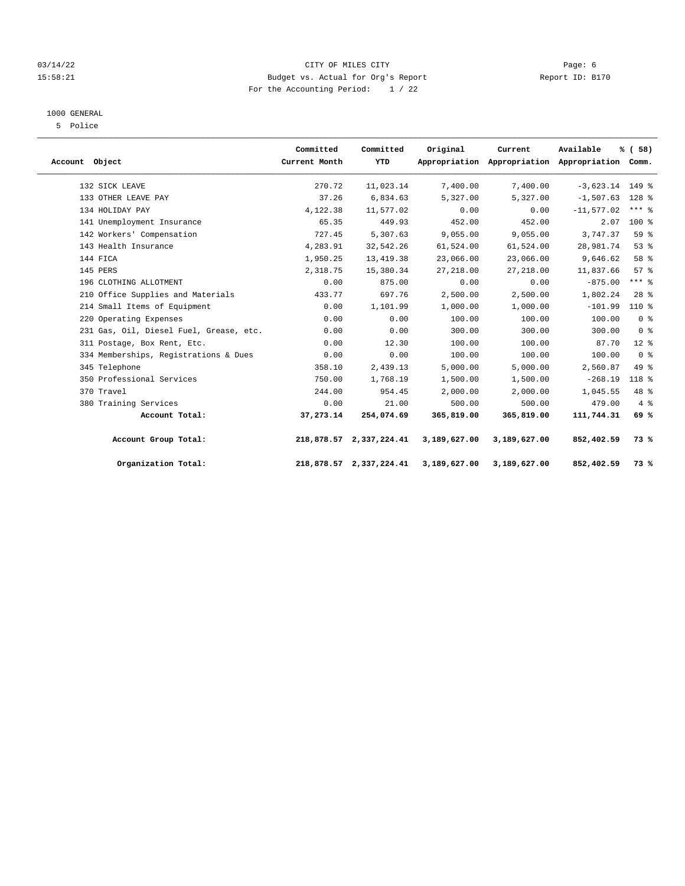#### 03/14/22 Page: 6 CITY OF MILES CITY 15:58:21 Budget vs. Actual for Org's Report Changer Report ID: B170 For the Accounting Period: 1 / 22

#### 1000 GENERAL

5 Police

| Account Object |                                         | Committed<br>Current Month | Committed<br>YTD        | Original     | Current<br>Appropriation Appropriation Appropriation Comm. | Available         | % (58)              |  |
|----------------|-----------------------------------------|----------------------------|-------------------------|--------------|------------------------------------------------------------|-------------------|---------------------|--|
|                | 132 SICK LEAVE                          | 270.72                     | 11,023.14               | 7,400.00     | 7,400.00                                                   | $-3,623.14$ 149 % |                     |  |
|                | 133 OTHER LEAVE PAY                     | 37.26                      | 6,834.63                | 5,327.00     | 5,327.00                                                   | $-1,507.63$       | 128 %               |  |
|                | 134 HOLIDAY PAY                         | 4,122.38                   | 11,577.02               | 0.00         | 0.00                                                       | $-11,577.02$      | $***$ $\frac{6}{6}$ |  |
|                | 141 Unemployment Insurance              | 65.35                      | 449.93                  | 452.00       | 452.00                                                     | 2.07              | $100*$              |  |
|                | 142 Workers' Compensation               | 727.45                     | 5,307.63                | 9,055.00     | 9,055.00                                                   | 3,747.37          | 59 %                |  |
|                | 143 Health Insurance                    | 4,283.91                   | 32,542.26               | 61,524.00    | 61,524.00                                                  | 28,981.74         | 53%                 |  |
|                | 144 FICA                                | 1,950.25                   | 13, 419.38              | 23,066.00    | 23,066.00                                                  | 9,646.62          | 58 %                |  |
|                | 145 PERS                                | 2,318.75                   | 15,380.34               | 27, 218.00   | 27, 218.00                                                 | 11,837.66         | 57 <sup>8</sup>     |  |
|                | 196 CLOTHING ALLOTMENT                  | 0.00                       | 875.00                  | 0.00         | 0.00                                                       | $-875.00$         | $***$ $-$           |  |
|                | 210 Office Supplies and Materials       | 433.77                     | 697.76                  | 2,500.00     | 2,500.00                                                   | 1,802.24          | $28$ %              |  |
|                | 214 Small Items of Equipment            | 0.00                       | 1,101.99                | 1,000.00     | 1,000.00                                                   | $-101.99$         | 110 %               |  |
|                | 220 Operating Expenses                  | 0.00                       | 0.00                    | 100.00       | 100.00                                                     | 100.00            | 0 <sup>8</sup>      |  |
|                | 231 Gas, Oil, Diesel Fuel, Grease, etc. | 0.00                       | 0.00                    | 300.00       | 300.00                                                     | 300.00            | 0 <sup>8</sup>      |  |
|                | 311 Postage, Box Rent, Etc.             | 0.00                       | 12.30                   | 100.00       | 100.00                                                     | 87.70             | $12*$               |  |
|                | 334 Memberships, Registrations & Dues   | 0.00                       | 0.00                    | 100.00       | 100.00                                                     | 100.00            | 0 <sup>8</sup>      |  |
|                | 345 Telephone                           | 358.10                     | 2,439.13                | 5,000.00     | 5,000.00                                                   | 2,560.87          | 49.8                |  |
|                | 350 Professional Services               | 750.00                     | 1,768.19                | 1,500.00     | 1,500.00                                                   | $-268.19$         | 118 %               |  |
|                | 370 Travel                              | 244.00                     | 954.45                  | 2,000.00     | 2,000.00                                                   | 1,045.55          | 48 %                |  |
|                | 380 Training Services                   | 0.00                       | 21.00                   | 500.00       | 500.00                                                     | 479.00            | $4\degree$          |  |
|                | Account Total:                          | 37,273.14                  | 254,074.69              | 365,819.00   | 365,819.00                                                 | 111,744.31        | 69%                 |  |
|                | Account Group Total:                    |                            | 218,878.57 2,337,224.41 | 3,189,627.00 | 3,189,627.00                                               | 852,402.59        | 73 %                |  |
|                | Organization Total:                     |                            | 218,878.57 2,337,224.41 | 3,189,627.00 | 3,189,627.00                                               | 852,402.59        | 73%                 |  |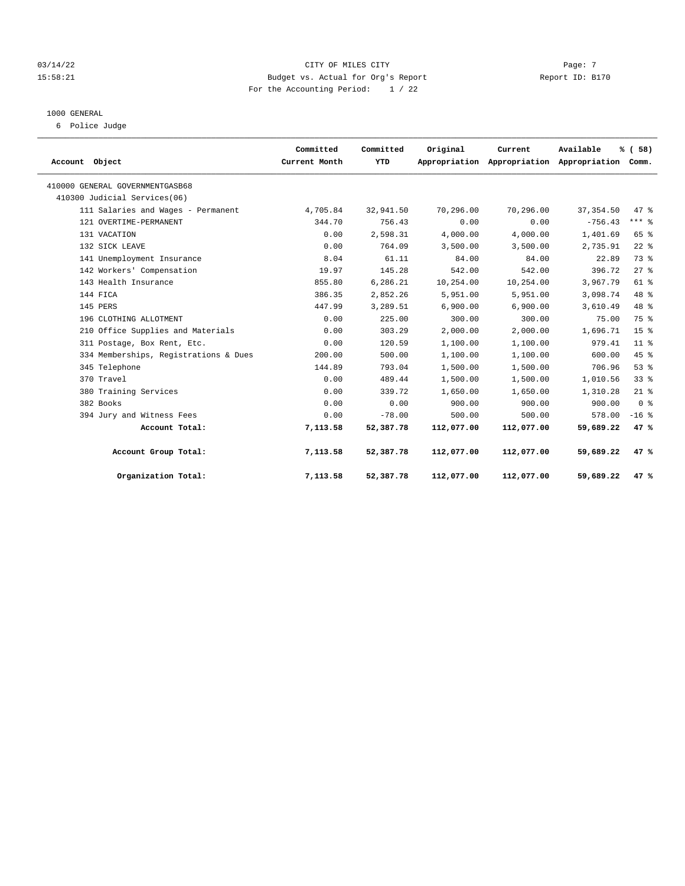#### $03/14/22$  Page: 7 15:58:21 Budget vs. Actual for Org's Report Report ID: B170 For the Accounting Period: 1 / 22

#### 1000 GENERAL

6 Police Judge

| Account Object                        | Committed<br>Current Month | Committed<br>YTD | Original   | Current<br>Appropriation Appropriation Appropriation Comm. | Available  | % (58)          |  |
|---------------------------------------|----------------------------|------------------|------------|------------------------------------------------------------|------------|-----------------|--|
| 410000 GENERAL GOVERNMENTGASB68       |                            |                  |            |                                                            |            |                 |  |
| 410300 Judicial Services(06)          |                            |                  |            |                                                            |            |                 |  |
| 111 Salaries and Wages - Permanent    | 4,705.84                   | 32,941.50        | 70,296.00  | 70,296.00                                                  | 37, 354.50 | 47.8            |  |
| 121 OVERTIME-PERMANENT                | 344.70                     | 756.43           | 0.00       | 0.00                                                       | $-756.43$  | $***$ $8$       |  |
| 131 VACATION                          | 0.00                       | 2,598.31         | 4,000.00   | 4,000.00                                                   | 1,401.69   | 65 %            |  |
| 132 SICK LEAVE                        | 0.00                       | 764.09           | 3,500.00   | 3,500.00                                                   | 2,735.91   | $22$ $%$        |  |
| 141 Unemployment Insurance            | 8.04                       | 61.11            | 84.00      | 84.00                                                      | 22.89      | 73.8            |  |
| 142 Workers' Compensation             | 19.97                      | 145.28           | 542.00     | 542.00                                                     | 396.72     | $27$ $%$        |  |
| 143 Health Insurance                  | 855.80                     | 6,286.21         | 10,254.00  | 10,254.00                                                  | 3,967.79   | $61$ $%$        |  |
| 144 FICA                              | 386.35                     | 2,852.26         | 5,951.00   | 5,951.00                                                   | 3,098.74   | $48$ %          |  |
| 145 PERS                              | 447.99                     | 3,289.51         | 6,900.00   | 6,900.00                                                   | 3,610.49   | 48 %            |  |
| 196 CLOTHING ALLOTMENT                | 0.00                       | 225.00           | 300.00     | 300.00                                                     | 75.00      | 75 %            |  |
| 210 Office Supplies and Materials     | 0.00                       | 303.29           | 2,000.00   | 2,000.00                                                   | 1,696.71   | 15 <sup>8</sup> |  |
| 311 Postage, Box Rent, Etc.           | 0.00                       | 120.59           | 1,100.00   | 1,100.00                                                   | 979.41     | 11 <sup>8</sup> |  |
| 334 Memberships, Registrations & Dues | 200.00                     | 500.00           | 1,100.00   | 1,100.00                                                   | 600.00     | 45 %            |  |
| 345 Telephone                         | 144.89                     | 793.04           | 1,500.00   | 1,500.00                                                   | 706.96     | 53%             |  |
| 370 Travel                            | 0.00                       | 489.44           | 1,500.00   | 1,500.00                                                   | 1,010.56   | 33%             |  |
| 380 Training Services                 | 0.00                       | 339.72           | 1,650.00   | 1,650.00                                                   | 1,310.28   | $21$ %          |  |
| 382 Books                             | 0.00                       | 0.00             | 900.00     | 900.00                                                     | 900.00     | 0 <sup>8</sup>  |  |
| 394 Jury and Witness Fees             | 0.00                       | $-78.00$         | 500.00     | 500.00                                                     | 578.00     | $-16$ %         |  |
| Account Total:                        | 7,113.58                   | 52,387.78        | 112,077.00 | 112,077.00                                                 | 59,689.22  | 47%             |  |
| Account Group Total:                  | 7,113.58                   | 52,387.78        | 112,077.00 | 112,077.00                                                 | 59,689.22  | 47%             |  |
| Organization Total:                   | 7,113.58                   | 52,387.78        | 112,077.00 | 112,077.00                                                 | 59,689.22  | 47%             |  |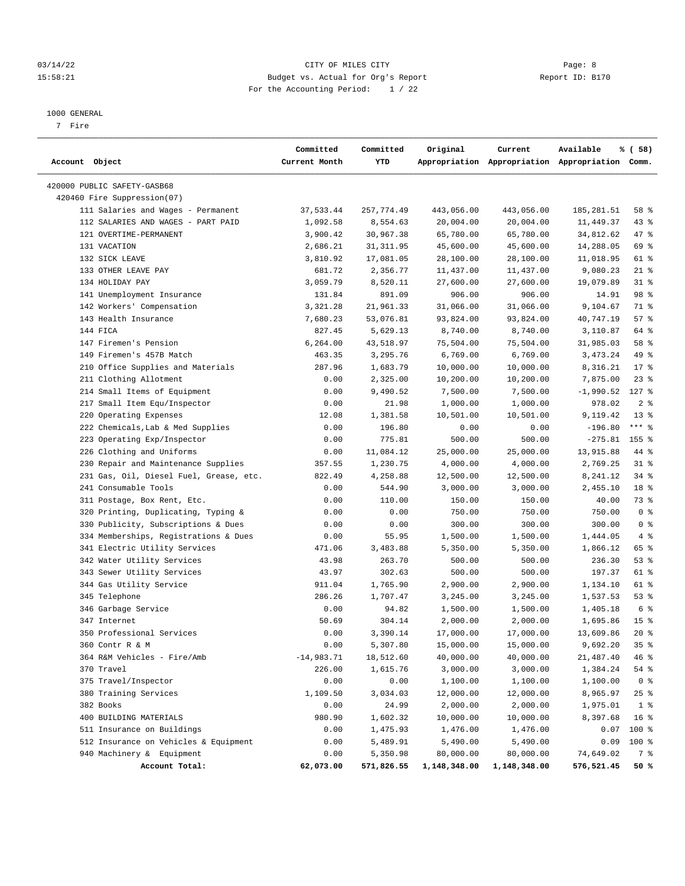#### 03/14/22 Page: 8 CITY OF MILES CITY 15:58:21 Budget vs. Actual for Org's Report Report ID: B170 For the Accounting Period: 1 / 22

#### 1000 GENERAL

7 Fire

| Account Object                          | Committed<br>Current Month | Committed<br>YTD | Original     | Current      | Available<br>Appropriation Appropriation Appropriation Comm. | % ( 58)         |
|-----------------------------------------|----------------------------|------------------|--------------|--------------|--------------------------------------------------------------|-----------------|
| 420000 PUBLIC SAFETY-GASB68             |                            |                  |              |              |                                                              |                 |
| 420460 Fire Suppression(07)             |                            |                  |              |              |                                                              |                 |
| 111 Salaries and Wages - Permanent      | 37,533.44                  | 257,774.49       | 443,056.00   | 443,056.00   | 185,281.51                                                   | 58 %            |
| 112 SALARIES AND WAGES - PART PAID      | 1,092.58                   | 8,554.63         | 20,004.00    | 20,004.00    | 11,449.37                                                    | 43%             |
| 121 OVERTIME-PERMANENT                  | 3,900.42                   | 30,967.38        | 65,780.00    | 65,780.00    | 34,812.62                                                    | 47 %            |
| 131 VACATION                            | 2,686.21                   | 31, 311.95       | 45,600.00    | 45,600.00    | 14,288.05                                                    | 69 %            |
| 132 SICK LEAVE                          | 3,810.92                   | 17,081.05        | 28,100.00    | 28,100.00    | 11,018.95                                                    | 61 %            |
| 133 OTHER LEAVE PAY                     | 681.72                     | 2,356.77         | 11,437.00    | 11,437.00    | 9,080.23                                                     | $21$ %          |
| 134 HOLIDAY PAY                         | 3,059.79                   | 8,520.11         | 27,600.00    | 27,600.00    | 19,079.89                                                    | $31$ %          |
| 141 Unemployment Insurance              | 131.84                     | 891.09           | 906.00       | 906.00       | 14.91                                                        | 98 %            |
| 142 Workers' Compensation               | 3, 321.28                  | 21,961.33        | 31,066.00    | 31,066.00    | 9,104.67                                                     | 71 %            |
| 143 Health Insurance                    | 7,680.23                   | 53,076.81        | 93,824.00    | 93,824.00    | 40,747.19                                                    | 57%             |
| 144 FICA                                | 827.45                     | 5,629.13         | 8,740.00     | 8,740.00     | 3,110.87                                                     | 64 %            |
| 147 Firemen's Pension                   | 6,264.00                   | 43,518.97        | 75,504.00    | 75,504.00    | 31,985.03                                                    | 58 %            |
| 149 Firemen's 457B Match                | 463.35                     | 3,295.76         | 6,769.00     | 6,769.00     | 3, 473. 24                                                   | 49 %            |
| 210 Office Supplies and Materials       | 287.96                     | 1,683.79         | 10,000.00    | 10,000.00    | 8,316.21                                                     | $17*$           |
| 211 Clothing Allotment                  | 0.00                       | 2,325.00         | 10,200.00    | 10,200.00    | 7,875.00                                                     | $23$ %          |
| 214 Small Items of Equipment            | 0.00                       | 9,490.52         | 7,500.00     | 7,500.00     | -1,990.52                                                    | $127$ %         |
| 217 Small Item Equ/Inspector            | 0.00                       | 21.98            | 1,000.00     | 1,000.00     | 978.02                                                       | 2 <sup>8</sup>  |
| 220 Operating Expenses                  | 12.08                      | 1,381.58         | 10,501.00    | 10,501.00    | 9,119.42                                                     | $13*$           |
| 222 Chemicals, Lab & Med Supplies       | 0.00                       | 196.80           | 0.00         | 0.00         | $-196.80$                                                    | $***$ $-$       |
| 223 Operating Exp/Inspector             | 0.00                       | 775.81           | 500.00       | 500.00       | $-275.81$ 155 %                                              |                 |
| 226 Clothing and Uniforms               | 0.00                       | 11,084.12        | 25,000.00    | 25,000.00    | 13,915.88                                                    | 44 %            |
| 230 Repair and Maintenance Supplies     | 357.55                     | 1,230.75         | 4,000.00     | 4,000.00     | 2,769.25                                                     | $31$ %          |
| 231 Gas, Oil, Diesel Fuel, Grease, etc. | 822.49                     | 4,258.88         | 12,500.00    | 12,500.00    | 8,241.12                                                     | 34%             |
| 241 Consumable Tools                    | 0.00                       | 544.90           | 3,000.00     | 3,000.00     | 2,455.10                                                     | 18 <sup>8</sup> |
| 311 Postage, Box Rent, Etc.             | 0.00                       | 110.00           | 150.00       | 150.00       | 40.00                                                        | 73 %            |
| 320 Printing, Duplicating, Typing &     | 0.00                       | 0.00             | 750.00       | 750.00       | 750.00                                                       | 0 <sup>8</sup>  |
| 330 Publicity, Subscriptions & Dues     | 0.00                       | 0.00             | 300.00       | 300.00       | 300.00                                                       | 0 <sup>8</sup>  |
| 334 Memberships, Registrations & Dues   | 0.00                       | 55.95            | 1,500.00     | 1,500.00     | 1,444.05                                                     | 4%              |
| 341 Electric Utility Services           | 471.06                     | 3,483.88         | 5,350.00     | 5,350.00     | 1,866.12                                                     | 65 %            |
| 342 Water Utility Services              | 43.98                      | 263.70           | 500.00       | 500.00       | 236.30                                                       | 53%             |
| 343 Sewer Utility Services              | 43.97                      | 302.63           | 500.00       | 500.00       | 197.37                                                       | 61 %            |
| 344 Gas Utility Service                 | 911.04                     | 1,765.90         | 2,900.00     | 2,900.00     | 1,134.10                                                     | 61 %            |
| 345 Telephone                           | 286.26                     | 1,707.47         | 3,245.00     | 3,245.00     | 1,537.53                                                     | 53%             |
| 346 Garbage Service                     | 0.00                       | 94.82            | 1,500.00     | 1,500.00     | 1,405.18                                                     | 6 %             |
| 347 Internet                            | 50.69                      | 304.14           | 2,000.00     | 2,000.00     | 1,695.86                                                     | 15 <sup>8</sup> |
| 350 Professional Services               | 0.00                       | 3,390.14         | 17,000.00    | 17,000.00    | 13,609.86                                                    | $20*$           |
| 360 Contr R & M                         | 0.00                       | 5,307.80         | 15,000.00    | 15,000.00    | 9,692.20                                                     | 35%             |
| 364 R&M Vehicles - Fire/Amb             | $-14,983.71$               | 18,512.60        | 40,000.00    | 40,000.00    | 21,487.40                                                    | 46 %            |
| 370 Travel                              | 226.00                     | 1,615.76         | 3,000.00     | 3,000.00     | 1,384.24                                                     | 54 %            |
| 375 Travel/Inspector                    | 0.00                       | 0.00             | 1,100.00     | 1,100.00     | 1,100.00                                                     | 0 <sup>8</sup>  |
| 380 Training Services                   | 1,109.50                   | 3,034.03         | 12,000.00    | 12,000.00    | 8,965.97                                                     | $25$ %          |
| 382 Books                               | 0.00                       | 24.99            | 2,000.00     | 2,000.00     | 1,975.01                                                     | 1 <sup>8</sup>  |
| 400 BUILDING MATERIALS                  | 980.90                     | 1,602.32         | 10,000.00    | 10,000.00    | 8,397.68                                                     | 16 <sup>8</sup> |
| 511 Insurance on Buildings              | 0.00                       | 1,475.93         | 1,476.00     | 1,476.00     | 0.07                                                         | 100 %           |
| 512 Insurance on Vehicles & Equipment   | 0.00                       | 5,489.91         | 5,490.00     | 5,490.00     | 0.09                                                         | 100 %           |
| 940 Machinery & Equipment               | 0.00                       | 5,350.98         | 80,000.00    | 80,000.00    | 74,649.02                                                    | 7 %             |
| Account Total:                          | 62,073.00                  | 571,826.55       | 1,148,348.00 | 1,148,348.00 | 576,521.45                                                   | 50 %            |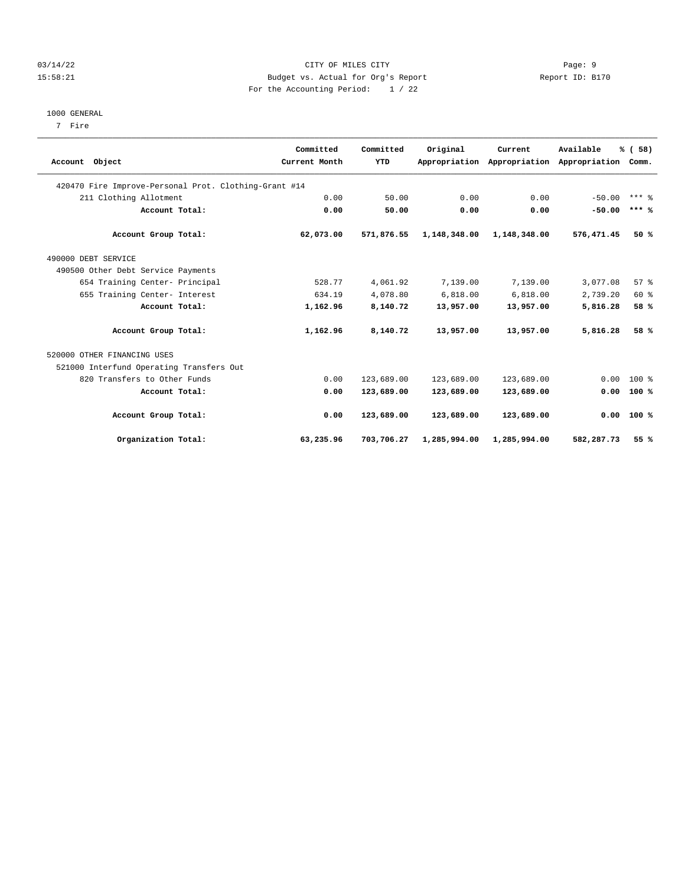#### 03/14/22 Page: 9 15:58:21 Budget vs. Actual for Org's Report Report ID: B170 For the Accounting Period: 1 / 22

#### 1000 GENERAL

7 Fire

|                                                       | Committed     | Committed  | Original     | Current                     | Available     | % (58)       |  |
|-------------------------------------------------------|---------------|------------|--------------|-----------------------------|---------------|--------------|--|
| Account Object                                        | Current Month | YTD        |              | Appropriation Appropriation | Appropriation | Comm.        |  |
| 420470 Fire Improve-Personal Prot. Clothing-Grant #14 |               |            |              |                             |               |              |  |
| 211 Clothing Allotment                                | 0.00          | 50.00      | 0.00         | 0.00                        | $-50.00$      | $***$ $%$    |  |
| Account Total:                                        | 0.00          | 50.00      | 0.00         | 0.00                        | $-50.00$      | $***$ %      |  |
| Account Group Total:                                  | 62,073.00     | 571,876.55 | 1,148,348.00 | 1,148,348.00                | 576,471.45    | 50%          |  |
| 490000 DEBT SERVICE                                   |               |            |              |                             |               |              |  |
| 490500 Other Debt Service Payments                    |               |            |              |                             |               |              |  |
| 654 Training Center- Principal                        | 528.77        | 4,061.92   | 7,139.00     | 7,139.00                    | 3,077.08      | 57%          |  |
| 655 Training Center- Interest                         | 634.19        | 4,078.80   | 6,818.00     | 6,818.00                    | 2,739.20      | 60 %         |  |
| Account Total:                                        | 1,162.96      | 8,140.72   | 13,957.00    | 13,957.00                   | 5,816.28      | 58 %         |  |
| Account Group Total:                                  | 1,162.96      | 8,140.72   | 13,957.00    | 13,957.00                   | 5,816.28      | 58 %         |  |
| 520000 OTHER FINANCING USES                           |               |            |              |                             |               |              |  |
| 521000 Interfund Operating Transfers Out              |               |            |              |                             |               |              |  |
| 820 Transfers to Other Funds                          | 0.00          | 123,689.00 | 123,689.00   | 123,689.00                  | 0.00          | 100 %        |  |
| Account Total:                                        | 0.00          | 123,689.00 | 123,689.00   | 123,689.00                  | 0.00          | 100%         |  |
| Account Group Total:                                  | 0.00          | 123,689.00 | 123,689.00   | 123,689.00                  |               | $0.00$ 100 % |  |
| Organization Total:                                   | 63,235.96     | 703,706.27 | 1,285,994.00 | 1,285,994.00                | 582,287.73    | 55%          |  |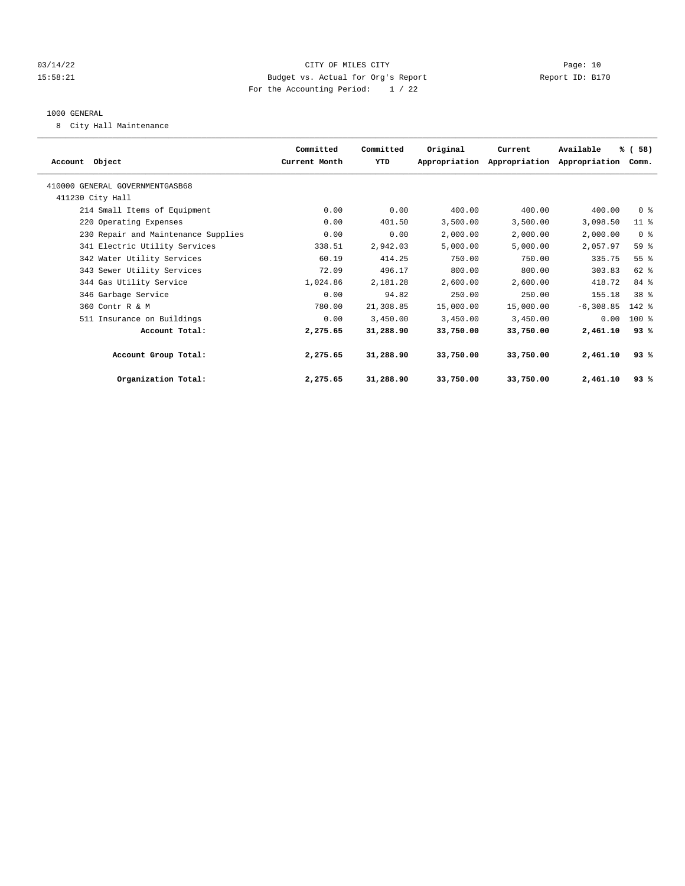#### 03/14/22 Page: 10 15:58:21 Budget vs. Actual for Org's Report Report ID: B170 For the Accounting Period: 1 / 22

#### 1000 GENERAL

8 City Hall Maintenance

|                                     | Committed     | Committed | Original  | Current                     | Available     | % (58)          |  |
|-------------------------------------|---------------|-----------|-----------|-----------------------------|---------------|-----------------|--|
| Account Object                      | Current Month | YTD       |           | Appropriation Appropriation | Appropriation | Comm.           |  |
| 410000 GENERAL GOVERNMENTGASB68     |               |           |           |                             |               |                 |  |
| 411230 City Hall                    |               |           |           |                             |               |                 |  |
| 214 Small Items of Equipment        | 0.00          | 0.00      | 400.00    | 400.00                      | 400.00        | 0 <sup>8</sup>  |  |
| 220 Operating Expenses              | 0.00          | 401.50    | 3,500.00  | 3,500.00                    | 3,098.50      | 11 <sup>8</sup> |  |
| 230 Repair and Maintenance Supplies | 0.00          | 0.00      | 2,000.00  | 2,000.00                    | 2,000.00      | 0 <sup>8</sup>  |  |
| 341 Electric Utility Services       | 338.51        | 2,942.03  | 5,000.00  | 5.000.00                    | 2,057.97      | 59 %            |  |
| 342 Water Utility Services          | 60.19         | 414.25    | 750.00    | 750.00                      | 335.75        | 55 %            |  |
| 343 Sewer Utility Services          | 72.09         | 496.17    | 800.00    | 800.00                      | 303.83        | 62 %            |  |
| 344 Gas Utility Service             | 1,024.86      | 2,181.28  | 2,600.00  | 2,600.00                    | 418.72        | 84 %            |  |
| 346 Garbage Service                 | 0.00          | 94.82     | 250.00    | 250.00                      | 155.18        | 38 %            |  |
| 360 Contr R & M                     | 780.00        | 21,308.85 | 15,000.00 | 15,000.00                   | $-6, 308.85$  | $142$ %         |  |
| 511 Insurance on Buildings          | 0.00          | 3,450.00  | 3,450.00  | 3,450.00                    | 0.00          | 100 %           |  |
| Account Total:                      | 2,275.65      | 31,288.90 | 33,750.00 | 33,750.00                   | 2,461.10      | 93%             |  |
| Account Group Total:                | 2,275.65      | 31,288.90 | 33,750.00 | 33,750.00                   | 2,461.10      | 93%             |  |
| Organization Total:                 | 2,275.65      | 31,288.90 | 33,750.00 | 33,750.00                   | 2,461.10      | 93%             |  |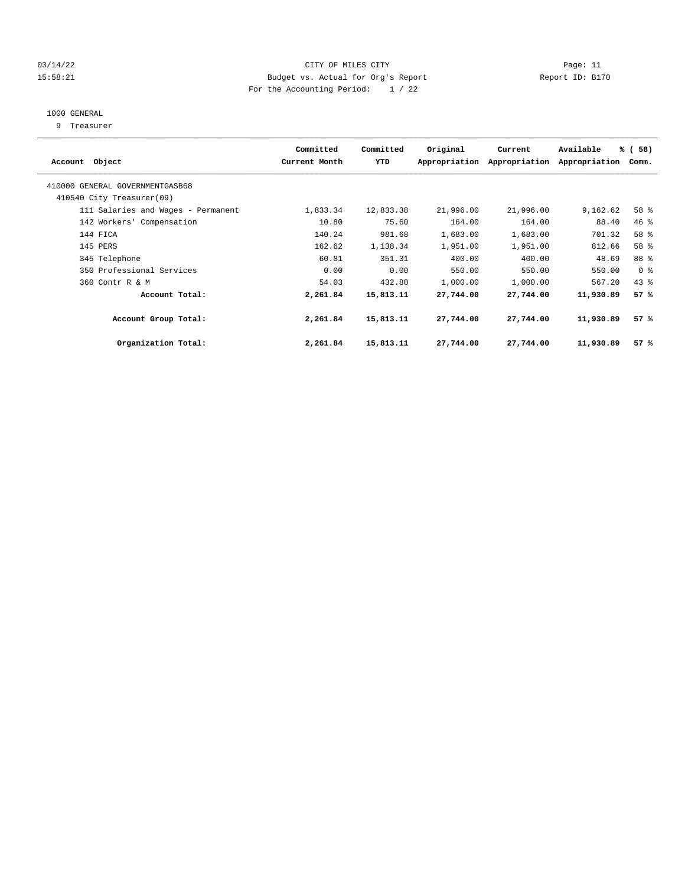#### 03/14/22 Page: 11 CITY OF MILES CITY 15:58:21 Budget vs. Actual for Org's Report Report ID: B170 For the Accounting Period: 1 / 22

# 1000 GENERAL

9 Treasurer

| Account Object                                               | Committed<br>Current Month | Committed<br>YTD | Original  | Current<br>Appropriation Appropriation | Available<br>Appropriation | % (58)<br>Comm. |  |
|--------------------------------------------------------------|----------------------------|------------------|-----------|----------------------------------------|----------------------------|-----------------|--|
| 410000 GENERAL GOVERNMENTGASB68<br>410540 City Treasurer(09) |                            |                  |           |                                        |                            |                 |  |
| 111 Salaries and Wages - Permanent                           | 1,833.34                   | 12,833.38        | 21,996.00 | 21,996.00                              | 9,162.62                   | 58 %            |  |
| 142 Workers' Compensation                                    | 10.80                      | 75.60            | 164.00    | 164.00                                 | 88.40                      | 46 %            |  |
| 144 FICA                                                     | 140.24                     | 981.68           | 1,683.00  | 1,683.00                               | 701.32                     | 58 %            |  |
| 145 PERS                                                     | 162.62                     | 1,138.34         | 1,951.00  | 1,951.00                               | 812.66                     | 58 %            |  |
| 345 Telephone                                                | 60.81                      | 351.31           | 400.00    | 400.00                                 | 48.69                      | 88 %            |  |
| 350 Professional Services                                    | 0.00                       | 0.00             | 550.00    | 550.00                                 | 550.00                     | 0 <sup>8</sup>  |  |
| 360 Contr R & M                                              | 54.03                      | 432.80           | 1,000.00  | 1,000.00                               | 567.20                     | 43%             |  |
| Account Total:                                               | 2,261.84                   | 15,813.11        | 27,744.00 | 27,744.00                              | 11,930.89                  | 57%             |  |
| Account Group Total:                                         | 2,261.84                   | 15,813.11        | 27,744.00 | 27,744.00                              | 11,930.89                  | 57%             |  |
| Organization Total:                                          | 2,261.84                   | 15,813.11        | 27,744.00 | 27,744.00                              | 11,930.89                  | 57%             |  |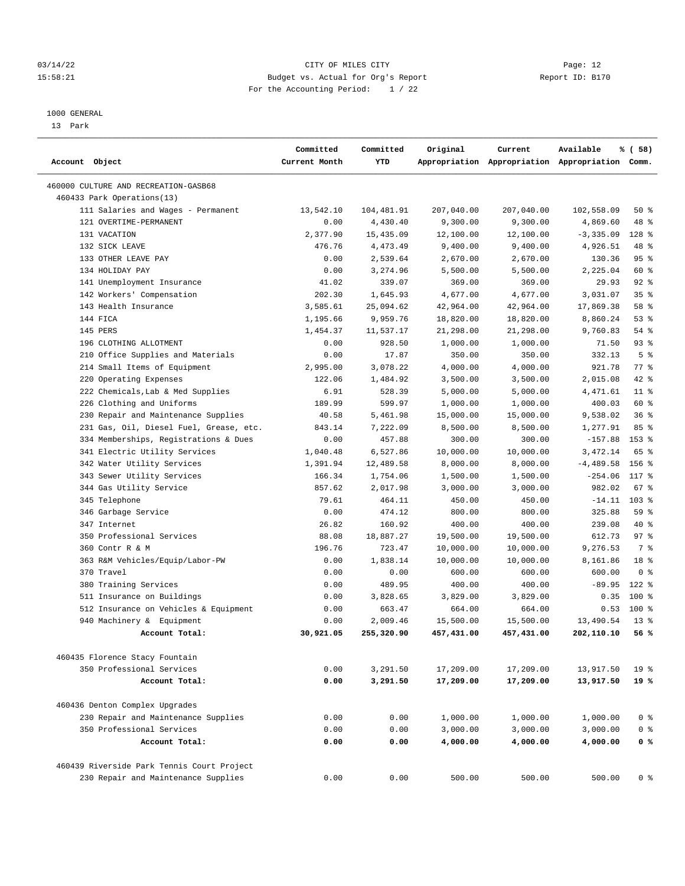#### 03/14/22 Page: 12 15:58:21 Budget vs. Actual for Org's Report Changer Report ID: B170 For the Accounting Period: 1 / 22

————————————————————————————————————————————————————————————————————————————————————————————————————————————————————————————————————

#### 1000 GENERAL

13 Park

| Account Object                                              | Committed<br>Current Month | Committed<br>YTD | Original   | Current    | Available<br>Appropriation Appropriation Appropriation Comm. | % (58)          |  |
|-------------------------------------------------------------|----------------------------|------------------|------------|------------|--------------------------------------------------------------|-----------------|--|
|                                                             |                            |                  |            |            |                                                              |                 |  |
| 460000 CULTURE AND RECREATION-GASB68                        |                            |                  |            |            |                                                              |                 |  |
| 460433 Park Operations(13)                                  |                            |                  |            |            |                                                              |                 |  |
| 111 Salaries and Wages - Permanent                          | 13,542.10                  | 104,481.91       | 207,040.00 | 207,040.00 | 102,558.09                                                   | 50%             |  |
| 121 OVERTIME-PERMANENT                                      | 0.00                       | 4,430.40         | 9,300.00   | 9,300.00   | 4,869.60                                                     | 48 %            |  |
| 131 VACATION                                                | 2,377.90                   | 15,435.09        | 12,100.00  | 12,100.00  | $-3, 335.09$                                                 | 128 %           |  |
| 132 SICK LEAVE                                              | 476.76                     | 4, 473.49        | 9,400.00   | 9,400.00   | 4,926.51                                                     | 48 %            |  |
| 133 OTHER LEAVE PAY                                         | 0.00                       | 2,539.64         | 2,670.00   | 2,670.00   | 130.36                                                       | 95%             |  |
| 134 HOLIDAY PAY                                             | 0.00                       | 3,274.96         | 5,500.00   | 5,500.00   | 2,225.04                                                     | 60 %            |  |
| 141 Unemployment Insurance                                  | 41.02                      | 339.07           | 369.00     | 369.00     | 29.93                                                        | $92$ %          |  |
| 142 Workers' Compensation                                   | 202.30                     | 1,645.93         | 4,677.00   | 4,677.00   | 3,031.07                                                     | 35%             |  |
| 143 Health Insurance                                        | 3,585.61                   | 25,094.62        | 42,964.00  | 42,964.00  | 17,869.38                                                    | 58 %            |  |
| 144 FICA                                                    | 1,195.66                   | 9,959.76         | 18,820.00  | 18,820.00  | 8,860.24                                                     | 53%             |  |
| 145 PERS                                                    | 1,454.37                   | 11,537.17        | 21,298.00  | 21,298.00  | 9,760.83                                                     | 54 %            |  |
| 196 CLOTHING ALLOTMENT                                      | 0.00                       | 928.50           | 1,000.00   | 1,000.00   | 71.50                                                        | $93$ $%$        |  |
| 210 Office Supplies and Materials                           | 0.00                       | 17.87            | 350.00     | 350.00     | 332.13                                                       | 5 <sup>8</sup>  |  |
| 214 Small Items of Equipment                                | 2,995.00                   | 3,078.22         | 4,000.00   | 4,000.00   | 921.78                                                       | 77 %            |  |
| 220 Operating Expenses                                      | 122.06                     | 1,484.92         | 3,500.00   | 3,500.00   | 2,015.08                                                     | $42$ %          |  |
| 222 Chemicals, Lab & Med Supplies                           | 6.91                       | 528.39           | 5,000.00   | 5,000.00   | 4,471.61                                                     | $11$ %          |  |
| 226 Clothing and Uniforms                                   | 189.99                     | 599.97           | 1,000.00   | 1,000.00   | 400.03                                                       | 60 %            |  |
| 230 Repair and Maintenance Supplies                         | 40.58                      | 5,461.98         | 15,000.00  | 15,000.00  | 9,538.02                                                     | 36%             |  |
| 231 Gas, Oil, Diesel Fuel, Grease, etc.                     | 843.14                     | 7,222.09         | 8,500.00   | 8,500.00   | 1,277.91                                                     | 85 %            |  |
| 334 Memberships, Registrations & Dues                       | 0.00                       | 457.88           | 300.00     | 300.00     | $-157.88$                                                    | $153$ $%$       |  |
| 341 Electric Utility Services                               | 1,040.48                   | 6,527.86         | 10,000.00  | 10,000.00  | 3,472.14                                                     | 65 %            |  |
| 342 Water Utility Services                                  | 1,391.94                   | 12,489.58        | 8,000.00   | 8,000.00   | $-4, 489.58$                                                 | 156 %           |  |
| 343 Sewer Utility Services                                  | 166.34                     | 1,754.06         | 1,500.00   | 1,500.00   | $-254.06$                                                    | 117 %           |  |
| 344 Gas Utility Service                                     | 857.62                     | 2,017.98         | 3,000.00   | 3,000.00   | 982.02                                                       | 67 %            |  |
| 345 Telephone                                               | 79.61                      | 464.11           | 450.00     | 450.00     | $-14.11$                                                     | 103%            |  |
| 346 Garbage Service                                         | 0.00                       | 474.12           | 800.00     | 800.00     | 325.88                                                       | 59 %            |  |
| 347 Internet                                                | 26.82                      | 160.92           | 400.00     | 400.00     | 239.08                                                       | 40 %            |  |
| 350 Professional Services                                   | 88.08                      | 18,887.27        | 19,500.00  | 19,500.00  | 612.73                                                       | 97%             |  |
| 360 Contr R & M                                             | 196.76                     | 723.47           | 10,000.00  | 10,000.00  | 9,276.53                                                     | 7 %             |  |
| 363 R&M Vehicles/Equip/Labor-PW                             | 0.00                       | 1,838.14         | 10,000.00  | 10,000.00  | 8,161.86                                                     | 18 <sup>8</sup> |  |
| 370 Travel                                                  | 0.00                       | 0.00             | 600.00     | 600.00     | 600.00                                                       | 0 <sup>8</sup>  |  |
| 380 Training Services                                       | 0.00                       | 489.95           | 400.00     | 400.00     | $-89.95$                                                     | $122$ %         |  |
| 511 Insurance on Buildings                                  | 0.00                       | 3,828.65         | 3,829.00   | 3,829.00   | 0.35                                                         | 100 %           |  |
| 512 Insurance on Vehicles & Equipment                       | 0.00                       | 663.47           | 664.00     | 664.00     | 0.53                                                         | 100 %           |  |
| 940 Machinery & Equipment                                   | 0.00                       | 2,009.46         | 15,500.00  | 15,500.00  | 13,490.54                                                    | $13*$           |  |
| Account Total:                                              | 30,921.05                  | 255,320.90       | 457,431.00 | 457,431.00 | 202,110.10                                                   | 56 %            |  |
|                                                             |                            |                  |            |            |                                                              |                 |  |
| 460435 Florence Stacy Fountain<br>350 Professional Services | 0.00                       | 3,291.50         | 17,209.00  | 17,209.00  | 13,917.50                                                    | 19 <sup>°</sup> |  |
| Account Total:                                              | 0.00                       | 3,291.50         | 17,209.00  | 17,209.00  | 13,917.50                                                    | 19 %            |  |
|                                                             |                            |                  |            |            |                                                              |                 |  |
| 460436 Denton Complex Upgrades                              |                            |                  |            |            |                                                              |                 |  |
| 230 Repair and Maintenance Supplies                         | 0.00                       | 0.00             | 1,000.00   | 1,000.00   | 1,000.00                                                     | 0 <sup>8</sup>  |  |
| 350 Professional Services                                   | 0.00                       | 0.00             | 3,000.00   | 3,000.00   | 3,000.00                                                     | 0 <sup>8</sup>  |  |
| Account Total:                                              | 0.00                       | 0.00             | 4,000.00   | 4,000.00   | 4,000.00                                                     | 0 <sup>8</sup>  |  |
| 460439 Riverside Park Tennis Court Project                  |                            |                  |            |            |                                                              |                 |  |
| 230 Repair and Maintenance Supplies                         | 0.00                       | 0.00             | 500.00     | 500.00     | 500.00                                                       | 0 <sup>8</sup>  |  |
|                                                             |                            |                  |            |            |                                                              |                 |  |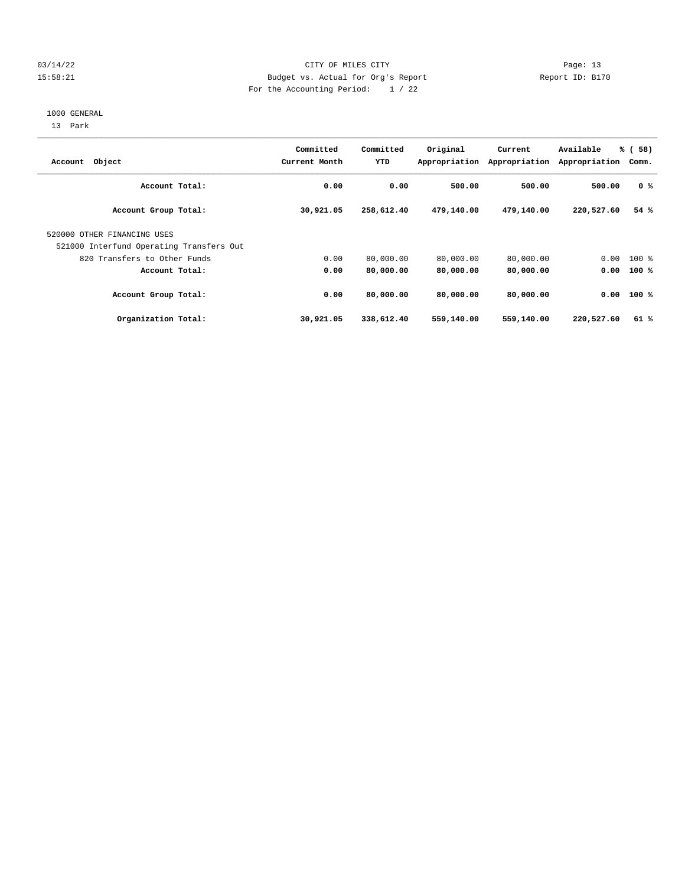## 03/14/22 Page: 13 15:58:21 Budget vs. Actual for Org's Report Changer Report ID: B170 For the Accounting Period: 1 / 22

#### 1000 GENERAL

13 Park

| Account Object                                                          | Committed<br>Current Month | Committed<br>YTD | Original   | Current<br>Appropriation Appropriation | Available<br>Appropriation | % (58)<br>Comm. |
|-------------------------------------------------------------------------|----------------------------|------------------|------------|----------------------------------------|----------------------------|-----------------|
| Account Total:                                                          | 0.00                       | 0.00             | 500.00     | 500.00                                 | 500.00                     | 0 <sup>8</sup>  |
| Account Group Total:                                                    | 30,921.05                  | 258,612.40       | 479,140.00 | 479,140.00                             | 220,527.60                 | 54%             |
| 520000 OTHER FINANCING USES<br>521000 Interfund Operating Transfers Out |                            |                  |            |                                        |                            |                 |
| 820 Transfers to Other Funds                                            | 0.00                       | 80,000.00        | 80,000.00  | 80,000.00                              | 0.00                       | $100$ %         |
| Account Total:                                                          | 0.00                       | 80,000.00        | 80,000.00  | 80,000.00                              | 0.00                       | $100*$          |
| Account Group Total:                                                    | 0.00                       | 80,000.00        | 80,000.00  | 80,000.00                              | 0.00                       | $100*$          |
| Organization Total:                                                     | 30,921.05                  | 338,612.40       | 559,140.00 | 559,140.00                             | 220,527.60                 | 61%             |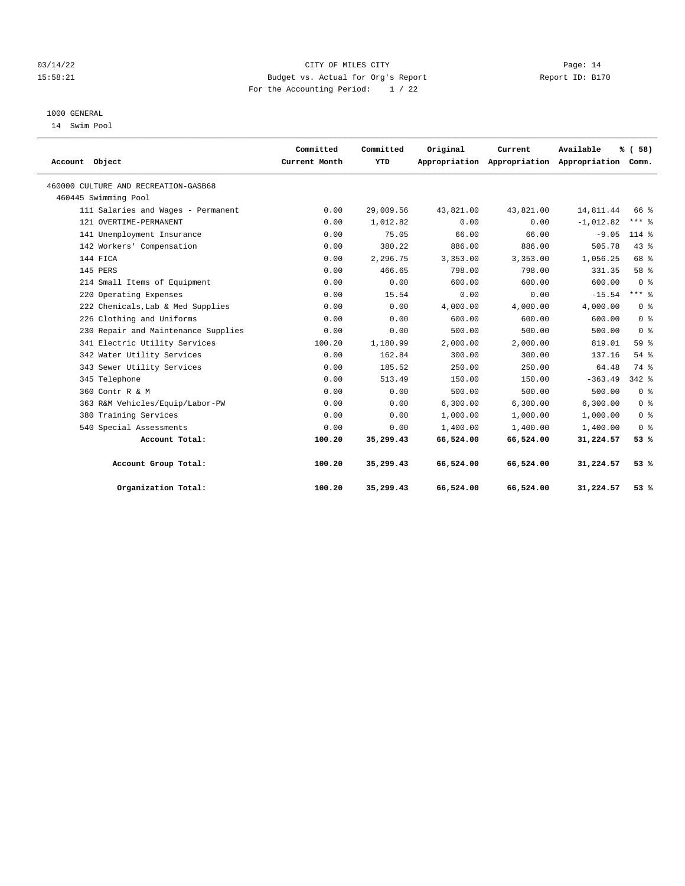#### 03/14/22 Page: 14 15:58:21 Budget vs. Actual for Org's Report Changer Report ID: B170 For the Accounting Period: 1 / 22

## 1000 GENERAL

14 Swim Pool

| Account Object                       | Committed<br>Current Month | Committed<br>YTD | Original  | Current   | Available<br>Appropriation Appropriation Appropriation Comm. | % (58)         |
|--------------------------------------|----------------------------|------------------|-----------|-----------|--------------------------------------------------------------|----------------|
|                                      |                            |                  |           |           |                                                              |                |
| 460000 CULTURE AND RECREATION-GASB68 |                            |                  |           |           |                                                              |                |
| 460445 Swimming Pool                 |                            |                  |           |           |                                                              |                |
| 111 Salaries and Wages - Permanent   | 0.00                       | 29,009.56        | 43,821.00 | 43,821.00 | 14,811.44                                                    | 66 %           |
| 121 OVERTIME-PERMANENT               | 0.00                       | 1,012.82         | 0.00      | 0.00      | $-1,012.82$                                                  | $***$ 8        |
| 141 Unemployment Insurance           | 0.00                       | 75.05            | 66.00     | 66.00     | $-9.05$                                                      | $114*$         |
| 142 Workers' Compensation            | 0.00                       | 380.22           | 886.00    | 886.00    | 505.78                                                       | 43%            |
| 144 FICA                             | 0.00                       | 2,296.75         | 3,353.00  | 3,353.00  | 1,056.25                                                     | 68 %           |
| 145 PERS                             | 0.00                       | 466.65           | 798.00    | 798.00    | 331.35                                                       | 58 %           |
| 214 Small Items of Equipment         | 0.00                       | 0.00             | 600.00    | 600.00    | 600.00                                                       | 0 <sup>8</sup> |
| 220 Operating Expenses               | 0.00                       | 15.54            | 0.00      | 0.00      | $-15.54$                                                     | $***$ 2        |
| 222 Chemicals, Lab & Med Supplies    | 0.00                       | 0.00             | 4,000.00  | 4,000.00  | 4,000.00                                                     | 0 <sup>8</sup> |
| 226 Clothing and Uniforms            | 0.00                       | 0.00             | 600.00    | 600.00    | 600.00                                                       | 0 <sup>8</sup> |
| 230 Repair and Maintenance Supplies  | 0.00                       | 0.00             | 500.00    | 500.00    | 500.00                                                       | 0 <sup>8</sup> |
| 341 Electric Utility Services        | 100.20                     | 1,180.99         | 2,000.00  | 2,000.00  | 819.01                                                       | 59%            |
| 342 Water Utility Services           | 0.00                       | 162.84           | 300.00    | 300.00    | 137.16                                                       | 54%            |
| 343 Sewer Utility Services           | 0.00                       | 185.52           | 250.00    | 250.00    | 64.48                                                        | 74 %           |
| 345 Telephone                        | 0.00                       | 513.49           | 150.00    | 150.00    | $-363.49$                                                    | $342$ $%$      |
| 360 Contr R & M                      | 0.00                       | 0.00             | 500.00    | 500.00    | 500.00                                                       | 0 <sup>8</sup> |
| 363 R&M Vehicles/Equip/Labor-PW      | 0.00                       | 0.00             | 6.300.00  | 6.300.00  | 6.300.00                                                     | 0 <sup>8</sup> |
| 380 Training Services                | 0.00                       | 0.00             | 1,000.00  | 1,000.00  | 1,000.00                                                     | 0 <sup>8</sup> |
| 540 Special Assessments              | 0.00                       | 0.00             | 1,400.00  | 1,400.00  | 1,400.00                                                     | 0 <sup>8</sup> |
| Account Total:                       | 100.20                     | 35,299.43        | 66,524.00 | 66,524.00 | 31,224.57                                                    | 53%            |
| Account Group Total:                 | 100.20                     | 35,299.43        | 66,524.00 | 66,524.00 | 31,224.57                                                    | 53%            |
| Organization Total:                  | 100.20                     | 35,299.43        | 66,524.00 | 66,524.00 | 31,224.57                                                    | 53 %           |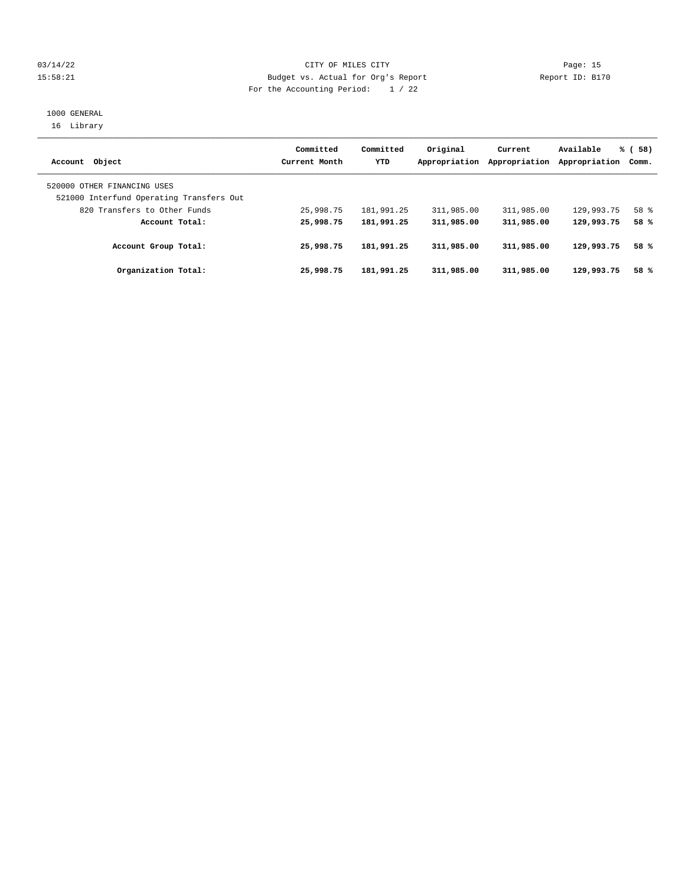#### 03/14/22 Page: 15 15:58:21 Budget vs. Actual for Org's Report Changer Report ID: B170 For the Accounting Period: 1 / 22

## 1000 GENERAL 16 Library

| Account Object                                                          | Committed<br>Current Month | Committed<br>YTD | Original<br>Appropriation | Current<br>Appropriation | Available<br>Appropriation | % (58)<br>Comm. |
|-------------------------------------------------------------------------|----------------------------|------------------|---------------------------|--------------------------|----------------------------|-----------------|
| 520000 OTHER FINANCING USES<br>521000 Interfund Operating Transfers Out |                            |                  |                           |                          |                            |                 |
| 820 Transfers to Other Funds                                            | 25,998.75                  | 181,991.25       | 311,985.00                | 311,985.00               | 129,993.75                 | 58 %            |
| Account Total:                                                          | 25,998.75                  | 181,991.25       | 311,985.00                | 311,985.00               | 129,993.75                 | 58 %            |
| Account Group Total:                                                    | 25,998.75                  | 181,991.25       | 311,985.00                | 311,985.00               | 129,993.75                 | 58 %            |
| Organization Total:                                                     | 25,998.75                  | 181,991.25       | 311,985.00                | 311,985.00               | 129,993.75                 | 58 %            |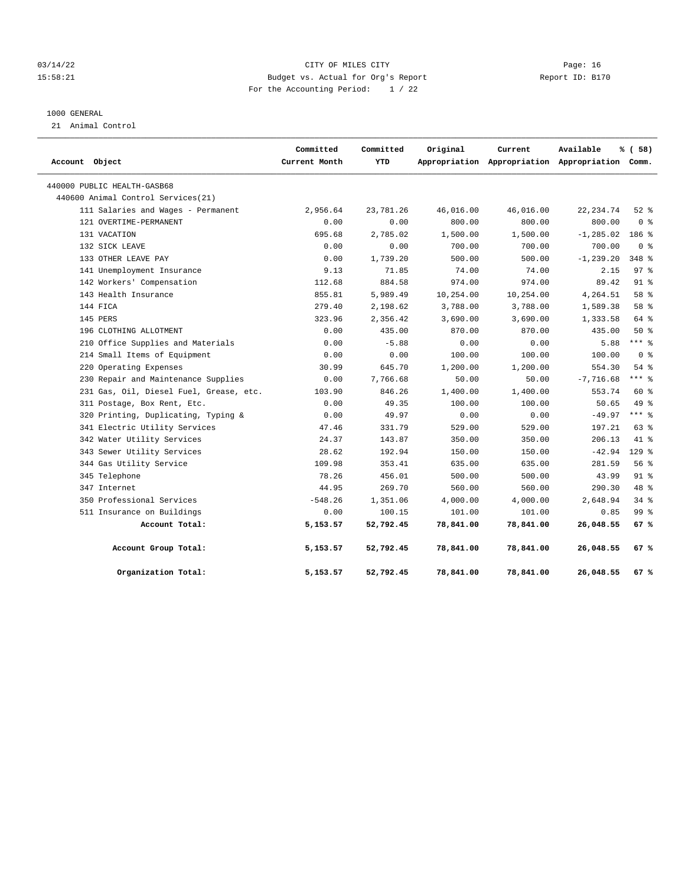#### 03/14/22 Page: 16 15:58:21 Budget vs. Actual for Org's Report Changer Report ID: B170 For the Accounting Period: 1 / 22

#### 1000 GENERAL

21 Animal Control

| Account Object                          | Committed<br>Current Month | Committed<br>YTD | Original  | Current   | Available<br>Appropriation Appropriation Appropriation Comm. | % (58)         |
|-----------------------------------------|----------------------------|------------------|-----------|-----------|--------------------------------------------------------------|----------------|
| 440000 PUBLIC HEALTH-GASB68             |                            |                  |           |           |                                                              |                |
| 440600 Animal Control Services (21)     |                            |                  |           |           |                                                              |                |
| 111 Salaries and Wages - Permanent      | 2,956.64                   | 23,781.26        | 46,016.00 | 46,016.00 | 22, 234.74                                                   | $52$ $%$       |
| 121 OVERTIME-PERMANENT                  | 0.00                       | 0.00             | 800.00    | 800.00    | 800.00                                                       | 0 <sup>8</sup> |
| 131 VACATION                            | 695.68                     | 2,785.02         | 1,500.00  | 1,500.00  | $-1, 285.02$                                                 | 186 %          |
| 132 SICK LEAVE                          | 0.00                       | 0.00             | 700.00    | 700.00    | 700.00                                                       | 0 <sup>8</sup> |
| 133 OTHER LEAVE PAY                     | 0.00                       | 1,739.20         | 500.00    | 500.00    | $-1, 239.20$                                                 | 348 %          |
| 141 Unemployment Insurance              | 9.13                       | 71.85            | 74.00     | 74.00     | 2.15                                                         | 97%            |
| 142 Workers' Compensation               | 112.68                     | 884.58           | 974.00    | 974.00    | 89.42                                                        | $91$ %         |
| 143 Health Insurance                    | 855.81                     | 5,989.49         | 10,254.00 | 10,254.00 | 4,264.51                                                     | 58 %           |
| 144 FICA                                | 279.40                     | 2,198.62         | 3,788.00  | 3,788.00  | 1,589.38                                                     | 58 %           |
| 145 PERS                                | 323.96                     | 2,356.42         | 3,690.00  | 3,690.00  | 1,333.58                                                     | 64 %           |
| 196 CLOTHING ALLOTMENT                  | 0.00                       | 435.00           | 870.00    | 870.00    | 435.00                                                       | 50%            |
| 210 Office Supplies and Materials       | 0.00                       | $-5.88$          | 0.00      | 0.00      | 5.88                                                         | $***$ 8        |
| 214 Small Items of Equipment            | 0.00                       | 0.00             | 100.00    | 100.00    | 100.00                                                       | 0 <sup>8</sup> |
| 220 Operating Expenses                  | 30.99                      | 645.70           | 1,200.00  | 1,200.00  | 554.30                                                       | 54%            |
| 230 Repair and Maintenance Supplies     | 0.00                       | 7,766.68         | 50.00     | 50.00     | $-7,716.68$                                                  | $***$ 8        |
| 231 Gas, Oil, Diesel Fuel, Grease, etc. | 103.90                     | 846.26           | 1,400.00  | 1,400.00  | 553.74                                                       | $60*$          |
| 311 Postage, Box Rent, Etc.             | 0.00                       | 49.35            | 100.00    | 100.00    | 50.65                                                        | 49 %           |
| 320 Printing, Duplicating, Typing &     | 0.00                       | 49.97            | 0.00      | 0.00      | $-49.97$                                                     | $***$ 8        |
| 341 Electric Utility Services           | 47.46                      | 331.79           | 529.00    | 529.00    | 197.21                                                       | 63 %           |
| 342 Water Utility Services              | 24.37                      | 143.87           | 350.00    | 350.00    | 206.13                                                       | 41.8           |
| 343 Sewer Utility Services              | 28.62                      | 192.94           | 150.00    | 150.00    | $-42.94$                                                     | $129$ %        |
| 344 Gas Utility Service                 | 109.98                     | 353.41           | 635.00    | 635.00    | 281.59                                                       | 56%            |
| 345 Telephone                           | 78.26                      | 456.01           | 500.00    | 500.00    | 43.99                                                        | $91$ %         |
| 347 Internet                            | 44.95                      | 269.70           | 560.00    | 560.00    | 290.30                                                       | 48 %           |
| 350 Professional Services               | $-548.26$                  | 1,351.06         | 4,000.00  | 4,000.00  | 2,648.94                                                     | $34$ $8$       |
| 511 Insurance on Buildings              | 0.00                       | 100.15           | 101.00    | 101.00    | 0.85                                                         | 99 %           |
| Account Total:                          | 5,153.57                   | 52,792.45        | 78,841.00 | 78,841.00 | 26,048.55                                                    | 67%            |
| Account Group Total:                    | 5,153.57                   | 52,792.45        | 78,841.00 | 78,841.00 | 26,048.55                                                    | 67%            |
| Organization Total:                     | 5,153.57                   | 52,792.45        | 78,841.00 | 78,841.00 | 26,048.55                                                    | 67%            |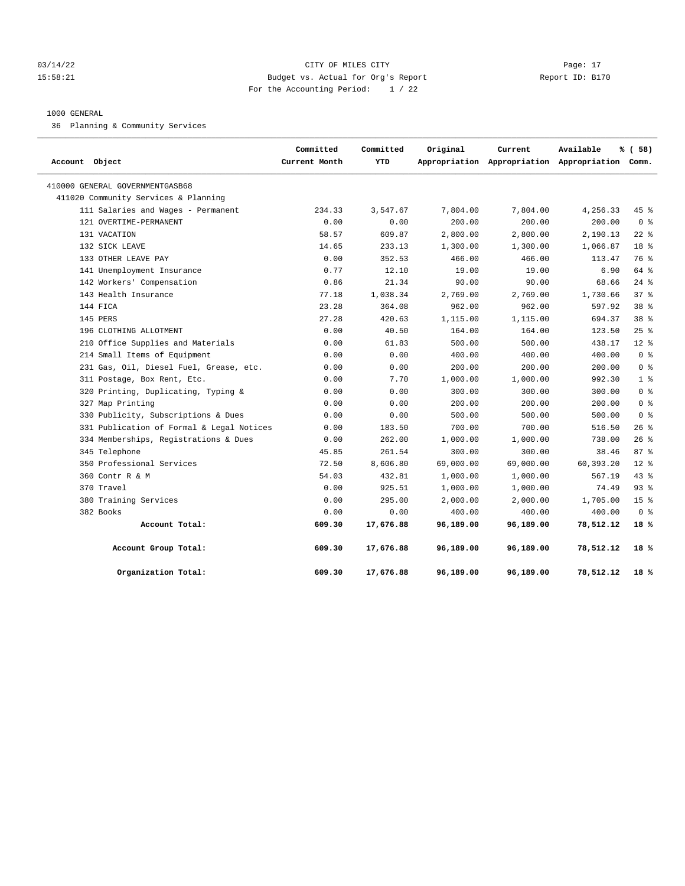#### 03/14/22 Page: 17 CITY OF MILES CITY CONTROL PAGE: 17 15:58:21 Budget vs. Actual for Org's Report Report ID: B170 For the Accounting Period: 1 / 22

#### 1000 GENERAL

36 Planning & Community Services

| Account Object                            | Committed<br>Current Month | Committed<br>YTD | Original  | Current   | Available<br>Appropriation Appropriation Appropriation Comm. | % (58)          |
|-------------------------------------------|----------------------------|------------------|-----------|-----------|--------------------------------------------------------------|-----------------|
| 410000 GENERAL GOVERNMENTGASB68           |                            |                  |           |           |                                                              |                 |
| 411020 Community Services & Planning      |                            |                  |           |           |                                                              |                 |
| 111 Salaries and Wages - Permanent        | 234.33                     | 3,547.67         | 7,804.00  | 7,804.00  | 4,256.33                                                     | $45$ %          |
| 121 OVERTIME-PERMANENT                    | 0.00                       | 0.00             | 200.00    | 200.00    | 200.00                                                       | 0 <sup>8</sup>  |
| 131 VACATION                              | 58.57                      | 609.87           | 2,800.00  | 2,800.00  | 2,190.13                                                     | $22$ %          |
| 132 SICK LEAVE                            | 14.65                      | 233.13           | 1,300.00  | 1,300.00  | 1,066.87                                                     | 18 %            |
| 133 OTHER LEAVE PAY                       | 0.00                       | 352.53           | 466.00    | 466.00    | 113.47                                                       | 76 %            |
| 141 Unemployment Insurance                | 0.77                       | 12.10            | 19.00     | 19.00     | 6.90                                                         | 64 %            |
| 142 Workers' Compensation                 | 0.86                       | 21.34            | 90.00     | 90.00     | 68.66                                                        | $24$ %          |
| 143 Health Insurance                      | 77.18                      | 1,038.34         | 2,769.00  | 2,769.00  | 1,730.66                                                     | 37 <sup>8</sup> |
| 144 FICA                                  | 23.28                      | 364.08           | 962.00    | 962.00    | 597.92                                                       | 38 %            |
| 145 PERS                                  | 27.28                      | 420.63           | 1,115.00  | 1,115.00  | 694.37                                                       | 38 %            |
| 196 CLOTHING ALLOTMENT                    | 0.00                       | 40.50            | 164.00    | 164.00    | 123.50                                                       | 25%             |
| 210 Office Supplies and Materials         | 0.00                       | 61.83            | 500.00    | 500.00    | 438.17                                                       | $12*$           |
| 214 Small Items of Equipment              | 0.00                       | 0.00             | 400.00    | 400.00    | 400.00                                                       | 0 <sup>8</sup>  |
| 231 Gas, Oil, Diesel Fuel, Grease, etc.   | 0.00                       | 0.00             | 200.00    | 200.00    | 200.00                                                       | 0 <sup>8</sup>  |
| 311 Postage, Box Rent, Etc.               | 0.00                       | 7.70             | 1,000.00  | 1,000.00  | 992.30                                                       | 1 <sup>8</sup>  |
| 320 Printing, Duplicating, Typing &       | 0.00                       | 0.00             | 300.00    | 300.00    | 300.00                                                       | 0 <sup>8</sup>  |
| 327 Map Printing                          | 0.00                       | 0.00             | 200.00    | 200.00    | 200.00                                                       | 0 <sup>8</sup>  |
| 330 Publicity, Subscriptions & Dues       | 0.00                       | 0.00             | 500.00    | 500.00    | 500.00                                                       | 0 <sup>8</sup>  |
| 331 Publication of Formal & Legal Notices | 0.00                       | 183.50           | 700.00    | 700.00    | 516.50                                                       | $26$ %          |
| 334 Memberships, Registrations & Dues     | 0.00                       | 262.00           | 1,000.00  | 1,000.00  | 738.00                                                       | 26%             |
| 345 Telephone                             | 45.85                      | 261.54           | 300.00    | 300.00    | 38.46                                                        | 87%             |
| 350 Professional Services                 | 72.50                      | 8,606.80         | 69,000.00 | 69,000.00 | 60,393.20                                                    | $12*$           |
| 360 Contr R & M                           | 54.03                      | 432.81           | 1,000.00  | 1,000.00  | 567.19                                                       | 43.8            |
| 370 Travel                                | 0.00                       | 925.51           | 1,000.00  | 1,000.00  | 74.49                                                        | $93$ $%$        |
| 380 Training Services                     | 0.00                       | 295.00           | 2,000.00  | 2,000.00  | 1,705.00                                                     | 15 <sup>°</sup> |
| 382 Books                                 | 0.00                       | 0.00             | 400.00    | 400.00    | 400.00                                                       | 0 <sup>8</sup>  |
| Account Total:                            | 609.30                     | 17,676.88        | 96,189.00 | 96,189.00 | 78,512.12                                                    | 18%             |
| Account Group Total:                      | 609.30                     | 17,676.88        | 96,189.00 | 96,189.00 | 78,512.12                                                    | 18%             |
| Organization Total:                       | 609.30                     | 17,676.88        | 96,189.00 | 96,189.00 | 78,512.12                                                    | 18%             |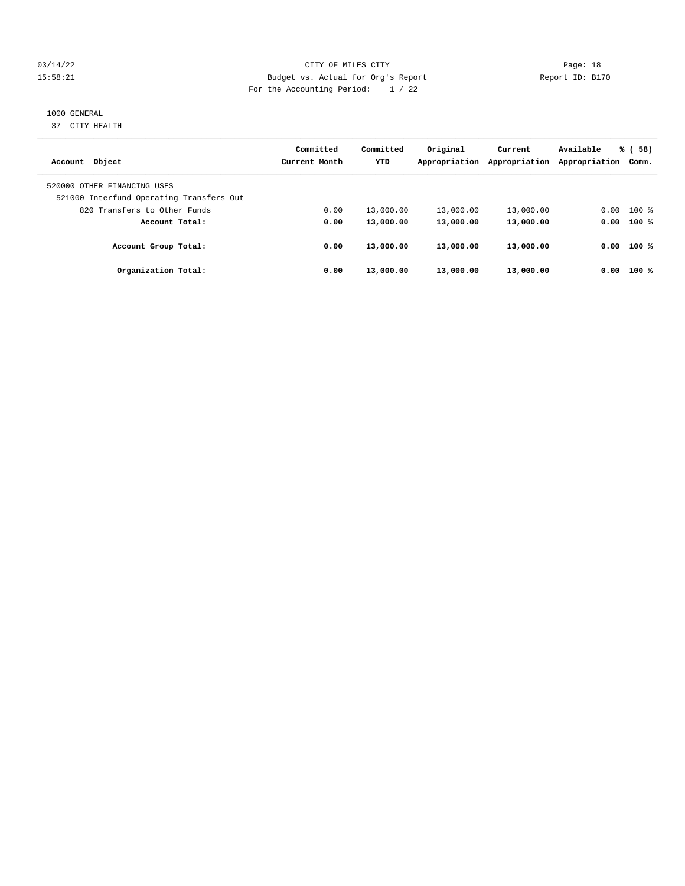#### 03/14/22 Page: 18 15:58:21 Budget vs. Actual for Org's Report Changer Report ID: B170 For the Accounting Period: 1 / 22

## 1000 GENERAL

37 CITY HEALTH

|                                                                         | Committed     | Committed  | Original      | Current       | Available     | % (58)       |
|-------------------------------------------------------------------------|---------------|------------|---------------|---------------|---------------|--------------|
| Account Object                                                          | Current Month | <b>YTD</b> | Appropriation | Appropriation | Appropriation | Comm.        |
| 520000 OTHER FINANCING USES<br>521000 Interfund Operating Transfers Out |               |            |               |               |               |              |
| 820 Transfers to Other Funds                                            | 0.00          | 13,000.00  | 13,000.00     | 13,000.00     | 0.00          | $100$ %      |
| Account Total:                                                          | 0.00          | 13,000.00  | 13,000.00     | 13,000.00     |               | $0.00$ 100 % |
| Account Group Total:                                                    | 0.00          | 13,000.00  | 13,000.00     | 13,000.00     | 0.00          | 100 %        |
| Organization Total:                                                     | 0.00          | 13,000.00  | 13,000.00     | 13,000.00     | 0.00          | $100*$       |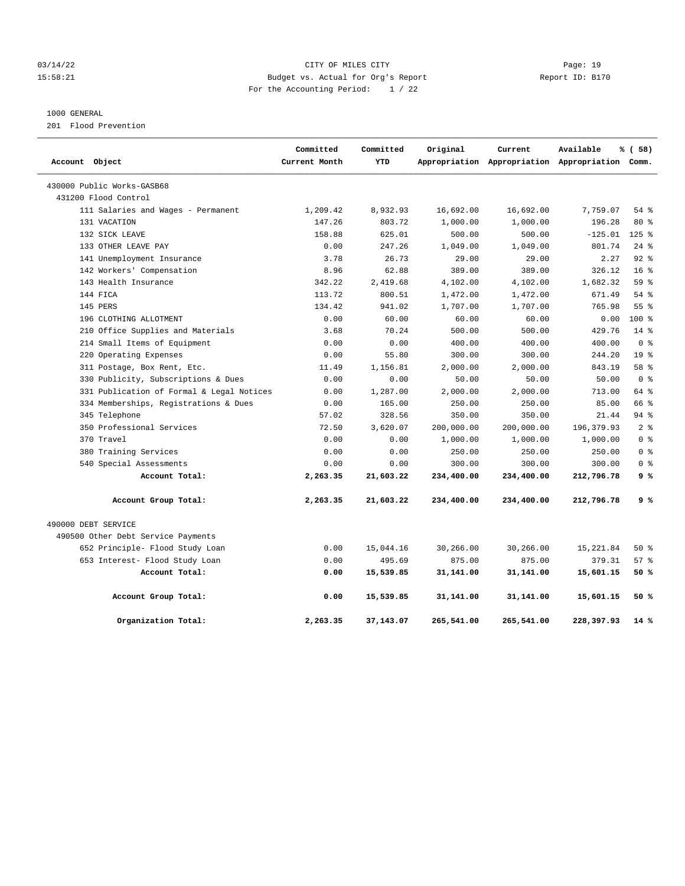#### 03/14/22 Page: 19 15:58:21 Budget vs. Actual for Org's Report Report ID: B170 For the Accounting Period: 1 / 22

## 1000 GENERAL

201 Flood Prevention

|                                           | Committed     | Committed  | Original   | Current    | Available                                       | % (58)          |
|-------------------------------------------|---------------|------------|------------|------------|-------------------------------------------------|-----------------|
| Account Object                            | Current Month | <b>YTD</b> |            |            | Appropriation Appropriation Appropriation Comm. |                 |
| 430000 Public Works-GASB68                |               |            |            |            |                                                 |                 |
| 431200 Flood Control                      |               |            |            |            |                                                 |                 |
| 111 Salaries and Wages - Permanent        | 1,209.42      | 8,932.93   | 16,692.00  | 16,692.00  | 7,759.07                                        | $54$ $%$        |
| 131 VACATION                              | 147.26        | 803.72     | 1,000.00   | 1,000.00   | 196.28                                          | $80*$           |
| 132 SICK LEAVE                            | 158.88        | 625.01     | 500.00     | 500.00     | $-125.01$                                       | $125$ %         |
| 133 OTHER LEAVE PAY                       | 0.00          | 247.26     | 1,049.00   | 1,049.00   | 801.74                                          | $24$ $%$        |
| 141 Unemployment Insurance                | 3.78          | 26.73      | 29.00      | 29.00      | 2.27                                            | $92$ $%$        |
| 142 Workers' Compensation                 | 8.96          | 62.88      | 389.00     | 389.00     | 326.12                                          | 16 <sup>8</sup> |
| 143 Health Insurance                      | 342.22        | 2,419.68   | 4,102.00   | 4,102.00   | 1,682.32                                        | 59 %            |
| 144 FICA                                  | 113.72        | 800.51     | 1,472.00   | 1,472.00   | 671.49                                          | 54%             |
| 145 PERS                                  | 134.42        | 941.02     | 1,707.00   | 1,707.00   | 765.98                                          | 55 %            |
| 196 CLOTHING ALLOTMENT                    | 0.00          | 60.00      | 60.00      | 60.00      | 0.00                                            | $100*$          |
| 210 Office Supplies and Materials         | 3.68          | 70.24      | 500.00     | 500.00     | 429.76                                          | $14$ %          |
| 214 Small Items of Equipment              | 0.00          | 0.00       | 400.00     | 400.00     | 400.00                                          | 0 <sup>8</sup>  |
| 220 Operating Expenses                    | 0.00          | 55.80      | 300.00     | 300.00     | 244.20                                          | 19 <sup>°</sup> |
| 311 Postage, Box Rent, Etc.               | 11.49         | 1,156.81   | 2,000.00   | 2,000.00   | 843.19                                          | 58 %            |
| 330 Publicity, Subscriptions & Dues       | 0.00          | 0.00       | 50.00      | 50.00      | 50.00                                           | 0 <sup>8</sup>  |
| 331 Publication of Formal & Legal Notices | 0.00          | 1,287.00   | 2,000.00   | 2,000.00   | 713.00                                          | 64 %            |
| 334 Memberships, Registrations & Dues     | 0.00          | 165.00     | 250.00     | 250.00     | 85.00                                           | 66 %            |
| 345 Telephone                             | 57.02         | 328.56     | 350.00     | 350.00     | 21.44                                           | 94%             |
| 350 Professional Services                 | 72.50         | 3,620.07   | 200,000.00 | 200,000.00 | 196, 379.93                                     | 2 <sup>8</sup>  |
| 370 Travel                                | 0.00          | 0.00       | 1,000.00   | 1,000.00   | 1,000.00                                        | 0 <sup>8</sup>  |
| 380 Training Services                     | 0.00          | 0.00       | 250.00     | 250.00     | 250.00                                          | 0 <sup>8</sup>  |
| 540 Special Assessments                   | 0.00          | 0.00       | 300.00     | 300.00     | 300.00                                          | 0 <sup>8</sup>  |
| Account Total:                            | 2,263.35      | 21,603.22  | 234,400.00 | 234,400.00 | 212,796.78                                      | 9%              |
| Account Group Total:                      | 2,263.35      | 21,603.22  | 234,400.00 | 234,400.00 | 212,796.78                                      | 9%              |
| 490000 DEBT SERVICE                       |               |            |            |            |                                                 |                 |
| 490500 Other Debt Service Payments        |               |            |            |            |                                                 |                 |
| 652 Principle- Flood Study Loan           | 0.00          | 15,044.16  | 30,266.00  | 30,266.00  | 15,221.84                                       | 50%             |
| 653 Interest- Flood Study Loan            | 0.00          | 495.69     | 875.00     | 875.00     | 379.31                                          | 57%             |
| Account Total:                            | 0.00          | 15,539.85  | 31,141.00  | 31,141.00  | 15,601.15                                       | 50%             |
| Account Group Total:                      | 0.00          | 15,539.85  | 31,141.00  | 31,141.00  | 15,601.15                                       | 50%             |
| Organization Total:                       | 2,263.35      | 37,143.07  | 265,541.00 | 265,541.00 | 228,397.93                                      | 14 %            |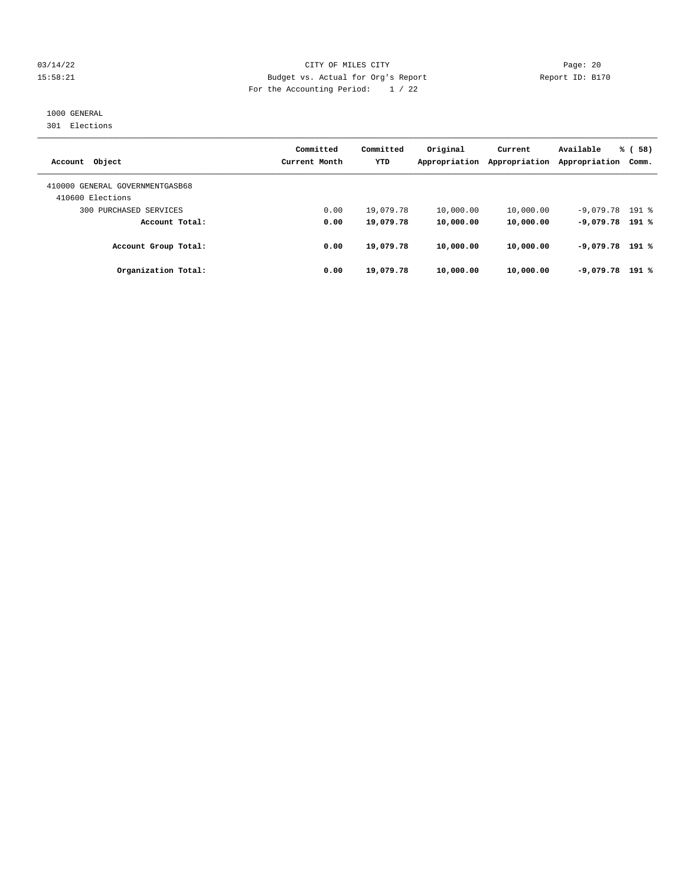#### 03/14/22 Page: 20 15:58:21 Budget vs. Actual for Org's Report Report ID: B170 For the Accounting Period: 1 / 22

## 1000 GENERAL

301 Elections

| Account Object                                      | Committed<br>Current Month | Committed<br><b>YTD</b> | Original<br>Appropriation | Current<br>Appropriation | Available<br>Appropriation | % (58)<br>Comm. |
|-----------------------------------------------------|----------------------------|-------------------------|---------------------------|--------------------------|----------------------------|-----------------|
| 410000 GENERAL GOVERNMENTGASB68<br>410600 Elections |                            |                         |                           |                          |                            |                 |
| 300 PURCHASED SERVICES                              | 0.00                       | 19,079.78               | 10,000.00                 | 10,000.00                | $-9,079.78$ 191 %          |                 |
| Account Total:                                      | 0.00                       | 19,079.78               | 10,000.00                 | 10,000.00                | $-9.079.78$ 191 %          |                 |
| Account Group Total:                                | 0.00                       | 19,079.78               | 10,000.00                 | 10,000.00                | $-9.079.78$ 191 %          |                 |
| Organization Total:                                 | 0.00                       | 19,079.78               | 10,000.00                 | 10,000.00                | $-9,079.78$                | $191*$          |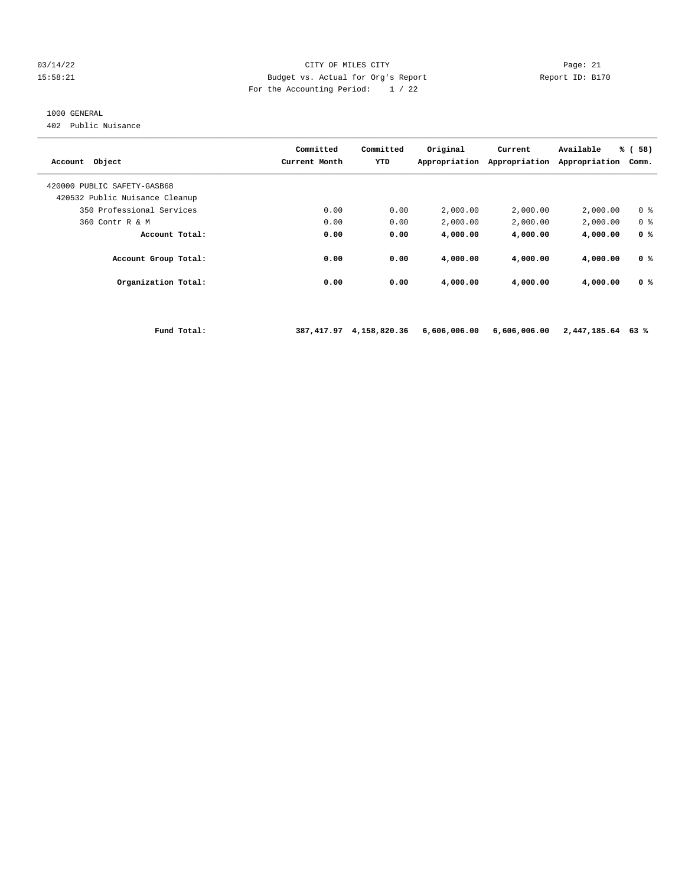#### $03/14/22$  Page: 21<br>15:58:21 Budget vs. Actual for Org's Report Peport ID: B17 15:58:21 Budget vs. Actual for Org's Report Report ID: B170 For the Accounting Period: 1 / 22

#### 1000 GENERAL

402 Public Nuisance

| Object<br>Account                                             | Committed<br>Current Month | Committed<br>YTD | Original<br>Appropriation | Current<br>Appropriation | Available<br>Appropriation | % (<br>58)<br>Comm. |
|---------------------------------------------------------------|----------------------------|------------------|---------------------------|--------------------------|----------------------------|---------------------|
| 420000 PUBLIC SAFETY-GASB68<br>420532 Public Nuisance Cleanup |                            |                  |                           |                          |                            |                     |
| 350 Professional Services                                     | 0.00                       | 0.00             | 2,000.00                  | 2,000.00                 | 2,000.00                   | 0 <sup>8</sup>      |
| 360 Contr R & M                                               | 0.00                       | 0.00             | 2,000.00                  | 2,000.00                 | 2,000.00                   | 0 <sup>8</sup>      |
| Account Total:                                                | 0.00                       | 0.00             | 4,000.00                  | 4,000.00                 | 4,000.00                   | 0 <sup>8</sup>      |
| Account Group Total:                                          | 0.00                       | 0.00             | 4,000.00                  | 4,000.00                 | 4,000.00                   | 0 <sup>8</sup>      |
| Organization Total:                                           | 0.00                       | 0.00             | 4,000.00                  | 4,000.00                 | 4,000.00                   | 0 <sup>8</sup>      |
|                                                               |                            |                  |                           |                          |                            |                     |

 **Fund Total: 387,417.97 4,158,820.36 6,606,006.00 6,606,006.00 2,447,185.64 63 %**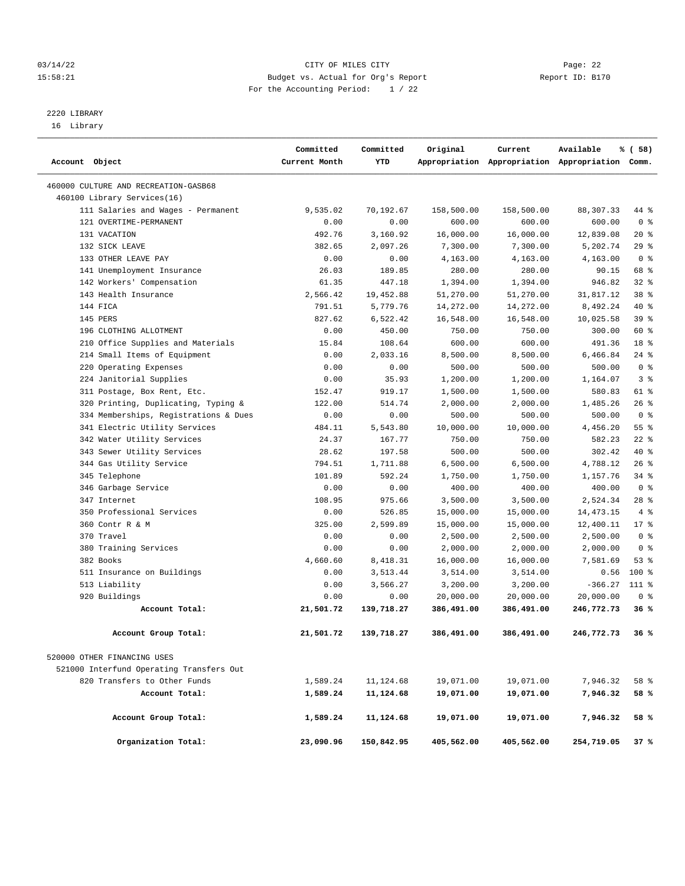#### 03/14/22 Page: 22 15:58:21 Budget vs. Actual for Org's Report Changer Report ID: B170 For the Accounting Period: 1 / 22

————————————————————————————————————————————————————————————————————————————————————————————————————————————————————————————————————

# 2220 LIBRARY

16 Library

|                |                                          | Committed     | Committed  | Original   | Current    | Available                                       | % (58)         |  |
|----------------|------------------------------------------|---------------|------------|------------|------------|-------------------------------------------------|----------------|--|
| Account Object |                                          | Current Month | YTD        |            |            | Appropriation Appropriation Appropriation Comm. |                |  |
|                | 460000 CULTURE AND RECREATION-GASB68     |               |            |            |            |                                                 |                |  |
|                | 460100 Library Services(16)              |               |            |            |            |                                                 |                |  |
|                | 111 Salaries and Wages - Permanent       | 9,535.02      | 70,192.67  | 158,500.00 | 158,500.00 | 88, 307. 33                                     | 44 %           |  |
|                | 121 OVERTIME-PERMANENT                   | 0.00          | 0.00       | 600.00     | 600.00     | 600.00                                          | 0 <sup>8</sup> |  |
|                | 131 VACATION                             | 492.76        | 3,160.92   | 16,000.00  | 16,000.00  | 12,839.08                                       | $20*$          |  |
|                | 132 SICK LEAVE                           | 382.65        | 2,097.26   | 7,300.00   | 7,300.00   | 5,202.74                                        | 29%            |  |
|                | 133 OTHER LEAVE PAY                      | 0.00          | 0.00       | 4,163.00   | 4,163.00   | 4,163.00                                        | 0 <sup>8</sup> |  |
|                | 141 Unemployment Insurance               | 26.03         | 189.85     | 280.00     | 280.00     | 90.15                                           | 68 %           |  |
|                | 142 Workers' Compensation                | 61.35         | 447.18     | 1,394.00   | 1,394.00   | 946.82                                          | 32%            |  |
|                | 143 Health Insurance                     | 2,566.42      | 19,452.88  | 51,270.00  | 51,270.00  | 31,817.12                                       | 38 %           |  |
|                | 144 FICA                                 | 791.51        | 5,779.76   | 14,272.00  | 14,272.00  | 8,492.24                                        | 40 %           |  |
|                | 145 PERS                                 | 827.62        | 6,522.42   | 16,548.00  | 16,548.00  | 10,025.58                                       | 39 %           |  |
|                | 196 CLOTHING ALLOTMENT                   | 0.00          | 450.00     | 750.00     | 750.00     | 300.00                                          | 60 %           |  |
|                | 210 Office Supplies and Materials        | 15.84         | 108.64     | 600.00     | 600.00     | 491.36                                          | 18 %           |  |
|                | 214 Small Items of Equipment             | 0.00          | 2,033.16   | 8,500.00   | 8,500.00   | 6,466.84                                        | $24$ %         |  |
|                | 220 Operating Expenses                   | 0.00          | 0.00       | 500.00     | 500.00     | 500.00                                          | 0 <sup>8</sup> |  |
|                | 224 Janitorial Supplies                  | 0.00          | 35.93      | 1,200.00   | 1,200.00   | 1,164.07                                        | 3 <sup>8</sup> |  |
|                | 311 Postage, Box Rent, Etc.              | 152.47        | 919.17     | 1,500.00   | 1,500.00   | 580.83                                          | 61 %           |  |
|                | 320 Printing, Duplicating, Typing &      | 122.00        | 514.74     | 2,000.00   | 2,000.00   | 1,485.26                                        | 26%            |  |
|                | 334 Memberships, Registrations & Dues    | 0.00          | 0.00       | 500.00     | 500.00     | 500.00                                          | 0 <sup>8</sup> |  |
|                | 341 Electric Utility Services            | 484.11        | 5,543.80   | 10,000.00  | 10,000.00  | 4,456.20                                        | 55%            |  |
|                | 342 Water Utility Services               | 24.37         | 167.77     | 750.00     | 750.00     | 582.23                                          | $22$ %         |  |
|                | 343 Sewer Utility Services               | 28.62         | 197.58     | 500.00     | 500.00     | 302.42                                          | 40 %           |  |
|                | 344 Gas Utility Service                  | 794.51        | 1,711.88   | 6,500.00   | 6,500.00   | 4,788.12                                        | 26%            |  |
|                | 345 Telephone                            | 101.89        | 592.24     | 1,750.00   | 1,750.00   | 1,157.76                                        | 34%            |  |
|                | 346 Garbage Service                      | 0.00          | 0.00       | 400.00     | 400.00     | 400.00                                          | 0 <sup>8</sup> |  |
|                | 347 Internet                             | 108.95        | 975.66     | 3,500.00   | 3,500.00   | 2,524.34                                        | $28$ %         |  |
|                | 350 Professional Services                | 0.00          | 526.85     | 15,000.00  | 15,000.00  | 14, 473. 15                                     | 4%             |  |
|                | 360 Contr R & M                          | 325.00        | 2,599.89   | 15,000.00  | 15,000.00  | 12,400.11                                       | $17*$          |  |
|                | 370 Travel                               | 0.00          | 0.00       | 2,500.00   | 2,500.00   | 2,500.00                                        | 0 <sup>8</sup> |  |
|                | 380 Training Services                    | 0.00          | 0.00       | 2,000.00   | 2,000.00   | 2,000.00                                        | 0 <sup>8</sup> |  |
|                | 382 Books                                | 4,660.60      | 8,418.31   | 16,000.00  | 16,000.00  | 7,581.69                                        | 53%            |  |
|                | 511 Insurance on Buildings               | 0.00          | 3,513.44   | 3,514.00   | 3,514.00   | 0.56                                            | 100 %          |  |
|                | 513 Liability                            | 0.00          | 3,566.27   | 3,200.00   | 3,200.00   | $-366.27$ 111 %                                 |                |  |
|                | 920 Buildings                            | 0.00          | 0.00       | 20,000.00  | 20,000.00  | 20,000.00                                       | 0 <sup>8</sup> |  |
|                | Account Total:                           | 21,501.72     | 139,718.27 | 386,491.00 | 386,491.00 | 246,772.73                                      | 36%            |  |
|                | Account Group Total:                     | 21,501.72     | 139,718.27 | 386,491.00 | 386,491.00 | 246,772.73                                      | 36%            |  |
|                | 520000 OTHER FINANCING USES              |               |            |            |            |                                                 |                |  |
|                | 521000 Interfund Operating Transfers Out |               |            |            |            |                                                 |                |  |
|                | 820 Transfers to Other Funds             | 1,589.24      | 11,124.68  | 19,071.00  | 19,071.00  | 7,946.32                                        | 58 %           |  |
|                | Account Total:                           | 1,589.24      | 11,124.68  | 19,071.00  | 19,071.00  | 7,946.32                                        | 58 %           |  |
|                | Account Group Total:                     | 1,589.24      | 11,124.68  | 19,071.00  | 19,071.00  | 7,946.32                                        | 58 %           |  |
|                | Organization Total:                      | 23,090.96     | 150,842.95 | 405,562.00 | 405,562.00 | 254,719.05                                      | 37%            |  |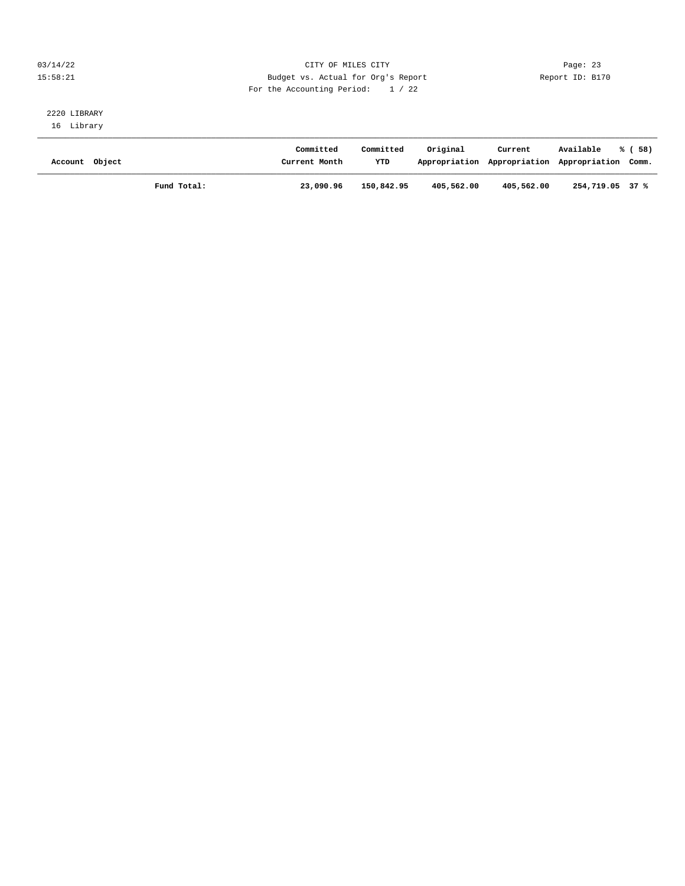#### 03/14/22 Page: 23 15:58:21 Budget vs. Actual for Org's Report Changer Report ID: B170 For the Accounting Period: 1 / 22

#### 2220 LIBRARY 16 Library

| Account Object |             | Committed<br>Current Month | Committed<br>YTD | Original   | Current<br>Appropriation Appropriation Appropriation Comm. | Available       | % (58) |
|----------------|-------------|----------------------------|------------------|------------|------------------------------------------------------------|-----------------|--------|
|                | Fund Total: | 23,090.96                  | 150,842.95       | 405,562.00 | 405,562.00                                                 | 254,719.05 37 % |        |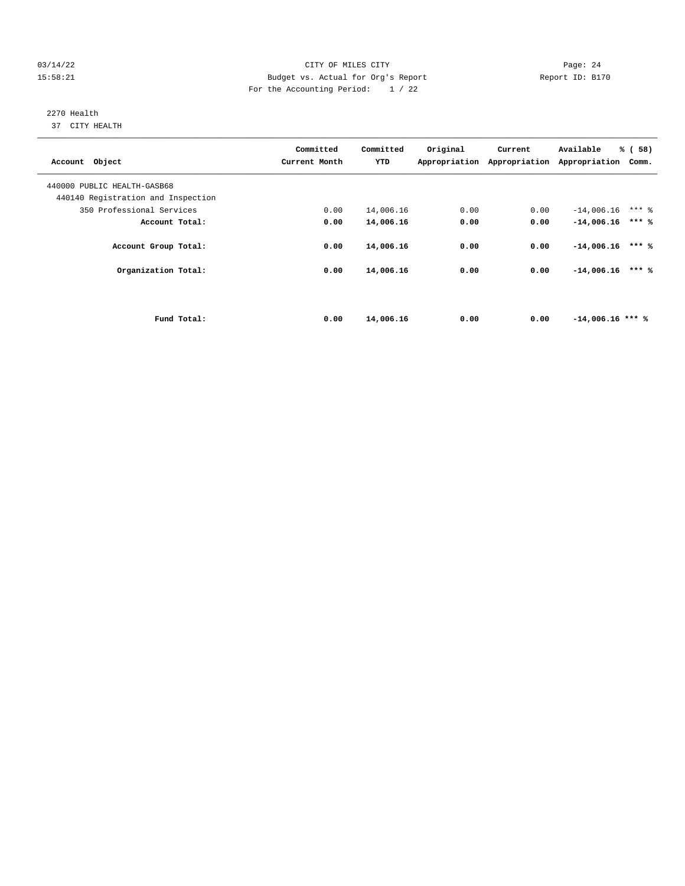#### 03/14/22 Page: 24 15:58:21 Budget vs. Actual for Org's Report Report ID: B170 For the Accounting Period: 1 / 22

# 2270 Health

37 CITY HEALTH

| Account Object                     | Committed<br>Current Month | Committed<br>YTD | Original | Current | Available<br>Appropriation Appropriation Appropriation | % (58)<br>Comm. |
|------------------------------------|----------------------------|------------------|----------|---------|--------------------------------------------------------|-----------------|
| 440000 PUBLIC HEALTH-GASB68        |                            |                  |          |         |                                                        |                 |
| 440140 Registration and Inspection |                            |                  |          |         |                                                        |                 |
| 350 Professional Services          | 0.00                       | 14,006.16        | 0.00     | 0.00    | $-14,006.16$                                           | $***$ 2         |
| Account Total:                     | 0.00                       | 14,006.16        | 0.00     | 0.00    | $-14,006.16$                                           | $***$ %         |
| Account Group Total:               | 0.00                       | 14,006.16        | 0.00     | 0.00    | $-14,006.16$                                           | $***$ %         |
| Organization Total:                | 0.00                       | 14,006.16        | 0.00     | 0.00    | $-14,006.16$                                           | $***$ %         |
|                                    |                            |                  |          |         |                                                        |                 |
| Fund Total:                        | 0.00                       | 14,006.16        | 0.00     | 0.00    | $-14,006.16$ *** %                                     |                 |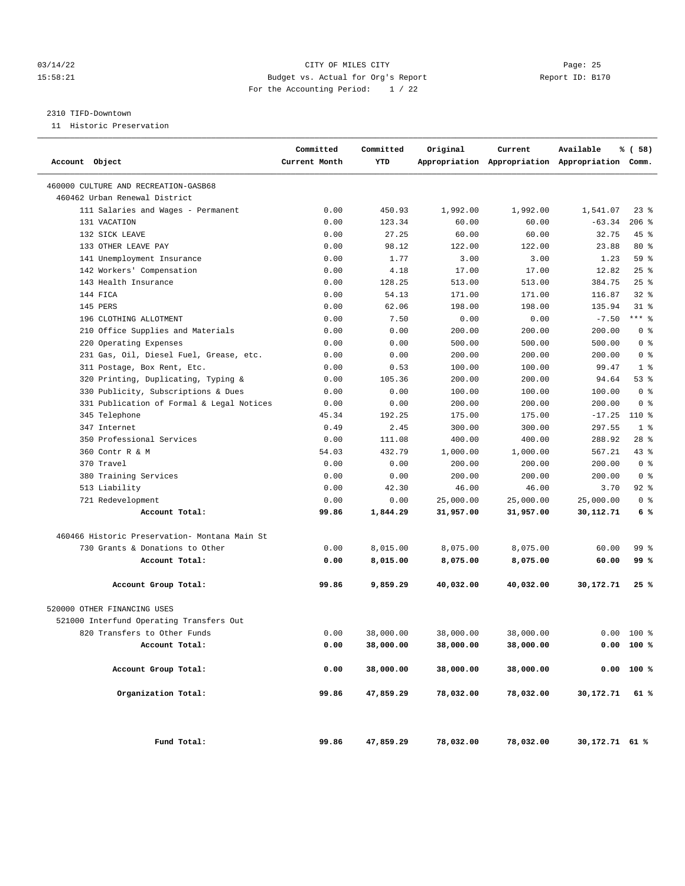#### 03/14/22 Page: 25 15:58:21 Budget vs. Actual for Org's Report Report ID: B170 For the Accounting Period: 1 / 22

#### 2310 TIFD-Downtown

11 Historic Preservation

| Account Object                                | Committed<br>Current Month | Committed<br>YTD | Original  | Current   | Available<br>Appropriation Appropriation Appropriation Comm. | % ( 58)        |  |
|-----------------------------------------------|----------------------------|------------------|-----------|-----------|--------------------------------------------------------------|----------------|--|
| 460000 CULTURE AND RECREATION-GASB68          |                            |                  |           |           |                                                              |                |  |
| 460462 Urban Renewal District                 |                            |                  |           |           |                                                              |                |  |
| 111 Salaries and Wages - Permanent            | 0.00                       | 450.93           | 1,992.00  | 1,992.00  | 1,541.07                                                     | 238            |  |
| 131 VACATION                                  | 0.00                       | 123.34           | 60.00     | 60.00     | $-63.34$                                                     | $206$ %        |  |
| 132 SICK LEAVE                                | 0.00                       | 27.25            | 60.00     | 60.00     | 32.75                                                        | $45$ %         |  |
| 133 OTHER LEAVE PAY                           | 0.00                       | 98.12            | 122.00    | 122.00    | 23.88                                                        | $80*$          |  |
| 141 Unemployment Insurance                    | 0.00                       | 1.77             | 3.00      | 3.00      | 1.23                                                         | 59 %           |  |
| 142 Workers' Compensation                     | 0.00                       | 4.18             | 17.00     | 17.00     | 12.82                                                        | 25%            |  |
| 143 Health Insurance                          | 0.00                       | 128.25           | 513.00    | 513.00    | 384.75                                                       | $25$ %         |  |
| 144 FICA                                      | 0.00                       | 54.13            | 171.00    | 171.00    | 116.87                                                       | $32$ $%$       |  |
| 145 PERS                                      | 0.00                       | 62.06            | 198.00    | 198.00    | 135.94                                                       | $31$ %         |  |
| 196 CLOTHING ALLOTMENT                        | 0.00                       | 7.50             | 0.00      | 0.00      | $-7.50$                                                      | $***$ 8        |  |
| 210 Office Supplies and Materials             | 0.00                       | 0.00             | 200.00    | 200.00    | 200.00                                                       | 0 <sup>8</sup> |  |
| 220 Operating Expenses                        | 0.00                       | 0.00             | 500.00    | 500.00    | 500.00                                                       | 0 <sup>8</sup> |  |
| 231 Gas, Oil, Diesel Fuel, Grease, etc.       | 0.00                       | 0.00             | 200.00    | 200.00    | 200.00                                                       | 0 <sup>8</sup> |  |
| 311 Postage, Box Rent, Etc.                   | 0.00                       | 0.53             | 100.00    | 100.00    | 99.47                                                        | 1 <sup>8</sup> |  |
| 320 Printing, Duplicating, Typing &           | 0.00                       | 105.36           | 200.00    | 200.00    | 94.64                                                        | 53%            |  |
| 330 Publicity, Subscriptions & Dues           | 0.00                       | 0.00             | 100.00    | 100.00    | 100.00                                                       | 0 <sup>8</sup> |  |
| 331 Publication of Formal & Legal Notices     | 0.00                       | 0.00             | 200.00    | 200.00    | 200.00                                                       | 0 <sup>8</sup> |  |
| 345 Telephone                                 | 45.34                      | 192.25           | 175.00    | 175.00    | $-17.25$                                                     | 110 %          |  |
| 347 Internet                                  | 0.49                       | 2.45             | 300.00    | 300.00    | 297.55                                                       | 1 <sup>8</sup> |  |
| 350 Professional Services                     | 0.00                       | 111.08           | 400.00    | 400.00    | 288.92                                                       | $28$ %         |  |
| 360 Contr R & M                               | 54.03                      | 432.79           | 1,000.00  | 1,000.00  | 567.21                                                       | 43%            |  |
| 370 Travel                                    | 0.00                       | 0.00             | 200.00    | 200.00    | 200.00                                                       | 0 <sup>8</sup> |  |
| 380 Training Services                         | 0.00                       | 0.00             | 200.00    | 200.00    | 200.00                                                       | 0 <sup>8</sup> |  |
| 513 Liability                                 | 0.00                       | 42.30            | 46.00     | 46.00     | 3.70                                                         | $92$ $%$       |  |
| 721 Redevelopment                             | 0.00                       | 0.00             | 25,000.00 | 25,000.00 | 25,000.00                                                    | 0 <sup>8</sup> |  |
| Account Total:                                | 99.86                      | 1,844.29         | 31,957.00 | 31,957.00 | 30,112.71                                                    | 6%             |  |
| 460466 Historic Preservation- Montana Main St |                            |                  |           |           |                                                              |                |  |
| 730 Grants & Donations to Other               | 0.00                       | 8,015.00         | 8,075.00  | 8,075.00  | 60.00                                                        | 99 %           |  |
| Account Total:                                | 0.00                       | 8,015.00         | 8,075.00  | 8,075.00  | 60.00                                                        | 99 %           |  |
| Account Group Total:                          | 99.86                      | 9,859.29         | 40,032.00 | 40,032.00 | 30,172.71                                                    | 25%            |  |
| 520000 OTHER FINANCING USES                   |                            |                  |           |           |                                                              |                |  |
| 521000 Interfund Operating Transfers Out      |                            |                  |           |           |                                                              |                |  |
| 820 Transfers to Other Funds                  | 0.00                       | 38,000.00        | 38,000.00 | 38,000.00 | 0.00                                                         | $100*$         |  |
| Account Total:                                | 0.00                       | 38,000.00        | 38,000.00 | 38,000.00 |                                                              | 0.00 100 %     |  |
| Account Group Total:                          | 0.00                       | 38,000.00        | 38,000.00 | 38,000.00 |                                                              | 0.00 100 %     |  |
| Organization Total:                           | 99.86                      | 47,859.29        | 78,032.00 | 78,032.00 | 30,172.71                                                    | 61 %           |  |
| Fund Total:                                   | 99.86                      | 47,859.29        | 78,032.00 | 78,032.00 | 30,172.71 61 %                                               |                |  |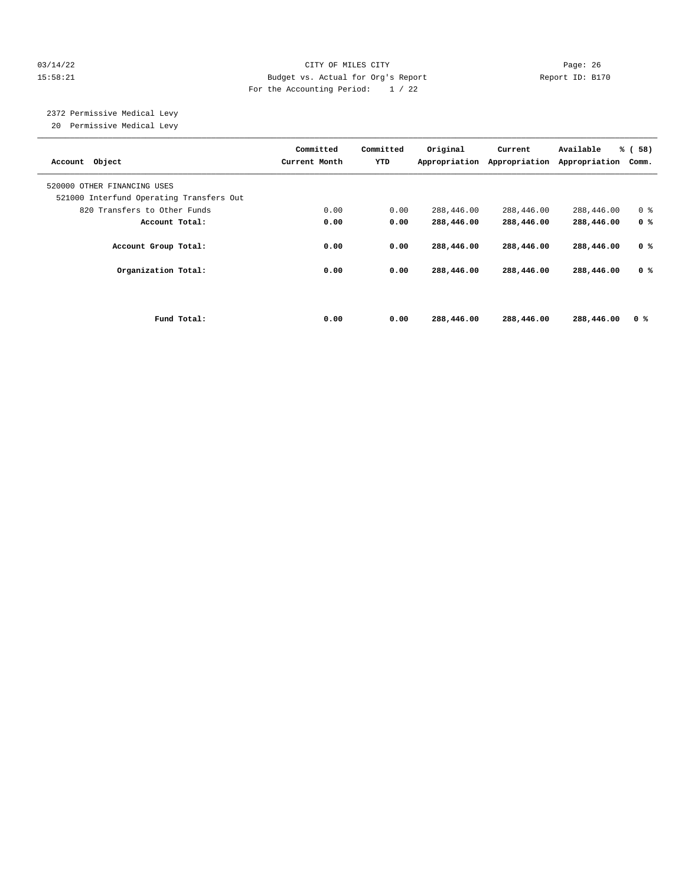#### 03/14/22 Page: 26 15:58:21 Budget vs. Actual for Org's Report Report ID: B170 For the Accounting Period: 1 / 22

 2372 Permissive Medical Levy 20 Permissive Medical Levy

| Account Object                                                          | Committed<br>Current Month | Committed<br>YTD | Original<br>Appropriation | Current<br>Appropriation | Available<br>Appropriation | % (58)<br>Comm. |
|-------------------------------------------------------------------------|----------------------------|------------------|---------------------------|--------------------------|----------------------------|-----------------|
| 520000 OTHER FINANCING USES<br>521000 Interfund Operating Transfers Out |                            |                  |                           |                          |                            |                 |
| 820 Transfers to Other Funds                                            | 0.00                       | 0.00             | 288,446.00                | 288,446.00               | 288,446.00                 | 0 <sup>8</sup>  |
| Account Total:                                                          | 0.00                       | 0.00             | 288,446.00                | 288,446.00               | 288,446.00                 | 0 <sup>8</sup>  |
| Account Group Total:                                                    | 0.00                       | 0.00             | 288,446.00                | 288,446.00               | 288,446.00                 | 0 <sup>8</sup>  |
| Organization Total:                                                     | 0.00                       | 0.00             | 288,446.00                | 288,446.00               | 288,446.00                 | 0 <sup>8</sup>  |
|                                                                         |                            |                  |                           |                          |                            |                 |
| Fund Total:                                                             | 0.00                       | 0.00             | 288,446.00                | 288,446.00               | 288,446.00                 | 0 <sup>8</sup>  |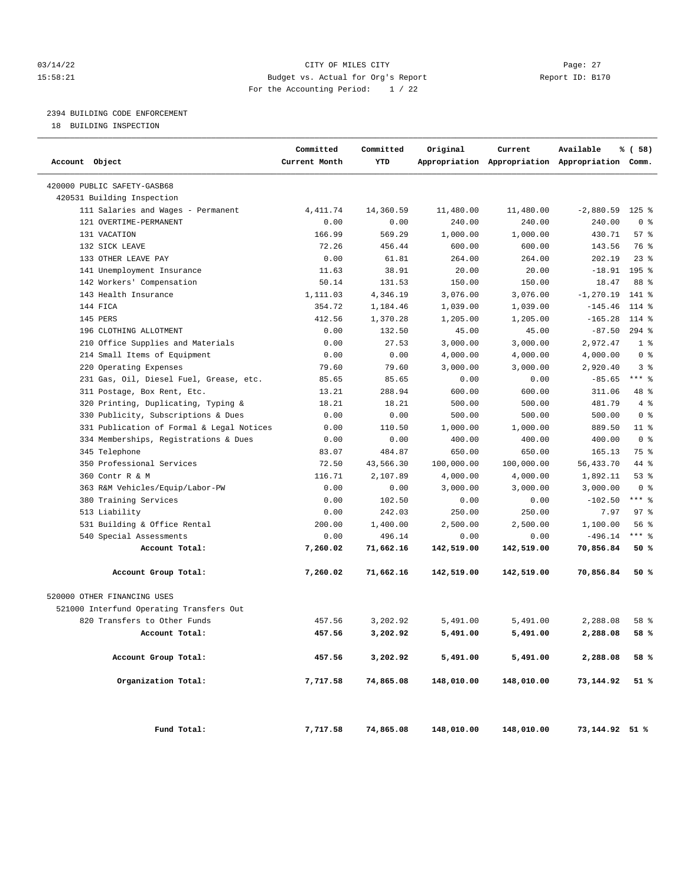#### 03/14/22 Page: 27 15:58:21 Budget vs. Actual for Org's Report Report ID: B170 For the Accounting Period: 1 / 22

### 2394 BUILDING CODE ENFORCEMENT

18 BUILDING INSPECTION

| Account Object                            | Committed<br>Current Month | Committed<br>YTD | Original   | Current    | Available<br>Appropriation Appropriation Appropriation Comm. | % ( 58)        |
|-------------------------------------------|----------------------------|------------------|------------|------------|--------------------------------------------------------------|----------------|
| 420000 PUBLIC SAFETY-GASB68               |                            |                  |            |            |                                                              |                |
| 420531 Building Inspection                |                            |                  |            |            |                                                              |                |
| 111 Salaries and Wages - Permanent        | 4, 411.74                  | 14,360.59        | 11,480.00  | 11,480.00  | $-2,880.59$                                                  | $125$ %        |
| 121 OVERTIME-PERMANENT                    | 0.00                       | 0.00             | 240.00     | 240.00     | 240.00                                                       | 0 <sup>8</sup> |
| 131 VACATION                              | 166.99                     | 569.29           | 1,000.00   | 1,000.00   | 430.71                                                       | 57%            |
| 132 SICK LEAVE                            | 72.26                      | 456.44           | 600.00     | 600.00     | 143.56                                                       | 76 %           |
| 133 OTHER LEAVE PAY                       | 0.00                       | 61.81            | 264.00     | 264.00     | 202.19                                                       | $23$ %         |
| 141 Unemployment Insurance                | 11.63                      | 38.91            | 20.00      | 20.00      | $-18.91$                                                     | 195 %          |
| 142 Workers' Compensation                 | 50.14                      | 131.53           | 150.00     | 150.00     | 18.47                                                        | 88 %           |
| 143 Health Insurance                      | 1,111.03                   | 4,346.19         | 3,076.00   | 3,076.00   | $-1, 270.19$                                                 | 141 %          |
| 144 FICA                                  | 354.72                     | 1,184.46         | 1,039.00   | 1,039.00   | $-145.46$                                                    | 114 %          |
| 145 PERS                                  | 412.56                     | 1,370.28         | 1,205.00   | 1,205.00   | $-165.28$                                                    | 114 %          |
| 196 CLOTHING ALLOTMENT                    | 0.00                       | 132.50           | 45.00      | 45.00      | $-87.50$                                                     | $294$ %        |
| 210 Office Supplies and Materials         | 0.00                       | 27.53            | 3,000.00   | 3,000.00   | 2,972.47                                                     | 1 <sup>8</sup> |
| 214 Small Items of Equipment              | 0.00                       | 0.00             | 4,000.00   | 4,000.00   | 4,000.00                                                     | 0 <sup>8</sup> |
| 220 Operating Expenses                    | 79.60                      | 79.60            | 3,000.00   | 3,000.00   | 2,920.40                                                     | 3%             |
| 231 Gas, Oil, Diesel Fuel, Grease, etc.   | 85.65                      | 85.65            | 0.00       | 0.00       | $-85.65$                                                     | $***$ $-$      |
| 311 Postage, Box Rent, Etc.               | 13.21                      | 288.94           | 600.00     | 600.00     | 311.06                                                       | 48 %           |
| 320 Printing, Duplicating, Typing &       | 18.21                      | 18.21            | 500.00     | 500.00     | 481.79                                                       | 4%             |
| 330 Publicity, Subscriptions & Dues       | 0.00                       | 0.00             | 500.00     | 500.00     | 500.00                                                       | 0 <sup>8</sup> |
| 331 Publication of Formal & Legal Notices | 0.00                       | 110.50           | 1,000.00   | 1,000.00   | 889.50                                                       | $11$ %         |
| 334 Memberships, Registrations & Dues     | 0.00                       | 0.00             | 400.00     | 400.00     | 400.00                                                       | 0 <sup>8</sup> |
| 345 Telephone                             | 83.07                      | 484.87           | 650.00     | 650.00     | 165.13                                                       | 75 %           |
| 350 Professional Services                 | 72.50                      | 43,566.30        | 100,000.00 | 100,000.00 | 56,433.70                                                    | 44 %           |
| 360 Contr R & M                           | 116.71                     | 2,107.89         | 4,000.00   | 4,000.00   | 1,892.11                                                     | 53%            |
| 363 R&M Vehicles/Equip/Labor-PW           | 0.00                       | 0.00             | 3,000.00   | 3,000.00   | 3,000.00                                                     | 0 <sup>8</sup> |
| 380 Training Services                     | 0.00                       | 102.50           | 0.00       | 0.00       | $-102.50$                                                    | $***$ $-$      |
| 513 Liability                             | 0.00                       | 242.03           | 250.00     | 250.00     | 7.97                                                         | 97%            |
| 531 Building & Office Rental              | 200.00                     | 1,400.00         | 2,500.00   | 2,500.00   | 1,100.00                                                     | 56%            |
| 540 Special Assessments                   | 0.00                       | 496.14           | 0.00       | 0.00       | $-496.14$                                                    | $***$ $-$      |
| Account Total:                            | 7,260.02                   | 71,662.16        | 142,519.00 | 142,519.00 | 70,856.84                                                    | 50%            |
| Account Group Total:                      | 7,260.02                   | 71,662.16        | 142,519.00 | 142,519.00 | 70,856.84                                                    | 50%            |
| 520000 OTHER FINANCING USES               |                            |                  |            |            |                                                              |                |
| 521000 Interfund Operating Transfers Out  |                            |                  |            |            |                                                              |                |
| 820 Transfers to Other Funds              | 457.56                     | 3,202.92         | 5,491.00   | 5,491.00   | 2,288.08                                                     | 58 %           |
| Account Total:                            | 457.56                     | 3,202.92         | 5,491.00   | 5,491.00   | 2,288.08                                                     | 58 %           |
| Account Group Total:                      | 457.56                     | 3,202.92         | 5,491.00   | 5,491.00   | 2,288.08                                                     | 58 %           |
| Organization Total:                       | 7,717.58                   | 74,865.08        | 148,010.00 | 148,010.00 | 73,144.92                                                    | 51 %           |
| Fund Total:                               | 7,717.58                   | 74,865.08        | 148,010.00 | 148,010.00 | 73,144.92 51 %                                               |                |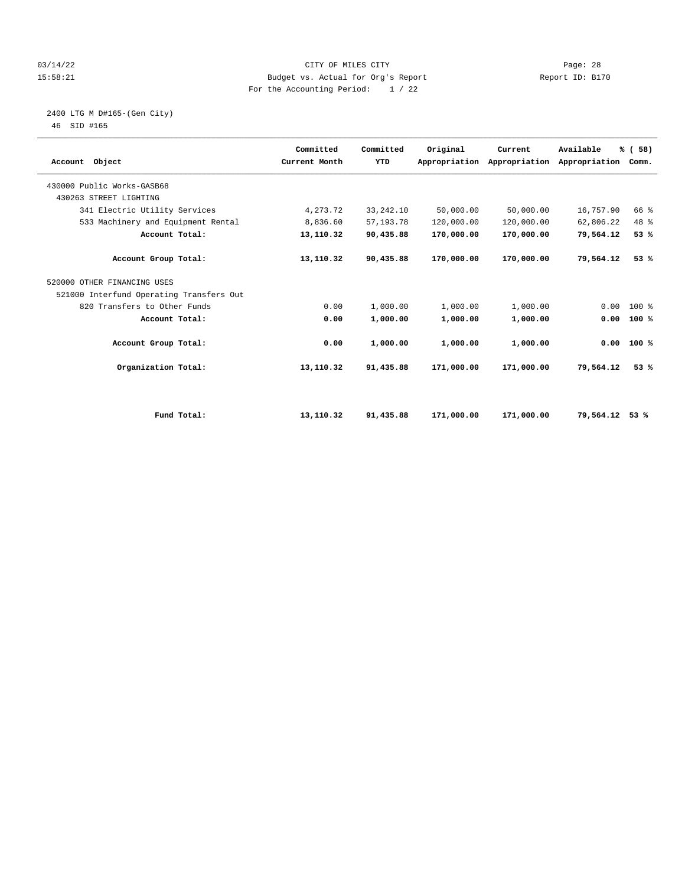#### 03/14/22 Page: 28 15:58:21 Budget vs. Actual for Org's Report Report ID: B170 For the Accounting Period: 1 / 22

# 2400 LTG M D#165-(Gen City)

| Account Object                           | Committed<br>Current Month | Committed<br>YTD | Original   | Current<br>Appropriation Appropriation | Available<br>Appropriation | % (58)<br>Comm. |  |
|------------------------------------------|----------------------------|------------------|------------|----------------------------------------|----------------------------|-----------------|--|
| 430000 Public Works-GASB68               |                            |                  |            |                                        |                            |                 |  |
| 430263 STREET LIGHTING                   |                            |                  |            |                                        |                            |                 |  |
| 341 Electric Utility Services            | 4,273.72                   | 33, 242. 10      | 50,000.00  | 50,000.00                              | 16,757.90                  | 66 %            |  |
| 533 Machinery and Equipment Rental       | 8,836.60                   | 57, 193. 78      | 120,000.00 | 120,000.00                             | 62,806.22                  | 48 %            |  |
| Account Total:                           | 13,110.32                  | 90,435.88        | 170,000.00 | 170,000.00                             | 79,564.12                  | 53%             |  |
| Account Group Total:                     | 13,110.32                  | 90,435.88        | 170,000.00 | 170,000.00                             | 79,564.12                  | 53%             |  |
| 520000 OTHER FINANCING USES              |                            |                  |            |                                        |                            |                 |  |
| 521000 Interfund Operating Transfers Out |                            |                  |            |                                        |                            |                 |  |
| 820 Transfers to Other Funds             | 0.00                       | 1,000.00         | 1,000.00   | 1,000.00                               | 0.00                       | 100 %           |  |
| Account Total:                           | 0.00                       | 1,000.00         | 1,000.00   | 1,000.00                               | 0.00                       | 100%            |  |
| Account Group Total:                     | 0.00                       | 1,000.00         | 1,000.00   | 1,000.00                               |                            | $0.00$ 100 %    |  |
| Organization Total:                      | 13,110.32                  | 91,435.88        | 171,000.00 | 171,000.00                             | 79,564.12                  | 53%             |  |
|                                          |                            |                  |            |                                        |                            |                 |  |
| Fund Total:                              | 13,110.32                  | 91,435.88        | 171,000.00 | 171,000.00                             | 79,564.12                  | 53%             |  |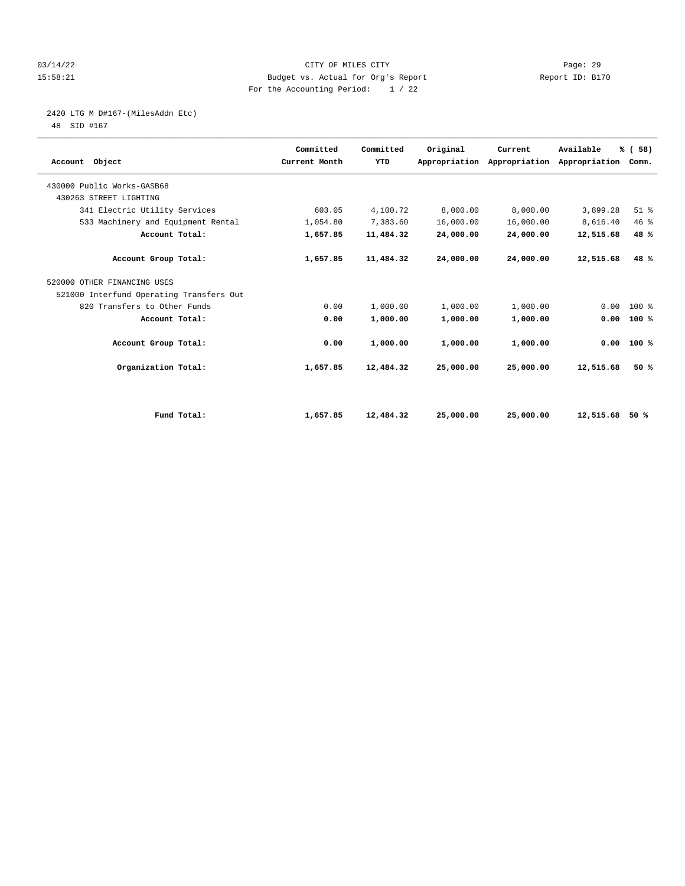#### 03/14/22 Page: 29 15:58:21 Budget vs. Actual for Org's Report Report ID: B170 For the Accounting Period: 1 / 22

# 2420 LTG M D#167-(MilesAddn Etc)

| Account Object                           | Committed<br>Current Month | Committed<br>YTD | Original  | Current<br>Appropriation Appropriation | Available<br>Appropriation | % (58)<br>Comm. |  |
|------------------------------------------|----------------------------|------------------|-----------|----------------------------------------|----------------------------|-----------------|--|
| 430000 Public Works-GASB68               |                            |                  |           |                                        |                            |                 |  |
| 430263 STREET LIGHTING                   |                            |                  |           |                                        |                            |                 |  |
| 341 Electric Utility Services            | 603.05                     | 4,100.72         | 8,000.00  | 8,000.00                               | 3,899.28                   | $51$ $%$        |  |
| 533 Machinery and Equipment Rental       | 1,054.80                   | 7,383.60         | 16,000.00 | 16,000.00                              | 8,616.40                   | 46 %            |  |
| Account Total:                           | 1,657.85                   | 11,484.32        | 24,000.00 | 24,000.00                              | 12,515.68                  | 48 %            |  |
| Account Group Total:                     | 1,657.85                   | 11,484.32        | 24,000.00 | 24,000.00                              | 12,515.68                  | 48 %            |  |
| 520000 OTHER FINANCING USES              |                            |                  |           |                                        |                            |                 |  |
| 521000 Interfund Operating Transfers Out |                            |                  |           |                                        |                            |                 |  |
| 820 Transfers to Other Funds             | 0.00                       | 1,000.00         | 1,000.00  | 1,000.00                               | 0.00                       | 100 %           |  |
| Account Total:                           | 0.00                       | 1,000.00         | 1,000.00  | 1,000.00                               | 0.00                       | 100%            |  |
| Account Group Total:                     | 0.00                       | 1,000.00         | 1,000.00  | 1,000.00                               | 0.00                       | 100%            |  |
| Organization Total:                      | 1,657.85                   | 12,484.32        | 25,000.00 | 25,000.00                              | 12,515.68                  | 50%             |  |
|                                          |                            |                  |           |                                        |                            |                 |  |
| Fund Total:                              | 1,657.85                   | 12,484.32        | 25,000.00 | 25,000.00                              | 12,515.68                  | 50 %            |  |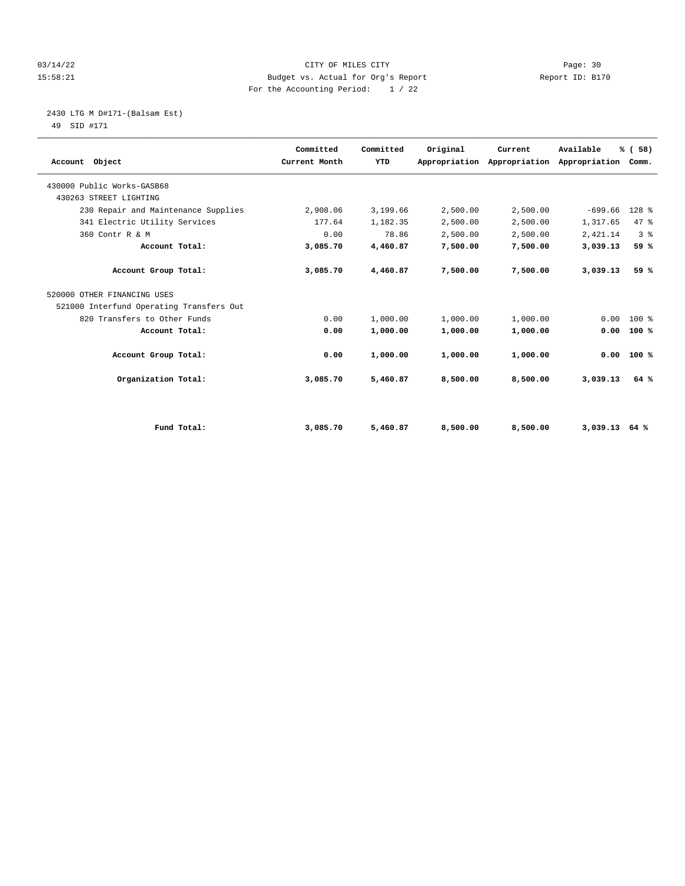#### 03/14/22 Page: 30 15:58:21 Budget vs. Actual for Org's Report Report ID: B170 For the Accounting Period: 1 / 22

2430 LTG M D#171-(Balsam Est)

| Account Object                           | Committed<br>Current Month | Committed<br>YTD | Original | Current<br>Appropriation Appropriation | Available<br>Appropriation Comm. | % (58)         |  |
|------------------------------------------|----------------------------|------------------|----------|----------------------------------------|----------------------------------|----------------|--|
| 430000 Public Works-GASB68               |                            |                  |          |                                        |                                  |                |  |
| 430263 STREET LIGHTING                   |                            |                  |          |                                        |                                  |                |  |
| 230 Repair and Maintenance Supplies      | 2,908.06                   | 3,199.66         | 2,500.00 | 2,500.00                               | $-699.66$                        | 128 %          |  |
| 341 Electric Utility Services            | 177.64                     | 1,182.35         | 2,500.00 | 2,500.00                               | 1,317.65                         | 47.8           |  |
| 360 Contr R & M                          | 0.00                       | 78.86            | 2,500.00 | 2,500.00                               | 2,421.14                         | 3 <sup>8</sup> |  |
| Account Total:                           | 3,085.70                   | 4,460.87         | 7,500.00 | 7,500.00                               | 3,039.13                         | 59 %           |  |
| Account Group Total:                     | 3,085.70                   | 4,460.87         | 7,500.00 | 7,500.00                               | 3,039.13                         | 59 %           |  |
| 520000 OTHER FINANCING USES              |                            |                  |          |                                        |                                  |                |  |
| 521000 Interfund Operating Transfers Out |                            |                  |          |                                        |                                  |                |  |
| 820 Transfers to Other Funds             | 0.00                       | 1,000.00         | 1,000.00 | 1,000.00                               | 0.00                             | $100*$         |  |
| Account Total:                           | 0.00                       | 1,000.00         | 1,000.00 | 1,000.00                               | 0.00                             | 100%           |  |
| Account Group Total:                     | 0.00                       | 1,000.00         | 1,000.00 | 1,000.00                               | 0.00                             | 100%           |  |
| Organization Total:                      | 3,085.70                   | 5,460.87         | 8,500.00 | 8,500.00                               | 3,039.13                         | 64 %           |  |
|                                          |                            |                  |          |                                        |                                  |                |  |
| Fund Total:                              | 3,085.70                   | 5,460.87         | 8,500.00 | 8,500.00                               | $3,039.13$ 64 %                  |                |  |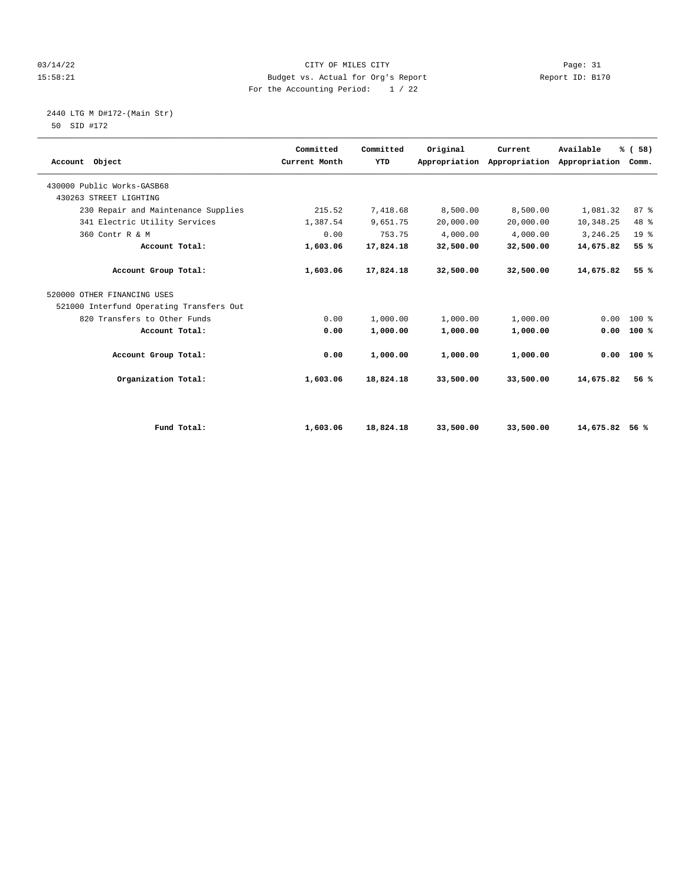#### 03/14/22 Page: 31 15:58:21 Budget vs. Actual for Org's Report Report ID: B170 For the Accounting Period: 1 / 22

#### 2440 LTG M D#172-(Main Str) 50 SID #172

| Account Object                           | Committed<br>Current Month | Committed<br>YTD | Original  | Current<br>Appropriation Appropriation | Available<br>Appropriation | % (58)<br>Comm. |  |
|------------------------------------------|----------------------------|------------------|-----------|----------------------------------------|----------------------------|-----------------|--|
| 430000 Public Works-GASB68               |                            |                  |           |                                        |                            |                 |  |
| 430263 STREET LIGHTING                   |                            |                  |           |                                        |                            |                 |  |
| 230 Repair and Maintenance Supplies      | 215.52                     | 7,418.68         | 8,500.00  | 8,500.00                               | 1,081.32                   | 87%             |  |
| 341 Electric Utility Services            | 1,387.54                   | 9,651.75         | 20,000.00 | 20,000.00                              | 10,348.25                  | 48 %            |  |
| 360 Contr R & M                          | 0.00                       | 753.75           | 4,000.00  | 4,000.00                               | 3,246.25                   | 19 <sup>°</sup> |  |
| Account Total:                           | 1,603.06                   | 17,824.18        | 32,500.00 | 32,500.00                              | 14,675.82                  | 55 %            |  |
| Account Group Total:                     | 1,603.06                   | 17,824.18        | 32,500.00 | 32,500.00                              | 14,675.82                  | 55 %            |  |
| 520000 OTHER FINANCING USES              |                            |                  |           |                                        |                            |                 |  |
| 521000 Interfund Operating Transfers Out |                            |                  |           |                                        |                            |                 |  |
| 820 Transfers to Other Funds             | 0.00                       | 1,000.00         | 1,000.00  | 1,000.00                               | 0.00                       | $100*$          |  |
| Account Total:                           | 0.00                       | 1,000.00         | 1,000.00  | 1,000.00                               | 0.00                       | 100%            |  |
| Account Group Total:                     | 0.00                       | 1,000.00         | 1,000.00  | 1,000.00                               | 0.00                       | 100%            |  |
| Organization Total:                      | 1,603.06                   | 18,824.18        | 33,500.00 | 33,500.00                              | 14,675.82                  | 56%             |  |
|                                          |                            |                  |           |                                        |                            |                 |  |
| Fund Total:                              | 1,603.06                   | 18,824.18        | 33,500.00 | 33,500.00                              | 14,675.82                  | 56 %            |  |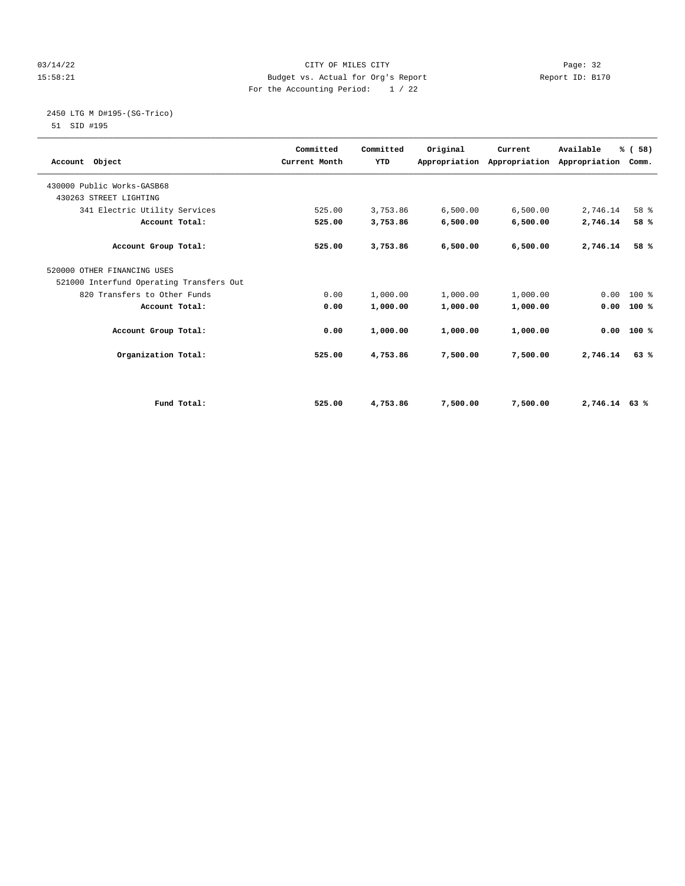#### 03/14/22 Page: 32 15:58:21 Budget vs. Actual for Org's Report Report ID: B170 For the Accounting Period: 1 / 22

2450 LTG M D#195-(SG-Trico)

| Account Object                           | Committed<br>Current Month | Committed<br><b>YTD</b> | Original | Current  | Available<br>Appropriation Appropriation Appropriation Comm. | % (58)       |  |
|------------------------------------------|----------------------------|-------------------------|----------|----------|--------------------------------------------------------------|--------------|--|
| 430000 Public Works-GASB68               |                            |                         |          |          |                                                              |              |  |
| 430263 STREET LIGHTING                   |                            |                         |          |          |                                                              |              |  |
| 341 Electric Utility Services            | 525.00                     | 3,753.86                | 6,500.00 | 6,500.00 | 2,746.14                                                     | 58 %         |  |
| Account Total:                           | 525.00                     | 3,753.86                | 6,500.00 | 6,500.00 | 2,746.14                                                     | 58 %         |  |
| Account Group Total:                     | 525.00                     | 3,753.86                | 6,500.00 | 6,500.00 | 2,746.14                                                     | 58 %         |  |
| 520000 OTHER FINANCING USES              |                            |                         |          |          |                                                              |              |  |
| 521000 Interfund Operating Transfers Out |                            |                         |          |          |                                                              |              |  |
| 820 Transfers to Other Funds             | 0.00                       | 1,000.00                | 1,000.00 | 1,000.00 | $0.00$ 100 %                                                 |              |  |
| Account Total:                           | 0.00                       | 1,000.00                | 1,000.00 | 1,000.00 | 0.00                                                         | 100%         |  |
| Account Group Total:                     | 0.00                       | 1,000.00                | 1,000.00 | 1,000.00 |                                                              | $0.00$ 100 % |  |
| Organization Total:                      | 525.00                     | 4,753.86                | 7,500.00 | 7,500.00 | 2,746.14                                                     | 63%          |  |
|                                          |                            |                         |          |          |                                                              |              |  |
| Fund Total:                              | 525.00                     | 4,753.86                | 7,500.00 | 7,500.00 | 2,746.14 63 %                                                |              |  |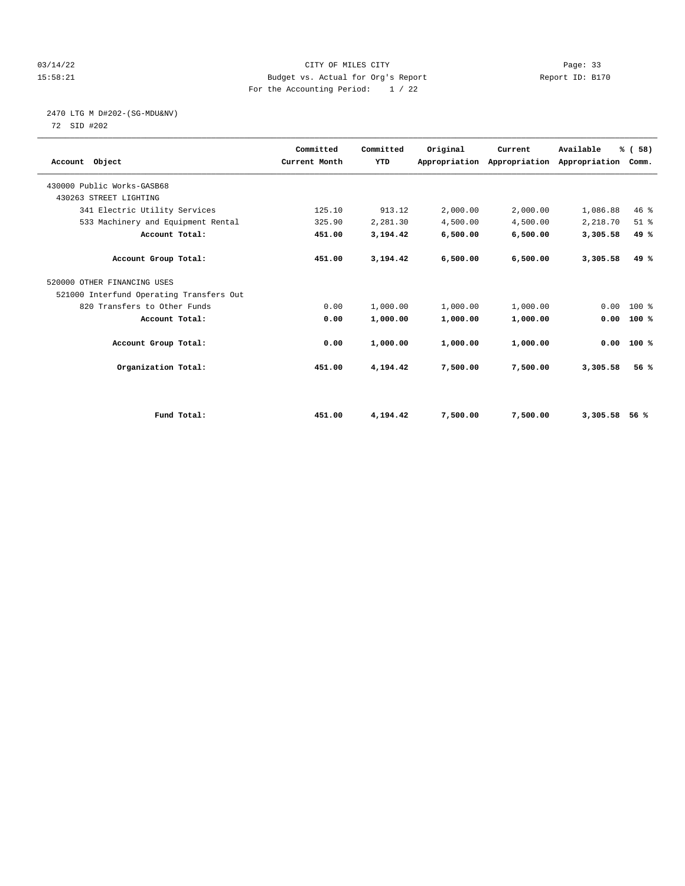#### 03/14/22 Page: 33 15:58:21 Budget vs. Actual for Org's Report Report ID: B170 For the Accounting Period: 1 / 22

# 2470 LTG M D#202-(SG-MDU&NV)

| Account Object                           | Committed<br>Current Month | Committed<br>YTD | Original | Current<br>Appropriation Appropriation | Available<br>Appropriation | % (58)<br>Comm. |  |
|------------------------------------------|----------------------------|------------------|----------|----------------------------------------|----------------------------|-----------------|--|
| 430000 Public Works-GASB68               |                            |                  |          |                                        |                            |                 |  |
| 430263 STREET LIGHTING                   |                            |                  |          |                                        |                            |                 |  |
| 341 Electric Utility Services            | 125.10                     | 913.12           | 2,000.00 | 2,000.00                               | 1,086.88                   | 46%             |  |
| 533 Machinery and Equipment Rental       | 325.90                     | 2,281.30         | 4,500.00 | 4,500.00                               | 2,218.70                   | $51$ $%$        |  |
| Account Total:                           | 451.00                     | 3,194.42         | 6,500.00 | 6,500.00                               | 3,305.58                   | 49 %            |  |
| Account Group Total:                     | 451.00                     | 3,194.42         | 6,500.00 | 6,500.00                               | 3,305.58                   | 49 %            |  |
| 520000 OTHER FINANCING USES              |                            |                  |          |                                        |                            |                 |  |
| 521000 Interfund Operating Transfers Out |                            |                  |          |                                        |                            |                 |  |
| 820 Transfers to Other Funds             | 0.00                       | 1,000.00         | 1,000.00 | 1,000.00                               | 0.00                       | $100*$          |  |
| Account Total:                           | 0.00                       | 1,000.00         | 1,000.00 | 1,000.00                               | 0.00                       | 100%            |  |
| Account Group Total:                     | 0.00                       | 1,000.00         | 1,000.00 | 1,000.00                               | 0.00                       | 100%            |  |
| Organization Total:                      | 451.00                     | 4,194.42         | 7,500.00 | 7,500.00                               | 3,305.58                   | 56%             |  |
|                                          |                            |                  |          |                                        |                            |                 |  |
| Fund Total:                              | 451.00                     | 4,194.42         | 7,500.00 | 7,500.00                               | 3,305.58                   | 56%             |  |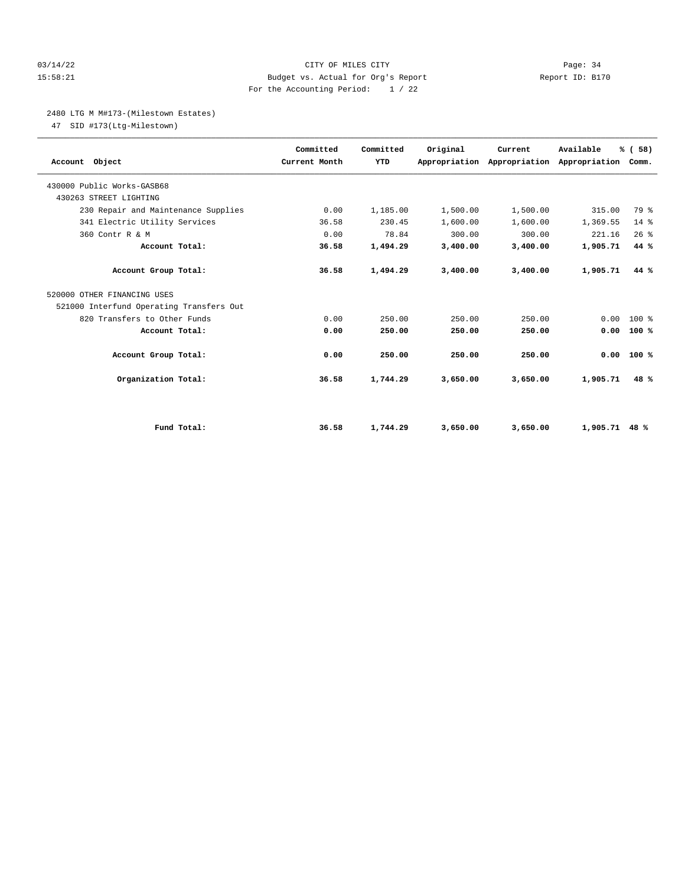#### 03/14/22 Page: 34 15:58:21 Budget vs. Actual for Org's Report Report ID: B170 For the Accounting Period: 1 / 22

#### 2480 LTG M M#173-(Milestown Estates)

47 SID #173(Ltg-Milestown)

| Account Object                           | Committed<br>Current Month | Committed<br>YTD | Original | Current<br>Appropriation Appropriation Appropriation Comm. | Available | % (58) |  |
|------------------------------------------|----------------------------|------------------|----------|------------------------------------------------------------|-----------|--------|--|
| 430000 Public Works-GASB68               |                            |                  |          |                                                            |           |        |  |
| 430263 STREET LIGHTING                   |                            |                  |          |                                                            |           |        |  |
| 230 Repair and Maintenance Supplies      | 0.00                       | 1,185.00         | 1,500.00 | 1,500.00                                                   | 315.00    | 79 %   |  |
| 341 Electric Utility Services            | 36.58                      | 230.45           | 1,600.00 | 1,600.00                                                   | 1,369.55  | $14*$  |  |
| 360 Contr R & M                          | 0.00                       | 78.84            | 300.00   | 300.00                                                     | 221.16    | 26%    |  |
| Account Total:                           | 36.58                      | 1,494.29         | 3,400.00 | 3,400.00                                                   | 1,905.71  | 44 %   |  |
| Account Group Total:                     | 36.58                      | 1,494.29         | 3,400.00 | 3,400.00                                                   | 1,905.71  | 44 %   |  |
| 520000 OTHER FINANCING USES              |                            |                  |          |                                                            |           |        |  |
| 521000 Interfund Operating Transfers Out |                            |                  |          |                                                            |           |        |  |
| 820 Transfers to Other Funds             | 0.00                       | 250.00           | 250.00   | 250.00                                                     | 0.00      | $100*$ |  |
| Account Total:                           | 0.00                       | 250.00           | 250.00   | 250.00                                                     | 0.00      | 100%   |  |
| Account Group Total:                     | 0.00                       | 250.00           | 250.00   | 250.00                                                     | 0.00      | 100%   |  |
| Organization Total:                      | 36.58                      | 1,744.29         | 3,650.00 | 3,650.00                                                   | 1,905.71  | 48 %   |  |
|                                          |                            |                  |          |                                                            |           |        |  |
| Fund Total:                              | 36.58                      | 1,744.29         | 3,650.00 | 3,650.00                                                   | 1,905.71  | 48 %   |  |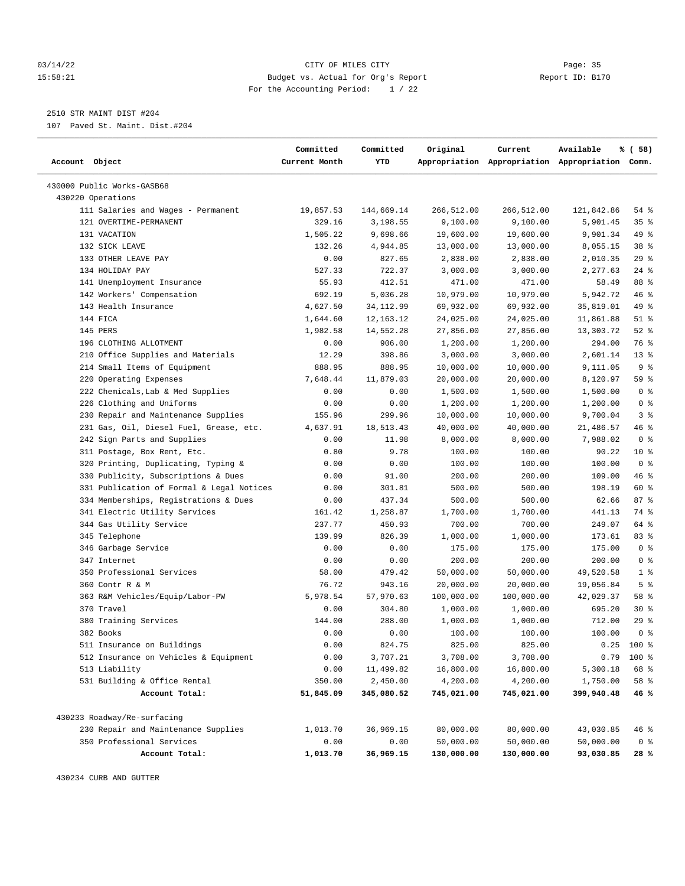#### 03/14/22 Page: 35 15:58:21 Budget vs. Actual for Org's Report Report ID: B170 For the Accounting Period: 1 / 22

————————————————————————————————————————————————————————————————————————————————————————————————————————————————————————————————————

## 2510 STR MAINT DIST #204

107 Paved St. Maint. Dist.#204

|                                           | Committed     | Committed   | Original   | Current    | Available                                       | % ( 58)        |
|-------------------------------------------|---------------|-------------|------------|------------|-------------------------------------------------|----------------|
| Account Object                            | Current Month | YTD         |            |            | Appropriation Appropriation Appropriation Comm. |                |
| 430000 Public Works-GASB68                |               |             |            |            |                                                 |                |
| 430220 Operations                         |               |             |            |            |                                                 |                |
| 111 Salaries and Wages - Permanent        | 19,857.53     | 144,669.14  | 266,512.00 | 266,512.00 | 121,842.86                                      | 54 %           |
| 121 OVERTIME-PERMANENT                    | 329.16        | 3,198.55    | 9,100.00   | 9,100.00   | 5,901.45                                        | 35%            |
| 131 VACATION                              | 1,505.22      | 9,698.66    | 19,600.00  | 19,600.00  | 9,901.34                                        | 49 %           |
| 132 SICK LEAVE                            | 132.26        | 4,944.85    | 13,000.00  | 13,000.00  | 8,055.15                                        | 38 %           |
| 133 OTHER LEAVE PAY                       | 0.00          | 827.65      | 2,838.00   | 2,838.00   | 2,010.35                                        | 29%            |
| 134 HOLIDAY PAY                           | 527.33        | 722.37      | 3,000.00   | 3,000.00   | 2,277.63                                        | $24$ %         |
| 141 Unemployment Insurance                | 55.93         | 412.51      | 471.00     | 471.00     | 58.49                                           | 88 %           |
| 142 Workers' Compensation                 | 692.19        | 5,036.28    | 10,979.00  | 10,979.00  | 5,942.72                                        | 46 %           |
| 143 Health Insurance                      | 4,627.50      | 34, 112.99  | 69,932.00  | 69,932.00  | 35,819.01                                       | 49 %           |
| 144 FICA                                  | 1,644.60      | 12, 163. 12 | 24,025.00  | 24,025.00  | 11,861.88                                       | $51$ %         |
| 145 PERS                                  | 1,982.58      | 14,552.28   | 27,856.00  | 27,856.00  | 13,303.72                                       | $52$ $%$       |
| 196 CLOTHING ALLOTMENT                    | 0.00          | 906.00      | 1,200.00   | 1,200.00   | 294.00                                          | 76 %           |
| 210 Office Supplies and Materials         | 12.29         | 398.86      | 3,000.00   | 3,000.00   | 2,601.14                                        | $13*$          |
| 214 Small Items of Equipment              | 888.95        | 888.95      | 10,000.00  | 10,000.00  | 9,111.05                                        | 9 <sup>8</sup> |
| 220 Operating Expenses                    | 7,648.44      | 11,879.03   | 20,000.00  | 20,000.00  | 8,120.97                                        | 59 %           |
| 222 Chemicals, Lab & Med Supplies         | 0.00          | 0.00        | 1,500.00   | 1,500.00   | 1,500.00                                        | 0 <sup>8</sup> |
| 226 Clothing and Uniforms                 | 0.00          | 0.00        | 1,200.00   | 1,200.00   | 1,200.00                                        | 0 <sup>8</sup> |
| 230 Repair and Maintenance Supplies       | 155.96        | 299.96      | 10,000.00  | 10,000.00  | 9,700.04                                        | 3%             |
| 231 Gas, Oil, Diesel Fuel, Grease, etc.   | 4,637.91      | 18,513.43   | 40,000.00  | 40,000.00  | 21,486.57                                       | 46 %           |
| 242 Sign Parts and Supplies               | 0.00          | 11.98       | 8,000.00   | 8,000.00   | 7,988.02                                        | 0 <sup>8</sup> |
| 311 Postage, Box Rent, Etc.               | 0.80          | 9.78        | 100.00     | 100.00     | 90.22                                           | $10*$          |
| 320 Printing, Duplicating, Typing &       | 0.00          | 0.00        | 100.00     | 100.00     | 100.00                                          | 0 <sup>8</sup> |
| 330 Publicity, Subscriptions & Dues       | 0.00          | 91.00       | 200.00     | 200.00     | 109.00                                          | 46 %           |
| 331 Publication of Formal & Legal Notices | 0.00          | 301.81      | 500.00     | 500.00     | 198.19                                          | 60 %           |
| 334 Memberships, Registrations & Dues     | 0.00          | 437.34      | 500.00     | 500.00     | 62.66                                           | 87%            |
| 341 Electric Utility Services             | 161.42        | 1,258.87    | 1,700.00   | 1,700.00   | 441.13                                          | 74 %           |
| 344 Gas Utility Service                   | 237.77        | 450.93      | 700.00     | 700.00     | 249.07                                          | 64 %           |
| 345 Telephone                             | 139.99        | 826.39      | 1,000.00   | 1,000.00   | 173.61                                          | 83 %           |
| 346 Garbage Service                       | 0.00          | 0.00        | 175.00     | 175.00     | 175.00                                          | 0 <sup>8</sup> |
| 347 Internet                              | 0.00          | 0.00        | 200.00     | 200.00     | 200.00                                          | 0 <sup>8</sup> |
| 350 Professional Services                 | 58.00         | 479.42      | 50,000.00  | 50,000.00  | 49,520.58                                       | 1 <sup>8</sup> |
| 360 Contr R & M                           | 76.72         | 943.16      | 20,000.00  | 20,000.00  | 19,056.84                                       | 5 <sup>8</sup> |
| 363 R&M Vehicles/Equip/Labor-PW           | 5,978.54      | 57,970.63   | 100,000.00 | 100,000.00 | 42,029.37                                       | 58 %           |
| 370 Travel                                | 0.00          | 304.80      | 1,000.00   | 1,000.00   | 695.20                                          | $30*$          |
| 380 Training Services                     | 144.00        | 288.00      | 1,000.00   | 1,000.00   | 712.00                                          | 29%            |
| 382 Books                                 | 0.00          | 0.00        | 100.00     | 100.00     | 100.00                                          | 0 <sup>8</sup> |
| 511 Insurance on Buildings                | 0.00          | 824.75      | 825.00     | 825.00     |                                                 | $0.25$ 100 %   |
| 512 Insurance on Vehicles & Equipment     | 0.00          | 3,707.21    | 3,708.00   | 3,708.00   |                                                 | $0.79$ 100 %   |
| 513 Liability                             | 0.00          | 11,499.82   | 16,800.00  | 16,800.00  | 5,300.18                                        | 68 %           |
| 531 Building & Office Rental              | 350.00        | 2,450.00    | 4,200.00   | 4,200.00   | 1,750.00                                        | 58 %           |
| Account Total:                            | 51,845.09     | 345,080.52  | 745,021.00 | 745,021.00 | 399,940.48                                      | 46 %           |
| 430233 Roadway/Re-surfacing               |               |             |            |            |                                                 |                |
| 230 Repair and Maintenance Supplies       | 1,013.70      | 36,969.15   | 80,000.00  | 80,000.00  | 43,030.85                                       | 46 %           |
| 350 Professional Services                 | 0.00          | 0.00        | 50,000.00  | 50,000.00  | 50,000.00                                       | 0 <sup>8</sup> |
| Account Total:                            | 1,013.70      | 36,969.15   | 130,000.00 | 130,000.00 | 93,030.85                                       | 28 %           |

430234 CURB AND GUTTER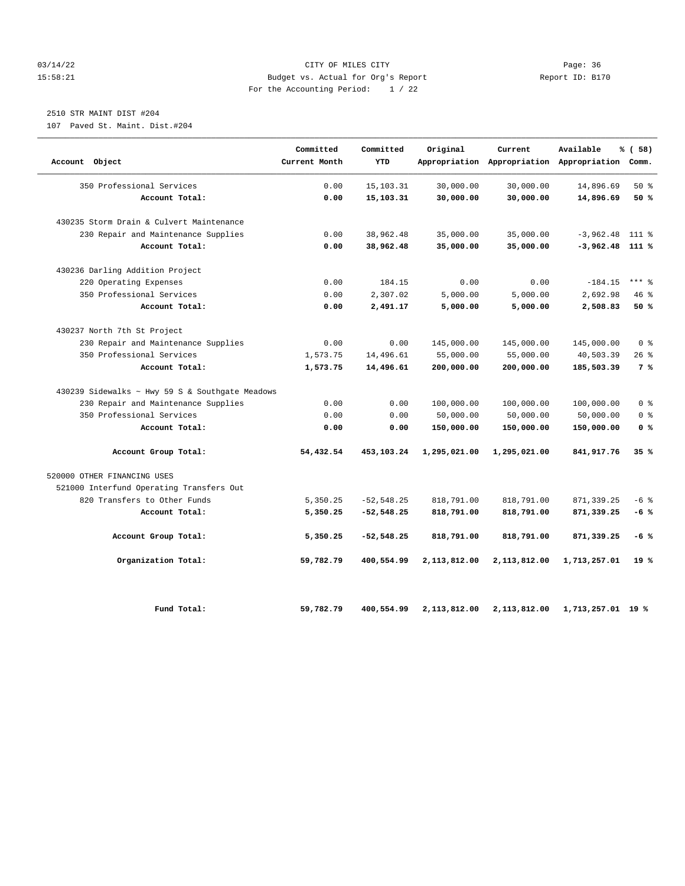#### 03/14/22 Page: 36 15:58:21 Budget vs. Actual for Org's Report Report ID: B170 For the Accounting Period: 1 / 22

# 2510 STR MAINT DIST #204

107 Paved St. Maint. Dist.#204

| Account Object                                  | Committed<br>Current Month | Committed<br>YTD | Original     | Current<br>Appropriation Appropriation Appropriation Comm. | Available         | % (58)         |
|-------------------------------------------------|----------------------------|------------------|--------------|------------------------------------------------------------|-------------------|----------------|
| 350 Professional Services                       | 0.00                       | 15, 103. 31      | 30,000.00    | 30,000.00                                                  | 14,896.69         | $50*$          |
| Account Total:                                  | 0.00                       | 15,103.31        | 30,000.00    | 30,000.00                                                  | 14,896.69         | 50 %           |
| 430235 Storm Drain & Culvert Maintenance        |                            |                  |              |                                                            |                   |                |
| 230 Repair and Maintenance Supplies             | 0.00                       | 38,962.48        | 35,000.00    | 35,000.00                                                  | $-3,962.48$       | $111*$         |
| Account Total:                                  | 0.00                       | 38,962.48        | 35,000.00    | 35,000.00                                                  | $-3,962.48$ 111 % |                |
| 430236 Darling Addition Project                 |                            |                  |              |                                                            |                   |                |
| 220 Operating Expenses                          | 0.00                       | 184.15           | 0.00         | 0.00                                                       | $-184.15$         | $***$ 8        |
| 350 Professional Services                       | 0.00                       | 2,307.02         | 5,000.00     | 5,000.00                                                   | 2,692.98          | 46%            |
| Account Total:                                  | 0.00                       | 2,491.17         | 5,000.00     | 5,000.00                                                   | 2,508.83          | 50%            |
| 430237 North 7th St Project                     |                            |                  |              |                                                            |                   |                |
| 230 Repair and Maintenance Supplies             | 0.00                       | 0.00             | 145,000.00   | 145,000.00                                                 | 145,000.00        | 0 <sup>8</sup> |
| 350 Professional Services                       | 1,573.75                   | 14,496.61        | 55,000.00    | 55,000.00                                                  | 40,503.39         | 26%            |
| Account Total:                                  | 1,573.75                   | 14,496.61        | 200,000.00   | 200,000.00                                                 | 185,503.39        | 7 %            |
| 430239 Sidewalks ~ Hwy 59 S & Southgate Meadows |                            |                  |              |                                                            |                   |                |
| 230 Repair and Maintenance Supplies             | 0.00                       | 0.00             | 100,000.00   | 100,000.00                                                 | 100,000.00        | 0 <sup>8</sup> |
| 350 Professional Services                       | 0.00                       | 0.00             | 50,000.00    | 50,000.00                                                  | 50,000.00         | 0 <sup>8</sup> |
| Account Total:                                  | 0.00                       | 0.00             | 150,000.00   | 150,000.00                                                 | 150,000.00        | 0 <sup>8</sup> |
| Account Group Total:                            | 54,432.54                  | 453,103.24       | 1,295,021.00 | 1,295,021.00                                               | 841,917.76        | 35%            |
| 520000 OTHER FINANCING USES                     |                            |                  |              |                                                            |                   |                |
| 521000 Interfund Operating Transfers Out        |                            |                  |              |                                                            |                   |                |
| 820 Transfers to Other Funds                    | 5,350.25                   | $-52, 548.25$    | 818,791.00   | 818,791.00                                                 | 871, 339.25       | $-6$ %         |
| Account Total:                                  | 5,350.25                   | $-52,548.25$     | 818,791.00   | 818,791.00                                                 | 871,339.25        | $-6%$          |
| Account Group Total:                            | 5,350.25                   | $-52,548.25$     | 818,791.00   | 818,791.00                                                 | 871,339.25        | $-6%$          |
| Organization Total:                             | 59,782.79                  | 400,554.99       | 2,113,812.00 | 2,113,812.00                                               | 1,713,257.01      | 19%            |
| Fund Total:                                     | 59,782.79                  | 400,554.99       | 2,113,812.00 | 2,113,812.00                                               | 1,713,257.01 19 % |                |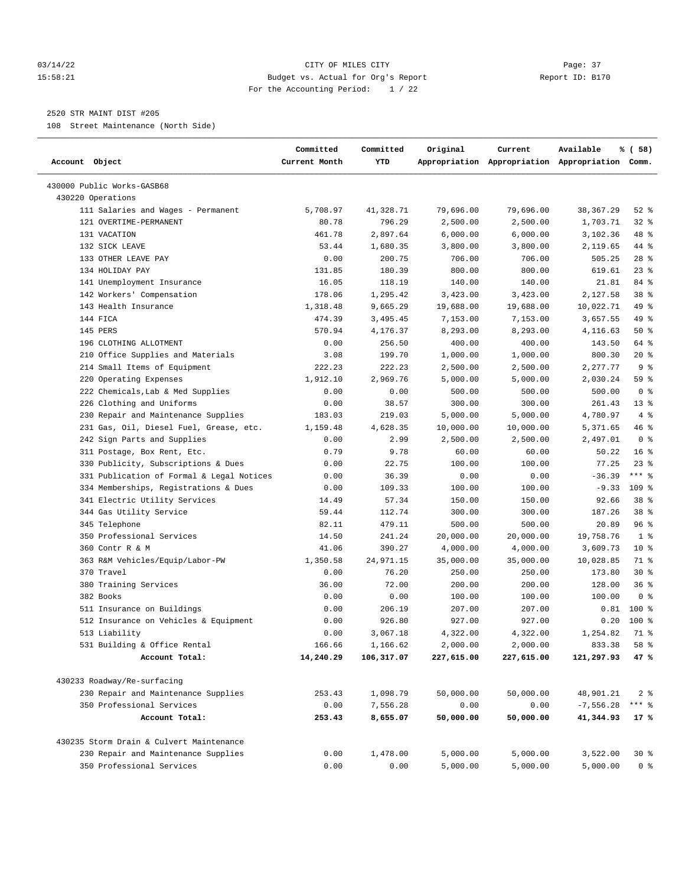#### 03/14/22 Page: 37 15:58:21 Budget vs. Actual for Org's Report Report ID: B170 For the Accounting Period: 1 / 22

————————————————————————————————————————————————————————————————————————————————————————————————————————————————————————————————————

#### 2520 STR MAINT DIST #205

108 Street Maintenance (North Side)

|                                           | Committed     | Committed  | Original   | Current    | Available                                       | % ( 58)         |  |
|-------------------------------------------|---------------|------------|------------|------------|-------------------------------------------------|-----------------|--|
| Account Object                            | Current Month | YTD        |            |            | Appropriation Appropriation Appropriation Comm. |                 |  |
| 430000 Public Works-GASB68                |               |            |            |            |                                                 |                 |  |
| 430220 Operations                         |               |            |            |            |                                                 |                 |  |
| 111 Salaries and Wages - Permanent        | 5,708.97      | 41,328.71  | 79,696.00  | 79,696.00  | 38,367.29                                       | $52$ $%$        |  |
| 121 OVERTIME-PERMANENT                    | 80.78         | 796.29     | 2,500.00   | 2,500.00   | 1,703.71                                        | $32$ $%$        |  |
| 131 VACATION                              | 461.78        | 2,897.64   | 6,000.00   | 6,000.00   | 3,102.36                                        | 48 %            |  |
| 132 SICK LEAVE                            | 53.44         | 1,680.35   | 3,800.00   | 3,800.00   | 2,119.65                                        | 44 %            |  |
| 133 OTHER LEAVE PAY                       | 0.00          | 200.75     | 706.00     | 706.00     | 505.25                                          | 28 %            |  |
| 134 HOLIDAY PAY                           | 131.85        | 180.39     | 800.00     | 800.00     | 619.61                                          | $23$ $%$        |  |
| 141 Unemployment Insurance                | 16.05         | 118.19     | 140.00     | 140.00     | 21.81                                           | 84 %            |  |
| 142 Workers' Compensation                 | 178.06        | 1,295.42   | 3,423.00   | 3,423.00   | 2,127.58                                        | 38 <sup>8</sup> |  |
| 143 Health Insurance                      | 1,318.48      | 9,665.29   | 19,688.00  | 19,688.00  | 10,022.71                                       | 49 %            |  |
| 144 FICA                                  | 474.39        | 3,495.45   | 7,153.00   | 7,153.00   | 3,657.55                                        | 49 %            |  |
| 145 PERS                                  | 570.94        | 4,176.37   | 8,293.00   | 8,293.00   | 4,116.63                                        | 50%             |  |
| 196 CLOTHING ALLOTMENT                    | 0.00          | 256.50     | 400.00     | 400.00     | 143.50                                          | 64 %            |  |
| 210 Office Supplies and Materials         | 3.08          | 199.70     | 1,000.00   | 1,000.00   | 800.30                                          | $20*$           |  |
| 214 Small Items of Equipment              | 222.23        | 222.23     | 2,500.00   | 2,500.00   | 2,277.77                                        | 9 <sup>8</sup>  |  |
| 220 Operating Expenses                    | 1,912.10      | 2,969.76   | 5,000.00   | 5,000.00   | 2,030.24                                        | 59 %            |  |
| 222 Chemicals, Lab & Med Supplies         | 0.00          | 0.00       | 500.00     | 500.00     | 500.00                                          | 0 <sup>8</sup>  |  |
| 226 Clothing and Uniforms                 | 0.00          | 38.57      | 300.00     | 300.00     | 261.43                                          | $13*$           |  |
| 230 Repair and Maintenance Supplies       | 183.03        | 219.03     | 5,000.00   | 5,000.00   | 4,780.97                                        | 4%              |  |
| 231 Gas, Oil, Diesel Fuel, Grease, etc.   | 1,159.48      | 4,628.35   | 10,000.00  | 10,000.00  | 5,371.65                                        | 46 %            |  |
| 242 Sign Parts and Supplies               | 0.00          | 2.99       | 2,500.00   | 2,500.00   | 2,497.01                                        | 0 <sup>8</sup>  |  |
| 311 Postage, Box Rent, Etc.               | 0.79          | 9.78       | 60.00      | 60.00      | 50.22                                           | 16 <sup>8</sup> |  |
| 330 Publicity, Subscriptions & Dues       | 0.00          | 22.75      | 100.00     | 100.00     | 77.25                                           | $23$ $%$        |  |
| 331 Publication of Formal & Legal Notices | 0.00          | 36.39      | 0.00       | 0.00       | $-36.39$                                        | $***$ $-$       |  |
| 334 Memberships, Registrations & Dues     | 0.00          | 109.33     | 100.00     | 100.00     | $-9.33$                                         | $109$ %         |  |
| 341 Electric Utility Services             | 14.49         | 57.34      | 150.00     | 150.00     | 92.66                                           | 38 <sup>8</sup> |  |
| 344 Gas Utility Service                   | 59.44         | 112.74     | 300.00     | 300.00     | 187.26                                          | 38 <sup>8</sup> |  |
| 345 Telephone                             | 82.11         | 479.11     | 500.00     | 500.00     | 20.89                                           | 96%             |  |
| 350 Professional Services                 | 14.50         | 241.24     | 20,000.00  | 20,000.00  | 19,758.76                                       | 1 <sup>8</sup>  |  |
| 360 Contr R & M                           | 41.06         | 390.27     | 4,000.00   | 4,000.00   | 3,609.73                                        | $10*$           |  |
| 363 R&M Vehicles/Equip/Labor-PW           | 1,350.58      | 24,971.15  | 35,000.00  | 35,000.00  | 10,028.85                                       | 71 %            |  |
| 370 Travel                                | 0.00          | 76.20      | 250.00     | 250.00     | 173.80                                          | $30*$           |  |
| 380 Training Services                     | 36.00         | 72.00      | 200.00     | 200.00     | 128.00                                          | 36%             |  |
| 382 Books                                 | 0.00          | 0.00       | 100.00     | 100.00     | 100.00                                          | 0 <sup>8</sup>  |  |
| 511 Insurance on Buildings                | 0.00          | 206.19     | 207.00     | 207.00     | 0.81                                            | 100 %           |  |
| 512 Insurance on Vehicles & Equipment     | 0.00          | 926.80     | 927.00     | 927.00     | 0.20                                            | $100$ %         |  |
| 513 Liability                             | 0.00          | 3,067.18   | 4,322.00   | 4,322.00   | 1,254.82                                        | 71 %            |  |
| 531 Building & Office Rental              | 166.66        | 1,166.62   | 2,000.00   | 2,000.00   | 833.38                                          | 58 %            |  |
| Account Total:                            | 14,240.29     | 106,317.07 | 227,615.00 | 227,615.00 | 121,297.93                                      | 47 %            |  |
| 430233 Roadway/Re-surfacing               |               |            |            |            |                                                 |                 |  |
| 230 Repair and Maintenance Supplies       | 253.43        | 1,098.79   | 50,000.00  | 50,000.00  | 48,901.21                                       | 2 <sup>8</sup>  |  |
| 350 Professional Services                 | 0.00          | 7,556.28   | 0.00       | 0.00       | $-7,556.28$                                     | *** 응           |  |
| Account Total:                            | 253.43        | 8,655.07   | 50,000.00  | 50,000.00  | 41,344.93                                       | 17 %            |  |
| 430235 Storm Drain & Culvert Maintenance  |               |            |            |            |                                                 |                 |  |
| 230 Repair and Maintenance Supplies       | 0.00          | 1,478.00   | 5,000.00   | 5,000.00   | 3,522.00                                        | $30*$           |  |
| 350 Professional Services                 | 0.00          | 0.00       | 5,000.00   | 5,000.00   | 5,000.00                                        | 0 <sup>8</sup>  |  |
|                                           |               |            |            |            |                                                 |                 |  |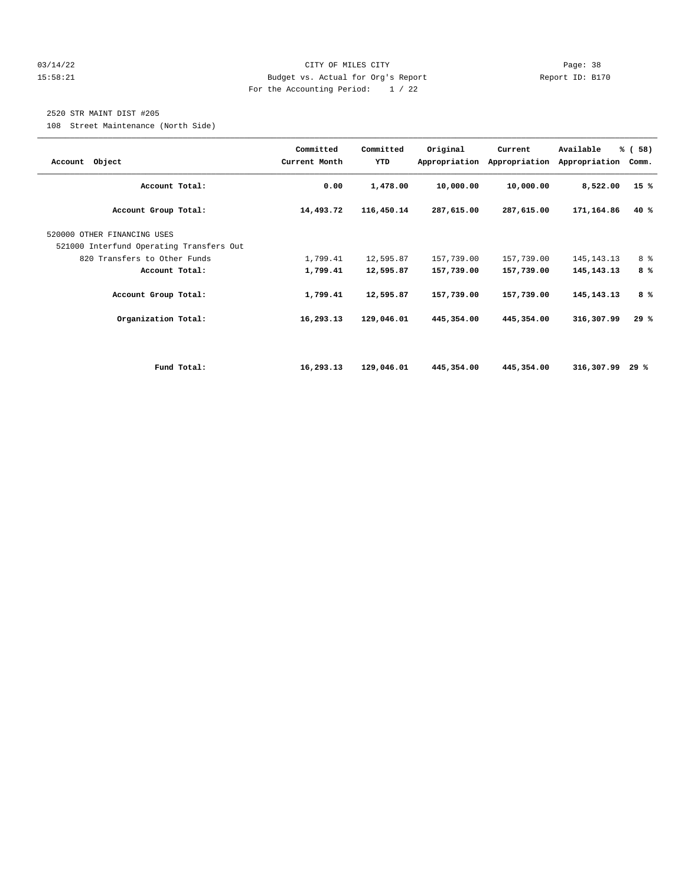#### 03/14/22 Page: 38 15:58:21 Budget vs. Actual for Org's Report Report ID: B170 For the Accounting Period: 1 / 22

### 2520 STR MAINT DIST #205

108 Street Maintenance (North Side)

| Account Object                                                          | Committed<br>Current Month | Committed<br>YTD | Original   | Current<br>Appropriation Appropriation | Available<br>Appropriation | % (58)<br>Comm. |
|-------------------------------------------------------------------------|----------------------------|------------------|------------|----------------------------------------|----------------------------|-----------------|
| Account Total:                                                          | 0.00                       | 1,478.00         | 10,000.00  | 10,000.00                              | 8,522.00                   | 15%             |
| Account Group Total:                                                    | 14,493.72                  | 116,450.14       | 287,615.00 | 287,615.00                             | 171,164.86                 | 40 %            |
| 520000 OTHER FINANCING USES<br>521000 Interfund Operating Transfers Out |                            |                  |            |                                        |                            |                 |
| 820 Transfers to Other Funds                                            | 1,799.41                   | 12,595.87        | 157,739.00 | 157,739.00                             | 145, 143. 13               | 8 %             |
| Account Total:                                                          | 1,799.41                   | 12,595.87        | 157,739.00 | 157,739.00                             | 145, 143. 13               | 8%              |
| Account Group Total:                                                    | 1,799.41                   | 12,595.87        | 157,739.00 | 157,739.00                             | 145, 143. 13               | 8%              |
| Organization Total:                                                     | 16,293.13                  | 129,046.01       | 445,354.00 | 445,354.00                             | 316,307.99                 | 29%             |
|                                                                         |                            |                  |            |                                        |                            |                 |
| Fund Total:                                                             | 16,293.13                  | 129,046.01       | 445,354.00 | 445,354.00                             | 316,307.99                 | 29 %            |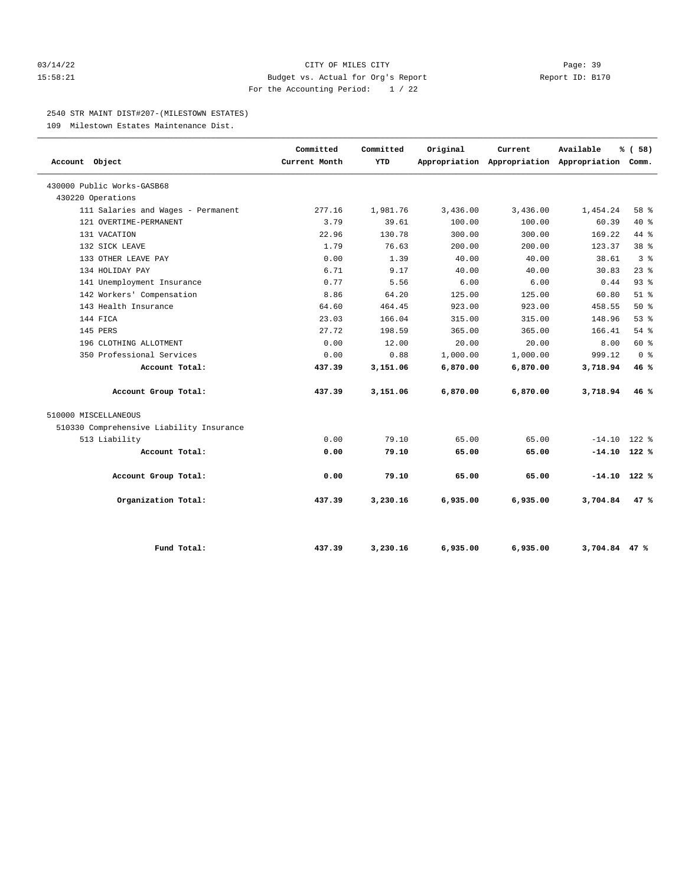#### 03/14/22 Page: 39 15:58:21 Budget vs. Actual for Org's Report Report ID: B170 For the Accounting Period: 1 / 22

#### 2540 STR MAINT DIST#207-(MILESTOWN ESTATES)

109 Milestown Estates Maintenance Dist.

| Account Object                           | Committed<br>Current Month | Committed<br><b>YTD</b> | Original | Current  | Available<br>Appropriation Appropriation Appropriation Comm. | % (58)          |  |
|------------------------------------------|----------------------------|-------------------------|----------|----------|--------------------------------------------------------------|-----------------|--|
| 430000 Public Works-GASB68               |                            |                         |          |          |                                                              |                 |  |
| 430220 Operations                        |                            |                         |          |          |                                                              |                 |  |
| 111 Salaries and Wages - Permanent       | 277.16                     | 1,981.76                | 3,436.00 | 3,436.00 | 1,454.24                                                     | 58 %            |  |
| 121 OVERTIME-PERMANENT                   | 3.79                       | 39.61                   | 100.00   | 100.00   | 60.39                                                        | $40*$           |  |
| 131 VACATION                             | 22.96                      | 130.78                  | 300.00   | 300.00   | 169.22                                                       | 44 %            |  |
| 132 SICK LEAVE                           | 1.79                       | 76.63                   | 200.00   | 200.00   | 123.37                                                       | 38 <sup>8</sup> |  |
| 133 OTHER LEAVE PAY                      | 0.00                       | 1.39                    | 40.00    | 40.00    | 38.61                                                        | 3 <sup>8</sup>  |  |
| 134 HOLIDAY PAY                          | 6.71                       | 9.17                    | 40.00    | 40.00    | 30.83                                                        | 23%             |  |
| 141 Unemployment Insurance               | 0.77                       | 5.56                    | 6.00     | 6.00     | 0.44                                                         | 93%             |  |
| 142 Workers' Compensation                | 8.86                       | 64.20                   | 125.00   | 125.00   | 60.80                                                        | $51$ %          |  |
| 143 Health Insurance                     | 64.60                      | 464.45                  | 923.00   | 923.00   | 458.55                                                       | $50*$           |  |
| 144 FICA                                 | 23.03                      | 166.04                  | 315.00   | 315.00   | 148.96                                                       | 53%             |  |
| 145 PERS                                 | 27.72                      | 198.59                  | 365.00   | 365.00   | 166.41                                                       | 54 %            |  |
| 196 CLOTHING ALLOTMENT                   | 0.00                       | 12.00                   | 20.00    | 20.00    | 8.00                                                         | 60 %            |  |
| 350 Professional Services                | 0.00                       | 0.88                    | 1,000.00 | 1,000.00 | 999.12                                                       | 0 <sup>8</sup>  |  |
| Account Total:                           | 437.39                     | 3,151.06                | 6,870.00 | 6,870.00 | 3,718.94                                                     | 46%             |  |
| Account Group Total:                     | 437.39                     | 3,151.06                | 6,870.00 | 6,870.00 | 3,718.94                                                     | 46%             |  |
| 510000 MISCELLANEOUS                     |                            |                         |          |          |                                                              |                 |  |
| 510330 Comprehensive Liability Insurance |                            |                         |          |          |                                                              |                 |  |
| 513 Liability                            | 0.00                       | 79.10                   | 65.00    | 65.00    | $-14.10$ 122 %                                               |                 |  |
| Account Total:                           | 0.00                       | 79.10                   | 65.00    | 65.00    | $-14.10$ 122 %                                               |                 |  |
| Account Group Total:                     | 0.00                       | 79.10                   | 65.00    | 65.00    | $-14.10$ 122 %                                               |                 |  |
| Organization Total:                      | 437.39                     | 3,230.16                | 6,935.00 | 6,935.00 | 3,704.84                                                     | 47%             |  |
| Fund Total:                              | 437.39                     | 3,230.16                | 6,935.00 | 6,935.00 | 3,704.84 47 %                                                |                 |  |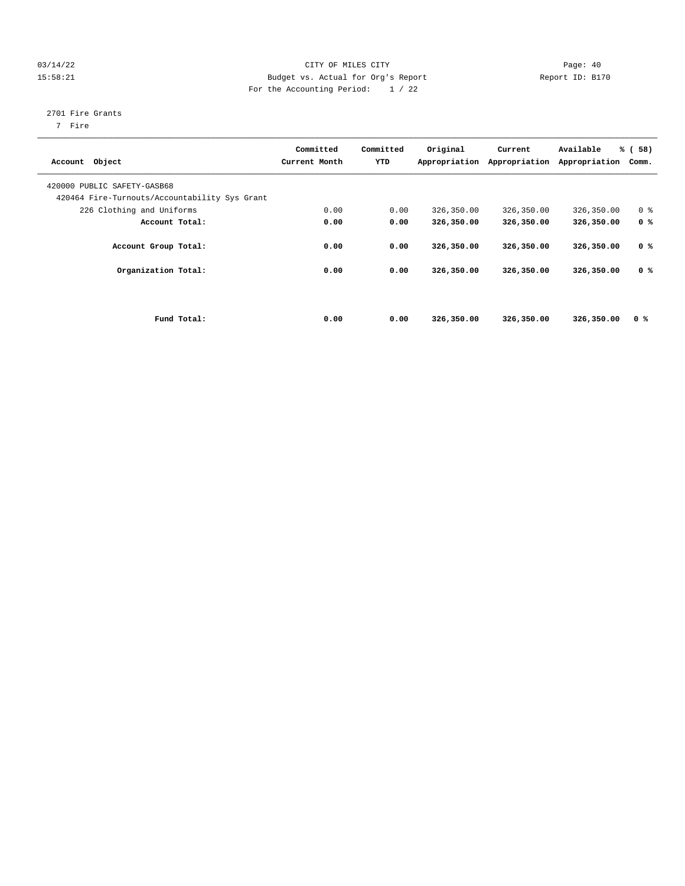#### 03/14/22 Page: 40 15:58:21 Budget vs. Actual for Org's Report Changer Report ID: B170 For the Accounting Period: 1 / 22

### 2701 Fire Grants

7 Fire

| Account Object                                                               | Committed<br>Current Month | Committed<br>YTD | Original<br>Appropriation | Current<br>Appropriation | Available<br>Appropriation | % (58)<br>Comm. |  |
|------------------------------------------------------------------------------|----------------------------|------------------|---------------------------|--------------------------|----------------------------|-----------------|--|
| 420000 PUBLIC SAFETY-GASB68<br>420464 Fire-Turnouts/Accountability Sys Grant |                            |                  |                           |                          |                            |                 |  |
| 226 Clothing and Uniforms                                                    | 0.00                       | 0.00             | 326,350.00                | 326,350.00               | 326,350.00                 | 0 <sup>8</sup>  |  |
| Account Total:                                                               | 0.00                       | 0.00             | 326,350.00                | 326,350.00               | 326,350.00                 | 0 <sup>8</sup>  |  |
| Account Group Total:                                                         | 0.00                       | 0.00             | 326,350.00                | 326,350.00               | 326,350.00                 | 0 <sup>8</sup>  |  |
| Organization Total:                                                          | 0.00                       | 0.00             | 326,350.00                | 326,350.00               | 326,350.00                 | 0 <sup>8</sup>  |  |
|                                                                              |                            |                  |                           |                          |                            |                 |  |
| Fund Total:                                                                  | 0.00                       | 0.00             | 326,350.00                | 326,350.00               | 326,350.00                 | 0 <sup>8</sup>  |  |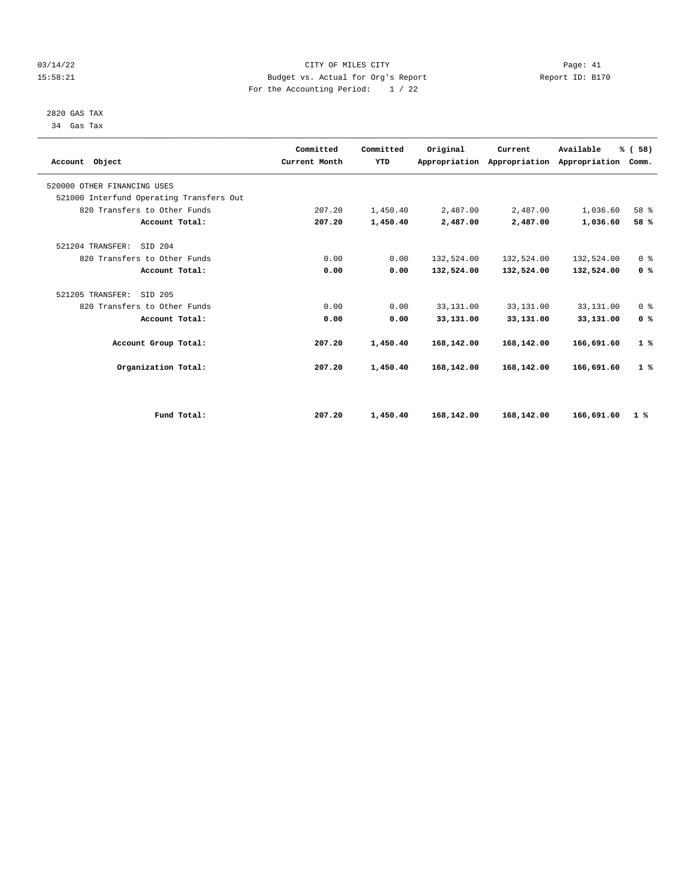#### 03/14/22 Page: 41 15:58:21 Budget vs. Actual for Org's Report Changer Report ID: B170 For the Accounting Period: 1 / 22

 2820 GAS TAX 34 Gas Tax

| Account Object                           | Committed<br>Current Month | Committed<br><b>YTD</b> | Original   | Current<br>Appropriation Appropriation | Available<br>Appropriation | % (58)<br>Comm. |
|------------------------------------------|----------------------------|-------------------------|------------|----------------------------------------|----------------------------|-----------------|
| 520000 OTHER FINANCING USES              |                            |                         |            |                                        |                            |                 |
| 521000 Interfund Operating Transfers Out |                            |                         |            |                                        |                            |                 |
| 820 Transfers to Other Funds             | 207.20                     | 1,450.40                | 2,487.00   | 2,487.00                               | 1,036.60                   | 58 %            |
| Account Total:                           | 207.20                     | 1,450.40                | 2,487.00   | 2,487.00                               | 1,036.60                   | 58 %            |
| 521204 TRANSFER:<br>STD 204              |                            |                         |            |                                        |                            |                 |
| 820 Transfers to Other Funds             | 0.00                       | 0.00                    | 132,524.00 | 132,524.00                             | 132,524.00                 | 0 <sup>8</sup>  |
| Account Total:                           | 0.00                       | 0.00                    | 132,524.00 | 132,524.00                             | 132,524.00                 | 0 <sup>8</sup>  |
| 521205 TRANSFER:<br>SID 205              |                            |                         |            |                                        |                            |                 |
| 820 Transfers to Other Funds             | 0.00                       | 0.00                    | 33,131.00  | 33,131.00                              | 33,131.00                  | 0 <sup>8</sup>  |
| Account Total:                           | 0.00                       | 0.00                    | 33,131.00  | 33,131.00                              | 33,131.00                  | 0 <sup>8</sup>  |
| Account Group Total:                     | 207.20                     | 1,450.40                | 168,142.00 | 168,142.00                             | 166,691.60                 | 1%              |
| Organization Total:                      | 207.20                     | 1,450.40                | 168,142.00 | 168,142.00                             | 166,691.60                 | 1%              |
|                                          |                            |                         |            |                                        |                            |                 |
| Fund Total:                              | 207.20                     | 1,450.40                | 168,142.00 | 168,142.00                             | 166,691.60                 | 1%              |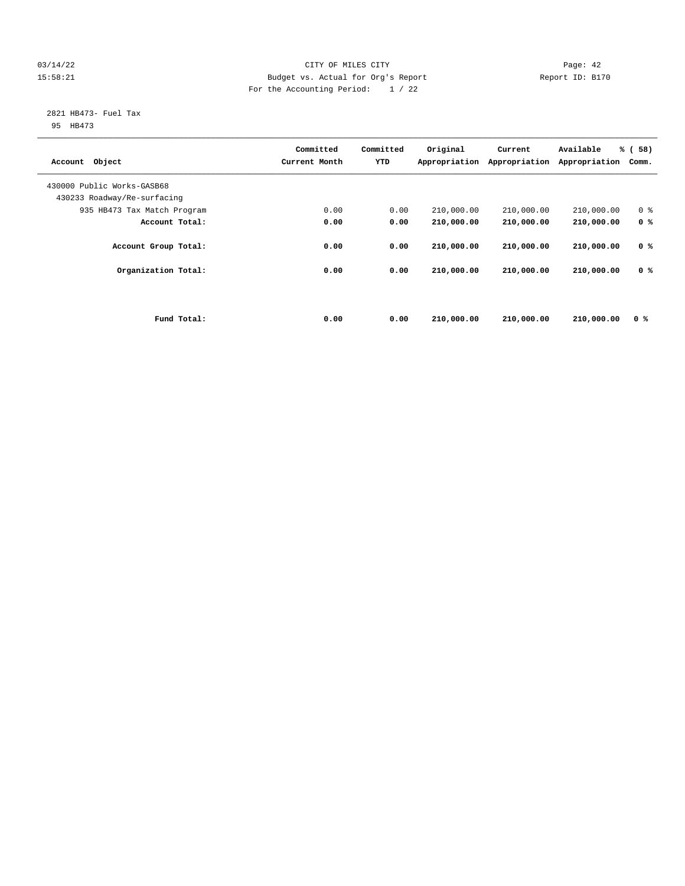#### 03/14/22 Page: 42 15:58:21 Budget vs. Actual for Org's Report Changer Report ID: B170 For the Accounting Period: 1 / 22

# 2821 HB473- Fuel Tax

95 HB473

| Object<br>Account           |             | Committed<br>Current Month | Committed<br>YTD | Original<br>Appropriation | Current<br>Appropriation | Available<br>Appropriation | % (58)<br>Comm. |
|-----------------------------|-------------|----------------------------|------------------|---------------------------|--------------------------|----------------------------|-----------------|
| 430000 Public Works-GASB68  |             |                            |                  |                           |                          |                            |                 |
| 430233 Roadway/Re-surfacing |             |                            |                  |                           |                          |                            |                 |
| 935 HB473 Tax Match Program |             | 0.00                       | 0.00             | 210,000.00                | 210,000.00               | 210,000.00                 | 0 <sup>8</sup>  |
| Account Total:              |             | 0.00                       | 0.00             | 210,000.00                | 210,000.00               | 210,000.00                 | 0 <sup>8</sup>  |
| Account Group Total:        |             | 0.00                       | 0.00             | 210,000.00                | 210,000.00               | 210,000.00                 | 0 <sup>8</sup>  |
| Organization Total:         |             | 0.00                       | 0.00             | 210,000.00                | 210,000.00               | 210,000.00                 | 0 <sup>8</sup>  |
|                             | Fund Total: | 0.00                       | 0.00             | 210,000.00                | 210,000.00               | 210,000.00                 | 0 %             |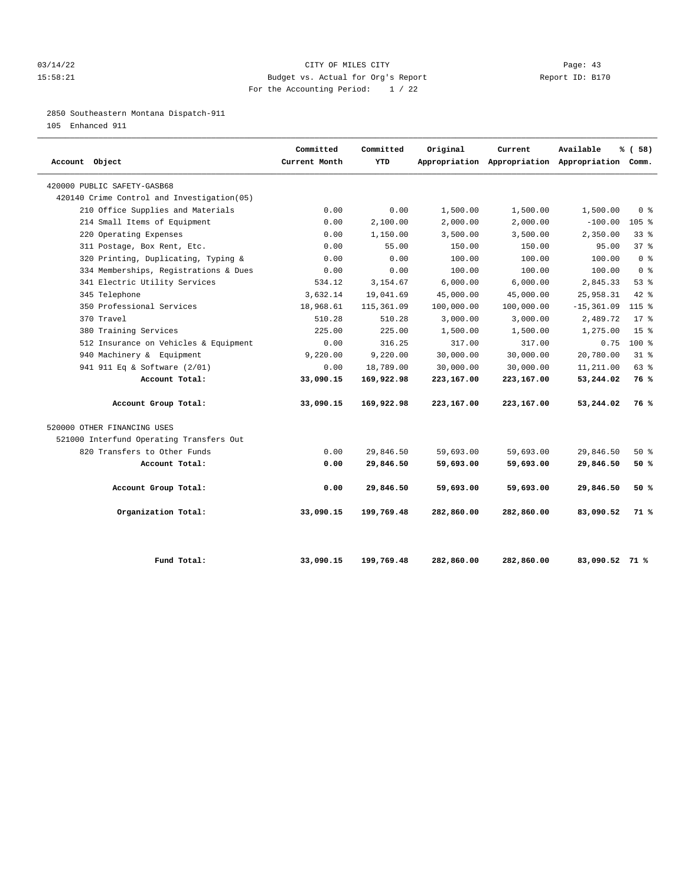#### 03/14/22 Page: 43 15:58:21 Budget vs. Actual for Org's Report Report ID: B170 For the Accounting Period: 1 / 22

#### 2850 Southeastern Montana Dispatch-911

105 Enhanced 911

| Account Object                             | Committed<br>Current Month | Committed<br><b>YTD</b> | Original   | Current    | Available<br>Appropriation Appropriation Appropriation Comm. | % ( 58 )        |
|--------------------------------------------|----------------------------|-------------------------|------------|------------|--------------------------------------------------------------|-----------------|
| 420000 PUBLIC SAFETY-GASB68                |                            |                         |            |            |                                                              |                 |
| 420140 Crime Control and Investigation(05) |                            |                         |            |            |                                                              |                 |
| 210 Office Supplies and Materials          | 0.00                       | 0.00                    | 1,500.00   | 1,500.00   | 1,500.00                                                     | 0 <sup>8</sup>  |
| 214 Small Items of Equipment               | 0.00                       | 2,100.00                | 2,000.00   | 2,000.00   | $-100.00$                                                    | $105$ %         |
| 220 Operating Expenses                     | 0.00                       | 1,150.00                | 3,500.00   | 3,500.00   | 2,350.00                                                     | 338             |
| 311 Postage, Box Rent, Etc.                | 0.00                       | 55.00                   | 150.00     | 150.00     | 95.00                                                        | 378             |
| 320 Printing, Duplicating, Typing &        | 0.00                       | 0.00                    | 100.00     | 100.00     | 100.00                                                       | 0 <sup>8</sup>  |
| 334 Memberships, Registrations & Dues      | 0.00                       | 0.00                    | 100.00     | 100.00     | 100.00                                                       | 0 <sup>8</sup>  |
| 341 Electric Utility Services              | 534.12                     | 3,154.67                | 6,000.00   | 6,000.00   | 2,845.33                                                     | 53%             |
| 345 Telephone                              | 3,632.14                   | 19,041.69               | 45,000.00  | 45,000.00  | 25,958.31                                                    | $42*$           |
| 350 Professional Services                  | 18,968.61                  | 115,361.09              | 100,000.00 | 100,000.00 | $-15, 361.09$                                                | $115$ %         |
| 370 Travel                                 | 510.28                     | 510.28                  | 3,000.00   | 3,000.00   | 2,489.72                                                     | $17*$           |
| 380 Training Services                      | 225.00                     | 225.00                  | 1,500.00   | 1,500.00   | 1,275.00                                                     | 15 <sup>8</sup> |
| 512 Insurance on Vehicles & Equipment      | 0.00                       | 316.25                  | 317.00     | 317.00     | 0.75                                                         | $100*$          |
| 940 Machinery & Equipment                  | 9,220.00                   | 9,220.00                | 30,000.00  | 30,000.00  | 20,780.00                                                    | $31*$           |
| 941 911 Eq & Software (2/01)               | 0.00                       | 18,789.00               | 30,000.00  | 30,000.00  | 11,211.00                                                    | 63%             |
| Account Total:                             | 33,090.15                  | 169,922.98              | 223,167.00 | 223,167.00 | 53,244.02                                                    | 76 %            |
| Account Group Total:                       | 33,090.15                  | 169,922.98              | 223,167.00 | 223,167.00 | 53,244.02                                                    | 76 %            |
| 520000 OTHER FINANCING USES                |                            |                         |            |            |                                                              |                 |
| 521000 Interfund Operating Transfers Out   |                            |                         |            |            |                                                              |                 |
| 820 Transfers to Other Funds               | 0.00                       | 29,846.50               | 59,693.00  | 59,693.00  | 29,846.50                                                    | $50*$           |
| Account Total:                             | 0.00                       | 29,846.50               | 59,693.00  | 59,693.00  | 29,846.50                                                    | 50%             |
| Account Group Total:                       | 0.00                       | 29,846.50               | 59,693.00  | 59,693.00  | 29,846.50                                                    | 50%             |
| Organization Total:                        | 33,090.15                  | 199,769.48              | 282,860.00 | 282,860.00 | 83,090.52                                                    | 71 %            |
| Fund Total:                                | 33,090.15                  | 199,769.48              | 282,860.00 | 282,860.00 | 83,090.52 71 %                                               |                 |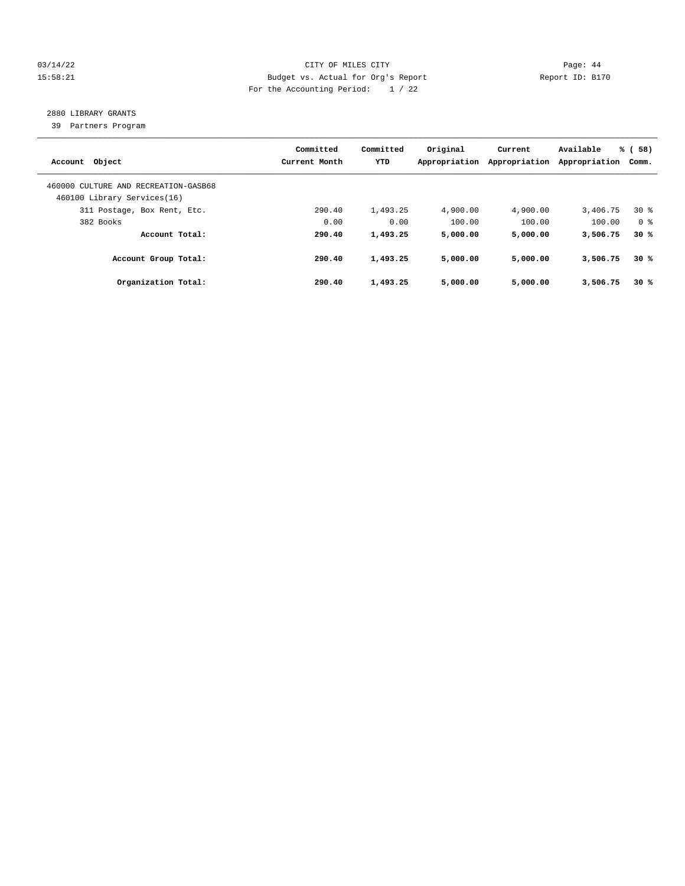#### 03/14/22 Page: 44 15:58:21 Budget vs. Actual for Org's Report Changer Report ID: B170 For the Accounting Period: 1 / 22

## 2880 LIBRARY GRANTS

39 Partners Program

| Account Object                                                      | Committed<br>Current Month | Committed<br>YTD | Original<br>Appropriation | Current<br>Appropriation | Available<br>Appropriation | % (58)<br>Comm. |
|---------------------------------------------------------------------|----------------------------|------------------|---------------------------|--------------------------|----------------------------|-----------------|
| 460000 CULTURE AND RECREATION-GASB68<br>460100 Library Services(16) |                            |                  |                           |                          |                            |                 |
| 311 Postage, Box Rent, Etc.                                         | 290.40                     | 1,493.25         | 4,900.00                  | 4,900.00                 | 3,406.75                   | $30*$           |
| 382 Books                                                           | 0.00                       | 0.00             | 100.00                    | 100.00                   | 100.00                     | 0 %             |
| Account Total:                                                      | 290.40                     | 1,493.25         | 5,000.00                  | 5,000.00                 | 3,506.75                   | 30%             |
| Account Group Total:                                                | 290.40                     | 1,493.25         | 5,000.00                  | 5,000.00                 | 3,506.75                   | 30%             |
| Organization Total:                                                 | 290.40                     | 1,493.25         | 5,000.00                  | 5,000.00                 | 3,506.75                   | 30%             |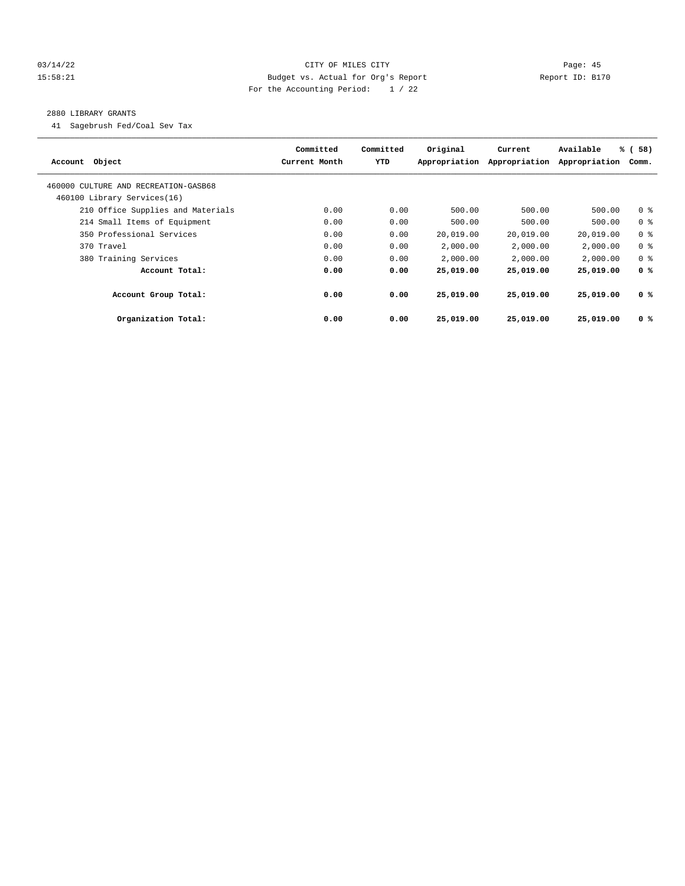#### 03/14/22 Page: 45 15:58:21 Budget vs. Actual for Org's Report Report ID: B170 For the Accounting Period: 1 / 22

#### 2880 LIBRARY GRANTS

41 Sagebrush Fed/Coal Sev Tax

| Account Object                       | Committed<br>Current Month | Committed<br>YTD | Original<br>Appropriation | Current<br>Appropriation | Available<br>Appropriation | % (58)<br>Comm. |
|--------------------------------------|----------------------------|------------------|---------------------------|--------------------------|----------------------------|-----------------|
| 460000 CULTURE AND RECREATION-GASB68 |                            |                  |                           |                          |                            |                 |
| 460100 Library Services(16)          |                            |                  |                           |                          |                            |                 |
| 210 Office Supplies and Materials    | 0.00                       | 0.00             | 500.00                    | 500.00                   | 500.00                     | 0 <sup>8</sup>  |
| 214 Small Items of Equipment         | 0.00                       | 0.00             | 500.00                    | 500.00                   | 500.00                     | 0 <sup>8</sup>  |
| 350 Professional Services            | 0.00                       | 0.00             | 20,019.00                 | 20,019.00                | 20,019.00                  | 0 <sup>8</sup>  |
| 370 Travel                           | 0.00                       | 0.00             | 2,000.00                  | 2,000.00                 | 2,000.00                   | 0 <sup>8</sup>  |
| 380 Training Services                | 0.00                       | 0.00             | 2,000.00                  | 2,000.00                 | 2,000.00                   | 0 <sup>8</sup>  |
| Account Total:                       | 0.00                       | 0.00             | 25,019.00                 | 25,019.00                | 25,019.00                  | 0 <sup>8</sup>  |
| Account Group Total:                 | 0.00                       | 0.00             | 25,019.00                 | 25,019.00                | 25,019.00                  | 0 <sup>8</sup>  |
| Organization Total:                  | 0.00                       | 0.00             | 25,019.00                 | 25,019.00                | 25,019.00                  | 0 <sup>8</sup>  |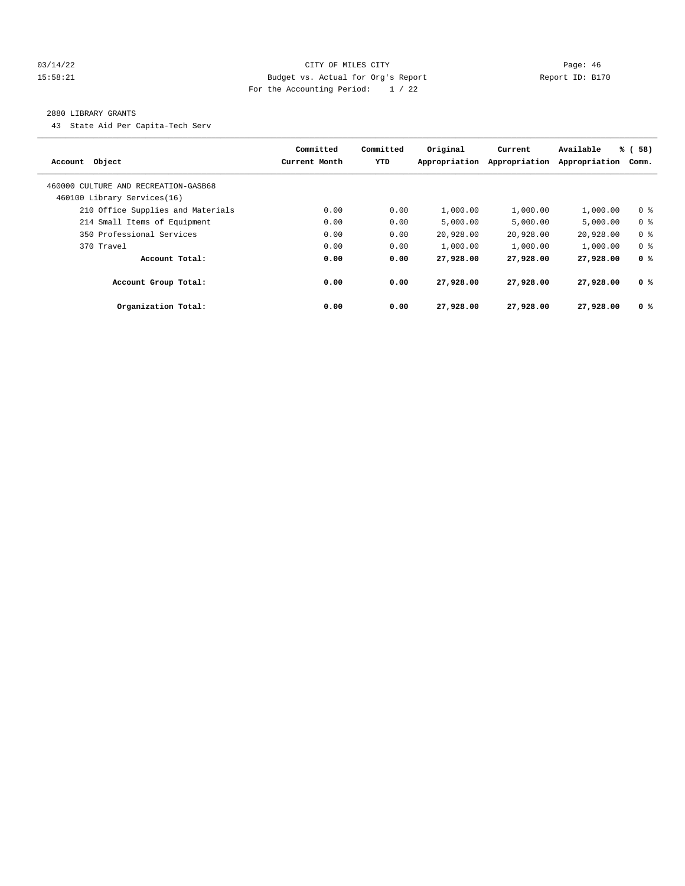#### 03/14/22 Page: 46 15:58:21 Budget vs. Actual for Org's Report Report ID: B170 For the Accounting Period: 1 / 22

#### 2880 LIBRARY GRANTS

43 State Aid Per Capita-Tech Serv

| Account Object                       | Committed<br>Current Month | Committed<br><b>YTD</b> | Original<br>Appropriation | Current<br>Appropriation | Available<br>Appropriation | % (58)<br>Comm. |
|--------------------------------------|----------------------------|-------------------------|---------------------------|--------------------------|----------------------------|-----------------|
| 460000 CULTURE AND RECREATION-GASB68 |                            |                         |                           |                          |                            |                 |
| 460100 Library Services(16)          |                            |                         |                           |                          |                            |                 |
| 210 Office Supplies and Materials    | 0.00                       | 0.00                    | 1,000.00                  | 1,000.00                 | 1,000.00                   | 0 <sup>8</sup>  |
| 214 Small Items of Equipment         | 0.00                       | 0.00                    | 5.000.00                  | 5.000.00                 | 5.000.00                   | 0 <sup>8</sup>  |
| 350 Professional Services            | 0.00                       | 0.00                    | 20,928.00                 | 20,928.00                | 20,928.00                  | 0 <sup>8</sup>  |
| 370 Travel                           | 0.00                       | 0.00                    | 1,000.00                  | 1,000.00                 | 1,000.00                   | 0 <sup>8</sup>  |
| Account Total:                       | 0.00                       | 0.00                    | 27,928.00                 | 27,928.00                | 27,928.00                  | 0 <sup>8</sup>  |
| Account Group Total:                 | 0.00                       | 0.00                    | 27,928.00                 | 27,928,00                | 27,928.00                  | 0 <sup>8</sup>  |
| Organization Total:                  | 0.00                       | 0.00                    | 27,928.00                 | 27,928.00                | 27,928.00                  | 0 <sup>8</sup>  |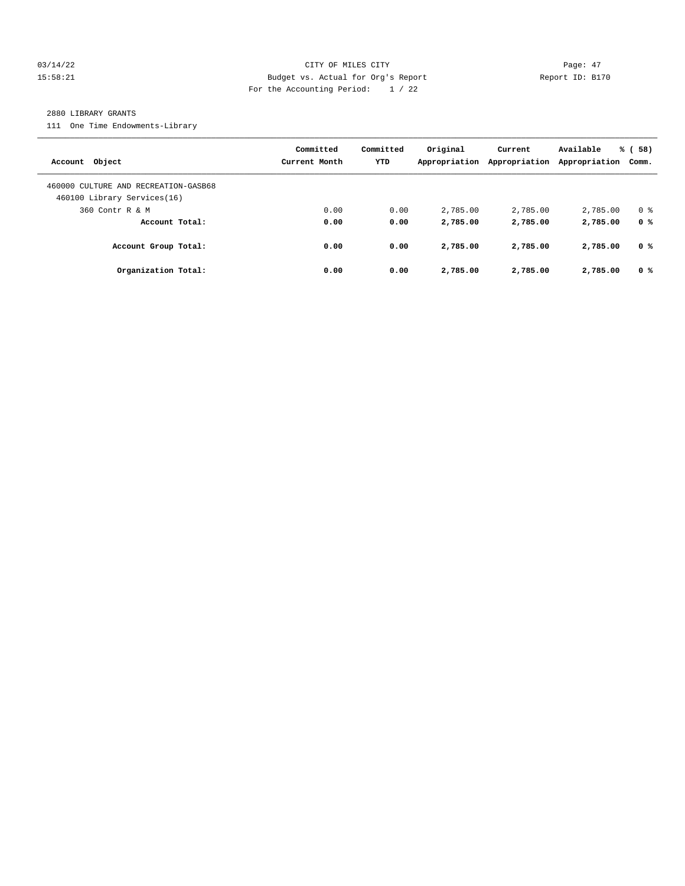#### 03/14/22 Page: 47 15:58:21 Budget vs. Actual for Org's Report Report ID: B170 For the Accounting Period: 1 / 22

#### 2880 LIBRARY GRANTS

111 One Time Endowments-Library

| Account Object                                                      | Committed<br>Current Month | Committed<br><b>YTD</b> | Original<br>Appropriation | Current<br>Appropriation | Available<br>Appropriation | % (58)<br>Comm. |
|---------------------------------------------------------------------|----------------------------|-------------------------|---------------------------|--------------------------|----------------------------|-----------------|
| 460000 CULTURE AND RECREATION-GASB68<br>460100 Library Services(16) |                            |                         |                           |                          |                            |                 |
| 360 Contr R & M                                                     | 0.00                       | 0.00                    | 2,785.00                  | 2,785.00                 | 2,785.00                   | 0 <sup>8</sup>  |
| Account Total:                                                      | 0.00                       | 0.00                    | 2,785.00                  | 2,785.00                 | 2,785.00                   | 0 <sup>8</sup>  |
| Account Group Total:                                                | 0.00                       | 0.00                    | 2,785.00                  | 2,785.00                 | 2,785.00                   | 0 %             |
| Organization Total:                                                 | 0.00                       | 0.00                    | 2,785.00                  | 2,785.00                 | 2,785.00                   | 0 <sup>8</sup>  |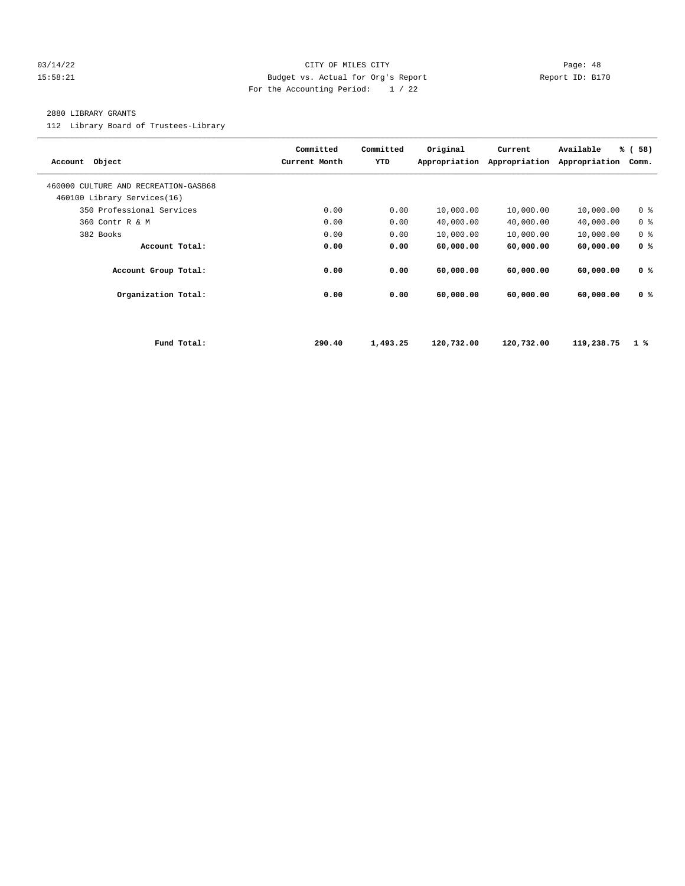#### 03/14/22 Page: 48 15:58:21 Budget vs. Actual for Org's Report Report ID: B170 For the Accounting Period: 1 / 22

#### 2880 LIBRARY GRANTS

112 Library Board of Trustees-Library

| Account Object                                                      | Committed<br>Current Month | Committed<br>YTD | Original<br>Appropriation | Current<br>Appropriation | Available<br>Appropriation | % (58)<br>Comm. |
|---------------------------------------------------------------------|----------------------------|------------------|---------------------------|--------------------------|----------------------------|-----------------|
| 460000 CULTURE AND RECREATION-GASB68<br>460100 Library Services(16) |                            |                  |                           |                          |                            |                 |
| 350 Professional Services                                           | 0.00                       | 0.00             | 10,000.00                 | 10,000.00                | 10,000.00                  | 0 <sup>8</sup>  |
| 360 Contr R & M                                                     | 0.00                       | 0.00             | 40,000.00                 | 40,000.00                | 40,000.00                  | 0 <sup>8</sup>  |
| 382 Books                                                           | 0.00                       | 0.00             | 10,000.00                 | 10,000.00                | 10,000.00                  | 0 <sup>8</sup>  |
| Account Total:                                                      | 0.00                       | 0.00             | 60,000.00                 | 60,000.00                | 60,000.00                  | 0 <sup>8</sup>  |
| Account Group Total:                                                | 0.00                       | 0.00             | 60,000.00                 | 60,000.00                | 60,000.00                  | 0 <sup>8</sup>  |
| Organization Total:                                                 | 0.00                       | 0.00             | 60,000.00                 | 60,000.00                | 60,000.00                  | 0 <sup>8</sup>  |
|                                                                     |                            |                  |                           |                          |                            |                 |
| Fund Total:                                                         | 290.40                     | 1,493.25         | 120,732.00                | 120,732.00               | 119,238.75                 | $1 \times$      |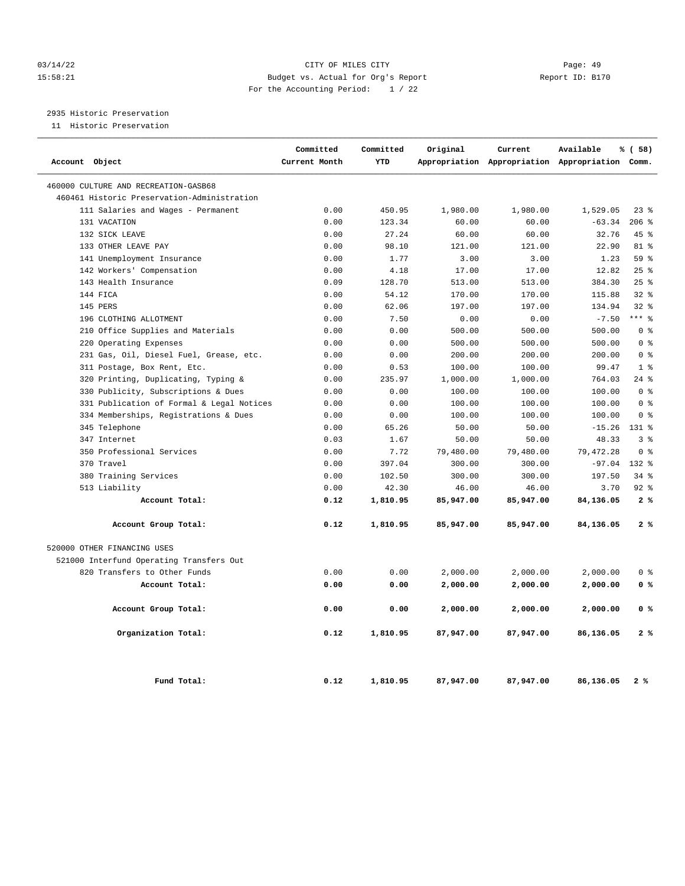#### 03/14/22 Page: 49 15:58:21 Budget vs. Actual for Org's Report Report ID: B170 For the Accounting Period: 1 / 22

2935 Historic Preservation

11 Historic Preservation

| Account Object                              | Committed<br>Current Month | Committed<br>YTD | Original  | Current   | Available<br>Appropriation Appropriation Appropriation Comm. | % (58)         |
|---------------------------------------------|----------------------------|------------------|-----------|-----------|--------------------------------------------------------------|----------------|
|                                             |                            |                  |           |           |                                                              |                |
| 460000 CULTURE AND RECREATION-GASB68        |                            |                  |           |           |                                                              |                |
| 460461 Historic Preservation-Administration |                            |                  |           |           |                                                              |                |
| 111 Salaries and Wages - Permanent          | 0.00                       | 450.95           | 1,980.00  | 1,980.00  | 1,529.05                                                     | $23$ $%$       |
| 131 VACATION                                | 0.00                       | 123.34           | 60.00     | 60.00     | $-63.34$                                                     | 206%           |
| 132 SICK LEAVE                              | 0.00                       | 27.24            | 60.00     | 60.00     | 32.76                                                        | $45*$          |
| 133 OTHER LEAVE PAY                         | 0.00                       | 98.10            | 121.00    | 121.00    | 22.90                                                        | 81 %           |
| 141 Unemployment Insurance                  | 0.00                       | 1.77             | 3.00      | 3.00      | 1.23                                                         | 59 %           |
| 142 Workers' Compensation                   | 0.00                       | 4.18             | 17.00     | 17.00     | 12.82                                                        | 25%            |
| 143 Health Insurance                        | 0.09                       | 128.70           | 513.00    | 513.00    | 384.30                                                       | 25%            |
| 144 FICA                                    | 0.00                       | 54.12            | 170.00    | 170.00    | 115.88                                                       | $32$ $%$       |
| 145 PERS                                    | 0.00                       | 62.06            | 197.00    | 197.00    | 134.94                                                       | $32$ $%$       |
| 196 CLOTHING ALLOTMENT                      | 0.00                       | 7.50             | 0.00      | 0.00      | $-7.50$                                                      | $***$ 8        |
| 210 Office Supplies and Materials           | 0.00                       | 0.00             | 500.00    | 500.00    | 500.00                                                       | 0 <sup>8</sup> |
| 220 Operating Expenses                      | 0.00                       | 0.00             | 500.00    | 500.00    | 500.00                                                       | 0 <sup>8</sup> |
| 231 Gas, Oil, Diesel Fuel, Grease, etc.     | 0.00                       | 0.00             | 200.00    | 200.00    | 200.00                                                       | 0 <sup>8</sup> |
| 311 Postage, Box Rent, Etc.                 | 0.00                       | 0.53             | 100.00    | 100.00    | 99.47                                                        | 1 <sup>8</sup> |
| 320 Printing, Duplicating, Typing &         | 0.00                       | 235.97           | 1,000.00  | 1,000.00  | 764.03                                                       | $24$ %         |
| Publicity, Subscriptions & Dues<br>330      | 0.00                       | 0.00             | 100.00    | 100.00    | 100.00                                                       | 0 <sup>8</sup> |
| 331 Publication of Formal & Legal Notices   | 0.00                       | 0.00             | 100.00    | 100.00    | 100.00                                                       | 0 <sup>8</sup> |
| 334 Memberships, Registrations & Dues       | 0.00                       | 0.00             | 100.00    | 100.00    | 100.00                                                       | 0 <sup>°</sup> |
| 345 Telephone                               | 0.00                       | 65.26            | 50.00     | 50.00     | $-15.26$                                                     | 131 %          |
| 347 Internet                                | 0.03                       | 1.67             | 50.00     | 50.00     | 48.33                                                        | 3 <sup>8</sup> |
| 350 Professional Services                   | 0.00                       | 7.72             | 79,480.00 | 79,480.00 | 79, 472.28                                                   | 0 <sup>8</sup> |
| 370 Travel                                  | 0.00                       | 397.04           | 300.00    | 300.00    | $-97.04$                                                     | $132*$         |
| 380 Training Services                       | 0.00                       | 102.50           | 300.00    | 300.00    | 197.50                                                       | $34$ $%$       |
| 513 Liability                               | 0.00                       | 42.30            | 46.00     | 46.00     | 3.70                                                         | $92$ $%$       |
| Account Total:                              | 0.12                       | 1,810.95         | 85,947.00 | 85,947.00 | 84,136.05                                                    | 2%             |
| Account Group Total:                        | 0.12                       | 1,810.95         | 85,947.00 | 85,947.00 | 84,136.05                                                    | 2%             |
| 520000 OTHER FINANCING USES                 |                            |                  |           |           |                                                              |                |
| 521000 Interfund Operating Transfers Out    |                            |                  |           |           |                                                              |                |
| 820 Transfers to Other Funds                | 0.00                       | 0.00             | 2,000.00  | 2,000.00  | 2,000.00                                                     | 0 <sup>8</sup> |
| Account Total:                              | 0.00                       | 0.00             | 2,000.00  | 2,000.00  | 2,000.00                                                     | 0 <sup>8</sup> |
| Account Group Total:                        | 0.00                       | 0.00             | 2,000.00  | 2,000.00  | 2,000.00                                                     | 0 <sup>8</sup> |
| Organization Total:                         | 0.12                       | 1,810.95         | 87,947.00 | 87,947.00 | 86,136.05                                                    | 2%             |
| Fund Total:                                 | 0.12                       | 1,810.95         | 87,947.00 | 87,947.00 | 86,136.05                                                    | 2%             |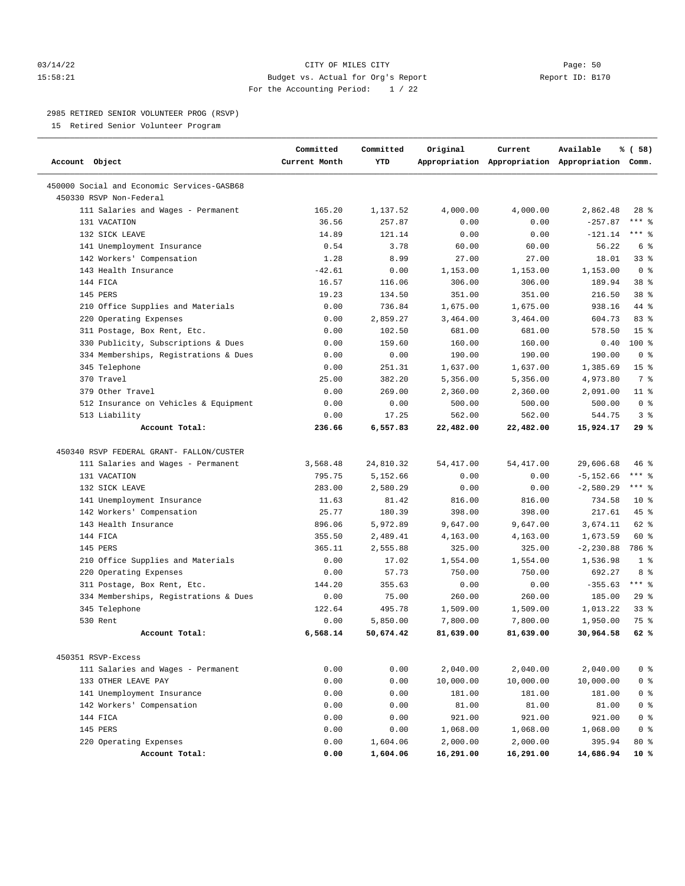#### 03/14/22 Page: 50 15:58:21 Budget vs. Actual for Org's Report Report ID: B170 For the Accounting Period: 1 / 22

#### 2985 RETIRED SENIOR VOLUNTEER PROG (RSVP)

15 Retired Senior Volunteer Program

| Account Object                                                        | Committed<br>Current Month | Committed<br>YTD | Original   | Current    | Available<br>Appropriation Appropriation Appropriation Comm. | % ( 58)         |
|-----------------------------------------------------------------------|----------------------------|------------------|------------|------------|--------------------------------------------------------------|-----------------|
| 450000 Social and Economic Services-GASB68<br>450330 RSVP Non-Federal |                            |                  |            |            |                                                              |                 |
| 111 Salaries and Wages - Permanent                                    | 165.20                     | 1,137.52         | 4,000.00   | 4,000.00   | 2,862.48                                                     | 28 %            |
| 131 VACATION                                                          | 36.56                      | 257.87           | 0.00       | 0.00       | $-257.87$                                                    | $***$ $%$       |
| 132 SICK LEAVE                                                        | 14.89                      | 121.14           | 0.00       | 0.00       | $-121.14$                                                    | $***$ $-$       |
| 141 Unemployment Insurance                                            | 0.54                       | 3.78             | 60.00      | 60.00      | 56.22                                                        | 6 %             |
| 142 Workers' Compensation                                             | 1.28                       | 8.99             | 27.00      | 27.00      | 18.01                                                        | 33%             |
| 143 Health Insurance                                                  | $-42.61$                   | 0.00             | 1,153.00   | 1,153.00   | 1,153.00                                                     | 0 <sup>8</sup>  |
| 144 FICA                                                              | 16.57                      | 116.06           | 306.00     | 306.00     | 189.94                                                       | $38*$           |
| 145 PERS                                                              | 19.23                      | 134.50           | 351.00     | 351.00     | 216.50                                                       | 38 %            |
| 210 Office Supplies and Materials                                     | 0.00                       | 736.84           | 1,675.00   | 1,675.00   | 938.16                                                       | 44 %            |
| 220 Operating Expenses                                                | 0.00                       | 2,859.27         | 3,464.00   | 3,464.00   | 604.73                                                       | 83%             |
| 311 Postage, Box Rent, Etc.                                           | 0.00                       | 102.50           | 681.00     | 681.00     | 578.50                                                       | 15 <sup>8</sup> |
| 330 Publicity, Subscriptions & Dues                                   | 0.00                       | 159.60           | 160.00     | 160.00     | 0.40                                                         | 100 %           |
| 334 Memberships, Registrations & Dues                                 | 0.00                       | 0.00             | 190.00     | 190.00     | 190.00                                                       | 0 <sup>8</sup>  |
| 345 Telephone                                                         | 0.00                       | 251.31           | 1,637.00   | 1,637.00   | 1,385.69                                                     | 15 <sup>8</sup> |
| 370 Travel                                                            | 25.00                      | 382.20           | 5,356.00   | 5,356.00   | 4,973.80                                                     | 7 %             |
| 379 Other Travel                                                      | 0.00                       | 269.00           | 2,360.00   | 2,360.00   | 2,091.00                                                     | $11$ %          |
| 512 Insurance on Vehicles & Equipment                                 | 0.00                       | 0.00             | 500.00     | 500.00     | 500.00                                                       | 0 <sup>8</sup>  |
| 513 Liability                                                         | 0.00                       | 17.25            | 562.00     | 562.00     | 544.75                                                       | 3%              |
| Account Total:                                                        | 236.66                     | 6,557.83         | 22,482.00  | 22,482.00  | 15,924.17                                                    | 29%             |
| 450340 RSVP FEDERAL GRANT- FALLON/CUSTER                              |                            |                  |            |            |                                                              |                 |
| 111 Salaries and Wages - Permanent                                    | 3,568.48                   | 24,810.32        | 54, 417.00 | 54, 417.00 | 29,606.68                                                    | 46%             |
| 131 VACATION                                                          | 795.75                     | 5,152.66         | 0.00       | 0.00       | $-5, 152.66$                                                 | $***$ $-$       |
| 132 SICK LEAVE                                                        | 283.00                     | 2,580.29         | 0.00       | 0.00       | $-2,580.29$                                                  | $***$ $-$       |
| 141 Unemployment Insurance                                            | 11.63                      | 81.42            | 816.00     | 816.00     | 734.58                                                       | $10*$           |
| 142 Workers' Compensation                                             | 25.77                      | 180.39           | 398.00     | 398.00     | 217.61                                                       | 45 %            |
| 143 Health Insurance                                                  | 896.06                     | 5,972.89         | 9,647.00   | 9,647.00   | 3,674.11                                                     | 62 %            |
| 144 FICA                                                              | 355.50                     | 2,489.41         | 4,163.00   | 4,163.00   | 1,673.59                                                     | 60 %            |
| 145 PERS                                                              | 365.11                     | 2,555.88         | 325.00     | 325.00     | $-2, 230.88$                                                 | 786 %           |
| 210 Office Supplies and Materials                                     | 0.00                       | 17.02            | 1,554.00   | 1,554.00   | 1,536.98                                                     | 1 <sup>8</sup>  |
| 220 Operating Expenses                                                | 0.00                       | 57.73            | 750.00     | 750.00     | 692.27                                                       | 8 %             |
| 311 Postage, Box Rent, Etc.                                           | 144.20                     | 355.63           | 0.00       | 0.00       | $-355.63$                                                    | $***$ $%$       |
| 334 Memberships, Registrations & Dues                                 | 0.00                       | 75.00            | 260.00     | 260.00     | 185.00                                                       | 29%             |
| 345 Telephone                                                         | 122.64                     | 495.78           | 1,509.00   | 1,509.00   | 1,013.22                                                     | $33$ $%$        |
| 530 Rent                                                              | 0.00                       | 5,850.00         | 7,800.00   | 7,800.00   | 1,950.00                                                     | 75 %            |
| Account Total:                                                        | 6,568.14                   | 50,674.42        | 81,639.00  | 81,639.00  | 30,964.58                                                    | 62%             |
|                                                                       |                            |                  |            |            |                                                              |                 |
| 450351 RSVP-Excess                                                    |                            |                  |            |            |                                                              |                 |
| 111 Salaries and Wages - Permanent                                    | 0.00                       | 0.00             | 2,040.00   | 2,040.00   | 2,040.00                                                     | 0 <sup>8</sup>  |
| 133 OTHER LEAVE PAY                                                   | 0.00                       | 0.00             | 10,000.00  | 10,000.00  | 10,000.00                                                    | 0 <sup>8</sup>  |
| 141 Unemployment Insurance                                            | 0.00                       | 0.00             | 181.00     | 181.00     | 181.00                                                       | 0 <sup>8</sup>  |
| 142 Workers' Compensation                                             | 0.00                       | 0.00             | 81.00      | 81.00      | 81.00                                                        | 0 <sup>8</sup>  |
| 144 FICA                                                              | 0.00                       | 0.00             | 921.00     | 921.00     | 921.00                                                       | 0 <sup>8</sup>  |
| 145 PERS                                                              | 0.00                       | 0.00             | 1,068.00   | 1,068.00   | 1,068.00                                                     | 0 <sup>8</sup>  |
| 220 Operating Expenses                                                | 0.00                       | 1,604.06         | 2,000.00   | 2,000.00   | 395.94                                                       | $80*$           |
| Account Total:                                                        | 0.00                       | 1,604.06         | 16,291.00  | 16,291.00  | 14,686.94                                                    | 10 %            |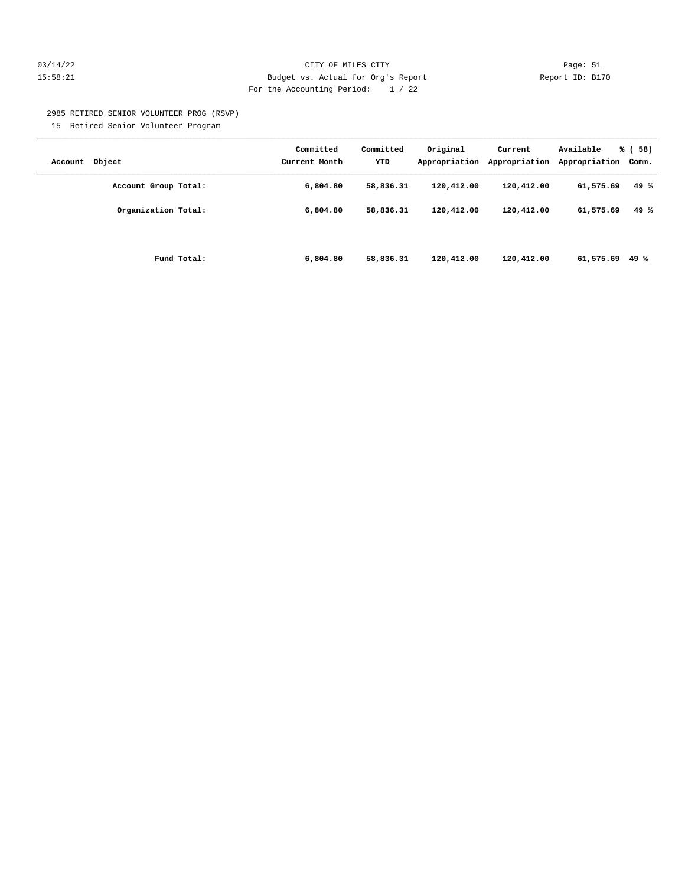#### 03/14/22 Page: 51 15:58:21 Budget vs. Actual for Org's Report Report ID: B170 For the Accounting Period: 1 / 22

2985 RETIRED SENIOR VOLUNTEER PROG (RSVP)

15 Retired Senior Volunteer Program

| Account Object       | Committed<br>Current Month | Committed<br>YTD | Original<br>Appropriation | Current<br>Appropriation | Available<br>Appropriation | % (58)<br>Comm. |
|----------------------|----------------------------|------------------|---------------------------|--------------------------|----------------------------|-----------------|
| Account Group Total: | 6,804.80                   | 58,836.31        | 120,412.00                | 120,412.00               | 61,575.69                  | 49%             |
| Organization Total:  | 6,804.80                   | 58,836.31        | 120,412.00                | 120,412.00               | 61,575.69                  | 49 %            |
| Fund Total:          | 6,804.80                   | 58,836.31        | 120,412.00                | 120,412.00               | 61,575.69                  | 49 %            |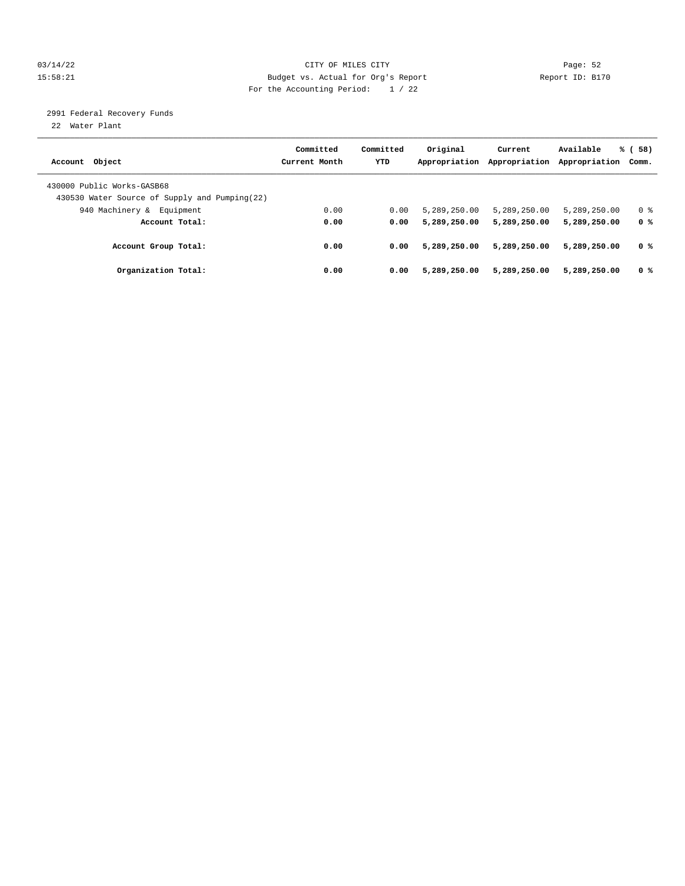#### 03/14/22 Page: 52 15:58:21 Budget vs. Actual for Org's Report Report ID: B170 For the Accounting Period: 1 / 22

2991 Federal Recovery Funds

22 Water Plant

| Account Object                                                               | Committed<br>Current Month | Committed<br><b>YTD</b> | Original<br>Appropriation | Current<br>Appropriation | Available<br>Appropriation | % (58)<br>Comm. |
|------------------------------------------------------------------------------|----------------------------|-------------------------|---------------------------|--------------------------|----------------------------|-----------------|
| 430000 Public Works-GASB68<br>430530 Water Source of Supply and Pumping (22) |                            |                         |                           |                          |                            |                 |
| 940 Machinery & Equipment                                                    | 0.00                       | 0.00                    | 5,289,250.00              | 5,289,250.00             | 5,289,250.00               | 0 <sup>8</sup>  |
| Account Total:                                                               | 0.00                       | 0.00                    | 5,289,250.00              | 5,289,250.00             | 5,289,250.00               | 0 %             |
| Account Group Total:                                                         | 0.00                       | 0.00                    | 5,289,250.00              | 5,289,250.00             | 5,289,250.00               | 0 <sup>8</sup>  |
| Organization Total:                                                          | 0.00                       | 0.00                    | 5,289,250.00              | 5,289,250.00             | 5,289,250.00               | 0 <sup>8</sup>  |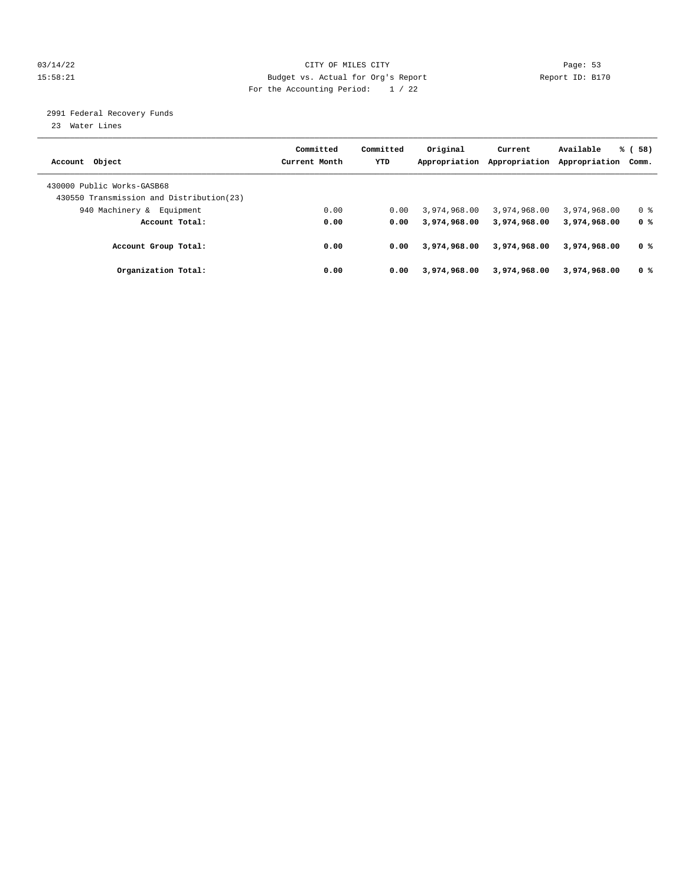#### 03/14/22 Page: 53 15:58:21 Budget vs. Actual for Org's Report Report ID: B170 For the Accounting Period: 1 / 22

2991 Federal Recovery Funds

23 Water Lines

|                                           | Committed     | Committed  | Original      | Current       | Available     | % (58)         |
|-------------------------------------------|---------------|------------|---------------|---------------|---------------|----------------|
| Account Object                            | Current Month | <b>YTD</b> | Appropriation | Appropriation | Appropriation | Comm.          |
| 430000 Public Works-GASB68                |               |            |               |               |               |                |
| 430550 Transmission and Distribution (23) |               |            |               |               |               |                |
| 940 Machinery &<br>Equipment              | 0.00          | 0.00       | 3,974,968.00  | 3,974,968.00  | 3,974,968.00  | 0 <sup>8</sup> |
| Account Total:                            | 0.00          | 0.00       | 3,974,968,00  | 3,974,968.00  | 3,974,968.00  | 0 %            |
| Account Group Total:                      | 0.00          | 0.00       | 3,974,968,00  | 3,974,968.00  | 3,974,968.00  | 0 <sup>8</sup> |
| Organization Total:                       | 0.00          | 0.00       | 3,974,968.00  | 3,974,968.00  | 3,974,968,00  | 0 <sup>8</sup> |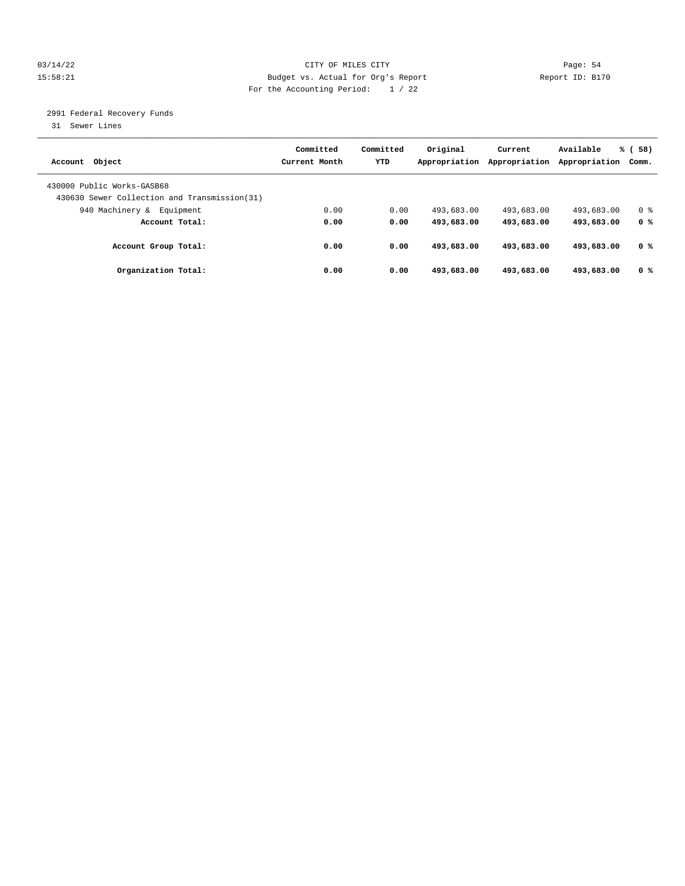#### 03/14/22 Page: 54 15:58:21 Budget vs. Actual for Org's Report Report ID: B170 For the Accounting Period: 1 / 22

2991 Federal Recovery Funds

31 Sewer Lines

| Account Object                                                              | Committed<br>Current Month | Committed<br><b>YTD</b> | Original<br>Appropriation | Current<br>Appropriation | Available<br>Appropriation | 58)<br>% (<br>Comm. |
|-----------------------------------------------------------------------------|----------------------------|-------------------------|---------------------------|--------------------------|----------------------------|---------------------|
| 430000 Public Works-GASB68<br>430630 Sewer Collection and Transmission (31) |                            |                         |                           |                          |                            |                     |
| 940 Machinery &<br>Equipment                                                | 0.00                       | 0.00                    | 493,683.00                | 493,683.00               | 493,683.00                 | 0 <sup>8</sup>      |
| Account Total:                                                              | 0.00                       | 0.00                    | 493,683.00                | 493,683.00               | 493,683.00                 | 0 %                 |
| Account Group Total:                                                        | 0.00                       | 0.00                    | 493,683.00                | 493,683.00               | 493,683.00                 | 0 %                 |
| Organization Total:                                                         | 0.00                       | 0.00                    | 493,683.00                | 493,683.00               | 493,683,00                 | 0 <sup>8</sup>      |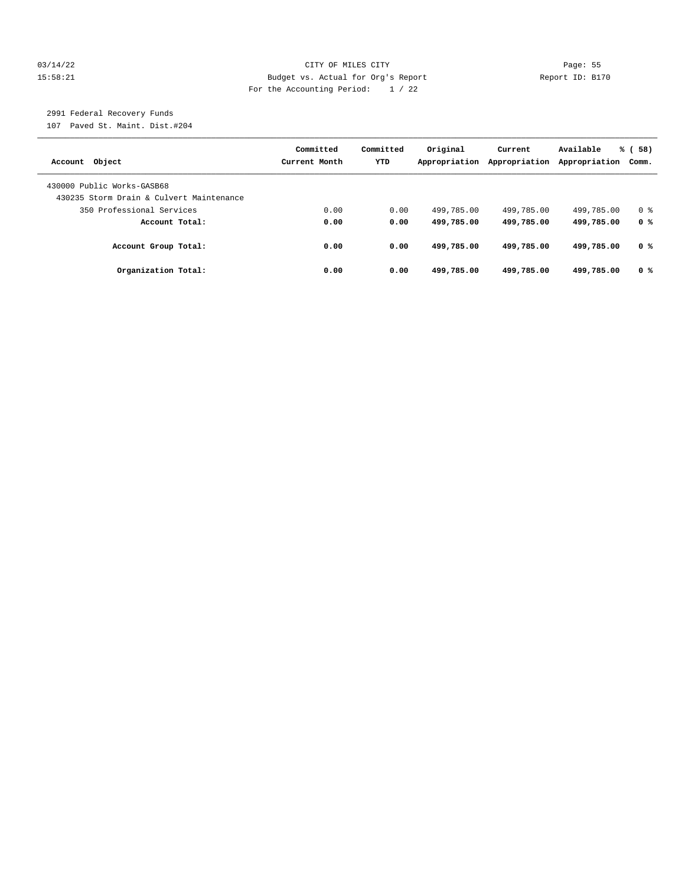#### 03/14/22 Page: 55 15:58:21 Budget vs. Actual for Org's Report Changer Report ID: B170 For the Accounting Period: 1 / 22

## 2991 Federal Recovery Funds

107 Paved St. Maint. Dist.#204

| Account Object                           | Committed<br>Current Month | Committed<br><b>YTD</b> | Original<br>Appropriation | Current<br>Appropriation | Available<br>Appropriation | % (58)<br>Comm. |
|------------------------------------------|----------------------------|-------------------------|---------------------------|--------------------------|----------------------------|-----------------|
| 430000 Public Works-GASB68               |                            |                         |                           |                          |                            |                 |
| 430235 Storm Drain & Culvert Maintenance |                            |                         |                           |                          |                            |                 |
| 350 Professional Services                | 0.00                       | 0.00                    | 499,785.00                | 499,785.00               | 499,785.00                 | 0 %             |
| Account Total:                           | 0.00                       | 0.00                    | 499,785.00                | 499,785.00               | 499,785.00                 | 0 <sup>8</sup>  |
| Account Group Total:                     | 0.00                       | 0.00                    | 499,785.00                | 499,785.00               | 499,785.00                 | 0 %             |
| Organization Total:                      | 0.00                       | 0.00                    | 499,785.00                | 499,785.00               | 499,785.00                 | 0 %             |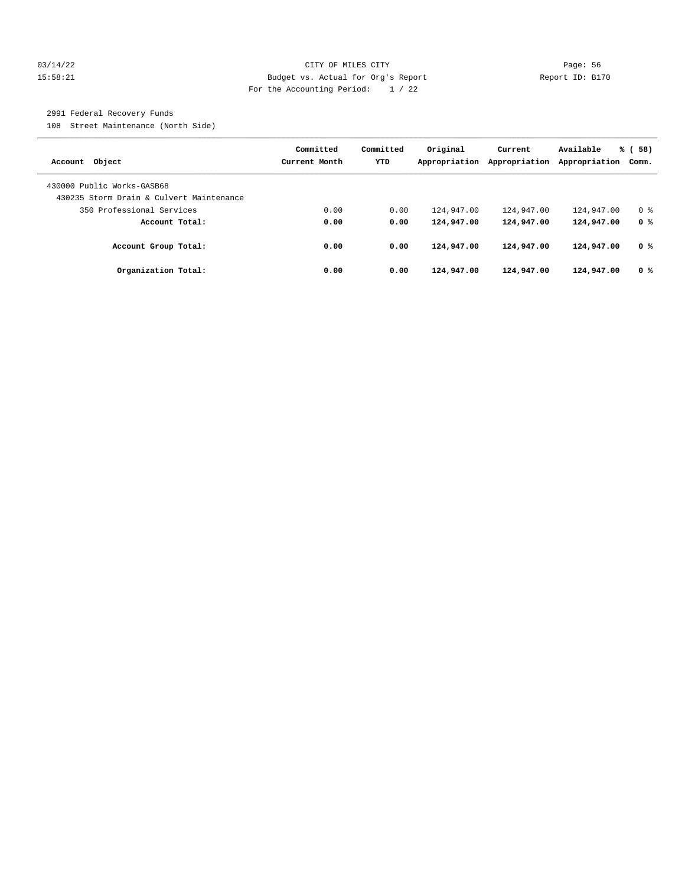#### 03/14/22 Page: 56 15:58:21 Budget vs. Actual for Org's Report Report ID: B170 For the Accounting Period: 1 / 22

## 2991 Federal Recovery Funds

108 Street Maintenance (North Side)

| Account Object                                                        | Committed<br>Current Month | Committed<br><b>YTD</b> | Original<br>Appropriation | Current<br>Appropriation | Available<br>Appropriation | % (58)<br>Comm. |
|-----------------------------------------------------------------------|----------------------------|-------------------------|---------------------------|--------------------------|----------------------------|-----------------|
| 430000 Public Works-GASB68                                            |                            |                         |                           |                          |                            |                 |
| 430235 Storm Drain & Culvert Maintenance<br>350 Professional Services | 0.00                       | 0.00                    | 124,947.00                | 124,947.00               | 124,947.00                 | 0 <sup>8</sup>  |
| Account Total:                                                        | 0.00                       | 0.00                    | 124,947.00                | 124,947.00               | 124,947.00                 | 0 %             |
| Account Group Total:                                                  | 0.00                       | 0.00                    | 124,947.00                | 124,947.00               | 124,947.00                 | 0 %             |
| Organization Total:                                                   | 0.00                       | 0.00                    | 124,947.00                | 124,947.00               | 124,947.00                 | 0 <sup>8</sup>  |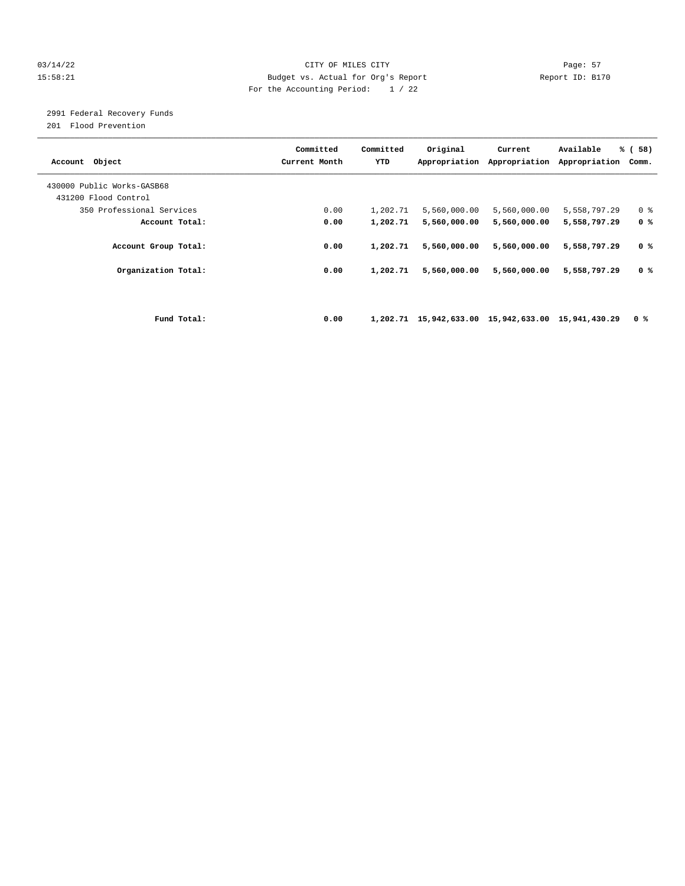#### 03/14/22 Page: 57 15:58:21 Budget vs. Actual for Org's Report Report ID: B170 For the Accounting Period: 1 / 22

# 2991 Federal Recovery Funds

201 Flood Prevention

| Account Object             | Committed<br>Current Month |      | Committed<br>YTD | Original                                           | Current      | Available<br>Appropriation Appropriation Appropriation | % (58)<br>Comm. |
|----------------------------|----------------------------|------|------------------|----------------------------------------------------|--------------|--------------------------------------------------------|-----------------|
| 430000 Public Works-GASB68 |                            |      |                  |                                                    |              |                                                        |                 |
| 431200 Flood Control       |                            |      |                  |                                                    |              |                                                        |                 |
| 350 Professional Services  |                            | 0.00 | 1,202.71         | 5,560,000.00                                       | 5,560,000.00 | 5,558,797.29                                           | 0 <sup>8</sup>  |
| Account Total:             |                            | 0.00 | 1,202.71         | 5,560,000.00                                       | 5,560,000.00 | 5,558,797.29                                           | 0 <sup>8</sup>  |
| Account Group Total:       |                            | 0.00 | 1,202.71         | 5,560,000.00                                       | 5,560,000.00 | 5,558,797.29                                           | 0 <sup>8</sup>  |
| Organization Total:        |                            | 0.00 | 1,202.71         | 5,560,000.00                                       | 5,560,000.00 | 5,558,797.29                                           | 0 <sup>8</sup>  |
|                            |                            |      |                  |                                                    |              |                                                        |                 |
| Fund Total:                |                            | 0.00 |                  | 1,202.71 15,942,633.00 15,942,633.00 15,941,430.29 |              |                                                        | 0 %             |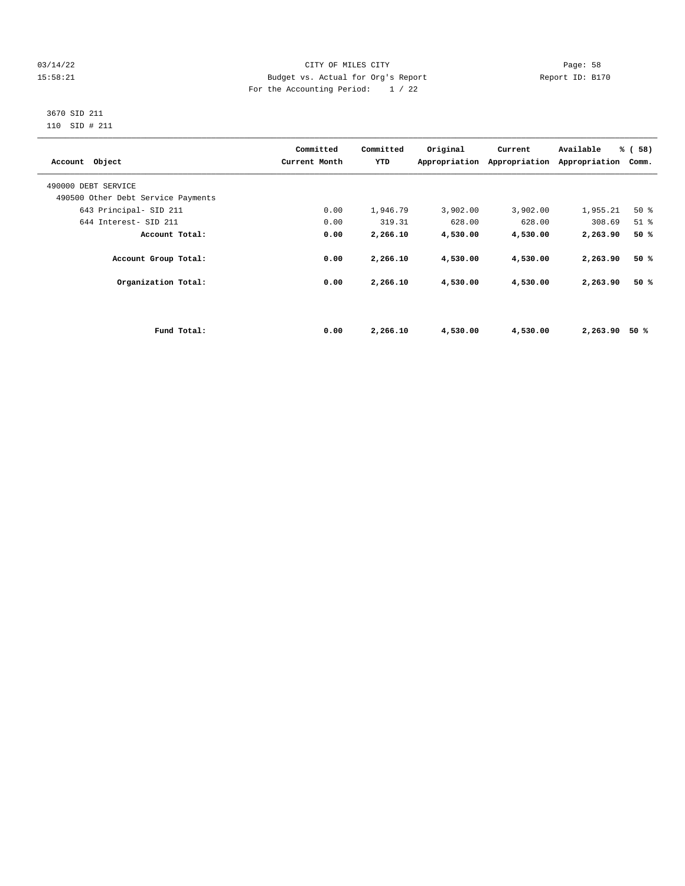#### 03/14/22 Page: 58 15:58:21 Budget vs. Actual for Org's Report Changer Report ID: B170 For the Accounting Period: 1 / 22

#### 3670 SID 211 110 SID # 211

| Account Object                     |             | Committed<br>Current Month | Committed<br>YTD | Original | Current<br>Appropriation Appropriation | Available<br>Appropriation | % (58)<br>Comm. |
|------------------------------------|-------------|----------------------------|------------------|----------|----------------------------------------|----------------------------|-----------------|
| 490000 DEBT SERVICE                |             |                            |                  |          |                                        |                            |                 |
| 490500 Other Debt Service Payments |             |                            |                  |          |                                        |                            |                 |
| 643 Principal- SID 211             |             | 0.00                       | 1,946.79         | 3,902.00 | 3,902.00                               | 1,955.21                   | 50%             |
| 644 Interest- SID 211              |             | 0.00                       | 319.31           | 628.00   | 628.00                                 | 308.69                     | $51$ $%$        |
| Account Total:                     |             | 0.00                       | 2,266.10         | 4,530.00 | 4,530.00                               | 2,263.90                   | 50%             |
| Account Group Total:               |             | 0.00                       | 2,266.10         | 4,530.00 | 4,530.00                               | 2,263.90                   | 50%             |
| Organization Total:                |             | 0.00                       | 2,266.10         | 4,530.00 | 4,530.00                               | 2,263.90                   | 50%             |
|                                    |             |                            |                  |          |                                        |                            |                 |
|                                    | Fund Total: | 0.00                       | 2,266.10         | 4,530.00 | 4,530.00                               | 2,263.90                   | 50 %            |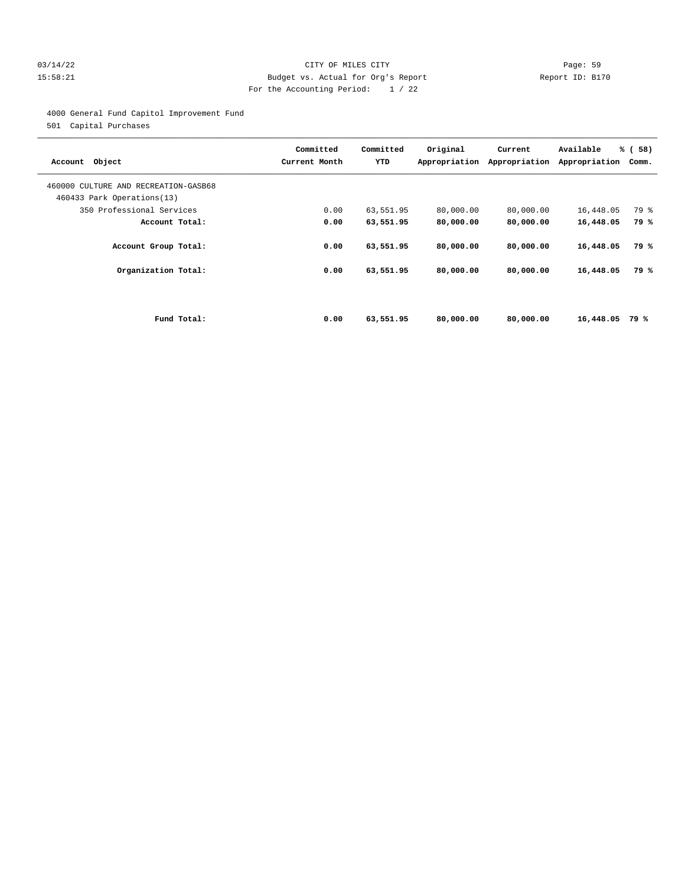#### 03/14/22 Page: 59 15:58:21 Budget vs. Actual for Org's Report Report ID: B170 For the Accounting Period: 1 / 22

4000 General Fund Capitol Improvement Fund

501 Capital Purchases

| Account Object                                                     | Committed<br>Current Month | Committed<br>YTD | Original<br>Appropriation | Current<br>Appropriation | Available<br>Appropriation | % (58)<br>Comm. |
|--------------------------------------------------------------------|----------------------------|------------------|---------------------------|--------------------------|----------------------------|-----------------|
| 460000 CULTURE AND RECREATION-GASB68<br>460433 Park Operations(13) |                            |                  |                           |                          |                            |                 |
| 350 Professional Services                                          | 0.00                       | 63,551.95        | 80,000.00                 | 80,000.00                | 16,448.05                  | 79 %            |
| Account Total:                                                     | 0.00                       | 63,551.95        | 80,000.00                 | 80,000.00                | 16,448.05                  | 79 %            |
| Account Group Total:                                               | 0.00                       | 63,551.95        | 80,000.00                 | 80,000.00                | 16,448.05                  | 79 %            |
| Organization Total:                                                | 0.00                       | 63,551.95        | 80,000.00                 | 80,000.00                | 16,448.05                  | 79 %            |
|                                                                    |                            |                  |                           |                          |                            |                 |
| Fund Total:                                                        | 0.00                       | 63,551.95        | 80,000.00                 | 80,000,00                | 16,448.05                  | 79 %            |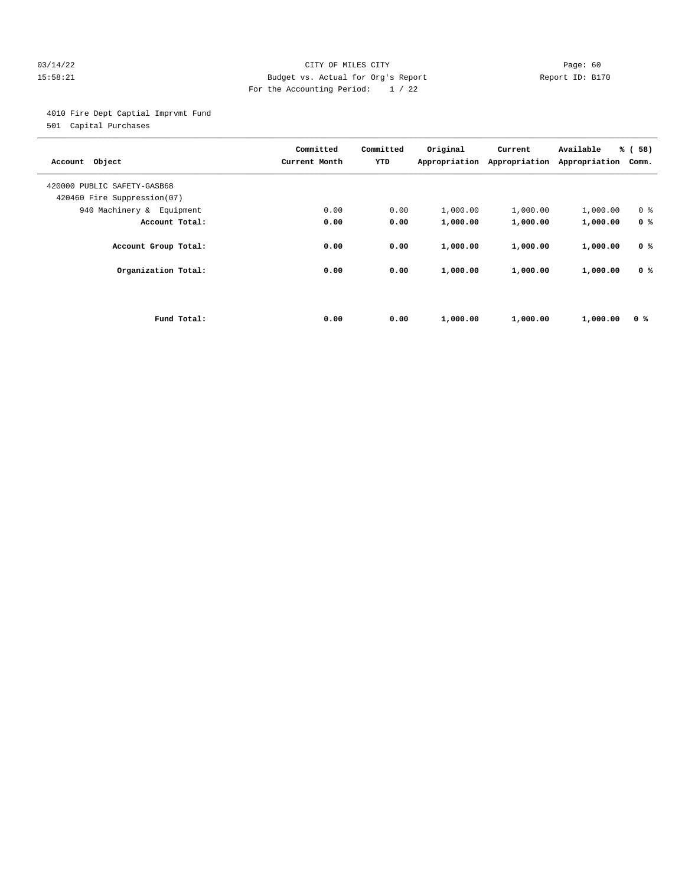#### 03/14/22 Page: 60 15:58:21 Budget vs. Actual for Org's Report Report ID: B170 For the Accounting Period: 1 / 22

4010 Fire Dept Captial Imprvmt Fund

501 Capital Purchases

| Object<br>Account                                          | Committed<br>Current Month | Committed<br>YTD | Original<br>Appropriation | Current<br>Appropriation | Available<br>Appropriation | % (58)<br>Comm. |
|------------------------------------------------------------|----------------------------|------------------|---------------------------|--------------------------|----------------------------|-----------------|
| 420000 PUBLIC SAFETY-GASB68<br>420460 Fire Suppression(07) |                            |                  |                           |                          |                            |                 |
| 940 Machinery & Equipment                                  | 0.00                       | 0.00             | 1,000.00                  | 1,000.00                 | 1,000.00                   | 0 <sup>8</sup>  |
| Account Total:                                             | 0.00                       | 0.00             | 1,000.00                  | 1,000.00                 | 1,000.00                   | 0 <sup>8</sup>  |
| Account Group Total:                                       | 0.00                       | 0.00             | 1,000.00                  | 1,000.00                 | 1,000.00                   | 0 <sup>8</sup>  |
| Organization Total:                                        | 0.00                       | 0.00             | 1,000.00                  | 1,000.00                 | 1,000.00                   | 0 <sup>8</sup>  |
|                                                            |                            |                  |                           |                          |                            |                 |
| Fund Total:                                                | 0.00                       | 0.00             | 1,000.00                  | 1,000.00                 | 1,000.00                   | 0 %             |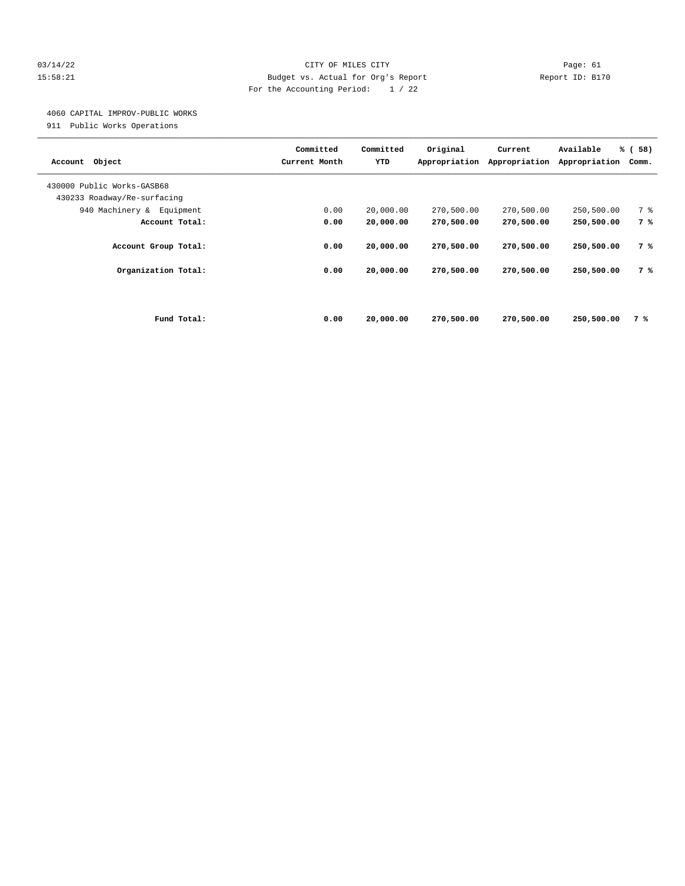#### 03/14/22 Page: 61 15:58:21 Budget vs. Actual for Org's Report Report ID: B170 For the Accounting Period: 1 / 22

# 4060 CAPITAL IMPROV-PUBLIC WORKS

911 Public Works Operations

| Object<br>Account                                         | Committed<br>Current Month | Committed<br>YTD | Original<br>Appropriation | Current<br>Appropriation | Available<br>Appropriation | % (58)<br>Comm. |
|-----------------------------------------------------------|----------------------------|------------------|---------------------------|--------------------------|----------------------------|-----------------|
| 430000 Public Works-GASB68<br>430233 Roadway/Re-surfacing |                            |                  |                           |                          |                            |                 |
| 940 Machinery & Equipment                                 | 0.00                       | 20,000.00        | 270,500.00                | 270,500.00               | 250,500.00                 | 7 %             |
| Account Total:                                            | 0.00                       | 20,000.00        | 270,500.00                | 270,500.00               | 250,500.00                 | 7 %             |
| Account Group Total:                                      | 0.00                       | 20,000.00        | 270,500.00                | 270,500.00               | 250,500.00                 | 7 %             |
| Organization Total:                                       | 0.00                       | 20,000.00        | 270,500.00                | 270,500.00               | 250,500.00                 | 7 %             |
|                                                           |                            |                  |                           |                          |                            |                 |
| Fund Total:                                               | 0.00                       | 20,000.00        | 270,500.00                | 270,500.00               | 250,500.00                 | 7 %             |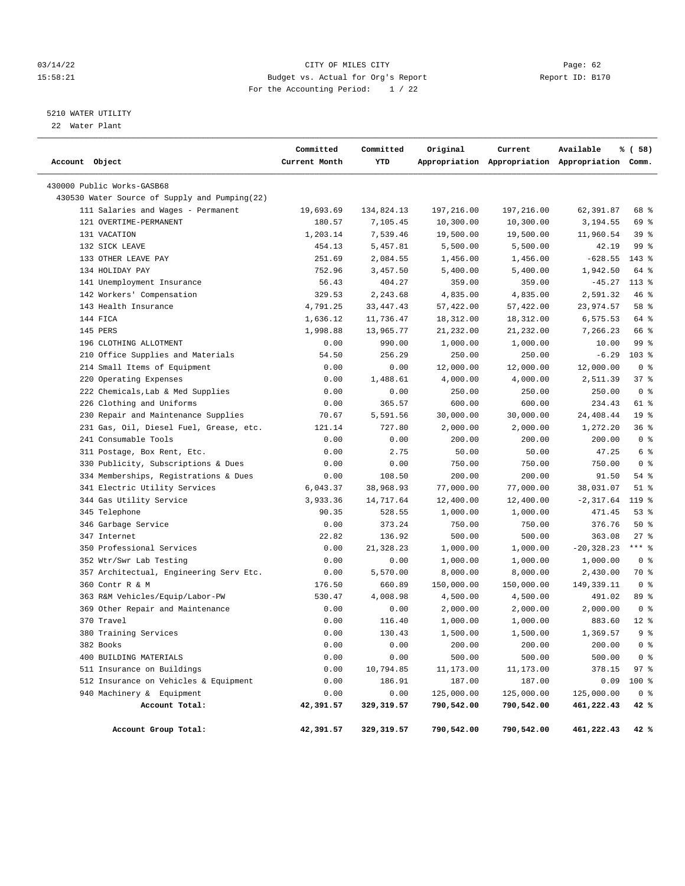#### 03/14/22 Page: 62 15:58:21 Budget vs. Actual for Org's Report Changer Report ID: B170 For the Accounting Period: 1 / 22

# 5210 WATER UTILITY

22 Water Plant

| Account Object                                | Committed<br>Current Month | Committed<br>YTD | Original   | Current    | Available<br>Appropriation Appropriation Appropriation Comm. | % ( 58)         |
|-----------------------------------------------|----------------------------|------------------|------------|------------|--------------------------------------------------------------|-----------------|
| 430000 Public Works-GASB68                    |                            |                  |            |            |                                                              |                 |
| 430530 Water Source of Supply and Pumping(22) |                            |                  |            |            |                                                              |                 |
| 111 Salaries and Wages - Permanent            | 19,693.69                  | 134,824.13       | 197,216.00 | 197,216.00 | 62,391.87                                                    | 68 %            |
| 121 OVERTIME-PERMANENT                        | 180.57                     | 7,105.45         | 10,300.00  | 10,300.00  | 3,194.55                                                     | 69 %            |
| 131 VACATION                                  | 1,203.14                   | 7,539.46         | 19,500.00  | 19,500.00  | 11,960.54                                                    | 39%             |
| 132 SICK LEAVE                                | 454.13                     | 5,457.81         | 5,500.00   | 5,500.00   | 42.19                                                        | 99 %            |
| 133 OTHER LEAVE PAY                           | 251.69                     | 2,084.55         | 1,456.00   | 1,456.00   | $-628.55$                                                    | $143*$          |
| 134 HOLIDAY PAY                               | 752.96                     | 3,457.50         | 5,400.00   | 5,400.00   | 1,942.50                                                     | 64 %            |
| 141 Unemployment Insurance                    | 56.43                      | 404.27           | 359.00     | 359.00     | $-45.27$                                                     | $113*$          |
| 142 Workers' Compensation                     | 329.53                     | 2,243.68         | 4,835.00   | 4,835.00   | 2,591.32                                                     | 46%             |
| 143 Health Insurance                          | 4,791.25                   | 33, 447. 43      | 57,422.00  | 57,422.00  | 23,974.57                                                    | 58 %            |
| 144 FICA                                      | 1,636.12                   | 11,736.47        | 18,312.00  | 18,312.00  | 6,575.53                                                     | 64 %            |
| 145 PERS                                      | 1,998.88                   | 13,965.77        | 21,232.00  | 21,232.00  | 7,266.23                                                     | 66 %            |
| 196 CLOTHING ALLOTMENT                        | 0.00                       | 990.00           | 1,000.00   | 1,000.00   | 10.00                                                        | 99 %            |
| 210 Office Supplies and Materials             | 54.50                      | 256.29           | 250.00     | 250.00     | $-6.29$                                                      | $103$ %         |
| 214 Small Items of Equipment                  | 0.00                       | 0.00             | 12,000.00  | 12,000.00  | 12,000.00                                                    | 0 <sup>8</sup>  |
| 220 Operating Expenses                        | 0.00                       | 1,488.61         | 4,000.00   | 4,000.00   | 2,511.39                                                     | 37%             |
| 222 Chemicals, Lab & Med Supplies             | 0.00                       | 0.00             | 250.00     | 250.00     | 250.00                                                       | 0 <sup>8</sup>  |
| 226 Clothing and Uniforms                     | 0.00                       | 365.57           | 600.00     | 600.00     | 234.43                                                       | 61 %            |
| 230 Repair and Maintenance Supplies           | 70.67                      | 5,591.56         | 30,000.00  | 30,000.00  | 24, 408. 44                                                  | 19 <sup>°</sup> |
| 231 Gas, Oil, Diesel Fuel, Grease, etc.       | 121.14                     | 727.80           | 2,000.00   | 2,000.00   | 1,272.20                                                     | 36%             |
| 241 Consumable Tools                          | 0.00                       | 0.00             | 200.00     | 200.00     | 200.00                                                       | 0 <sup>8</sup>  |
| 311 Postage, Box Rent, Etc.                   | 0.00                       | 2.75             | 50.00      | 50.00      | 47.25                                                        | 6 %             |
| 330 Publicity, Subscriptions & Dues           | 0.00                       | 0.00             | 750.00     | 750.00     | 750.00                                                       | 0 <sup>8</sup>  |
| 334 Memberships, Registrations & Dues         | 0.00                       | 108.50           | 200.00     | 200.00     | 91.50                                                        | $54$ %          |
| 341 Electric Utility Services                 | 6,043.37                   | 38,968.93        | 77,000.00  | 77,000.00  | 38,031.07                                                    | $51$ %          |
| 344 Gas Utility Service                       | 3,933.36                   | 14,717.64        | 12,400.00  | 12,400.00  | $-2, 317.64$                                                 | 119 %           |
| 345 Telephone                                 | 90.35                      | 528.55           | 1,000.00   | 1,000.00   | 471.45                                                       | $53$ $%$        |
| 346 Garbage Service                           | 0.00                       | 373.24           | 750.00     | 750.00     | 376.76                                                       | 50%             |
| 347 Internet                                  | 22.82                      | 136.92           | 500.00     | 500.00     | 363.08                                                       | $27$ %          |
| 350 Professional Services                     | 0.00                       | 21,328.23        | 1,000.00   | 1,000.00   | $-20, 328.23$                                                | $***$ $-$       |
| 352 Wtr/Swr Lab Testing                       | 0.00                       | 0.00             | 1,000.00   | 1,000.00   | 1,000.00                                                     | 0 <sup>8</sup>  |
| 357 Architectual, Engineering Serv Etc.       | 0.00                       | 5,570.00         | 8,000.00   | 8,000.00   | 2,430.00                                                     | 70 %            |
| 360 Contr R & M                               | 176.50                     | 660.89           | 150,000.00 | 150,000.00 | 149, 339. 11                                                 | 0 <sup>8</sup>  |
| 363 R&M Vehicles/Equip/Labor-PW               | 530.47                     | 4,008.98         | 4,500.00   | 4,500.00   | 491.02                                                       | 89 %            |
| 369 Other Repair and Maintenance              | 0.00                       | 0.00             | 2,000.00   | 2,000.00   | 2,000.00                                                     | 0 <sup>8</sup>  |
| 370 Travel                                    | 0.00                       | 116.40           | 1,000.00   | 1,000.00   | 883.60                                                       | $12*$           |
| 380 Training Services                         | 0.00                       | 130.43           | 1,500.00   | 1,500.00   | 1,369.57                                                     | 9 <sup>8</sup>  |
| 382 Books                                     | 0.00                       | 0.00             | 200.00     | 200.00     | 200.00                                                       | 0 <sup>8</sup>  |
| 400 BUILDING MATERIALS                        | 0.00                       | 0.00             | 500.00     | 500.00     | 500.00                                                       | 0 <sup>8</sup>  |
| 511 Insurance on Buildings                    | 0.00                       | 10,794.85        | 11,173.00  | 11,173.00  | 378.15                                                       | 97%             |
| 512 Insurance on Vehicles & Equipment         | 0.00                       | 186.91           | 187.00     | 187.00     | 0.09                                                         | 100 %           |
| 940 Machinery & Equipment                     | 0.00                       | 0.00             | 125,000.00 | 125,000.00 | 125,000.00                                                   | 0 <sup>8</sup>  |
| Account Total:                                | 42,391.57                  | 329, 319.57      | 790,542.00 | 790,542.00 | 461,222.43                                                   | 42 %            |
| Account Group Total:                          | 42,391.57                  | 329,319.57       | 790,542.00 | 790,542.00 | 461,222.43                                                   | 42 %            |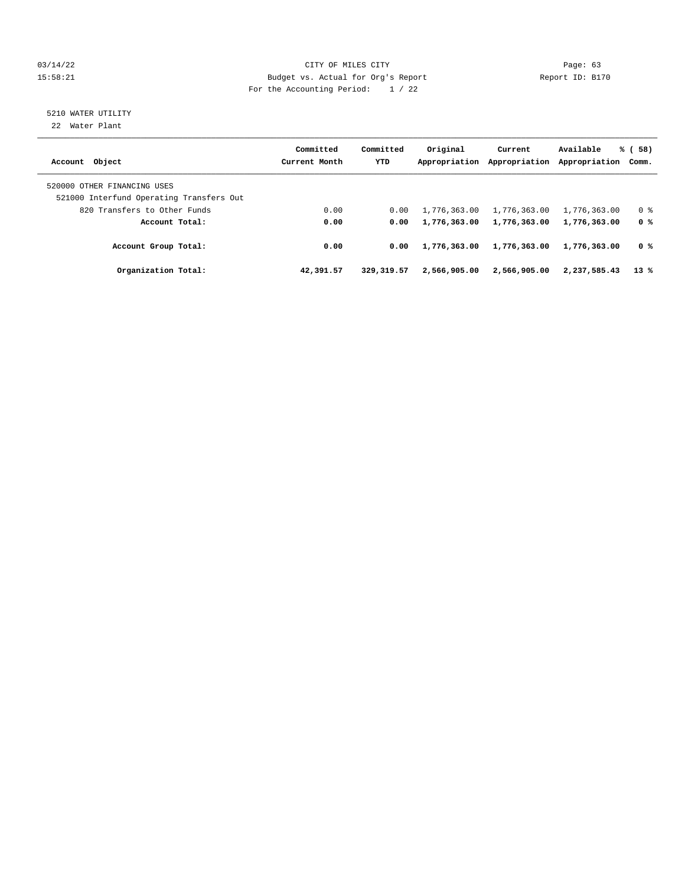#### 03/14/22 Page: 63 15:58:21 Budget vs. Actual for Org's Report Report ID: B170 For the Accounting Period: 1 / 22

# 5210 WATER UTILITY

22 Water Plant

| Account Object                                                          | Committed<br>Current Month | Committed<br><b>YTD</b> | Original<br>Appropriation | Current<br>Appropriation | Available<br>Appropriation Comm. | % (58)         |
|-------------------------------------------------------------------------|----------------------------|-------------------------|---------------------------|--------------------------|----------------------------------|----------------|
| 520000 OTHER FINANCING USES<br>521000 Interfund Operating Transfers Out |                            |                         |                           |                          |                                  |                |
| 820 Transfers to Other Funds                                            | 0.00                       | 0.00                    | 1,776,363.00              | 1,776,363.00             | 1,776,363.00                     | 0 <sup>8</sup> |
| Account Total:                                                          | 0.00                       | 0.00                    | 1,776,363.00              | 1,776,363.00             | 1,776,363.00                     | 0 %            |
| Account Group Total:                                                    | 0.00                       | 0.00                    | 1,776,363.00              | 1,776,363.00             | 1,776,363.00                     | 0 %            |
| Organization Total:                                                     | 42,391.57                  | 329, 319.57             | 2,566,905,00              | 2,566,905.00             | 2,237,585.43                     | $13*$          |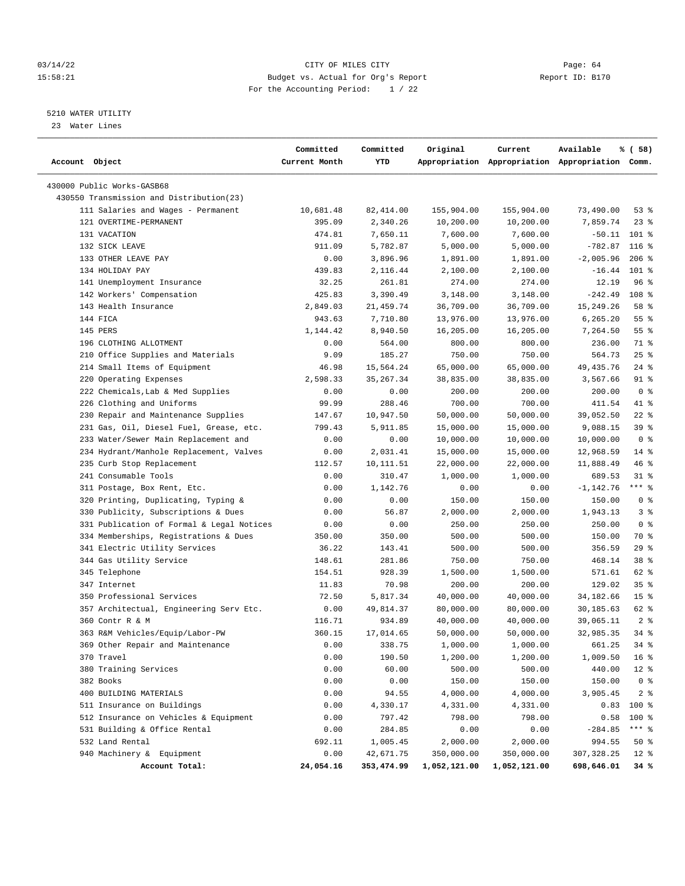#### 03/14/22 Page: 64 15:58:21 Budget vs. Actual for Org's Report Changer Report ID: B170 For the Accounting Period: 1 / 22

————————————————————————————————————————————————————————————————————————————————————————————————————————————————————————————————————

## 5210 WATER UTILITY

23 Water Lines

|                                           | Committed     | Committed  | Original     | Current      | Available                                       | % (58)          |
|-------------------------------------------|---------------|------------|--------------|--------------|-------------------------------------------------|-----------------|
| Account Object                            | Current Month | YTD        |              |              | Appropriation Appropriation Appropriation Comm. |                 |
| 430000 Public Works-GASB68                |               |            |              |              |                                                 |                 |
| 430550 Transmission and Distribution(23)  |               |            |              |              |                                                 |                 |
| 111 Salaries and Wages - Permanent        | 10,681.48     | 82,414.00  | 155,904.00   | 155,904.00   | 73,490.00                                       | 53%             |
| 121 OVERTIME-PERMANENT                    | 395.09        | 2,340.26   | 10,200.00    | 10,200.00    | 7,859.74                                        | $23$ $%$        |
| 131 VACATION                              | 474.81        | 7,650.11   | 7,600.00     | 7,600.00     | $-50.11$                                        | $101$ %         |
| 132 SICK LEAVE                            | 911.09        | 5,782.87   | 5,000.00     | 5,000.00     | $-782.87$                                       | $116*$          |
| 133 OTHER LEAVE PAY                       | 0.00          | 3,896.96   | 1,891.00     | 1,891.00     | $-2,005.96$                                     | $206$ %         |
| 134 HOLIDAY PAY                           | 439.83        | 2,116.44   | 2,100.00     | 2,100.00     | $-16.44$                                        | $101$ %         |
| 141 Unemployment Insurance                | 32.25         | 261.81     | 274.00       | 274.00       | 12.19                                           | 96%             |
| 142 Workers' Compensation                 | 425.83        | 3,390.49   | 3,148.00     | 3,148.00     | $-242.49$                                       | 108 %           |
| 143 Health Insurance                      | 2,849.03      | 21, 459.74 | 36,709.00    | 36,709.00    | 15,249.26                                       | 58 %            |
| 144 FICA                                  | 943.63        | 7,710.80   | 13,976.00    | 13,976.00    | 6,265.20                                        | 55 %            |
| 145 PERS                                  | 1,144.42      | 8,940.50   | 16,205.00    | 16,205.00    | 7,264.50                                        | 55 %            |
| 196 CLOTHING ALLOTMENT                    | 0.00          | 564.00     | 800.00       | 800.00       | 236.00                                          | 71 %            |
| 210 Office Supplies and Materials         | 9.09          | 185.27     | 750.00       | 750.00       | 564.73                                          | $25$ %          |
| 214 Small Items of Equipment              | 46.98         | 15,564.24  | 65,000.00    | 65,000.00    | 49,435.76                                       | $24$ %          |
| 220 Operating Expenses                    | 2,598.33      | 35, 267.34 | 38,835.00    | 38,835.00    | 3,567.66                                        | $91$ %          |
| 222 Chemicals, Lab & Med Supplies         | 0.00          | 0.00       | 200.00       | 200.00       | 200.00                                          | 0 <sup>8</sup>  |
| 226 Clothing and Uniforms                 | 99.99         | 288.46     | 700.00       | 700.00       | 411.54                                          | 41 %            |
| 230 Repair and Maintenance Supplies       | 147.67        | 10,947.50  | 50,000.00    | 50,000.00    | 39,052.50                                       | $22$ %          |
| 231 Gas, Oil, Diesel Fuel, Grease, etc.   | 799.43        | 5,911.85   | 15,000.00    | 15,000.00    | 9,088.15                                        | 39 %            |
| 233 Water/Sewer Main Replacement and      | 0.00          | 0.00       | 10,000.00    | 10,000.00    | 10,000.00                                       | 0 <sup>8</sup>  |
| 234 Hydrant/Manhole Replacement, Valves   | 0.00          | 2,031.41   | 15,000.00    | 15,000.00    | 12,968.59                                       | $14*$           |
| 235 Curb Stop Replacement                 | 112.57        | 10,111.51  | 22,000.00    | 22,000.00    | 11,888.49                                       | 46%             |
| 241 Consumable Tools                      | 0.00          | 310.47     | 1,000.00     | 1,000.00     | 689.53                                          | $31*$           |
| 311 Postage, Box Rent, Etc.               | 0.00          | 1,142.76   | 0.00         | 0.00         | $-1, 142.76$                                    | $***$ $-$       |
| 320 Printing, Duplicating, Typing &       | 0.00          | 0.00       | 150.00       | 150.00       | 150.00                                          | 0 <sup>8</sup>  |
| 330 Publicity, Subscriptions & Dues       | 0.00          | 56.87      | 2,000.00     | 2,000.00     | 1,943.13                                        | 3%              |
| 331 Publication of Formal & Legal Notices | 0.00          | 0.00       | 250.00       | 250.00       | 250.00                                          | 0 <sup>8</sup>  |
| 334 Memberships, Registrations & Dues     | 350.00        | 350.00     | 500.00       | 500.00       | 150.00                                          | 70 %            |
| 341 Electric Utility Services             | 36.22         | 143.41     | 500.00       | 500.00       | 356.59                                          | 29%             |
| 344 Gas Utility Service                   | 148.61        | 281.86     | 750.00       | 750.00       | 468.14                                          | 38 %            |
| 345 Telephone                             | 154.51        | 928.39     | 1,500.00     | 1,500.00     | 571.61                                          | 62 %            |
| 347 Internet                              | 11.83         | 70.98      | 200.00       | 200.00       | 129.02                                          | 35%             |
| 350 Professional Services                 | 72.50         | 5,817.34   | 40,000.00    | 40,000.00    | 34,182.66                                       | 15 <sub>8</sub> |
| 357 Architectual, Engineering Serv Etc.   | 0.00          | 49,814.37  | 80,000.00    | 80,000.00    | 30,185.63                                       | 62 %            |
| 360 Contr R & M                           | 116.71        | 934.89     | 40,000.00    | 40,000.00    | 39,065.11                                       | 2 <sup>8</sup>  |
| 363 R&M Vehicles/Equip/Labor-PW           | 360.15        | 17,014.65  | 50,000.00    | 50,000.00    | 32,985.35                                       | 34%             |
| 369 Other Repair and Maintenance          | 0.00          | 338.75     | 1,000.00     | 1,000.00     | 661.25                                          | $34$ $%$        |
| 370 Travel                                | 0.00          | 190.50     | 1,200.00     | 1,200.00     | 1,009.50                                        | $16*$           |
| 380 Training Services                     | 0.00          | 60.00      | 500.00       | 500.00       | 440.00                                          | $12*$           |
| 382 Books                                 | 0.00          | 0.00       | 150.00       | 150.00       | 150.00                                          | 0 <sup>8</sup>  |
| 400 BUILDING MATERIALS                    | 0.00          | 94.55      | 4,000.00     | 4,000.00     | 3,905.45                                        | 2 <sub>8</sub>  |
| 511 Insurance on Buildings                | 0.00          | 4,330.17   | 4,331.00     | 4,331.00     | 0.83                                            | 100 %           |
| 512 Insurance on Vehicles & Equipment     | 0.00          | 797.42     | 798.00       | 798.00       | 0.58                                            | $100$ %         |
| 531 Building & Office Rental              | 0.00          | 284.85     | 0.00         | 0.00         | $-284.85$                                       | *** %           |
| 532 Land Rental                           | 692.11        | 1,005.45   | 2,000.00     | 2,000.00     | 994.55                                          | 50%             |
| 940 Machinery & Equipment                 | 0.00          | 42,671.75  | 350,000.00   | 350,000.00   | 307, 328.25                                     | $12*$           |
| Account Total:                            | 24,054.16     | 353,474.99 | 1,052,121.00 | 1,052,121.00 | 698,646.01                                      | 34%             |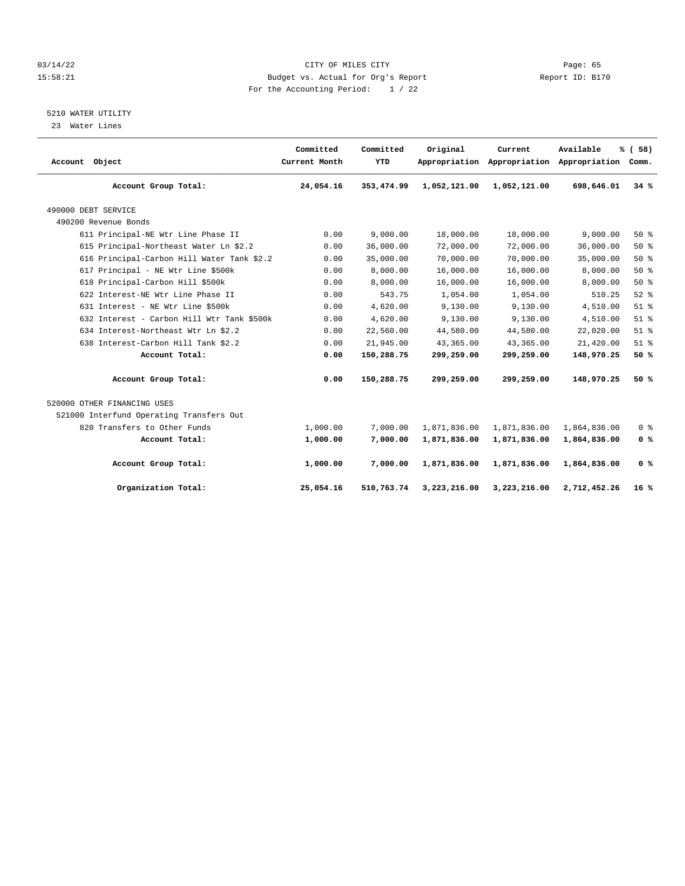#### 03/14/22 Page: 65 15:58:21 Budget vs. Actual for Org's Report Report ID: B170 For the Accounting Period: 1 / 22

## 5210 WATER UTILITY

23 Water Lines

| Account Object                             | Committed<br>Current Month | Committed<br>YTD | Original     | Current      | Available<br>Appropriation Appropriation Appropriation | % (58)<br>Comm. |
|--------------------------------------------|----------------------------|------------------|--------------|--------------|--------------------------------------------------------|-----------------|
| Account Group Total:                       | 24,054.16                  | 353, 474.99      | 1,052,121.00 | 1,052,121.00 | 698,646.01                                             | 34%             |
| 490000 DEBT SERVICE                        |                            |                  |              |              |                                                        |                 |
| 490200 Revenue Bonds                       |                            |                  |              |              |                                                        |                 |
| 611 Principal-NE Wtr Line Phase II         | 0.00                       | 9.000.00         | 18,000.00    | 18,000.00    | 9.000.00                                               | 50%             |
| 615 Principal-Northeast Water Ln \$2.2     | 0.00                       | 36,000.00        | 72,000.00    | 72,000.00    | 36,000.00                                              | 50%             |
| 616 Principal-Carbon Hill Water Tank \$2.2 | 0.00                       | 35,000.00        | 70,000.00    | 70,000.00    | 35,000.00                                              | 50%             |
| 617 Principal - NE Wtr Line \$500k         | 0.00                       | 8,000.00         | 16,000.00    | 16,000.00    | 8,000.00                                               | 50%             |
| 618 Principal-Carbon Hill \$500k           | 0.00                       | 8,000.00         | 16,000.00    | 16,000.00    | 8,000.00                                               | 50%             |
| 622 Interest-NE Wtr Line Phase II          | 0.00                       | 543.75           | 1,054.00     | 1,054.00     | 510.25                                                 | $52$ $%$        |
| 631 Interest - NE Wtr Line \$500k          | 0.00                       | 4,620.00         | 9,130.00     | 9,130.00     | 4,510.00                                               | $51$ %          |
| 632 Interest - Carbon Hill Wtr Tank \$500k | 0.00                       | 4,620.00         | 9,130.00     | 9,130.00     | 4,510.00                                               | $51$ $%$        |
| 634 Interest-Northeast Wtr Ln \$2.2        | 0.00                       | 22,560.00        | 44,580.00    | 44,580.00    | 22,020.00                                              | $51$ $%$        |
| 638 Interest-Carbon Hill Tank \$2.2        | 0.00                       | 21,945.00        | 43,365.00    | 43,365.00    | 21,420.00                                              | $51$ %          |
| Account Total:                             | 0.00                       | 150,288.75       | 299,259.00   | 299,259.00   | 148,970.25                                             | 50%             |
| Account Group Total:                       | 0.00                       | 150,288.75       | 299,259.00   | 299,259.00   | 148,970.25                                             | 50%             |
| 520000 OTHER FINANCING USES                |                            |                  |              |              |                                                        |                 |
| 521000 Interfund Operating Transfers Out   |                            |                  |              |              |                                                        |                 |
| 820 Transfers to Other Funds               | 1,000.00                   | 7,000.00         | 1,871,836.00 | 1,871,836.00 | 1,864,836.00                                           | 0 <sup>8</sup>  |
| Account Total:                             | 1,000.00                   | 7,000.00         | 1,871,836.00 | 1,871,836.00 | 1,864,836.00                                           | 0 <sup>8</sup>  |
| Account Group Total:                       | 1,000.00                   | 7,000.00         | 1,871,836.00 | 1,871,836.00 | 1,864,836.00                                           | 0 <sup>8</sup>  |
| Organization Total:                        | 25,054.16                  | 510,763.74       | 3,223,216.00 | 3,223,216.00 | 2,712,452.26                                           | 16%             |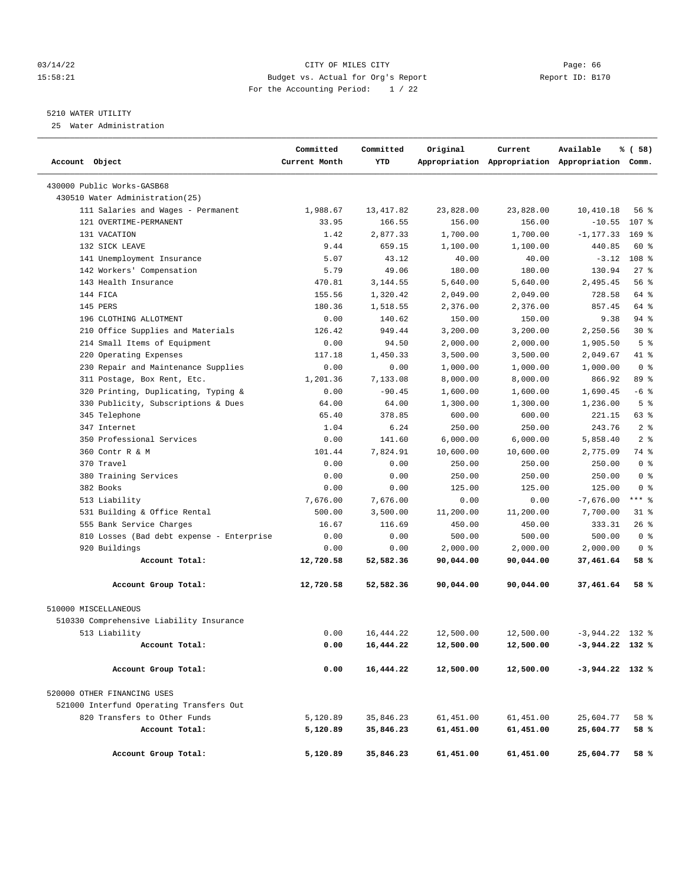#### 03/14/22 Page: 66 15:58:21 Budget vs. Actual for Org's Report Changer Report ID: B170 For the Accounting Period: 1 / 22

#### 5210 WATER UTILITY

25 Water Administration

| Account Object                            | Committed<br>Current Month | Committed<br>YTD | Original  | Current   | Available<br>Appropriation Appropriation Appropriation Comm. | % ( 58)        |
|-------------------------------------------|----------------------------|------------------|-----------|-----------|--------------------------------------------------------------|----------------|
| 430000 Public Works-GASB68                |                            |                  |           |           |                                                              |                |
| 430510 Water Administration (25)          |                            |                  |           |           |                                                              |                |
| 111 Salaries and Wages - Permanent        | 1,988.67                   | 13,417.82        | 23,828.00 | 23,828.00 | 10,410.18                                                    | 56 %           |
| 121 OVERTIME-PERMANENT                    | 33.95                      | 166.55           | 156.00    | 156.00    | $-10.55$                                                     | 107 %          |
| 131 VACATION                              | 1.42                       | 2,877.33         | 1,700.00  | 1,700.00  | $-1, 177.33$                                                 | $169$ %        |
| 132 SICK LEAVE                            | 9.44                       | 659.15           | 1,100.00  | 1,100.00  | 440.85                                                       | 60 %           |
| 141 Unemployment Insurance                | 5.07                       | 43.12            | 40.00     | 40.00     | $-3.12$                                                      | 108 %          |
| 142 Workers' Compensation                 | 5.79                       | 49.06            | 180.00    | 180.00    | 130.94                                                       | $27$ %         |
| 143 Health Insurance                      | 470.81                     | 3,144.55         | 5,640.00  | 5,640.00  | 2,495.45                                                     | 56 %           |
| 144 FICA                                  | 155.56                     | 1,320.42         | 2,049.00  | 2,049.00  | 728.58                                                       | 64 %           |
| 145 PERS                                  | 180.36                     | 1,518.55         | 2,376.00  | 2,376.00  | 857.45                                                       | 64 %           |
| 196 CLOTHING ALLOTMENT                    | 0.00                       | 140.62           | 150.00    | 150.00    | 9.38                                                         | 94 %           |
| 210 Office Supplies and Materials         | 126.42                     | 949.44           | 3,200.00  | 3,200.00  | 2,250.56                                                     | $30*$          |
| 214 Small Items of Equipment              | 0.00                       | 94.50            | 2,000.00  | 2,000.00  | 1,905.50                                                     | 5 <sup>8</sup> |
| 220 Operating Expenses                    | 117.18                     | 1,450.33         | 3,500.00  | 3,500.00  | 2,049.67                                                     | 41 %           |
| 230 Repair and Maintenance Supplies       | 0.00                       | 0.00             | 1,000.00  | 1,000.00  | 1,000.00                                                     | 0 <sup>8</sup> |
| 311 Postage, Box Rent, Etc.               | 1,201.36                   | 7,133.08         | 8,000.00  | 8,000.00  | 866.92                                                       | 89 %           |
| 320 Printing, Duplicating, Typing &       | 0.00                       | $-90.45$         | 1,600.00  | 1,600.00  | 1,690.45                                                     | $-6$ %         |
| 330 Publicity, Subscriptions & Dues       | 64.00                      | 64.00            | 1,300.00  | 1,300.00  | 1,236.00                                                     | 5 <sup>8</sup> |
| 345 Telephone                             | 65.40                      | 378.85           | 600.00    | 600.00    | 221.15                                                       | 63 %           |
| 347 Internet                              | 1.04                       | 6.24             | 250.00    | 250.00    | 243.76                                                       | 2 <sup>8</sup> |
| 350 Professional Services                 | 0.00                       | 141.60           | 6,000.00  | 6,000.00  | 5,858.40                                                     | 2 <sup>8</sup> |
| 360 Contr R & M                           | 101.44                     | 7,824.91         | 10,600.00 | 10,600.00 | 2,775.09                                                     | 74 %           |
| 370 Travel                                | 0.00                       | 0.00             | 250.00    | 250.00    | 250.00                                                       | 0 <sup>8</sup> |
| 380 Training Services                     | 0.00                       | 0.00             | 250.00    | 250.00    | 250.00                                                       | 0 <sup>8</sup> |
| 382 Books                                 | 0.00                       | 0.00             | 125.00    | 125.00    | 125.00                                                       | 0 <sup>8</sup> |
| 513 Liability                             | 7,676.00                   | 7,676.00         | 0.00      | 0.00      | $-7,676.00$                                                  | *** 8          |
| 531 Building & Office Rental              | 500.00                     | 3,500.00         | 11,200.00 | 11,200.00 | 7,700.00                                                     | 31 %           |
| 555 Bank Service Charges                  | 16.67                      | 116.69           | 450.00    | 450.00    | 333.31                                                       | $26$ %         |
| 810 Losses (Bad debt expense - Enterprise | 0.00                       | 0.00             | 500.00    | 500.00    | 500.00                                                       | 0 <sup>8</sup> |
| 920 Buildings                             | 0.00                       | 0.00             | 2,000.00  | 2,000.00  | 2,000.00                                                     | 0 <sup>8</sup> |
| Account Total:                            | 12,720.58                  | 52,582.36        | 90,044.00 | 90,044.00 | 37,461.64                                                    | 58 %           |
| Account Group Total:                      | 12,720.58                  | 52,582.36        | 90,044.00 | 90,044.00 | 37,461.64                                                    | 58 %           |
| 510000 MISCELLANEOUS                      |                            |                  |           |           |                                                              |                |
| 510330 Comprehensive Liability Insurance  |                            |                  |           |           |                                                              |                |
| 513 Liability                             | 0.00                       | 16, 444.22       | 12,500.00 | 12,500.00 | $-3.944.22$ 132 %                                            |                |
| Account Total:                            | 0.00                       | 16,444.22        | 12,500.00 | 12,500.00 | $-3,944.22$ 132 %                                            |                |
|                                           |                            |                  |           |           |                                                              |                |
| Account Group Total:                      | 0.00                       | 16,444.22        | 12,500.00 | 12,500.00 | $-3,944.22$ 132 %                                            |                |
| 520000 OTHER FINANCING USES               |                            |                  |           |           |                                                              |                |
| 521000 Interfund Operating Transfers Out  |                            |                  |           |           |                                                              |                |
| 820 Transfers to Other Funds              | 5,120.89                   | 35,846.23        | 61,451.00 | 61,451.00 | 25,604.77                                                    | 58 %           |
| Account Total:                            | 5,120.89                   | 35,846.23        | 61,451.00 | 61,451.00 | 25,604.77                                                    | 58 %           |
| Account Group Total:                      | 5,120.89                   | 35,846.23        | 61,451.00 | 61,451.00 | 25,604.77                                                    | 58 %           |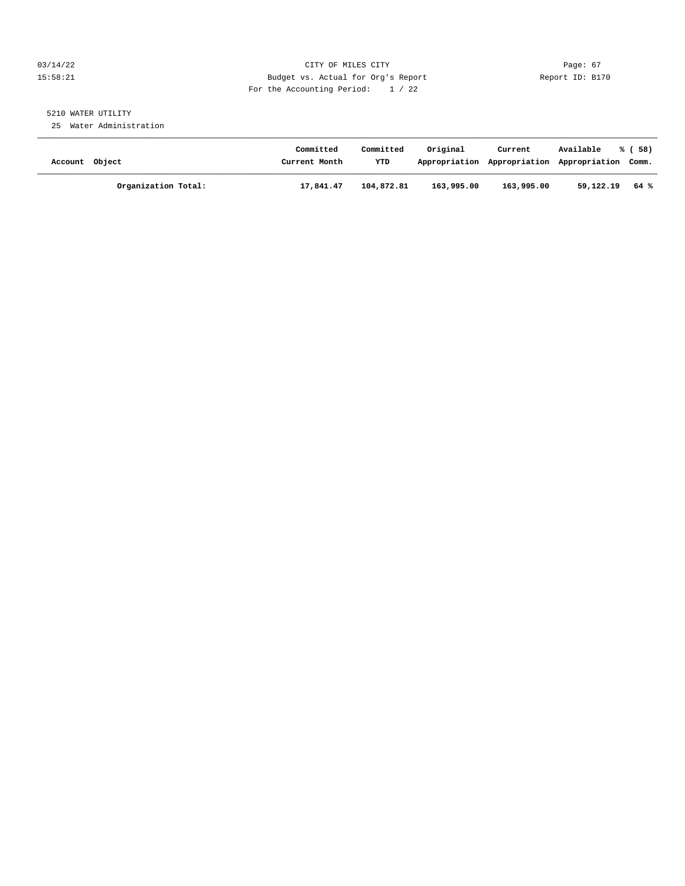#### 03/14/22 Page: 67 15:58:21 Budget vs. Actual for Org's Report Changer Report ID: B170 For the Accounting Period: 1 / 22

# 5210 WATER UTILITY

25 Water Administration

| Account Object |                     | Committed<br>Current Month | Committed<br><b>YTD</b> | Original   | Current<br>Appropriation Appropriation Appropriation Comm. | Available | % (58) |
|----------------|---------------------|----------------------------|-------------------------|------------|------------------------------------------------------------|-----------|--------|
|                | Organization Total: | 17,841.47                  | 104,872.81              | 163,995.00 | 163,995.00                                                 | 59,122.19 | 64 %   |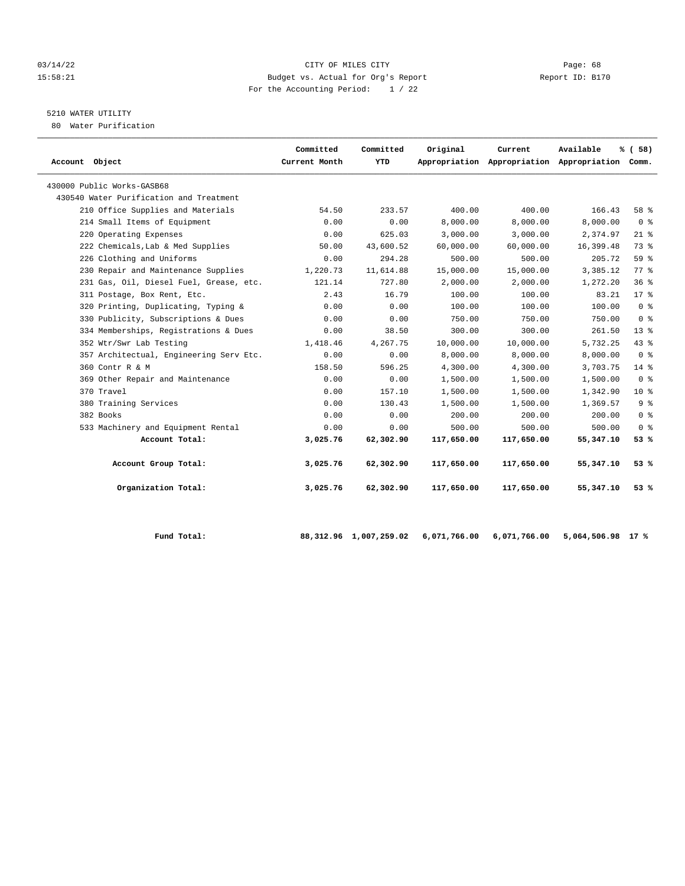#### 03/14/22 Page: 68 15:58:21 Budget vs. Actual for Org's Report Report ID: B170 For the Accounting Period: 1 / 22

# 5210 WATER UTILITY

80 Water Purification

| Account Object                          | Committed<br>Current Month | Committed<br>YTD | Original   | Current    | Available<br>Appropriation Appropriation Appropriation Comm. | % (58)         |
|-----------------------------------------|----------------------------|------------------|------------|------------|--------------------------------------------------------------|----------------|
| 430000 Public Works-GASB68              |                            |                  |            |            |                                                              |                |
| 430540 Water Purification and Treatment |                            |                  |            |            |                                                              |                |
| 210 Office Supplies and Materials       | 54.50                      | 233.57           | 400.00     | 400.00     | 166.43                                                       | 58 %           |
| 214 Small Items of Equipment            | 0.00                       | 0.00             | 8,000.00   | 8,000.00   | 8,000.00                                                     | 0 <sup>8</sup> |
| 220 Operating Expenses                  | 0.00                       | 625.03           | 3,000.00   | 3,000.00   | 2,374.97                                                     | $21$ %         |
| 222 Chemicals, Lab & Med Supplies       | 50.00                      | 43,600.52        | 60,000.00  | 60,000.00  | 16,399.48                                                    | 73%            |
| 226 Clothing and Uniforms               | 0.00                       | 294.28           | 500.00     | 500.00     | 205.72                                                       | 59 %           |
| 230 Repair and Maintenance Supplies     | 1,220.73                   | 11,614.88        | 15,000.00  | 15,000.00  | 3,385.12                                                     | 77.8           |
| 231 Gas, Oil, Diesel Fuel, Grease, etc. | 121.14                     | 727.80           | 2,000.00   | 2,000.00   | 1,272.20                                                     | 36%            |
| 311 Postage, Box Rent, Etc.             | 2.43                       | 16.79            | 100.00     | 100.00     | 83.21                                                        | $17*$          |
| 320 Printing, Duplicating, Typing &     | 0.00                       | 0.00             | 100.00     | 100.00     | 100.00                                                       | 0 <sup>8</sup> |
| 330 Publicity, Subscriptions & Dues     | 0.00                       | 0.00             | 750.00     | 750.00     | 750.00                                                       | 0 <sup>8</sup> |
| 334 Memberships, Registrations & Dues   | 0.00                       | 38.50            | 300.00     | 300.00     | 261.50                                                       | $13*$          |
| 352 Wtr/Swr Lab Testing                 | 1,418.46                   | 4,267.75         | 10,000.00  | 10,000.00  | 5,732.25                                                     | 43%            |
| 357 Architectual, Engineering Serv Etc. | 0.00                       | 0.00             | 8,000.00   | 8,000.00   | 8,000.00                                                     | 0 <sup>8</sup> |
| 360 Contr R & M                         | 158.50                     | 596.25           | 4,300.00   | 4,300.00   | 3,703.75                                                     | $14*$          |
| 369 Other Repair and Maintenance        | 0.00                       | 0.00             | 1,500.00   | 1,500.00   | 1,500.00                                                     | 0 <sup>8</sup> |
| 370 Travel                              | 0.00                       | 157.10           | 1,500.00   | 1,500.00   | 1,342.90                                                     | $10*$          |
| 380 Training Services                   | 0.00                       | 130.43           | 1,500.00   | 1,500.00   | 1,369.57                                                     | 9 <sup>8</sup> |
| 382 Books                               | 0.00                       | 0.00             | 200.00     | 200.00     | 200.00                                                       | 0 <sup>8</sup> |
| 533 Machinery and Equipment Rental      | 0.00                       | 0.00             | 500.00     | 500.00     | 500.00                                                       | 0 <sup>8</sup> |
| Account Total:                          | 3,025.76                   | 62,302.90        | 117,650.00 | 117,650.00 | 55, 347.10                                                   | 53 %           |
| Account Group Total:                    | 3,025.76                   | 62,302.90        | 117,650.00 | 117,650.00 | 55,347.10                                                    | 53 %           |
| Organization Total:                     | 3,025.76                   | 62,302.90        | 117,650.00 | 117,650.00 | 55,347.10                                                    | 53%            |

 **Fund Total: 88,312.96 1,007,259.02 6,071,766.00 6,071,766.00 5,064,506.98 17 %**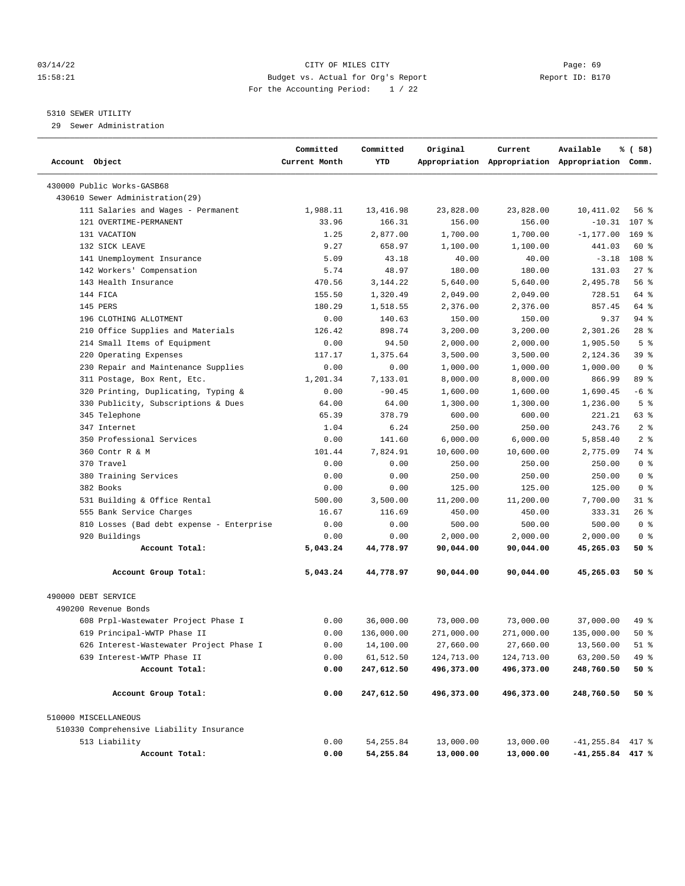#### 03/14/22 Page: 69 15:58:21 Budget vs. Actual for Org's Report Report ID: B170 For the Accounting Period: 1 / 22

## 5310 SEWER UTILITY

29 Sewer Administration

| Account Object                            | Committed<br>Current Month | Committed<br>YTD | Original   | Current    | Available<br>Appropriation Appropriation Appropriation Comm. | % ( 58)          |
|-------------------------------------------|----------------------------|------------------|------------|------------|--------------------------------------------------------------|------------------|
| 430000 Public Works-GASB68                |                            |                  |            |            |                                                              |                  |
| 430610 Sewer Administration (29)          |                            |                  |            |            |                                                              |                  |
| 111 Salaries and Wages - Permanent        | 1,988.11                   | 13,416.98        | 23,828.00  | 23,828.00  | 10,411.02                                                    | 56 %             |
| 121 OVERTIME-PERMANENT                    | 33.96                      | 166.31           | 156.00     | 156.00     | $-10.31$                                                     | 107 %            |
| 131 VACATION                              | 1.25                       | 2,877.00         | 1,700.00   | 1,700.00   | $-1, 177.00$                                                 | $169$ %          |
| 132 SICK LEAVE                            | 9.27                       | 658.97           | 1,100.00   | 1,100.00   | 441.03                                                       | 60 %             |
| 141 Unemployment Insurance                | 5.09                       | 43.18            | 40.00      | 40.00      | $-3.18$                                                      | 108 <sup>8</sup> |
| 142 Workers' Compensation                 | 5.74                       | 48.97            | 180.00     | 180.00     | 131.03                                                       | $27$ %           |
| 143 Health Insurance                      | 470.56                     | 3, 144. 22       | 5,640.00   | 5,640.00   | 2,495.78                                                     | 56 %             |
| 144 FICA                                  | 155.50                     | 1,320.49         | 2,049.00   | 2,049.00   | 728.51                                                       | 64 %             |
| 145 PERS                                  | 180.29                     | 1,518.55         | 2,376.00   | 2,376.00   | 857.45                                                       | 64 %             |
| 196 CLOTHING ALLOTMENT                    | 0.00                       | 140.63           | 150.00     | 150.00     | 9.37                                                         | $94$ %           |
| 210 Office Supplies and Materials         | 126.42                     | 898.74           | 3,200.00   | 3,200.00   | 2,301.26                                                     | $28$ %           |
| 214 Small Items of Equipment              | 0.00                       | 94.50            | 2,000.00   | 2,000.00   | 1,905.50                                                     | 5 <sup>°</sup>   |
| 220 Operating Expenses                    | 117.17                     | 1,375.64         | 3,500.00   | 3,500.00   | 2,124.36                                                     | 39%              |
| 230 Repair and Maintenance Supplies       | 0.00                       | 0.00             | 1,000.00   | 1,000.00   | 1,000.00                                                     | 0 <sup>8</sup>   |
| 311 Postage, Box Rent, Etc.               | 1,201.34                   | 7,133.01         | 8,000.00   | 8,000.00   | 866.99                                                       | 89 %             |
| 320 Printing, Duplicating, Typing &       | 0.00                       | $-90.45$         | 1,600.00   | 1,600.00   | 1,690.45                                                     | $-6$ %           |
| 330 Publicity, Subscriptions & Dues       | 64.00                      | 64.00            | 1,300.00   | 1,300.00   | 1,236.00                                                     | 5 <sup>8</sup>   |
| 345 Telephone                             | 65.39                      | 378.79           | 600.00     | 600.00     | 221.21                                                       | 63 %             |
| 347 Internet                              | 1.04                       | 6.24             | 250.00     | 250.00     | 243.76                                                       | 2 <sup>8</sup>   |
| 350 Professional Services                 | 0.00                       | 141.60           | 6,000.00   | 6,000.00   | 5,858.40                                                     | 2 <sup>8</sup>   |
| 360 Contr R & M                           | 101.44                     | 7,824.91         | 10,600.00  | 10,600.00  | 2,775.09                                                     | 74 %             |
| 370 Travel                                | 0.00                       | 0.00             | 250.00     | 250.00     | 250.00                                                       | 0 <sup>8</sup>   |
| 380 Training Services                     | 0.00                       | 0.00             | 250.00     | 250.00     | 250.00                                                       | 0 <sup>8</sup>   |
| 382 Books                                 | 0.00                       | 0.00             | 125.00     | 125.00     | 125.00                                                       | 0 <sup>8</sup>   |
| 531 Building & Office Rental              | 500.00                     | 3,500.00         | 11,200.00  | 11,200.00  | 7,700.00                                                     | $31$ %           |
| 555 Bank Service Charges                  | 16.67                      | 116.69           | 450.00     | 450.00     | 333.31                                                       | 26%              |
| 810 Losses (Bad debt expense - Enterprise | 0.00                       | 0.00             | 500.00     | 500.00     | 500.00                                                       | 0 <sup>8</sup>   |
| 920 Buildings                             | 0.00                       | 0.00             | 2,000.00   | 2,000.00   | 2,000.00                                                     | 0 <sup>8</sup>   |
| Account Total:                            | 5,043.24                   | 44,778.97        | 90,044.00  | 90,044.00  | 45,265.03                                                    | 50%              |
| Account Group Total:                      | 5,043.24                   | 44,778.97        | 90,044.00  | 90,044.00  | 45,265.03                                                    | 50%              |
| 490000 DEBT SERVICE                       |                            |                  |            |            |                                                              |                  |
| 490200 Revenue Bonds                      |                            |                  |            |            |                                                              |                  |
| 608 Prpl-Wastewater Project Phase I       | 0.00                       | 36,000.00        | 73,000.00  | 73,000.00  | 37,000.00                                                    | 49 %             |
| 619 Principal-WWTP Phase II               | 0.00                       | 136,000.00       | 271,000.00 | 271,000.00 | 135,000.00                                                   | 50%              |
| 626 Interest-Wastewater Project Phase I   | 0.00                       | 14,100.00        | 27,660.00  | 27,660.00  | 13,560.00                                                    | $51$ %           |
| 639 Interest-WWTP Phase II                | 0.00                       | 61,512.50        | 124,713.00 | 124,713.00 | 63,200.50                                                    | 49 %             |
| Account Total:                            | 0.00                       | 247,612.50       | 496,373.00 | 496,373.00 | 248,760.50                                                   | 50 %             |
| Account Group Total:                      | 0.00                       | 247,612.50       | 496,373.00 | 496,373.00 | 248,760.50                                                   | 50 %             |
| 510000 MISCELLANEOUS                      |                            |                  |            |            |                                                              |                  |
| 510330 Comprehensive Liability Insurance  |                            |                  |            |            |                                                              |                  |
| 513 Liability                             | 0.00                       | 54, 255.84       | 13,000.00  | 13,000.00  | $-41, 255.84$ 417 %                                          |                  |
| Account Total:                            | 0.00                       | 54,255.84        | 13,000.00  | 13,000.00  | $-41, 255.84$ 417 %                                          |                  |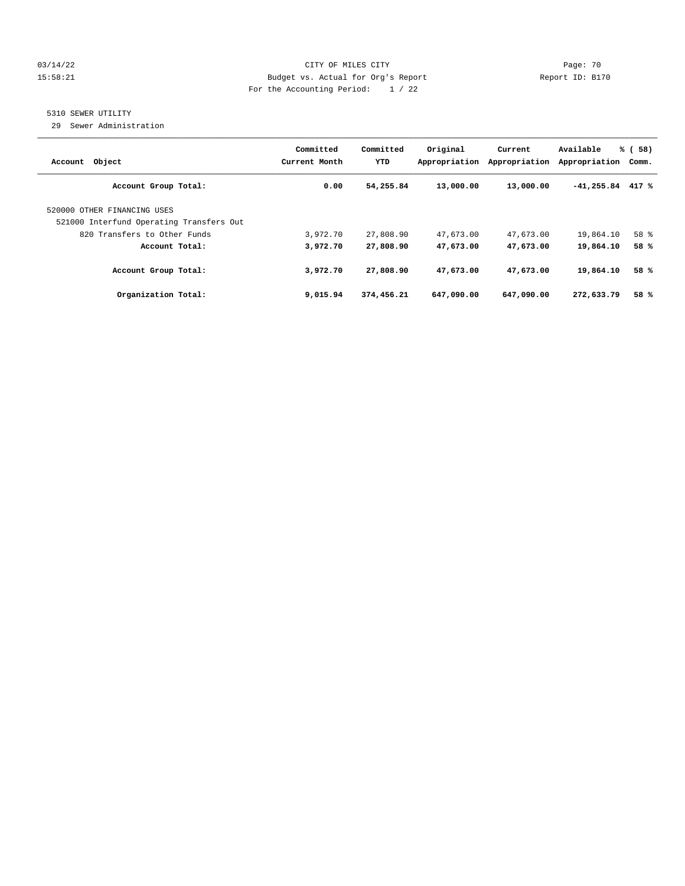#### 03/14/22 Page: 70 15:58:21 Budget vs. Actual for Org's Report Report ID: B170 For the Accounting Period: 1 / 22

## 5310 SEWER UTILITY

29 Sewer Administration

| Object<br>Account                                                       | Committed<br>Current Month | Committed<br>YTD | Original<br>Appropriation | Current<br>Appropriation | Available<br>Appropriation | % (<br>58)<br>Comm. |
|-------------------------------------------------------------------------|----------------------------|------------------|---------------------------|--------------------------|----------------------------|---------------------|
| Account Group Total:                                                    | 0.00                       | 54,255.84        | 13,000.00                 | 13,000.00                | $-41,255.84$               | 417 %               |
| 520000 OTHER FINANCING USES<br>521000 Interfund Operating Transfers Out |                            |                  |                           |                          |                            |                     |
| 820 Transfers to Other Funds                                            | 3,972.70                   | 27,808.90        | 47,673.00                 | 47,673.00                | 19,864.10                  | 58 %                |
| Account Total:                                                          | 3,972.70                   | 27,808.90        | 47,673.00                 | 47,673.00                | 19,864.10                  | 58 %                |
| Account Group Total:                                                    | 3,972.70                   | 27,808,90        | 47,673.00                 | 47,673.00                | 19,864.10                  | 58 %                |
| Organization Total:                                                     | 9,015.94                   | 374,456.21       | 647,090.00                | 647,090.00               | 272,633.79                 | 58 %                |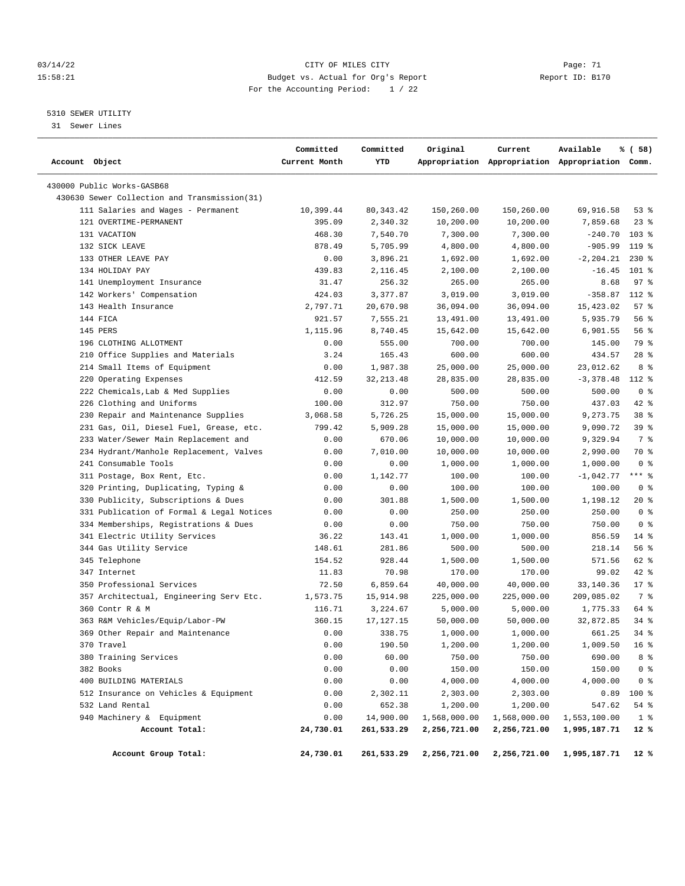#### 03/14/22 Page: 71 CITY OF MILES CITY 15:58:21 Budget vs. Actual for Org's Report Changer Report ID: B170 For the Accounting Period: 1 / 22

————————————————————————————————————————————————————————————————————————————————————————————————————————————————————————————————————

#### 5310 SEWER UTILITY

31 Sewer Lines

|                                              | Committed     | Committed   | Original     | Current      | Available                                       | % ( 58)         |
|----------------------------------------------|---------------|-------------|--------------|--------------|-------------------------------------------------|-----------------|
| Account Object                               | Current Month | YTD         |              |              | Appropriation Appropriation Appropriation Comm. |                 |
| 430000 Public Works-GASB68                   |               |             |              |              |                                                 |                 |
| 430630 Sewer Collection and Transmission(31) |               |             |              |              |                                                 |                 |
| 111 Salaries and Wages - Permanent           | 10,399.44     | 80,343.42   | 150,260.00   | 150,260.00   | 69,916.58                                       | $53$ $%$        |
| 121 OVERTIME-PERMANENT                       | 395.09        | 2,340.32    | 10,200.00    | 10,200.00    | 7,859.68                                        | $23$ $%$        |
| 131 VACATION                                 | 468.30        | 7,540.70    | 7,300.00     | 7,300.00     | $-240.70$                                       | $103$ %         |
| 132 SICK LEAVE                               | 878.49        | 5,705.99    | 4,800.00     | 4,800.00     | $-905.99$                                       | 119 %           |
| 133 OTHER LEAVE PAY                          | 0.00          | 3,896.21    | 1,692.00     | 1,692.00     | $-2, 204.21$                                    | $230*$          |
| 134 HOLIDAY PAY                              | 439.83        | 2,116.45    | 2,100.00     | 2,100.00     | $-16.45$                                        | $101$ %         |
| 141 Unemployment Insurance                   | 31.47         | 256.32      | 265.00       | 265.00       | 8.68                                            | 97%             |
| 142 Workers' Compensation                    | 424.03        | 3,377.87    | 3,019.00     | 3,019.00     | $-358.87$                                       | 112 %           |
| 143 Health Insurance                         | 2,797.71      | 20,670.98   | 36,094.00    | 36,094.00    | 15,423.02                                       | 57%             |
| 144 FICA                                     | 921.57        | 7,555.21    | 13,491.00    | 13,491.00    | 5,935.79                                        | 56%             |
| 145 PERS                                     | 1,115.96      | 8,740.45    | 15,642.00    | 15,642.00    | 6,901.55                                        | 56%             |
| 196 CLOTHING ALLOTMENT                       | 0.00          | 555.00      | 700.00       | 700.00       | 145.00                                          | 79 %            |
| 210 Office Supplies and Materials            | 3.24          | 165.43      | 600.00       | 600.00       | 434.57                                          | $28$ %          |
| 214 Small Items of Equipment                 | 0.00          | 1,987.38    | 25,000.00    | 25,000.00    | 23,012.62                                       | 8 %             |
| 220 Operating Expenses                       | 412.59        | 32, 213.48  | 28,835.00    | 28,835.00    | $-3,378.48$                                     | 112 %           |
| 222 Chemicals, Lab & Med Supplies            | 0.00          | 0.00        | 500.00       | 500.00       | 500.00                                          | 0 <sup>8</sup>  |
| 226 Clothing and Uniforms                    | 100.00        | 312.97      | 750.00       | 750.00       | 437.03                                          | $42$ %          |
| 230 Repair and Maintenance Supplies          | 3,068.58      | 5,726.25    | 15,000.00    | 15,000.00    | 9,273.75                                        | 38 %            |
| 231 Gas, Oil, Diesel Fuel, Grease, etc.      | 799.42        | 5,909.28    | 15,000.00    | 15,000.00    | 9,090.72                                        | 39 %            |
| 233 Water/Sewer Main Replacement and         | 0.00          | 670.06      | 10,000.00    | 10,000.00    | 9,329.94                                        | 7 %             |
| 234 Hydrant/Manhole Replacement, Valves      | 0.00          | 7,010.00    | 10,000.00    | 10,000.00    | 2,990.00                                        | 70 %            |
| 241 Consumable Tools                         | 0.00          | 0.00        | 1,000.00     | 1,000.00     | 1,000.00                                        | 0 <sup>8</sup>  |
| 311 Postage, Box Rent, Etc.                  | 0.00          | 1,142.77    | 100.00       | 100.00       | $-1,042.77$                                     | $***$ $-$       |
| 320 Printing, Duplicating, Typing &          | 0.00          | 0.00        | 100.00       | 100.00       | 100.00                                          | 0 <sup>8</sup>  |
| 330 Publicity, Subscriptions & Dues          | 0.00          | 301.88      | 1,500.00     | 1,500.00     | 1,198.12                                        | $20*$           |
| 331 Publication of Formal & Legal Notices    | 0.00          | 0.00        | 250.00       | 250.00       | 250.00                                          | 0 <sup>8</sup>  |
| 334 Memberships, Registrations & Dues        | 0.00          | 0.00        | 750.00       | 750.00       | 750.00                                          | 0 <sup>8</sup>  |
| 341 Electric Utility Services                | 36.22         | 143.41      | 1,000.00     | 1,000.00     | 856.59                                          | $14$ %          |
| 344 Gas Utility Service                      | 148.61        | 281.86      | 500.00       | 500.00       | 218.14                                          | 56 %            |
| 345 Telephone                                | 154.52        | 928.44      | 1,500.00     | 1,500.00     | 571.56                                          | 62 %            |
| 347 Internet                                 | 11.83         | 70.98       | 170.00       | 170.00       | 99.02                                           | $42$ %          |
| 350 Professional Services                    | 72.50         | 6,859.64    | 40,000.00    | 40,000.00    | 33,140.36                                       | $17$ %          |
| 357 Architectual, Engineering Serv Etc.      | 1,573.75      | 15,914.98   | 225,000.00   | 225,000.00   | 209,085.02                                      | 7 %             |
| 360 Contr R & M                              | 116.71        | 3,224.67    | 5,000.00     | 5,000.00     | 1,775.33                                        | 64 %            |
| 363 R&M Vehicles/Equip/Labor-PW              | 360.15        | 17, 127. 15 | 50,000.00    | 50,000.00    | 32,872.85                                       | 34%             |
| 369 Other Repair and Maintenance             | 0.00          | 338.75      | 1,000.00     | 1,000.00     | 661.25                                          | $34$ $%$        |
| 370 Travel                                   | 0.00          | 190.50      | 1,200.00     | 1,200.00     | 1,009.50                                        | 16 <sup>8</sup> |
| 380 Training Services                        | 0.00          | 60.00       | 750.00       | 750.00       | 690.00                                          | 8 %             |
| 382 Books                                    | 0.00          | 0.00        | 150.00       | 150.00       | 150.00                                          | 0 <sup>8</sup>  |
| 400 BUILDING MATERIALS                       | 0.00          | 0.00        | 4,000.00     | 4,000.00     | 4,000.00                                        | 0 <sub>8</sub>  |
| 512 Insurance on Vehicles & Equipment        | 0.00          | 2,302.11    | 2,303.00     | 2,303.00     | 0.89                                            | 100 %           |
| 532 Land Rental                              | 0.00          | 652.38      | 1,200.00     | 1,200.00     | 547.62                                          | 54%             |
| 940 Machinery & Equipment                    | 0.00          | 14,900.00   | 1,568,000.00 | 1,568,000.00 | 1,553,100.00                                    | 1 <sup>8</sup>  |
| Account Total:                               | 24,730.01     | 261,533.29  | 2,256,721.00 | 2,256,721.00 | 1,995,187.71                                    | 12 %            |
|                                              |               |             |              |              |                                                 |                 |
| Account Group Total:                         | 24,730.01     | 261,533.29  | 2,256,721.00 | 2,256,721.00 | 1,995,187.71                                    | 12 %            |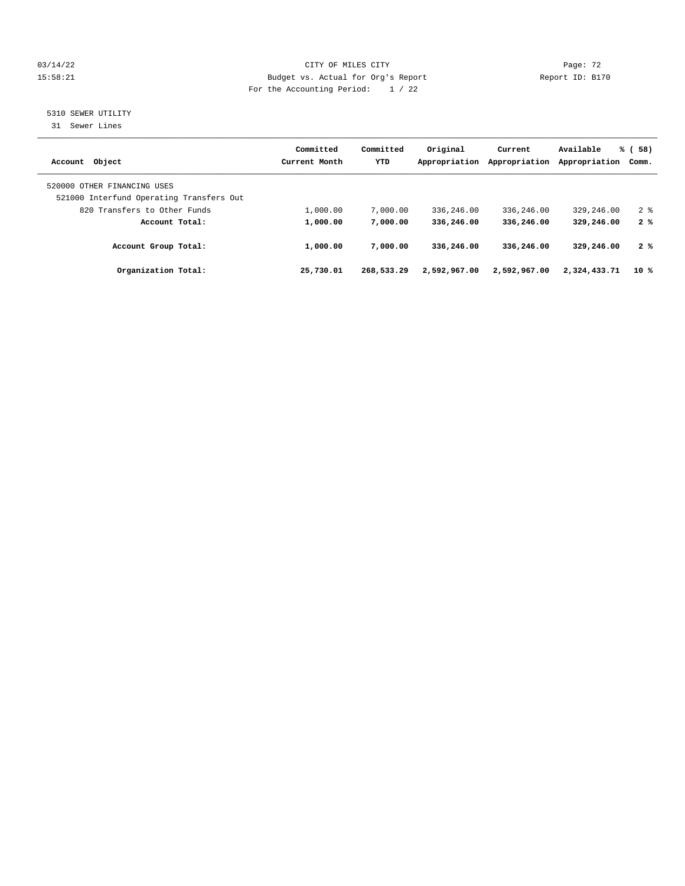#### 03/14/22 Page: 72 15:58:21 Budget vs. Actual for Org's Report Changer Report ID: B170 For the Accounting Period: 1 / 22

## 5310 SEWER UTILITY

31 Sewer Lines

| Account Object                                                          | Committed<br>Current Month | Committed<br>YTD | Original<br>Appropriation | Current<br>Appropriation | Available<br>Appropriation | % (58)<br>Comm. |
|-------------------------------------------------------------------------|----------------------------|------------------|---------------------------|--------------------------|----------------------------|-----------------|
| 520000 OTHER FINANCING USES<br>521000 Interfund Operating Transfers Out |                            |                  |                           |                          |                            |                 |
| 820 Transfers to Other Funds                                            | 1,000.00                   | 7,000.00         | 336,246.00                | 336,246.00               | 329,246.00                 | 2 <sup>8</sup>  |
| Account Total:                                                          | 1,000.00                   | 7,000.00         | 336,246.00                | 336,246.00               | 329,246.00                 | 2%              |
| Account Group Total:                                                    | 1,000.00                   | 7,000.00         | 336,246.00                | 336,246.00               | 329,246.00                 | 2%              |
| Organization Total:                                                     | 25,730.01                  | 268,533.29       | 2,592,967.00              | 2,592,967.00             | 2,324,433.71               | 10 %            |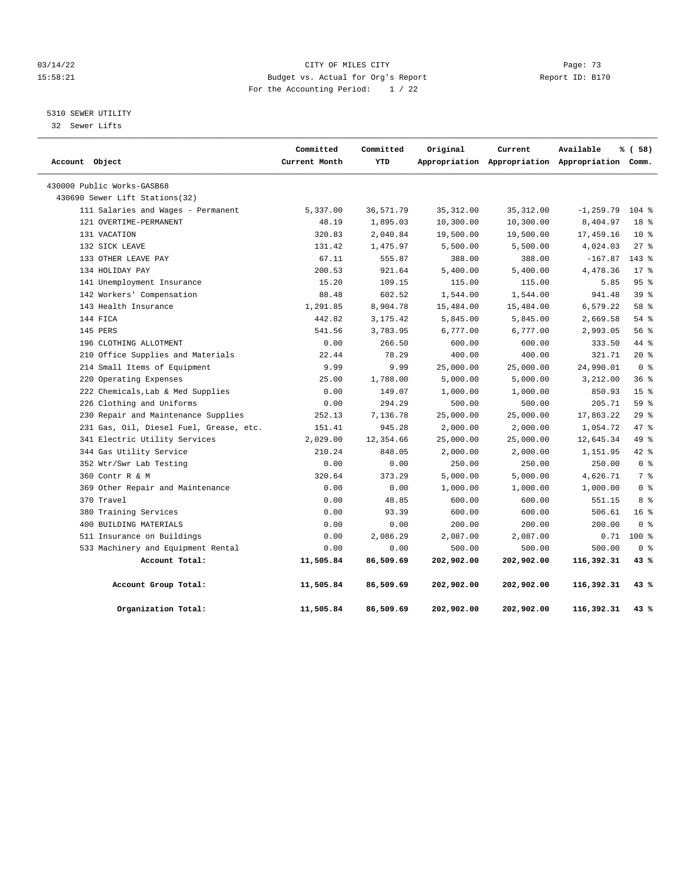#### 03/14/22 Page: 73 15:58:21 Budget vs. Actual for Org's Report Changer Report ID: B170 For the Accounting Period: 1 / 22

## 5310 SEWER UTILITY

32 Sewer Lifts

| Account Object |                                         | Committed<br>Current Month | Committed<br>YTD | Original   | Current<br>Appropriation Appropriation Appropriation Comm. | Available    | % (58)          |  |
|----------------|-----------------------------------------|----------------------------|------------------|------------|------------------------------------------------------------|--------------|-----------------|--|
|                | 430000 Public Works-GASB68              |                            |                  |            |                                                            |              |                 |  |
|                | 430690 Sewer Lift Stations(32)          |                            |                  |            |                                                            |              |                 |  |
|                | 111 Salaries and Wages - Permanent      | 5,337.00                   | 36,571.79        | 35, 312.00 | 35, 312.00                                                 | $-1, 259.79$ | $104$ %         |  |
|                | 121 OVERTIME-PERMANENT                  | 48.19                      | 1,895.03         | 10,300.00  | 10,300.00                                                  | 8,404.97     | 18 <sup>8</sup> |  |
|                | 131 VACATION                            | 320.83                     | 2,040.84         | 19,500.00  | 19,500.00                                                  | 17,459.16    | $10*$           |  |
|                | 132 SICK LEAVE                          | 131.42                     | 1,475.97         | 5,500.00   | 5,500.00                                                   | 4,024.03     | 27%             |  |
|                | 133 OTHER LEAVE PAY                     | 67.11                      | 555.87           | 388.00     | 388.00                                                     | $-167.87$    | $143*$          |  |
|                | 134 HOLIDAY PAY                         | 200.53                     | 921.64           | 5,400.00   | 5,400.00                                                   | 4,478.36     | $17*$           |  |
|                | 141 Unemployment Insurance              | 15.20                      | 109.15           | 115.00     | 115.00                                                     | 5.85         | 95%             |  |
|                | 142 Workers' Compensation               | 88.48                      | 602.52           | 1,544.00   | 1,544.00                                                   | 941.48       | 39 <sup>8</sup> |  |
|                | 143 Health Insurance                    | 1,291.85                   | 8,904.78         | 15,484.00  | 15,484.00                                                  | 6,579.22     | 58 %            |  |
|                | 144 FICA                                | 442.82                     | 3,175.42         | 5,845.00   | 5,845.00                                                   | 2,669.58     | 54%             |  |
|                | 145 PERS                                | 541.56                     | 3,783.95         | 6,777.00   | 6,777.00                                                   | 2,993.05     | 56 %            |  |
|                | 196 CLOTHING ALLOTMENT                  | 0.00                       | 266.50           | 600.00     | 600.00                                                     | 333.50       | 44 %            |  |
|                | 210 Office Supplies and Materials       | 22.44                      | 78.29            | 400.00     | 400.00                                                     | 321.71       | $20*$           |  |
|                | 214 Small Items of Equipment            | 9.99                       | 9.99             | 25,000.00  | 25,000.00                                                  | 24,990.01    | 0 <sup>8</sup>  |  |
|                | 220 Operating Expenses                  | 25.00                      | 1,788.00         | 5,000.00   | 5,000.00                                                   | 3,212.00     | 36%             |  |
|                | 222 Chemicals, Lab & Med Supplies       | 0.00                       | 149.07           | 1,000.00   | 1,000.00                                                   | 850.93       | 15 <sup>8</sup> |  |
|                | 226 Clothing and Uniforms               | 0.00                       | 294.29           | 500.00     | 500.00                                                     | 205.71       | 59 %            |  |
|                | 230 Repair and Maintenance Supplies     | 252.13                     | 7,136.78         | 25,000.00  | 25,000.00                                                  | 17,863.22    | 29%             |  |
|                | 231 Gas, Oil, Diesel Fuel, Grease, etc. | 151.41                     | 945.28           | 2,000.00   | 2,000.00                                                   | 1,054.72     | 47.8            |  |
|                | 341 Electric Utility Services           | 2,029.00                   | 12,354.66        | 25,000.00  | 25,000.00                                                  | 12,645.34    | 49 %            |  |
|                | 344 Gas Utility Service                 | 210.24                     | 848.05           | 2,000.00   | 2,000.00                                                   | 1,151.95     | $42$ %          |  |
|                | 352 Wtr/Swr Lab Testing                 | 0.00                       | 0.00             | 250.00     | 250.00                                                     | 250.00       | 0 <sup>8</sup>  |  |
|                | 360 Contr R & M                         | 320.64                     | 373.29           | 5,000.00   | 5,000.00                                                   | 4,626.71     | 7 <sup>8</sup>  |  |
|                | 369 Other Repair and Maintenance        | 0.00                       | 0.00             | 1,000.00   | 1,000.00                                                   | 1,000.00     | 0 <sup>8</sup>  |  |
|                | 370 Travel                              | 0.00                       | 48.85            | 600.00     | 600.00                                                     | 551.15       | 8 %             |  |
|                | 380 Training Services                   | 0.00                       | 93.39            | 600.00     | 600.00                                                     | 506.61       | 16 <sup>°</sup> |  |
|                | 400 BUILDING MATERIALS                  | 0.00                       | 0.00             | 200.00     | 200.00                                                     | 200.00       | 0 <sup>8</sup>  |  |
|                | 511 Insurance on Buildings              | 0.00                       | 2,086.29         | 2,087.00   | 2,087.00                                                   | 0.71         | $100*$          |  |
|                | 533 Machinery and Equipment Rental      | 0.00                       | 0.00             | 500.00     | 500.00                                                     | 500.00       | 0 <sup>8</sup>  |  |
|                | Account Total:                          | 11,505.84                  | 86,509.69        | 202,902.00 | 202,902.00                                                 | 116,392.31   | 43%             |  |
|                | Account Group Total:                    | 11,505.84                  | 86,509.69        | 202,902.00 | 202,902.00                                                 | 116,392.31   | 43 %            |  |
|                | Organization Total:                     | 11,505.84                  | 86,509.69        | 202,902.00 | 202,902.00                                                 | 116,392.31   | 43 %            |  |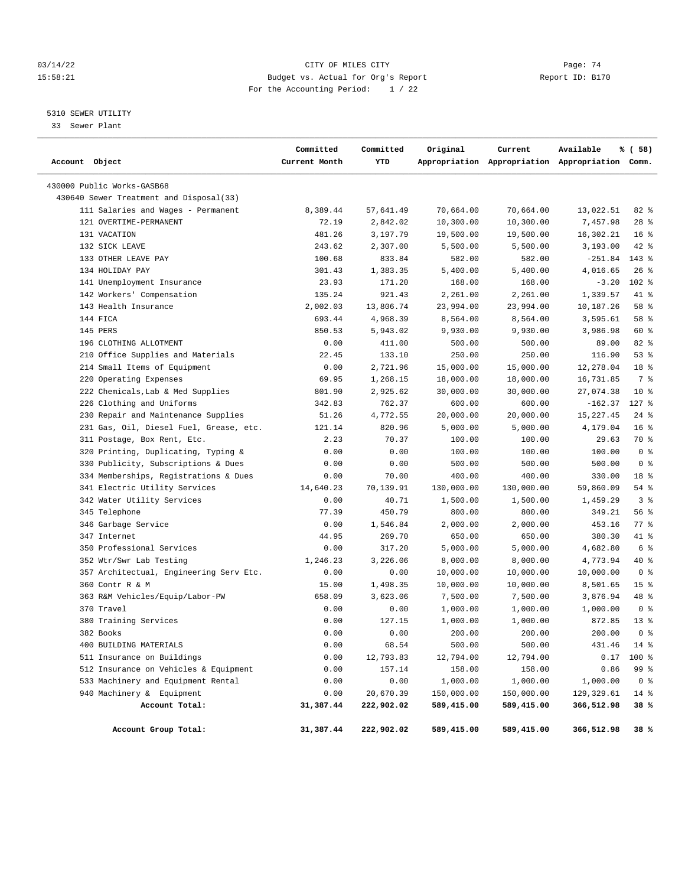#### 03/14/22 Page: 74 15:58:21 Budget vs. Actual for Org's Report Changer Report ID: B170 For the Accounting Period: 1 / 22

# 5310 SEWER UTILITY

33 Sewer Plant

| Account Object                          | Committed<br>Current Month | Committed<br>YTD | Original   | Current    | Available<br>Appropriation Appropriation Appropriation Comm. | % ( 58)            |  |
|-----------------------------------------|----------------------------|------------------|------------|------------|--------------------------------------------------------------|--------------------|--|
| 430000 Public Works-GASB68              |                            |                  |            |            |                                                              |                    |  |
| 430640 Sewer Treatment and Disposal(33) |                            |                  |            |            |                                                              |                    |  |
| 111 Salaries and Wages - Permanent      | 8,389.44                   | 57,641.49        | 70,664.00  | 70,664.00  | 13,022.51                                                    | $82$ $%$           |  |
| 121 OVERTIME-PERMANENT                  | 72.19                      | 2,842.02         | 10,300.00  | 10,300.00  | 7,457.98                                                     | $28$ %             |  |
| 131 VACATION                            | 481.26                     | 3,197.79         | 19,500.00  | 19,500.00  | 16,302.21                                                    | 16 <sup>8</sup>    |  |
| 132 SICK LEAVE                          | 243.62                     | 2,307.00         | 5,500.00   | 5,500.00   | 3,193.00                                                     | 42 %               |  |
| 133 OTHER LEAVE PAY                     | 100.68                     | 833.84           | 582.00     | 582.00     | $-251.84$                                                    | 143 %              |  |
| 134 HOLIDAY PAY                         | 301.43                     | 1,383.35         | 5,400.00   | 5,400.00   | 4,016.65                                                     | $26$ %             |  |
| 141 Unemployment Insurance              | 23.93                      | 171.20           | 168.00     | 168.00     | $-3.20$                                                      | $102*$             |  |
| 142 Workers' Compensation               | 135.24                     | 921.43           | 2,261.00   | 2,261.00   | 1,339.57                                                     | 41 %               |  |
| 143 Health Insurance                    | 2,002.03                   | 13,806.74        | 23,994.00  | 23,994.00  | 10,187.26                                                    | 58 %               |  |
| 144 FICA                                | 693.44                     | 4,968.39         | 8,564.00   | 8,564.00   | 3,595.61                                                     | 58 %               |  |
| 145 PERS                                | 850.53                     | 5,943.02         | 9,930.00   | 9,930.00   | 3,986.98                                                     | 60 %               |  |
| 196 CLOTHING ALLOTMENT                  | 0.00                       | 411.00           | 500.00     | 500.00     | 89.00                                                        | 82 %               |  |
| 210 Office Supplies and Materials       | 22.45                      | 133.10           | 250.00     | 250.00     | 116.90                                                       | 53%                |  |
| 214 Small Items of Equipment            | 0.00                       | 2,721.96         | 15,000.00  | 15,000.00  | 12,278.04                                                    | 18 <sup>8</sup>    |  |
| 220 Operating Expenses                  | 69.95                      | 1,268.15         | 18,000.00  | 18,000.00  | 16,731.85                                                    | 7 %                |  |
| 222 Chemicals, Lab & Med Supplies       | 801.90                     | 2,925.62         | 30,000.00  | 30,000.00  | 27,074.38                                                    | $10*$              |  |
| 226 Clothing and Uniforms               | 342.83                     | 762.37           | 600.00     | 600.00     | $-162.37$                                                    | $127$ %            |  |
| 230 Repair and Maintenance Supplies     | 51.26                      | 4,772.55         | 20,000.00  | 20,000.00  | 15, 227.45                                                   | $24$ %             |  |
| 231 Gas, Oil, Diesel Fuel, Grease, etc. | 121.14                     | 820.96           | 5,000.00   | 5,000.00   | 4,179.04                                                     | 16 <sup>8</sup>    |  |
| 311 Postage, Box Rent, Etc.             | 2.23                       | 70.37            | 100.00     | 100.00     | 29.63                                                        | 70 %               |  |
| 320 Printing, Duplicating, Typing &     | 0.00                       | 0.00             | 100.00     | 100.00     | 100.00                                                       | 0 <sup>8</sup>     |  |
| 330 Publicity, Subscriptions & Dues     | 0.00                       | 0.00             | 500.00     | 500.00     | 500.00                                                       | 0 <sup>8</sup>     |  |
| 334 Memberships, Registrations & Dues   | 0.00                       | 70.00            | 400.00     | 400.00     | 330.00                                                       | 18 %               |  |
| 341 Electric Utility Services           | 14,640.23                  | 70,139.91        | 130,000.00 | 130,000.00 | 59,860.09                                                    | 54 %               |  |
| 342 Water Utility Services              | 0.00                       | 40.71            | 1,500.00   | 1,500.00   | 1,459.29                                                     | 3%                 |  |
| 345 Telephone                           | 77.39                      | 450.79           | 800.00     | 800.00     | 349.21                                                       | 56 %               |  |
| 346 Garbage Service                     | 0.00                       | 1,546.84         | 2,000.00   | 2,000.00   | 453.16                                                       | $77$ $\frac{6}{9}$ |  |
| 347 Internet                            | 44.95                      | 269.70           | 650.00     | 650.00     | 380.30                                                       | 41 %               |  |
| 350 Professional Services               | 0.00                       | 317.20           | 5,000.00   | 5,000.00   | 4,682.80                                                     | 6 %                |  |
| 352 Wtr/Swr Lab Testing                 | 1,246.23                   | 3,226.06         | 8,000.00   | 8,000.00   | 4,773.94                                                     | 40 %               |  |
| 357 Architectual, Engineering Serv Etc. | 0.00                       | 0.00             | 10,000.00  | 10,000.00  | 10,000.00                                                    | 0 <sup>8</sup>     |  |
| 360 Contr R & M                         | 15.00                      | 1,498.35         | 10,000.00  | 10,000.00  | 8,501.65                                                     | 15 <sup>8</sup>    |  |
| 363 R&M Vehicles/Equip/Labor-PW         | 658.09                     | 3,623.06         | 7,500.00   | 7,500.00   | 3,876.94                                                     | 48 %               |  |
| 370 Travel                              | 0.00                       | 0.00             | 1,000.00   | 1,000.00   | 1,000.00                                                     | 0 <sup>8</sup>     |  |
| 380 Training Services                   | 0.00                       | 127.15           | 1,000.00   | 1,000.00   | 872.85                                                       | $13*$              |  |
| 382 Books                               | 0.00                       | 0.00             | 200.00     | 200.00     | 200.00                                                       | 0 <sup>8</sup>     |  |
| 400 BUILDING MATERIALS                  | 0.00                       | 68.54            | 500.00     | 500.00     | 431.46                                                       | $14*$              |  |
| 511 Insurance on Buildings              | 0.00                       | 12,793.83        | 12,794.00  | 12,794.00  | 0.17                                                         | 100 %              |  |
| 512 Insurance on Vehicles & Equipment   | 0.00                       | 157.14           | 158.00     | 158.00     | 0.86                                                         | 99 %               |  |
| 533 Machinery and Equipment Rental      | 0.00                       | 0.00             | 1,000.00   | 1,000.00   | 1,000.00                                                     | 0 <sup>8</sup>     |  |
| 940 Machinery & Equipment               | 0.00                       | 20,670.39        | 150,000.00 | 150,000.00 | 129, 329.61                                                  | 14 %               |  |
| Account Total:                          | 31,387.44                  | 222,902.02       | 589,415.00 | 589,415.00 | 366,512.98                                                   | 38 %               |  |
| Account Group Total:                    | 31,387.44                  | 222,902.02       | 589,415.00 | 589,415.00 | 366,512.98                                                   | 38 %               |  |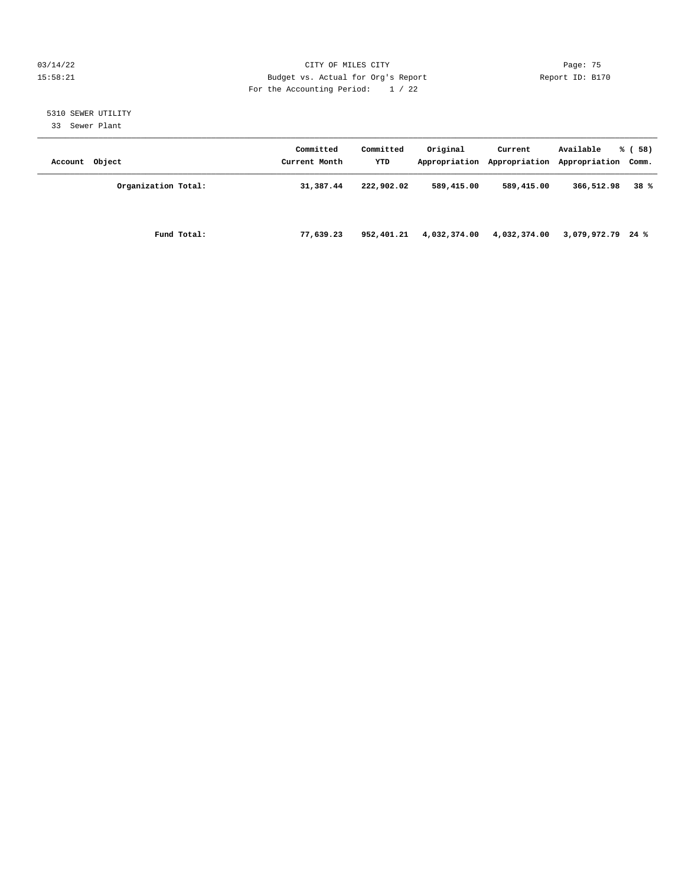#### 03/14/22 Page: 75 15:58:21 Budget vs. Actual for Org's Report Changer Report ID: B170 For the Accounting Period: 1 / 22

# 5310 SEWER UTILITY

33 Sewer Plant

| Account Object |                     | Committed<br>Current Month | Committed<br><b>YTD</b> | Original     | Current      | Available<br>Appropriation Appropriation Appropriation Comm. | % (58) |
|----------------|---------------------|----------------------------|-------------------------|--------------|--------------|--------------------------------------------------------------|--------|
|                | Organization Total: | 31,387.44                  | 222,902.02              | 589,415.00   | 589,415.00   | 366,512.98                                                   | 38%    |
|                | Fund Total:         | 77,639.23                  | 952,401.21              | 4,032,374.00 | 4,032,374.00 | $3,079,972.79$ 24 %                                          |        |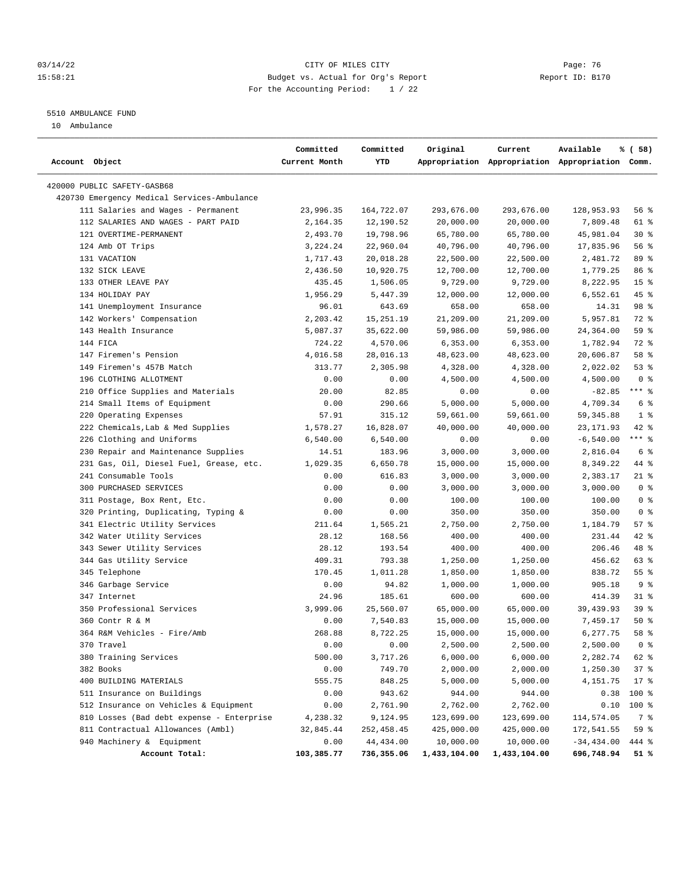#### 03/14/22 Page: 76 15:58:21 Budget vs. Actual for Org's Report Changer Report ID: B170 For the Accounting Period: 1 / 22

————————————————————————————————————————————————————————————————————————————————————————————————————————————————————————————————————

# 5510 AMBULANCE FUND

10 Ambulance

|                                             | Committed     | Committed  | Original     | Current                                         | Available     | % ( 58)         |
|---------------------------------------------|---------------|------------|--------------|-------------------------------------------------|---------------|-----------------|
| Account Object                              | Current Month | YTD        |              | Appropriation Appropriation Appropriation Comm. |               |                 |
| 420000 PUBLIC SAFETY-GASB68                 |               |            |              |                                                 |               |                 |
| 420730 Emergency Medical Services-Ambulance |               |            |              |                                                 |               |                 |
| 111 Salaries and Wages - Permanent          | 23,996.35     | 164,722.07 | 293,676.00   | 293,676.00                                      | 128,953.93    | 56 %            |
| 112 SALARIES AND WAGES - PART PAID          | 2,164.35      | 12,190.52  | 20,000.00    | 20,000.00                                       | 7,809.48      | 61 %            |
| 121 OVERTIME-PERMANENT                      | 2,493.70      | 19,798.96  | 65,780.00    | 65,780.00                                       | 45,981.04     | $30*$           |
| 124 Amb OT Trips                            | 3,224.24      | 22,960.04  | 40,796.00    | 40,796.00                                       | 17,835.96     | 56%             |
| 131 VACATION                                | 1,717.43      | 20,018.28  | 22,500.00    | 22,500.00                                       | 2,481.72      | 89 %            |
| 132 SICK LEAVE                              | 2,436.50      | 10,920.75  | 12,700.00    | 12,700.00                                       | 1,779.25      | 86 %            |
| 133 OTHER LEAVE PAY                         | 435.45        | 1,506.05   | 9,729.00     | 9,729.00                                        | 8,222.95      | 15 <sup>8</sup> |
| 134 HOLIDAY PAY                             | 1,956.29      | 5,447.39   | 12,000.00    | 12,000.00                                       | 6,552.61      | 45 %            |
| 141 Unemployment Insurance                  | 96.01         | 643.69     | 658.00       | 658.00                                          | 14.31         | 98 %            |
| 142 Workers' Compensation                   | 2,203.42      | 15,251.19  | 21,209.00    | 21,209.00                                       | 5,957.81      | 72 %            |
| 143 Health Insurance                        | 5,087.37      | 35,622.00  | 59,986.00    | 59,986.00                                       | 24,364.00     | 59 %            |
| 144 FICA                                    | 724.22        | 4,570.06   | 6,353.00     | 6,353.00                                        | 1,782.94      | 72 %            |
| 147 Firemen's Pension                       | 4,016.58      | 28,016.13  | 48,623.00    | 48,623.00                                       | 20,606.87     | 58 %            |
| 149 Firemen's 457B Match                    | 313.77        | 2,305.98   | 4,328.00     | 4,328.00                                        | 2,022.02      | 53%             |
| 196 CLOTHING ALLOTMENT                      | 0.00          | 0.00       | 4,500.00     | 4,500.00                                        | 4,500.00      | 0 <sup>8</sup>  |
| 210 Office Supplies and Materials           | 20.00         | 82.85      | 0.00         | 0.00                                            | $-82.85$      | $***$ $%$       |
| 214 Small Items of Equipment                | 0.00          | 290.66     | 5,000.00     | 5,000.00                                        | 4,709.34      | 6 %             |
| 220 Operating Expenses                      | 57.91         | 315.12     | 59,661.00    | 59,661.00                                       | 59, 345.88    | 1 <sup>8</sup>  |
| 222 Chemicals, Lab & Med Supplies           | 1,578.27      | 16,828.07  | 40,000.00    | 40,000.00                                       | 23, 171.93    | $42$ %          |
| 226 Clothing and Uniforms                   | 6,540.00      | 6,540.00   | 0.00         | 0.00                                            | $-6,540.00$   | $***$ $-$       |
| 230 Repair and Maintenance Supplies         | 14.51         | 183.96     | 3,000.00     | 3,000.00                                        | 2,816.04      | 6 %             |
| 231 Gas, Oil, Diesel Fuel, Grease, etc.     | 1,029.35      | 6,650.78   | 15,000.00    | 15,000.00                                       | 8,349.22      | 44 %            |
| 241 Consumable Tools                        | 0.00          | 616.83     | 3,000.00     | 3,000.00                                        | 2,383.17      | $21$ %          |
| 300 PURCHASED SERVICES                      | 0.00          | 0.00       | 3,000.00     | 3,000.00                                        | 3,000.00      | 0 <sup>8</sup>  |
| 311 Postage, Box Rent, Etc.                 | 0.00          | 0.00       | 100.00       | 100.00                                          | 100.00        | 0 <sup>8</sup>  |
| 320 Printing, Duplicating, Typing &         | 0.00          | 0.00       | 350.00       | 350.00                                          | 350.00        | 0 <sup>8</sup>  |
| 341 Electric Utility Services               | 211.64        | 1,565.21   | 2,750.00     | 2,750.00                                        | 1,184.79      | 57%             |
| 342 Water Utility Services                  | 28.12         | 168.56     | 400.00       | 400.00                                          | 231.44        | $42$ %          |
| 343 Sewer Utility Services                  | 28.12         | 193.54     | 400.00       | 400.00                                          | 206.46        | 48 %            |
| 344 Gas Utility Service                     | 409.31        | 793.38     | 1,250.00     | 1,250.00                                        | 456.62        | 63%             |
| 345 Telephone                               | 170.45        | 1,011.28   | 1,850.00     | 1,850.00                                        | 838.72        | 55%             |
| 346 Garbage Service                         | 0.00          | 94.82      | 1,000.00     | 1,000.00                                        | 905.18        | 9%              |
| 347 Internet                                | 24.96         | 185.61     | 600.00       | 600.00                                          | 414.39        | $31$ %          |
| 350 Professional Services                   | 3,999.06      | 25,560.07  | 65,000.00    | 65,000.00                                       | 39,439.93     | 39%             |
| 360 Contr R & M                             | 0.00          | 7,540.83   | 15,000.00    | 15,000.00                                       | 7,459.17      | 50%             |
| 364 R&M Vehicles - Fire/Amb                 | 268.88        | 8,722.25   | 15,000.00    | 15,000.00                                       | 6,277.75      | 58 %            |
| 370 Travel                                  | 0.00          | 0.00       | 2,500.00     | 2,500.00                                        | 2,500.00      | 0 <sup>8</sup>  |
| 380 Training Services                       | 500.00        | 3,717.26   | 6,000.00     | 6,000.00                                        | 2,282.74      | 62 %            |
| 382 Books                                   | 0.00          | 749.70     | 2,000.00     | 2,000.00                                        | 1,250.30      | 37%             |
| 400 BUILDING MATERIALS                      | 555.75        | 848.25     | 5,000.00     | 5,000.00                                        | 4,151.75      | $17*$           |
| 511 Insurance on Buildings                  | 0.00          | 943.62     | 944.00       | 944.00                                          | 0.38          | 100 %           |
| 512 Insurance on Vehicles & Equipment       | 0.00          | 2,761.90   | 2,762.00     | 2,762.00                                        | 0.10          | 100 %           |
| 810 Losses (Bad debt expense - Enterprise   | 4,238.32      | 9,124.95   | 123,699.00   | 123,699.00                                      | 114,574.05    | 7 %             |
| 811 Contractual Allowances (Ambl)           | 32,845.44     | 252,458.45 | 425,000.00   | 425,000.00                                      | 172,541.55    | 59 %            |
| 940 Machinery & Equipment                   | 0.00          | 44,434.00  | 10,000.00    | 10,000.00                                       | $-34, 434.00$ | 444 %           |
| Account Total:                              | 103,385.77    | 736,355.06 | 1,433,104.00 | 1,433,104.00                                    | 696,748.94    | 51 %            |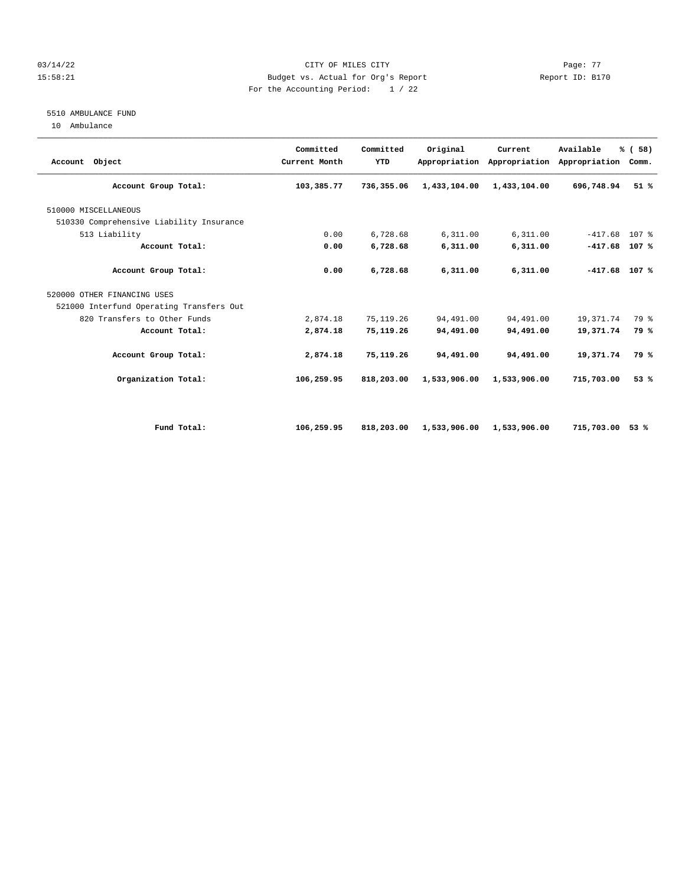#### 03/14/22 Page: 77 CITY OF MILES CITY 15:58:21 Budget vs. Actual for Org's Report Changer Report ID: B170 For the Accounting Period: 1 / 22

## 5510 AMBULANCE FUND

10 Ambulance

| Account Object                           | Committed<br>Current Month | Committed<br>YTD | Original     | Current<br>Appropriation Appropriation | Available<br>Appropriation | % (58)<br>Comm.  |
|------------------------------------------|----------------------------|------------------|--------------|----------------------------------------|----------------------------|------------------|
| Account Group Total:                     | 103,385.77                 | 736,355.06       | 1,433,104.00 | 1,433,104.00                           | 696,748.94                 | 51%              |
| 510000 MISCELLANEOUS                     |                            |                  |              |                                        |                            |                  |
| 510330 Comprehensive Liability Insurance |                            |                  |              |                                        |                            |                  |
| 513 Liability                            | 0.00                       | 6,728.68         | 6,311.00     | 6,311.00                               | $-417.68$                  | 107 <sub>8</sub> |
| Account Total:                           | 0.00                       | 6,728.68         | 6,311.00     | 6,311.00                               | $-417.68$                  | 107%             |
| Account Group Total:                     | 0.00                       | 6,728.68         | 6,311.00     | 6,311.00                               | $-417.68$ 107 %            |                  |
| 520000 OTHER FINANCING USES              |                            |                  |              |                                        |                            |                  |
| 521000 Interfund Operating Transfers Out |                            |                  |              |                                        |                            |                  |
| 820 Transfers to Other Funds             | 2,874.18                   | 75, 119.26       | 94,491.00    | 94,491.00                              | 19,371.74                  | 79 %             |
| Account Total:                           | 2,874.18                   | 75,119.26        | 94,491.00    | 94,491.00                              | 19,371.74                  | 79 %             |
| Account Group Total:                     | 2,874.18                   | 75,119.26        | 94,491.00    | 94,491.00                              | 19,371.74                  | 79 %             |
| Organization Total:                      | 106,259.95                 | 818,203.00       | 1,533,906.00 | 1,533,906.00                           | 715,703.00                 | 53%              |
|                                          |                            |                  |              |                                        |                            |                  |
| Fund Total:                              | 106,259.95                 | 818,203.00       | 1,533,906.00 | 1,533,906.00                           | 715,703.00                 | 53%              |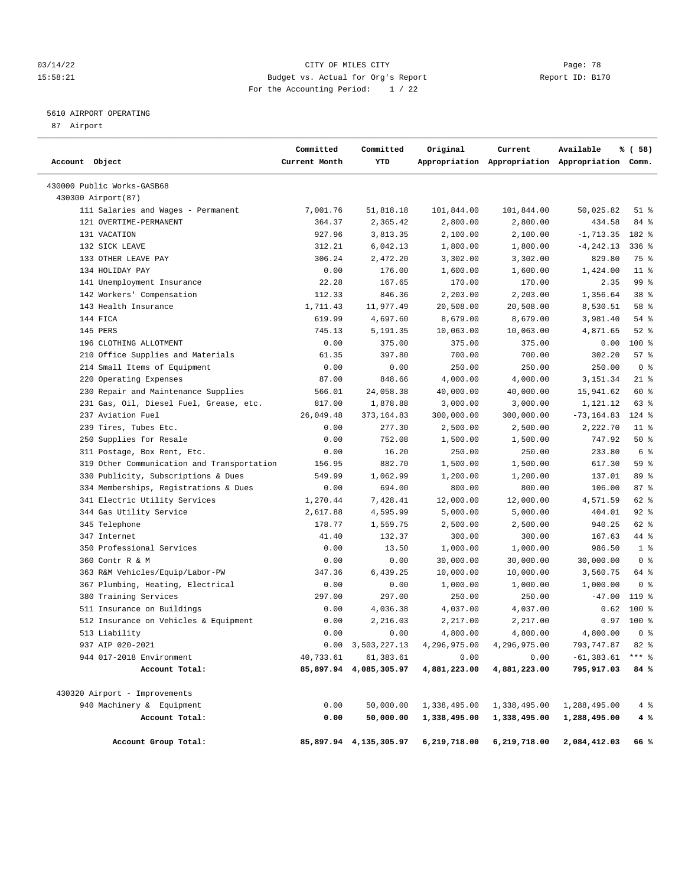#### 03/14/22 Page: 78 15:58:21 Budget vs. Actual for Org's Report Changer Report ID: B170 For the Accounting Period: 1 / 22

# 5610 AIRPORT OPERATING

87 Airport

| Account Object                             | Committed<br>Current Month | Committed<br>YTD          | Original     | Current      | Available<br>Appropriation Appropriation Appropriation Comm. | % ( 58)        |
|--------------------------------------------|----------------------------|---------------------------|--------------|--------------|--------------------------------------------------------------|----------------|
| 430000 Public Works-GASB68                 |                            |                           |              |              |                                                              |                |
| 430300 Airport(87)                         |                            |                           |              |              |                                                              |                |
| 111 Salaries and Wages - Permanent         | 7,001.76                   | 51,818.18                 | 101,844.00   | 101,844.00   | 50,025.82                                                    | $51$ %         |
| 121 OVERTIME-PERMANENT                     | 364.37                     | 2,365.42                  | 2,800.00     | 2,800.00     | 434.58                                                       | 84 %           |
| 131 VACATION                               | 927.96                     | 3,813.35                  | 2,100.00     | 2,100.00     | $-1, 713.35$                                                 | 182 %          |
| 132 SICK LEAVE                             | 312.21                     | 6,042.13                  | 1,800.00     | 1,800.00     | $-4, 242.13$                                                 | 336 %          |
| 133 OTHER LEAVE PAY                        | 306.24                     | 2,472.20                  | 3,302.00     | 3,302.00     | 829.80                                                       | 75 %           |
| 134 HOLIDAY PAY                            | 0.00                       | 176.00                    | 1,600.00     | 1,600.00     | 1,424.00                                                     | $11$ %         |
| 141 Unemployment Insurance                 | 22.28                      | 167.65                    | 170.00       | 170.00       | 2.35                                                         | 99 %           |
| 142 Workers' Compensation                  | 112.33                     | 846.36                    | 2,203.00     | 2,203.00     | 1,356.64                                                     | 38 %           |
| 143 Health Insurance                       | 1,711.43                   | 11,977.49                 | 20,508.00    | 20,508.00    | 8,530.51                                                     | 58 %           |
| 144 FICA                                   | 619.99                     | 4,697.60                  | 8,679.00     | 8,679.00     | 3,981.40                                                     | 54 %           |
| 145 PERS                                   | 745.13                     | 5,191.35                  | 10,063.00    | 10,063.00    | 4,871.65                                                     | $52$ $%$       |
| 196 CLOTHING ALLOTMENT                     | 0.00                       | 375.00                    | 375.00       | 375.00       | 0.00                                                         | 100 %          |
| 210 Office Supplies and Materials          | 61.35                      | 397.80                    | 700.00       | 700.00       | 302.20                                                       | 57%            |
| 214 Small Items of Equipment               | 0.00                       | 0.00                      | 250.00       | 250.00       | 250.00                                                       | 0 <sup>8</sup> |
| 220 Operating Expenses                     | 87.00                      | 848.66                    | 4,000.00     | 4,000.00     | 3,151.34                                                     | $21$ %         |
| 230 Repair and Maintenance Supplies        | 566.01                     | 24,058.38                 | 40,000.00    | 40,000.00    | 15,941.62                                                    | 60 %           |
| 231 Gas, Oil, Diesel Fuel, Grease, etc.    | 817.00                     | 1,878.88                  | 3,000.00     | 3,000.00     | 1,121.12                                                     | 63 %           |
| 237 Aviation Fuel                          | 26,049.48                  | 373, 164.83               | 300,000.00   | 300,000.00   | $-73, 164.83$                                                | $124$ %        |
| 239 Tires, Tubes Etc.                      | 0.00                       | 277.30                    | 2,500.00     | 2,500.00     | 2,222.70                                                     | $11$ %         |
| 250 Supplies for Resale                    | 0.00                       | 752.08                    | 1,500.00     | 1,500.00     | 747.92                                                       | 50%            |
| 311 Postage, Box Rent, Etc.                | 0.00                       | 16.20                     | 250.00       | 250.00       | 233.80                                                       | 6 %            |
| 319 Other Communication and Transportation | 156.95                     | 882.70                    | 1,500.00     | 1,500.00     | 617.30                                                       | 59 %           |
| 330 Publicity, Subscriptions & Dues        | 549.99                     | 1,062.99                  | 1,200.00     | 1,200.00     | 137.01                                                       | 89 %           |
| 334 Memberships, Registrations & Dues      | 0.00                       | 694.00                    | 800.00       | 800.00       | 106.00                                                       | 87%            |
| 341 Electric Utility Services              | 1,270.44                   | 7,428.41                  | 12,000.00    | 12,000.00    | 4,571.59                                                     | 62 %           |
| 344 Gas Utility Service                    | 2,617.88                   | 4,595.99                  | 5,000.00     | 5,000.00     | 404.01                                                       | $92$ %         |
| 345 Telephone                              | 178.77                     | 1,559.75                  | 2,500.00     | 2,500.00     | 940.25                                                       | 62 %           |
| 347 Internet                               | 41.40                      | 132.37                    | 300.00       | 300.00       | 167.63                                                       | 44 %           |
| 350 Professional Services                  | 0.00                       | 13.50                     | 1,000.00     | 1,000.00     | 986.50                                                       | 1 <sup>8</sup> |
| 360 Contr R & M                            | 0.00                       | 0.00                      | 30,000.00    | 30,000.00    | 30,000.00                                                    | 0 <sup>8</sup> |
| 363 R&M Vehicles/Equip/Labor-PW            | 347.36                     | 6,439.25                  | 10,000.00    | 10,000.00    | 3,560.75                                                     | 64 %           |
| 367 Plumbing, Heating, Electrical          | 0.00                       | 0.00                      | 1,000.00     | 1,000.00     | 1,000.00                                                     | 0 <sup>8</sup> |
| 380 Training Services                      | 297.00                     | 297.00                    | 250.00       | 250.00       | $-47.00$                                                     | 119 %          |
| 511 Insurance on Buildings                 | 0.00                       | 4,036.38                  | 4,037.00     | 4,037.00     | 0.62                                                         | 100 %          |
| 512 Insurance on Vehicles & Equipment      | 0.00                       | 2,216.03                  | 2,217.00     | 2,217.00     | 0.97                                                         | 100 %          |
| 513 Liability                              | 0.00                       | 0.00                      | 4,800.00     | 4,800.00     | 4,800.00                                                     | 0 <sup>8</sup> |
| 937 AIP 020-2021                           |                            | $0.00 \quad 3,503,227.13$ | 4,296,975.00 | 4,296,975.00 | 793,747.87                                                   | 82%            |
| 944 017-2018 Environment                   | 40,733.61                  | 61,383.61                 | 0.00         | 0.00         | $-61, 383.61$                                                | $***$ $_{8}$   |
| Account Total:                             |                            | 85,897.94 4,085,305.97    | 4,881,223.00 | 4,881,223.00 | 795,917.03                                                   | 84 %           |
| 430320 Airport - Improvements              |                            |                           |              |              |                                                              |                |
| 940 Machinery & Equipment                  | 0.00                       | 50,000.00                 | 1,338,495.00 | 1,338,495.00 | 1,288,495.00                                                 | $4\degree$     |
| Account Total:                             | 0.00                       | 50,000.00                 | 1,338,495.00 | 1,338,495.00 | 1,288,495.00                                                 | 4 %            |
| Account Group Total:                       |                            | 85,897.94 4,135,305.97    | 6,219,718.00 | 6,219,718.00 | 2,084,412.03                                                 | 66%            |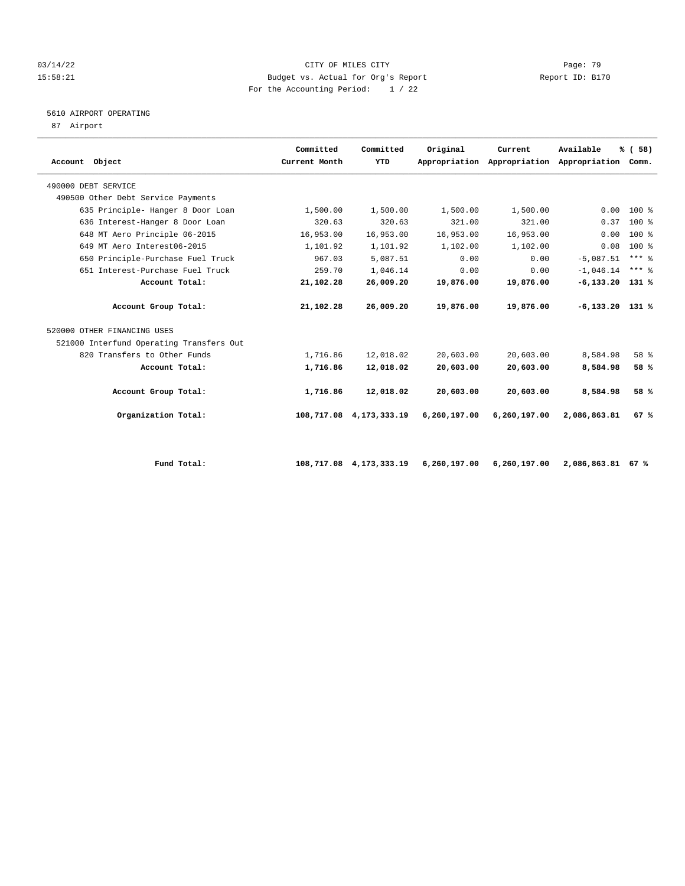#### 03/14/22 Page: 79 15:58:21 Budget vs. Actual for Org's Report Report ID: B170 For the Accounting Period: 1 / 22

# 5610 AIRPORT OPERATING

87 Airport

|                                          | Committed     | Committed       | Original     | Current                                         | Available         | % (58)              |  |
|------------------------------------------|---------------|-----------------|--------------|-------------------------------------------------|-------------------|---------------------|--|
| Account Object                           | Current Month | YTD             |              | Appropriation Appropriation Appropriation Comm. |                   |                     |  |
| 490000 DEBT SERVICE                      |               |                 |              |                                                 |                   |                     |  |
| 490500 Other Debt Service Payments       |               |                 |              |                                                 |                   |                     |  |
| 635 Principle- Hanger 8 Door Loan        | 1,500.00      | 1,500.00        | 1,500.00     | 1,500.00                                        | 0.00              | $100*$              |  |
| 636 Interest-Hanger 8 Door Loan          | 320.63        | 320.63          | 321.00       | 321.00                                          | 0.37              | $100*$              |  |
| 648 MT Aero Principle 06-2015            | 16,953.00     | 16,953.00       | 16,953.00    | 16,953.00                                       | 0.00              | $100*$              |  |
| 649 MT Aero Interest06-2015              | 1,101.92      | 1,101.92        | 1,102.00     | 1,102.00                                        | 0.08              | $100*$              |  |
| 650 Principle-Purchase Fuel Truck        | 967.03        | 5,087.51        | 0.00         | 0.00                                            | $-5,087.51$       | $***$ $\frac{6}{5}$ |  |
| 651 Interest-Purchase Fuel Truck         | 259.70        | 1,046.14        | 0.00         | 0.00                                            | $-1,046.14$       | $***$ $%$           |  |
| Account Total:                           | 21,102.28     | 26,009.20       | 19,876.00    | 19,876.00                                       | $-6,133.20$ 131 % |                     |  |
| Account Group Total:                     | 21,102.28     | 26,009.20       | 19,876.00    | 19,876.00                                       | $-6,133,20$ 131 % |                     |  |
| 520000 OTHER FINANCING USES              |               |                 |              |                                                 |                   |                     |  |
| 521000 Interfund Operating Transfers Out |               |                 |              |                                                 |                   |                     |  |
| 820 Transfers to Other Funds             | 1,716.86      | 12,018.02       | 20,603.00    | 20,603.00                                       | 8,584.98          | 58 %                |  |
| Account Total:                           | 1,716.86      | 12,018.02       | 20,603.00    | 20,603.00                                       | 8,584.98          | 58 %                |  |
| Account Group Total:                     | 1,716.86      | 12,018.02       | 20,603.00    | 20,603.00                                       | 8,584.98          | 58 %                |  |
| Organization Total:                      | 108,717.08    | 4, 173, 333. 19 | 6,260,197.00 | 6,260,197.00                                    | 2,086,863.81      | 67%                 |  |
|                                          |               |                 |              |                                                 |                   |                     |  |
|                                          |               |                 |              |                                                 |                   |                     |  |

 **Fund Total: 108,717.08 4,173,333.19 6,260,197.00 6,260,197.00 2,086,863.81 67 %**